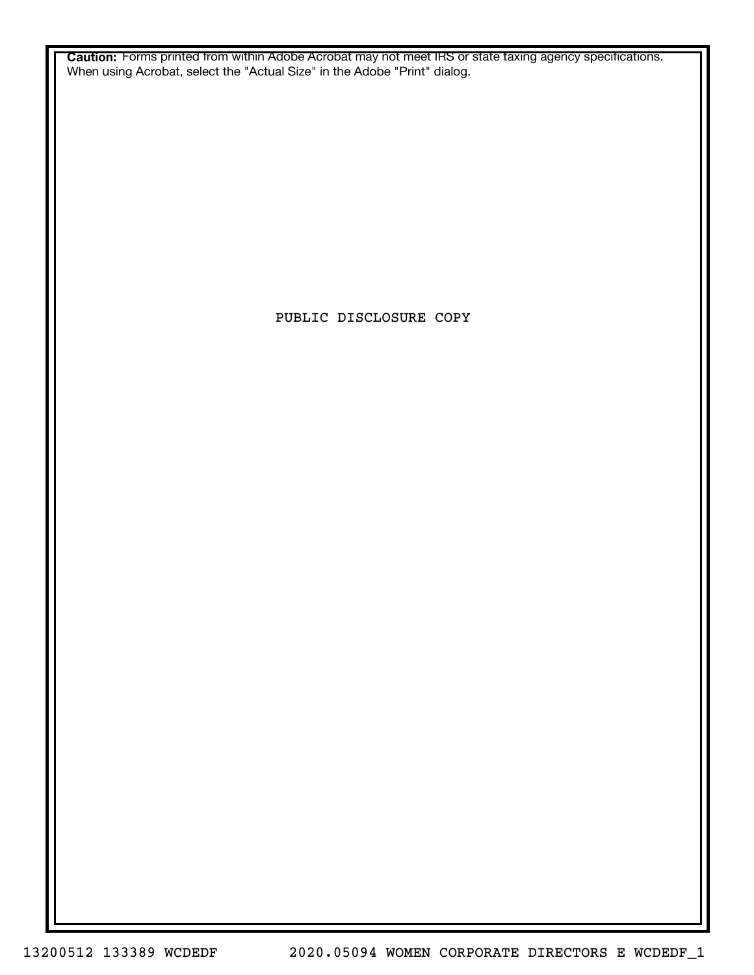**Caution:** Forms printed from within Adobe Acrobat may not meet IRS or state taxing agency specifications. When using Acrobat, select the "Actual Size" in the Adobe "Print" dialog.

PUBLIC DISCLOSURE COPY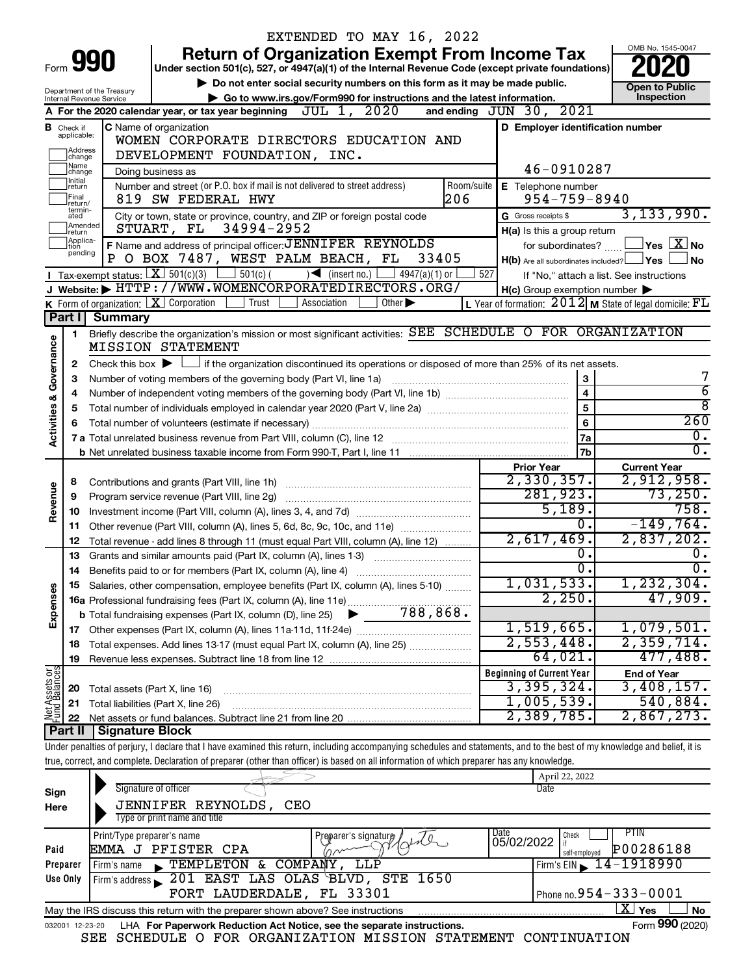|                                |                             |                                                        |                                                                                                                                                                            | EXTENDED TO MAY 16, 2022                                                                           |            |                                                     |                                                                           |
|--------------------------------|-----------------------------|--------------------------------------------------------|----------------------------------------------------------------------------------------------------------------------------------------------------------------------------|----------------------------------------------------------------------------------------------------|------------|-----------------------------------------------------|---------------------------------------------------------------------------|
|                                |                             |                                                        |                                                                                                                                                                            | <b>Return of Organization Exempt From Income Tax</b>                                               |            |                                                     | OMB No. 1545-0047                                                         |
|                                | Form 990                    |                                                        |                                                                                                                                                                            | Under section 501(c), 527, or 4947(a)(1) of the Internal Revenue Code (except private foundations) |            |                                                     |                                                                           |
|                                |                             |                                                        |                                                                                                                                                                            | Do not enter social security numbers on this form as it may be made public.                        |            |                                                     | <b>Open to Public</b>                                                     |
|                                |                             | Department of the Treasury<br>Internal Revenue Service |                                                                                                                                                                            | Go to www.irs.gov/Form990 for instructions and the latest information.                             |            |                                                     | Inspection                                                                |
|                                |                             |                                                        | A For the 2020 calendar year, or tax year beginning $JUL$ 1, $2020$                                                                                                        |                                                                                                    |            | and ending JUN 30, 2021                             |                                                                           |
|                                | <b>B</b> Check if           |                                                        | <b>C</b> Name of organization                                                                                                                                              |                                                                                                    |            | D Employer identification number                    |                                                                           |
|                                | applicable:                 |                                                        | WOMEN CORPORATE DIRECTORS EDUCATION AND                                                                                                                                    |                                                                                                    |            |                                                     |                                                                           |
|                                | ]Address<br>]change         |                                                        | DEVELOPMENT FOUNDATION, INC.                                                                                                                                               |                                                                                                    |            |                                                     |                                                                           |
|                                | Name<br>change              |                                                        | Doing business as                                                                                                                                                          |                                                                                                    |            | 46-0910287                                          |                                                                           |
|                                | Initial<br>return           |                                                        | Number and street (or P.O. box if mail is not delivered to street address)                                                                                                 |                                                                                                    | Room/suite | <b>E</b> Telephone number                           |                                                                           |
|                                | Final<br>return/            |                                                        | 819 SW FEDERAL HWY                                                                                                                                                         |                                                                                                    | 206        | $954 - 759 - 8940$                                  |                                                                           |
|                                | termin-<br>ated             |                                                        | City or town, state or province, country, and ZIP or foreign postal code                                                                                                   |                                                                                                    |            | G Gross receipts \$                                 | 3, 133, 990.                                                              |
|                                | Amended<br>return           |                                                        | STUART, FL 34994-2952                                                                                                                                                      |                                                                                                    |            | H(a) Is this a group return                         |                                                                           |
|                                | Applica-<br>tion<br>pending |                                                        | F Name and address of principal officer: JENNIFER REYNOLDS                                                                                                                 |                                                                                                    |            | for subordinates?                                   | $ {\mathsf Y}\mathsf{es}\ \boxed{{\mathsf X}}$ No                         |
|                                |                             |                                                        | O BOX 7487, WEST PALM BEACH, FL                                                                                                                                            | 33405                                                                                              |            | $H(b)$ Are all subordinates included? $\Box$ Yes    | <b>No</b>                                                                 |
|                                |                             |                                                        | <b>I</b> Tax-exempt status: $\boxed{\mathbf{X}}$ 501(c)(3) $\boxed{\phantom{0}}$ 501(c)(                                                                                   | $\sqrt{\frac{1}{1}}$ (insert no.)<br>$4947(a)(1)$ or                                               | 527        |                                                     | If "No," attach a list. See instructions                                  |
|                                |                             |                                                        | J Website: FHTTP://WWW.WOMENCORPORATEDIRECTORS.ORG/                                                                                                                        |                                                                                                    |            | $H(c)$ Group exemption number $\blacktriangleright$ |                                                                           |
|                                |                             |                                                        | <b>K</b> Form of organization: $\boxed{\mathbf{X}}$ Corporation<br><b>Trust</b>                                                                                            | Other $\blacktriangleright$<br>Association                                                         |            |                                                     | <b>L</b> Year of formation: $2012$ <b>M</b> State of legal domicile: $FL$ |
|                                | Part I                      | <b>Summary</b>                                         |                                                                                                                                                                            |                                                                                                    |            |                                                     |                                                                           |
|                                | 1.                          |                                                        | Briefly describe the organization's mission or most significant activities: SEE SCHEDULE O FOR ORGANIZATION                                                                |                                                                                                    |            |                                                     |                                                                           |
|                                |                             |                                                        | <b>MISSION STATEMENT</b>                                                                                                                                                   |                                                                                                    |            |                                                     |                                                                           |
| Governance                     | 2                           |                                                        | Check this box $\blacktriangleright$ $\Box$ if the organization discontinued its operations or disposed of more than 25% of its net assets.                                |                                                                                                    |            |                                                     |                                                                           |
|                                | 3                           |                                                        | Number of voting members of the governing body (Part VI, line 1a)                                                                                                          |                                                                                                    |            | 3                                                   |                                                                           |
|                                |                             |                                                        |                                                                                                                                                                            |                                                                                                    |            | $\overline{\mathbf{4}}$                             | $\overline{6}$                                                            |
|                                | 5                           |                                                        |                                                                                                                                                                            |                                                                                                    |            | 5                                                   | $\overline{\bf 8}$                                                        |
| <b>Activities &amp;</b>        |                             |                                                        |                                                                                                                                                                            |                                                                                                    |            | 6                                                   | 260<br>$\overline{0}$ .                                                   |
|                                |                             |                                                        |                                                                                                                                                                            |                                                                                                    |            | 7a                                                  | $\overline{0}$ .                                                          |
|                                |                             |                                                        |                                                                                                                                                                            |                                                                                                    |            | 7b                                                  |                                                                           |
|                                |                             |                                                        |                                                                                                                                                                            |                                                                                                    |            | <b>Prior Year</b><br>2,330,357.                     | <b>Current Year</b><br>2,912,958.                                         |
| Revenue                        | 8                           |                                                        | Contributions and grants (Part VIII, line 1h)                                                                                                                              |                                                                                                    |            | 281,923.                                            | 73, 250.                                                                  |
|                                | 9                           |                                                        | Program service revenue (Part VIII, line 2g)                                                                                                                               |                                                                                                    |            | 5,189.                                              | 758.                                                                      |
|                                | 10<br>11                    |                                                        | Other revenue (Part VIII, column (A), lines 5, 6d, 8c, 9c, 10c, and 11e)                                                                                                   |                                                                                                    |            | 0.                                                  | $-149,764.$                                                               |
|                                | 12                          |                                                        | Total revenue - add lines 8 through 11 (must equal Part VIII, column (A), line 12)                                                                                         |                                                                                                    |            | 2,617,469.                                          | 2,837,202.                                                                |
|                                | 13                          |                                                        | Grants and similar amounts paid (Part IX, column (A), lines 1-3)                                                                                                           |                                                                                                    |            | о.                                                  | $\overline{0}$ .                                                          |
|                                | 14                          |                                                        |                                                                                                                                                                            |                                                                                                    |            | $\overline{0}$ .                                    | $\overline{0}$ .                                                          |
|                                |                             |                                                        | 15 Salaries, other compensation, employee benefits (Part IX, column (A), lines 5-10)                                                                                       |                                                                                                    |            | 1,031,533.                                          | 1,232,304.                                                                |
| Expenses                       |                             |                                                        |                                                                                                                                                                            |                                                                                                    |            | 2,250.                                              | 47,909.                                                                   |
|                                |                             |                                                        |                                                                                                                                                                            |                                                                                                    |            |                                                     |                                                                           |
|                                |                             |                                                        |                                                                                                                                                                            |                                                                                                    |            | 1,519,665.                                          | 1,079,501.                                                                |
|                                | 18                          |                                                        | Total expenses. Add lines 13-17 (must equal Part IX, column (A), line 25)                                                                                                  |                                                                                                    |            | 2,553,448.                                          | 2,359,714.                                                                |
|                                | 19                          |                                                        |                                                                                                                                                                            |                                                                                                    |            | 64,021.                                             | 477,488.                                                                  |
|                                |                             |                                                        |                                                                                                                                                                            |                                                                                                    |            | <b>Beginning of Current Year</b>                    | <b>End of Year</b>                                                        |
| Net Assets or<br>Fund Balances | 20                          |                                                        | Total assets (Part X, line 16)                                                                                                                                             |                                                                                                    |            | 3,395,324.                                          | 3,408,157.                                                                |
|                                | 21                          |                                                        | Total liabilities (Part X, line 26)                                                                                                                                        |                                                                                                    |            | 1,005,539.                                          | 540,884.                                                                  |
|                                | 22                          |                                                        |                                                                                                                                                                            |                                                                                                    |            | 2,389,785.                                          | 2,867,273.                                                                |
|                                | Part II                     | <b>Signature Block</b>                                 |                                                                                                                                                                            |                                                                                                    |            |                                                     |                                                                           |
|                                |                             |                                                        | Under penalties of perjury, I declare that I have examined this return, including accompanying schedules and statements, and to the best of my knowledge and belief, it is |                                                                                                    |            |                                                     |                                                                           |
|                                |                             |                                                        | true, correct, and complete. Declaration of preparer (other than officer) is based on all information of which preparer has any knowledge.                                 |                                                                                                    |            |                                                     |                                                                           |
|                                |                             |                                                        |                                                                                                                                                                            |                                                                                                    |            | April 22, 2022                                      |                                                                           |
| Sign                           |                             |                                                        | Signature of officer                                                                                                                                                       |                                                                                                    |            | Date                                                |                                                                           |
| Here                           |                             |                                                        | JENNIFER REYNOLDS,                                                                                                                                                         | CEO                                                                                                |            |                                                     |                                                                           |
|                                |                             |                                                        | Type or print name and title                                                                                                                                               |                                                                                                    |            |                                                     |                                                                           |
|                                |                             | Print/Type preparer's name                             |                                                                                                                                                                            | Preparer's signature                                                                               |            | Date<br>Check<br>05/02/2022                         | <b>PTIN</b>                                                               |
| Paid                           |                             |                                                        | EMMA J PFISTER CPA                                                                                                                                                         |                                                                                                    |            |                                                     | P00286188                                                                 |

|                 |                                                                                 |                                                                        | l 05/02/2022 lif |                                    |
|-----------------|---------------------------------------------------------------------------------|------------------------------------------------------------------------|------------------|------------------------------------|
| Paid            | EMMA J PFISTER CPA                                                              | mone                                                                   |                  | P00286188<br>self-emploved         |
| Preparer        | Firm's name FEMPLETON & COMPANY, LLP                                            |                                                                        |                  |                                    |
| Use Only        | Firm's address 201 EAST LAS OLAS BLVD, STE 1650                                 |                                                                        |                  |                                    |
|                 |                                                                                 | FORT LAUDERDALE, FL 33301                                              |                  | $\vert$ Phone no. 954 – 333 – 0001 |
|                 | May the IRS discuss this return with the preparer shown above? See instructions |                                                                        |                  | Yes<br>No                          |
| 032001 12-23-20 |                                                                                 | LHA For Paperwork Reduction Act Notice, see the separate instructions. |                  | Form 990 (2020)                    |
|                 | SEE SCHEDULE O FOR ORGANIZATION MISSION STATEMENT                               |                                                                        |                  | CONTINUATION                       |

SEE SCHEDULE O FOR ORGANIZATION MISSION STATEMENT CONTINUATION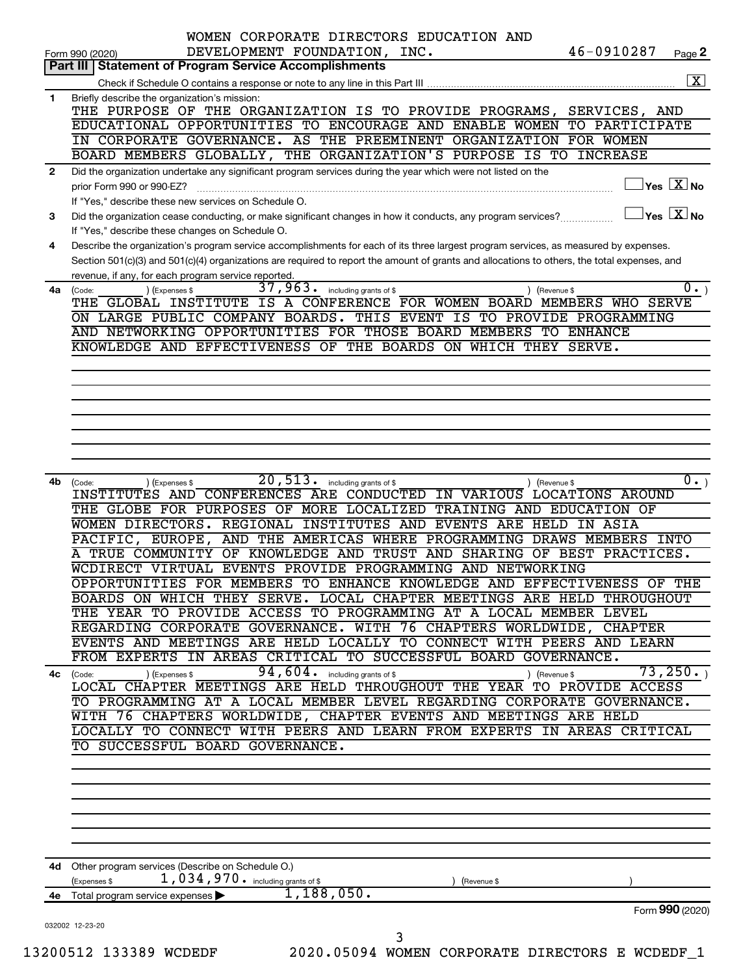|      | WOMEN CORPORATE DIRECTORS EDUCATION AND<br>46-0910287<br>DEVELOPMENT FOUNDATION, INC.<br>Form 990 (2020)                                                             | Page 2                                    |
|------|----------------------------------------------------------------------------------------------------------------------------------------------------------------------|-------------------------------------------|
|      | <b>Statement of Program Service Accomplishments</b><br>Part III                                                                                                      |                                           |
|      |                                                                                                                                                                      | $\boxed{\text{X}}$                        |
| 1    | Briefly describe the organization's mission:<br>THE PURPOSE OF THE ORGANIZATION IS TO PROVIDE PROGRAMS, SERVICES, AND                                                |                                           |
|      | EDUCATIONAL OPPORTUNITIES TO ENCOURAGE AND ENABLE WOMEN TO PARTICIPATE                                                                                               |                                           |
|      | IN CORPORATE GOVERNANCE. AS THE PREEMINENT ORGANIZATION FOR WOMEN                                                                                                    |                                           |
|      | BOARD MEMBERS GLOBALLY, THE ORGANIZATION'S PURPOSE IS TO INCREASE                                                                                                    |                                           |
| 2    | Did the organization undertake any significant program services during the year which were not listed on the                                                         |                                           |
|      | prior Form 990 or 990-EZ?                                                                                                                                            | $\overline{\ }$ Yes $\overline{\rm X}$ No |
| 3    | If "Yes," describe these new services on Schedule O.<br>Did the organization cease conducting, or make significant changes in how it conducts, any program services? | $\Box$ Yes $[\overline{\mathrm{X}}]$ No   |
|      | If "Yes," describe these changes on Schedule O.                                                                                                                      |                                           |
| 4    | Describe the organization's program service accomplishments for each of its three largest program services, as measured by expenses.                                 |                                           |
|      | Section 501(c)(3) and 501(c)(4) organizations are required to report the amount of grants and allocations to others, the total expenses, and                         |                                           |
|      | revenue, if any, for each program service reported.<br>$\overline{37}$ , 963. including grants of \$                                                                 | $\overline{0}$ .)                         |
| 4a   | ) (Expenses \$<br>(Code:<br>Revenue \$<br>THE GLOBAL INSTITUTE IS A CONFERENCE FOR WOMEN BOARD MEMBERS WHO SERVE                                                     |                                           |
|      | ON LARGE PUBLIC COMPANY BOARDS. THIS EVENT IS TO PROVIDE PROGRAMMING                                                                                                 |                                           |
|      | AND NETWORKING OPPORTUNITIES FOR THOSE BOARD MEMBERS TO ENHANCE                                                                                                      |                                           |
|      | KNOWLEDGE AND EFFECTIVENESS OF THE BOARDS ON WHICH THEY SERVE.                                                                                                       |                                           |
|      |                                                                                                                                                                      |                                           |
|      |                                                                                                                                                                      |                                           |
|      |                                                                                                                                                                      |                                           |
|      |                                                                                                                                                                      |                                           |
|      |                                                                                                                                                                      |                                           |
|      |                                                                                                                                                                      |                                           |
|      |                                                                                                                                                                      |                                           |
| 4b   | $20, 513$ $\cdot$ including grants of \$<br>(Code:<br>(Expenses \$<br>(Revenue \$                                                                                    | $\overline{0}$ .)                         |
|      | INSTITUTES AND CONFERENCES ARE CONDUCTED IN VARIOUS LOCATIONS AROUND<br>THE GLOBE FOR PURPOSES OF MORE LOCALIZED TRAINING AND EDUCATION OF                           |                                           |
|      | WOMEN DIRECTORS. REGIONAL INSTITUTES AND EVENTS ARE HELD IN ASIA                                                                                                     |                                           |
|      | PACIFIC, EUROPE, AND THE AMERICAS WHERE PROGRAMMING DRAWS MEMBERS INTO                                                                                               |                                           |
|      | A TRUE COMMUNITY OF KNOWLEDGE AND TRUST AND SHARING OF BEST PRACTICES.                                                                                               |                                           |
|      | WCDIRECT VIRTUAL EVENTS PROVIDE PROGRAMMING AND NETWORKING                                                                                                           |                                           |
|      | OPPORTUNITIES FOR MEMBERS TO ENHANCE KNOWLEDGE AND EFFECTIVENESS OF THE                                                                                              |                                           |
|      | BOARDS ON WHICH THEY SERVE. LOCAL CHAPTER MEETINGS ARE HELD THROUGHOUT                                                                                               |                                           |
|      | THE YEAR TO PROVIDE ACCESS TO PROGRAMMING AT A LOCAL MEMBER LEVEL                                                                                                    |                                           |
|      | REGARDING CORPORATE GOVERNANCE. WITH 76 CHAPTERS WORLDWIDE, CHAPTER                                                                                                  |                                           |
|      | EVENTS AND MEETINGS ARE HELD LOCALLY TO CONNECT WITH PEERS AND LEARN<br>FROM EXPERTS IN AREAS CRITICAL TO SUCCESSFUL BOARD GOVERNANCE.                               |                                           |
|      | $94, 604$ $\cdot$ including grants of \$                                                                                                                             | 73,250.                                   |
|      | ) (Revenue \$<br>4c (Code:<br>(Expenses \$<br>LOCAL CHAPTER MEETINGS ARE HELD THROUGHOUT THE YEAR TO PROVIDE ACCESS                                                  |                                           |
|      | TO PROGRAMMING AT A LOCAL MEMBER LEVEL REGARDING CORPORATE GOVERNANCE.                                                                                               |                                           |
|      | WITH 76 CHAPTERS WORLDWIDE, CHAPTER EVENTS AND MEETINGS ARE HELD                                                                                                     |                                           |
|      | LOCALLY TO CONNECT WITH PEERS AND LEARN FROM EXPERTS IN AREAS CRITICAL                                                                                               |                                           |
|      | TO SUCCESSFUL BOARD GOVERNANCE.                                                                                                                                      |                                           |
|      |                                                                                                                                                                      |                                           |
|      |                                                                                                                                                                      |                                           |
|      |                                                                                                                                                                      |                                           |
|      |                                                                                                                                                                      |                                           |
|      |                                                                                                                                                                      |                                           |
|      | Other program services (Describe on Schedule O.)                                                                                                                     |                                           |
|      |                                                                                                                                                                      |                                           |
| 4d - | 1,034,970. including grants of \$<br>(Expenses \$<br>(Revenue \$                                                                                                     |                                           |
| 4е   | 1,188,050.<br>Total program service expenses >                                                                                                                       | Form 990 (2020)                           |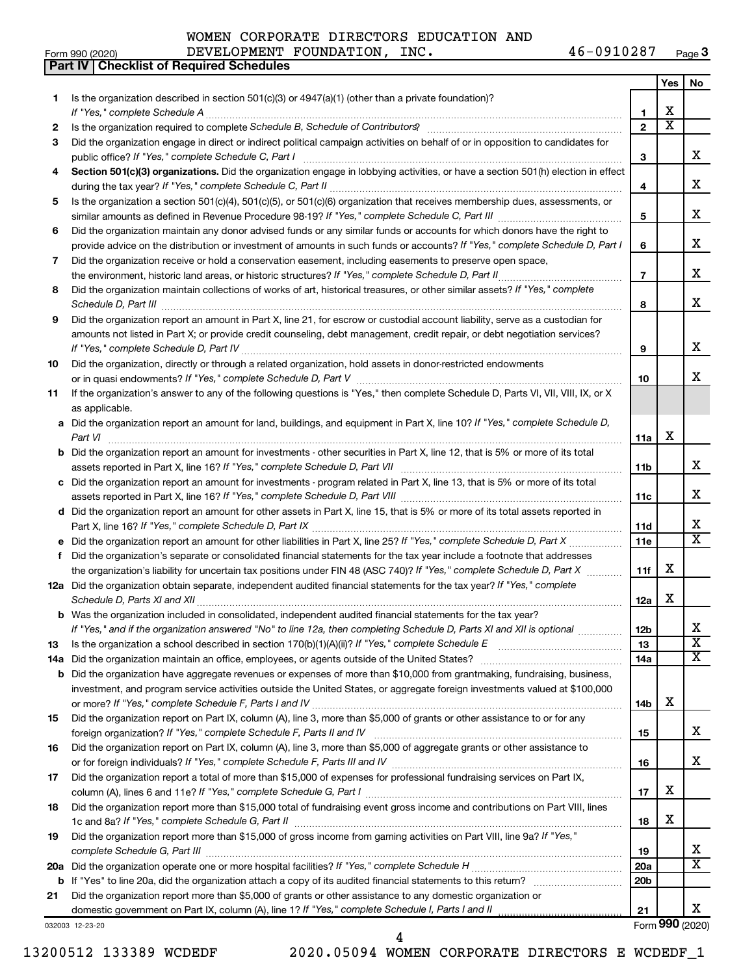|  | WOMEN CORPORATE DIRECTORS EDUCATION AND |  |
|--|-----------------------------------------|--|
|  |                                         |  |

**Part IV Checklist of Required Schedules**

Form 990 (2020) Page DEVELOPMENT FOUNDATION, INC. 46-0910287 46-0910287 Page 3

|     |                                                                                                                                                                                                                                                   |                 | Yes                     | No                      |
|-----|---------------------------------------------------------------------------------------------------------------------------------------------------------------------------------------------------------------------------------------------------|-----------------|-------------------------|-------------------------|
| 1   | Is the organization described in section $501(c)(3)$ or $4947(a)(1)$ (other than a private foundation)?                                                                                                                                           |                 |                         |                         |
|     | If "Yes," complete Schedule A                                                                                                                                                                                                                     | 1               | X                       |                         |
| 2   |                                                                                                                                                                                                                                                   | $\overline{2}$  | $\overline{\textbf{x}}$ |                         |
| 3   | Did the organization engage in direct or indirect political campaign activities on behalf of or in opposition to candidates for                                                                                                                   |                 |                         |                         |
|     | public office? If "Yes," complete Schedule C, Part I                                                                                                                                                                                              | 3               |                         | x                       |
| 4   | Section 501(c)(3) organizations. Did the organization engage in lobbying activities, or have a section 501(h) election in effect                                                                                                                  | 4               |                         | x                       |
| 5   | Is the organization a section 501(c)(4), 501(c)(5), or 501(c)(6) organization that receives membership dues, assessments, or                                                                                                                      |                 |                         |                         |
|     |                                                                                                                                                                                                                                                   | 5               |                         | x                       |
| 6   | Did the organization maintain any donor advised funds or any similar funds or accounts for which donors have the right to                                                                                                                         |                 |                         |                         |
|     | provide advice on the distribution or investment of amounts in such funds or accounts? If "Yes," complete Schedule D, Part I                                                                                                                      | 6               |                         | x                       |
| 7   | Did the organization receive or hold a conservation easement, including easements to preserve open space,                                                                                                                                         |                 |                         |                         |
|     |                                                                                                                                                                                                                                                   | $\overline{7}$  |                         | x                       |
| 8   | Did the organization maintain collections of works of art, historical treasures, or other similar assets? If "Yes," complete                                                                                                                      |                 |                         |                         |
|     |                                                                                                                                                                                                                                                   | 8               |                         | х                       |
| 9   | Did the organization report an amount in Part X, line 21, for escrow or custodial account liability, serve as a custodian for                                                                                                                     |                 |                         |                         |
|     | amounts not listed in Part X; or provide credit counseling, debt management, credit repair, or debt negotiation services?                                                                                                                         |                 |                         | х                       |
|     |                                                                                                                                                                                                                                                   | 9               |                         |                         |
| 10  | Did the organization, directly or through a related organization, hold assets in donor-restricted endowments                                                                                                                                      | 10              |                         | x                       |
| 11  | If the organization's answer to any of the following questions is "Yes," then complete Schedule D, Parts VI, VII, VIII, IX, or X                                                                                                                  |                 |                         |                         |
|     | as applicable.                                                                                                                                                                                                                                    |                 |                         |                         |
| а   | Did the organization report an amount for land, buildings, and equipment in Part X, line 10? If "Yes," complete Schedule D,                                                                                                                       |                 |                         |                         |
|     | Part VI                                                                                                                                                                                                                                           | 11a             | X                       |                         |
| b   | Did the organization report an amount for investments - other securities in Part X, line 12, that is 5% or more of its total                                                                                                                      |                 |                         |                         |
|     |                                                                                                                                                                                                                                                   | 11b             |                         | х                       |
| С   | Did the organization report an amount for investments - program related in Part X, line 13, that is 5% or more of its total                                                                                                                       |                 |                         |                         |
|     |                                                                                                                                                                                                                                                   | 11c             |                         | x                       |
|     | d Did the organization report an amount for other assets in Part X, line 15, that is 5% or more of its total assets reported in                                                                                                                   |                 |                         |                         |
|     |                                                                                                                                                                                                                                                   | 11d             |                         | х                       |
| е   |                                                                                                                                                                                                                                                   | 11e             |                         | $\overline{\mathtt{x}}$ |
| f   | Did the organization's separate or consolidated financial statements for the tax year include a footnote that addresses                                                                                                                           |                 | х                       |                         |
|     | the organization's liability for uncertain tax positions under FIN 48 (ASC 740)? If "Yes," complete Schedule D, Part X<br>12a Did the organization obtain separate, independent audited financial statements for the tax year? If "Yes," complete | 11f             |                         |                         |
|     | Schedule D, Parts XI and XII                                                                                                                                                                                                                      | 12a             | х                       |                         |
| b   | Was the organization included in consolidated, independent audited financial statements for the tax year?                                                                                                                                         |                 |                         |                         |
|     | If "Yes," and if the organization answered "No" to line 12a, then completing Schedule D, Parts XI and XII is optional                                                                                                                             | 12 <sub>b</sub> |                         |                         |
| 13  | Is the organization a school described in section 170(b)(1)(A)(ii)? If "Yes," complete Schedule E manufaction and school described in section 170(b)(1)(A)(ii)? If "Yes," complete Schedule E                                                     | 13              |                         | $\overline{\text{x}}$   |
| 14a |                                                                                                                                                                                                                                                   | 14a             |                         | $\overline{\mathbf{X}}$ |
| b   | Did the organization have aggregate revenues or expenses of more than \$10,000 from grantmaking, fundraising, business,                                                                                                                           |                 |                         |                         |
|     | investment, and program service activities outside the United States, or aggregate foreign investments valued at \$100,000                                                                                                                        |                 |                         |                         |
|     |                                                                                                                                                                                                                                                   | 14b             | х                       |                         |
| 15  | Did the organization report on Part IX, column (A), line 3, more than \$5,000 of grants or other assistance to or for any                                                                                                                         |                 |                         |                         |
|     |                                                                                                                                                                                                                                                   | 15              |                         | x                       |
| 16  | Did the organization report on Part IX, column (A), line 3, more than \$5,000 of aggregate grants or other assistance to                                                                                                                          |                 |                         | x                       |
|     |                                                                                                                                                                                                                                                   | 16              |                         |                         |
| 17  | Did the organization report a total of more than \$15,000 of expenses for professional fundraising services on Part IX,                                                                                                                           | 17              | х                       |                         |
| 18  | Did the organization report more than \$15,000 total of fundraising event gross income and contributions on Part VIII, lines                                                                                                                      |                 |                         |                         |
|     |                                                                                                                                                                                                                                                   | 18              | х                       |                         |
| 19  | Did the organization report more than \$15,000 of gross income from gaming activities on Part VIII, line 9a? If "Yes,"                                                                                                                            |                 |                         |                         |
|     |                                                                                                                                                                                                                                                   | 19              |                         | x                       |
| 20a |                                                                                                                                                                                                                                                   | 20a             |                         | $\overline{\mathtt{x}}$ |
| b   |                                                                                                                                                                                                                                                   | 20 <sub>b</sub> |                         |                         |
| 21  | Did the organization report more than \$5,000 of grants or other assistance to any domestic organization or                                                                                                                                       |                 |                         |                         |
|     |                                                                                                                                                                                                                                                   | 21              |                         | x                       |
|     | 032003 12-23-20                                                                                                                                                                                                                                   |                 |                         | Form 990 (2020)         |

4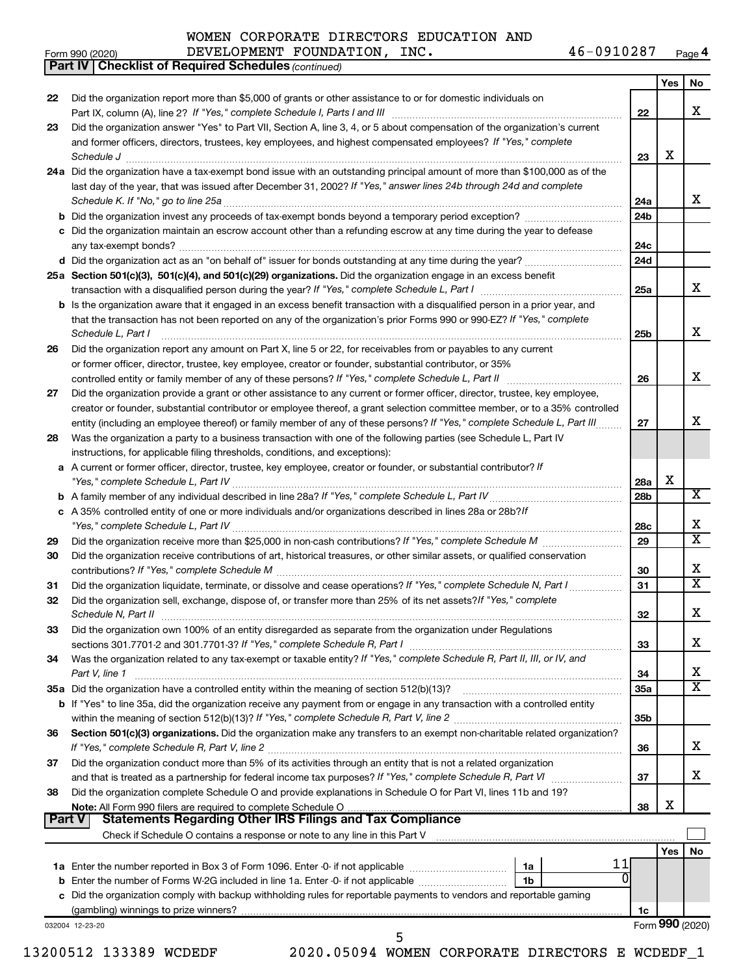#### **Yes No 22** Did the organization report more than \$5,000 of grants or other assistance to or for domestic individuals on **23** Did the organization answer "Yes" to Part VII, Section A, line 3, 4, or 5 about compensation of the organization's current **24 a** Did the organization have a tax-exempt bond issue with an outstanding principal amount of more than \$100,000 as of the **25 a Section 501(c)(3), 501(c)(4), and 501(c)(29) organizations.**  Did the organization engage in an excess benefit **26** Did the organization report any amount on Part X, line 5 or 22, for receivables from or payables to any current **27 28** Was the organization a party to a business transaction with one of the following parties (see Schedule L, Part IV **29 30 31 32 33 34** Was the organization related to any tax-exempt or taxable entity? If "Yes," complete Schedule R, Part II, III, or IV, and **35 a** Did the organization have a controlled entity within the meaning of section 512(b)(13)? 36 Section 501(c)(3) organizations. Did the organization make any transfers to an exempt non-charitable related organization? **37 38 22 23 24a 24b 24c 24d 25a 25b 26 27 28a 28b 28c 29 30 31 32 33 34 35a 35b 36 37 38 b** Did the organization invest any proceeds of tax-exempt bonds beyond a temporary period exception? *www.communimi* **c** Did the organization maintain an escrow account other than a refunding escrow at any time during the year to defease **d** Did the organization act as an "on behalf of" issuer for bonds outstanding at any time during the year? ~~~~~~~~~~~ **b** Is the organization aware that it engaged in an excess benefit transaction with a disqualified person in a prior year, and **a** A current or former officer, director, trustee, key employee, creator or founder, or substantial contributor? If **b** *If "Yes," complete Schedule L, Part IV* A family member of any individual described in line 28a? ~~~~~~~~~~~~~~~ **c** *If* A 35% controlled entity of one or more individuals and/or organizations described in lines 28a or 28b? **b** If "Yes" to line 35a, did the organization receive any payment from or engage in any transaction with a controlled entity **Note:**  All Form 990 filers are required to complete Schedule O **Yes No 1a** Enter the number reported in Box 3 of Form 1096. Enter -0- if not applicable .............................. **b** Enter the number of Forms W-2G included in line 1a. Enter -0- if not applicable  $\ldots$  $\ldots$  $\ldots$  $\ldots$  $\ldots$ **1a 1b** *(continued)* **Part IV Checklist of Required Schedules** Part IX, column (A), line 2? If "Yes," complete Schedule I, Parts I and III [11] [12] [12] [12] [12] [12] [12] [ and former officers, directors, trustees, key employees, and highest compensated employees? If "Yes," complete *Schedule J* ~~~~~~~~~~~~~~~~~~~~~~~~~~~~~~~~~~~~~~~~~~~~~~~~~~~~~~~~ last day of the year, that was issued after December 31, 2002? If "Yes," answer lines 24b through 24d and complete *Schedule K. If "No," go to line 25a* ~~~~~~~~~~~~~~~~~~~~~~~~~~~~~~~~~~~~~~~~~~~~~ transaction with a disqualified person during the year? If "Yes," complete Schedule L, Part I \_\_\_\_\_\_\_\_\_\_\_\_\_\_\_\_\_\_\_\_\_\_\_\_\_ that the transaction has not been reported on any of the organization's prior Forms 990 or 990-EZ? If "Yes," complete *Schedule L, Part I* controlled entity or family member of any of these persons? If "Yes," complete Schedule L, Part II [11] [11] [1 entity (including an employee thereof) or family member of any of these persons? If "Yes," complete Schedule L, Part III......... *"Yes," complete Schedule L, Part IV* ~~~~~~~~~~~~~~~~~~~~~~~~~~~~~~~~~~~~~~~~~~~~ *"Yes," complete Schedule L, Part IV* ~~~~~~~~~~~~~~~~~~~~~~~~~~~~~~~~~~~~~~~~~~~~ *If "Yes," complete Schedule M* Did the organization receive more than \$25,000 in non-cash contributions? ~~~~~~~~~ *If "Yes," complete Schedule M* contributions? ~~~~~~~~~~~~~~~~~~~~~~~~~~~~~~~~~~~~~~~ Did the organization liquidate, terminate, or dissolve and cease operations? If "Yes," complete Schedule N, Part I Did the organization sell, exchange, dispose of, or transfer more than 25% of its net assets?*If "Yes," complete Schedule N, Part II* ~~~~~~~~~~~~~~~~~~~~~~~~~~~~~~~~~~~~~~~~~~~~~~~~~~~~ *If "Yes," complete Schedule R, Part I* sections 301.7701-2 and 301.7701-3? ~~~~~~~~~~~~~~~~~~~~~~~~ *Part V, line 1 If "Yes," complete Schedule R, Part V, line 2* within the meaning of section 512(b)(13)? ~~~~~~~~~~~~~~~~~~~ *If "Yes," complete Schedule R, Part V, line 2* and that is treated as a partnership for federal income tax purposes? If "Yes," complete Schedule R, Part VI medi any tax-exempt bonds? ~~~~~~~~~~~~~~~~~~~~~~~~~~~~~~~~~~~~~~~~~~~~~~~~~~ ~~~~~~~~~~~~~~~~~~~~~~~~~~~~~~~~~~~~~~~~~~~~~~~~~~~~ or former officer, director, trustee, key employee, creator or founder, substantial contributor, or 35% Did the organization provide a grant or other assistance to any current or former officer, director, trustee, key employee, creator or founder, substantial contributor or employee thereof, a grant selection committee member, or to a 35% controlled instructions, for applicable filing thresholds, conditions, and exceptions): Did the organization receive contributions of art, historical treasures, or other similar assets, or qualified conservation Did the organization own 100% of an entity disregarded as separate from the organization under Regulations ~~~~~~~~~~~~~~~~~~ ~~~~~~~~~~~~~~~~~~~~~~~~~~~~~~~~~~~~~~~~ Did the organization conduct more than 5% of its activities through an entity that is not a related organization Did the organization complete Schedule O and provide explanations in Schedule O for Part VI, lines 11b and 19? Check if Schedule O contains a response or note to any line in this Part V **Part V** Statements Regarding Other IRS Filings and Tax Compliance  $\Box$ X X X X X X X X X X  $\overline{\mathtt{x}}$ X  $\overline{\mathtt{x}}$ X X X X X X X 11  $\overline{0}$

**c** Did the organization comply with backup withholding rules for reportable payments to vendors and reportable gaming (gambling) winnings to prize winners?

032004 12-23-20

5

Form 990 (2020) Page DEVELOPMENT FOUNDATION, INC. 46-0910287 **4**

**1c**

Form (2020) **990**

| WOMEN CORPORATE DIRECTORS EDUCATION AND |  |  |  |  |  |
|-----------------------------------------|--|--|--|--|--|
|-----------------------------------------|--|--|--|--|--|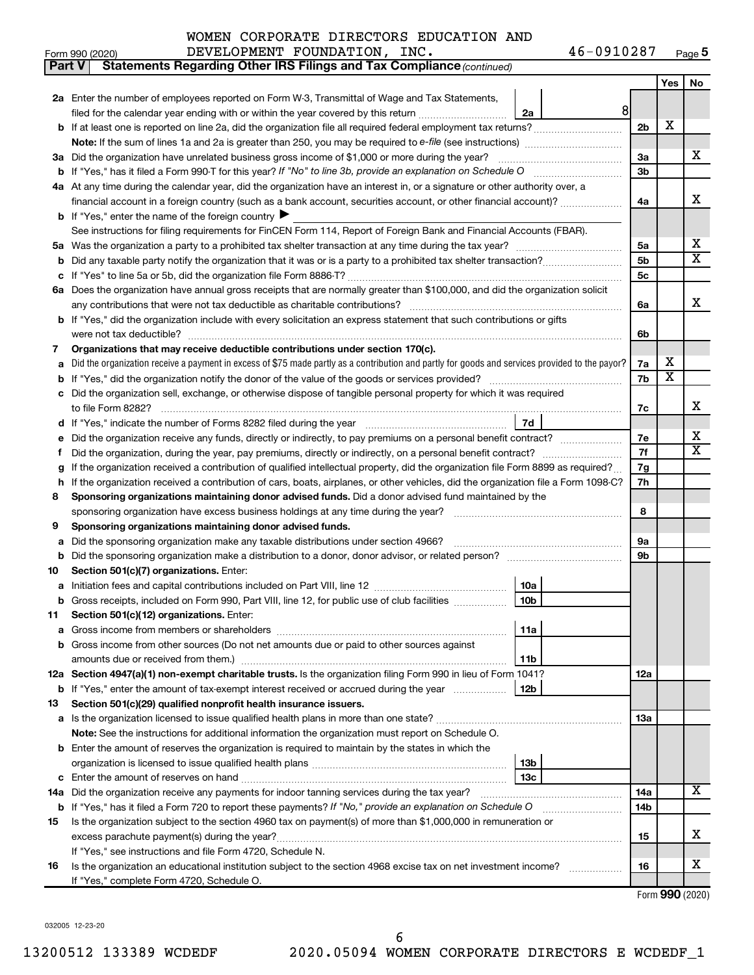| <b>Part V</b> | Statements Regarding Other IRS Filings and Tax Compliance (continued)                                                                           |                |                       |                         |  |  |  |  |
|---------------|-------------------------------------------------------------------------------------------------------------------------------------------------|----------------|-----------------------|-------------------------|--|--|--|--|
|               |                                                                                                                                                 |                | Yes                   | No                      |  |  |  |  |
|               | 2a Enter the number of employees reported on Form W-3, Transmittal of Wage and Tax Statements,                                                  |                |                       |                         |  |  |  |  |
|               | 8 <sup>1</sup><br>filed for the calendar year ending with or within the year covered by this return<br>2a                                       |                |                       |                         |  |  |  |  |
| b             | If at least one is reported on line 2a, did the organization file all required federal employment tax returns?                                  | 2 <sub>b</sub> | X                     |                         |  |  |  |  |
|               | Note: If the sum of lines 1a and 2a is greater than 250, you may be required to e-file (see instructions) <i>marroummann</i>                    |                |                       |                         |  |  |  |  |
| За            | Did the organization have unrelated business gross income of \$1,000 or more during the year?                                                   | За             |                       | х                       |  |  |  |  |
| b             |                                                                                                                                                 | 3b             |                       |                         |  |  |  |  |
|               | 4a At any time during the calendar year, did the organization have an interest in, or a signature or other authority over, a                    |                |                       |                         |  |  |  |  |
|               | financial account in a foreign country (such as a bank account, securities account, or other financial account)?                                | 4a             |                       | х                       |  |  |  |  |
|               | <b>b</b> If "Yes," enter the name of the foreign country $\blacktriangleright$                                                                  |                |                       |                         |  |  |  |  |
|               | See instructions for filing requirements for FinCEN Form 114, Report of Foreign Bank and Financial Accounts (FBAR).                             |                |                       |                         |  |  |  |  |
| 5a            |                                                                                                                                                 | 5a             |                       | х                       |  |  |  |  |
| b             |                                                                                                                                                 | 5b             |                       | $\overline{\mathbf{X}}$ |  |  |  |  |
|               |                                                                                                                                                 | 5с             |                       |                         |  |  |  |  |
|               | 6a Does the organization have annual gross receipts that are normally greater than \$100,000, and did the organization solicit                  |                |                       |                         |  |  |  |  |
|               | any contributions that were not tax deductible as charitable contributions?                                                                     | 6a             |                       | х                       |  |  |  |  |
| b             | If "Yes," did the organization include with every solicitation an express statement that such contributions or gifts                            |                |                       |                         |  |  |  |  |
|               | were not tax deductible?                                                                                                                        | 6b             |                       |                         |  |  |  |  |
| 7             | Organizations that may receive deductible contributions under section 170(c).                                                                   |                |                       |                         |  |  |  |  |
| a             | Did the organization receive a payment in excess of \$75 made partly as a contribution and partly for goods and services provided to the payor? | 7a             | х                     |                         |  |  |  |  |
| b             |                                                                                                                                                 | 7b             | $\overline{\text{X}}$ |                         |  |  |  |  |
|               | Did the organization sell, exchange, or otherwise dispose of tangible personal property for which it was required                               |                |                       |                         |  |  |  |  |
|               |                                                                                                                                                 | 7c             |                       | х                       |  |  |  |  |
| d             | 7d                                                                                                                                              |                |                       | х                       |  |  |  |  |
|               | Did the organization receive any funds, directly or indirectly, to pay premiums on a personal benefit contract?                                 |                |                       |                         |  |  |  |  |
| f             |                                                                                                                                                 | 7f             |                       | $\overline{\mathbf{X}}$ |  |  |  |  |
| g             | If the organization received a contribution of qualified intellectual property, did the organization file Form 8899 as required?                |                |                       |                         |  |  |  |  |
| h             | If the organization received a contribution of cars, boats, airplanes, or other vehicles, did the organization file a Form 1098-C?              | 7h             |                       |                         |  |  |  |  |
| 8             | Sponsoring organizations maintaining donor advised funds. Did a donor advised fund maintained by the                                            |                |                       |                         |  |  |  |  |
|               |                                                                                                                                                 | 8              |                       |                         |  |  |  |  |
| 9             | Sponsoring organizations maintaining donor advised funds.                                                                                       |                |                       |                         |  |  |  |  |
| а             | Did the sponsoring organization make any taxable distributions under section 4966?                                                              | 9а             |                       |                         |  |  |  |  |
| b             |                                                                                                                                                 | 9b             |                       |                         |  |  |  |  |
| 10            | Section 501(c)(7) organizations. Enter:                                                                                                         |                |                       |                         |  |  |  |  |
| а             | 10a                                                                                                                                             |                |                       |                         |  |  |  |  |
|               | Gross receipts, included on Form 990, Part VIII, line 12, for public use of club facilities<br>10b<br>Section 501(c)(12) organizations. Enter:  |                |                       |                         |  |  |  |  |
| 11            | 11a                                                                                                                                             |                |                       |                         |  |  |  |  |
| а<br>b        | Gross income from other sources (Do not net amounts due or paid to other sources against                                                        |                |                       |                         |  |  |  |  |
|               | amounts due or received from them.)<br>11b                                                                                                      |                |                       |                         |  |  |  |  |
|               | 12a Section 4947(a)(1) non-exempt charitable trusts. Is the organization filing Form 990 in lieu of Form 1041?                                  | 12a            |                       |                         |  |  |  |  |
|               | b If "Yes," enter the amount of tax-exempt interest received or accrued during the year<br>12b                                                  |                |                       |                         |  |  |  |  |
| 13            | Section 501(c)(29) qualified nonprofit health insurance issuers.                                                                                |                |                       |                         |  |  |  |  |
|               | <b>a</b> Is the organization licensed to issue qualified health plans in more than one state?                                                   | 13a            |                       |                         |  |  |  |  |
|               | <b>Note:</b> See the instructions for additional information the organization must report on Schedule O.                                        |                |                       |                         |  |  |  |  |
| b             | Enter the amount of reserves the organization is required to maintain by the states in which the                                                |                |                       |                         |  |  |  |  |
|               | 13b                                                                                                                                             |                |                       |                         |  |  |  |  |
| с             | 13c                                                                                                                                             |                |                       |                         |  |  |  |  |
|               | 14a Did the organization receive any payments for indoor tanning services during the tax year?                                                  | 14a            |                       | $\overline{\mathbf{X}}$ |  |  |  |  |
|               | <b>b</b> If "Yes," has it filed a Form 720 to report these payments? If "No," provide an explanation on Schedule O                              | 14b            |                       |                         |  |  |  |  |
| 15            | Is the organization subject to the section 4960 tax on payment(s) of more than \$1,000,000 in remuneration or                                   |                |                       |                         |  |  |  |  |
|               | excess parachute payment(s) during the year?                                                                                                    | 15             |                       | х                       |  |  |  |  |
|               | If "Yes," see instructions and file Form 4720, Schedule N.                                                                                      |                |                       |                         |  |  |  |  |
| 16            | Is the organization an educational institution subject to the section 4968 excise tax on net investment income?                                 | 16             |                       | x                       |  |  |  |  |
|               | If "Yes," complete Form 4720, Schedule O.                                                                                                       |                |                       |                         |  |  |  |  |

Form (2020) **990**

032005 12-23-20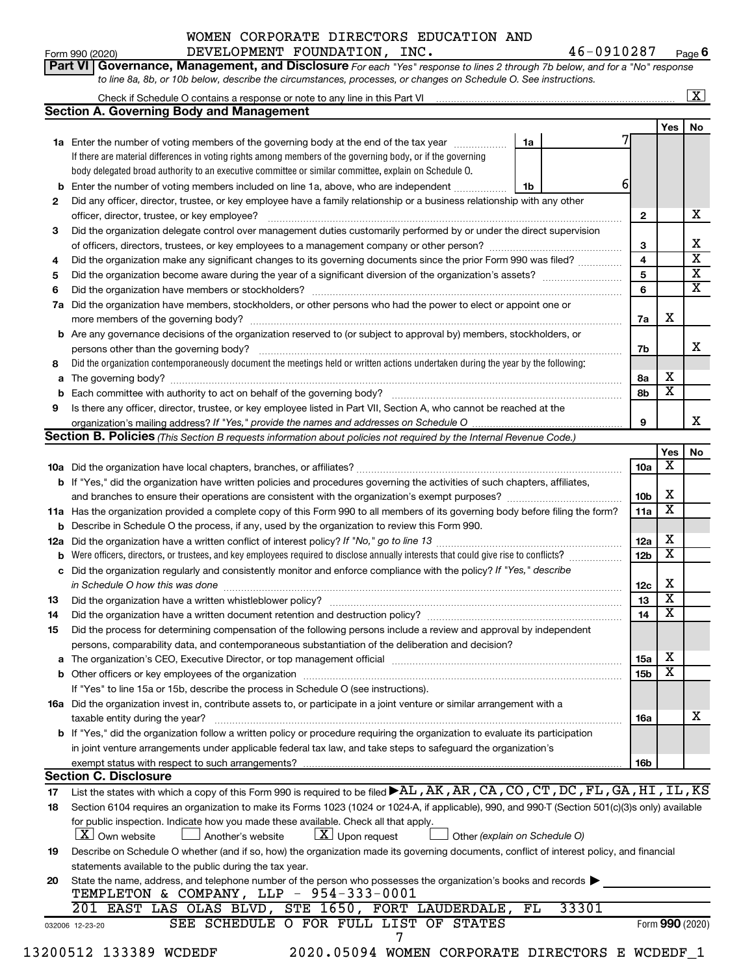# Form 990 (2020) Page DEVELOPMENT FOUNDATION, INC. 46-0910287 WOMEN CORPORATE DIRECTORS EDUCATION AND

46-0910287 Page 6

|     |                                                                                                                                                                                                                                     |    |       |                 |                         | $\boxed{\text{X}}$      |
|-----|-------------------------------------------------------------------------------------------------------------------------------------------------------------------------------------------------------------------------------------|----|-------|-----------------|-------------------------|-------------------------|
|     | <b>Section A. Governing Body and Management</b>                                                                                                                                                                                     |    |       |                 |                         |                         |
|     |                                                                                                                                                                                                                                     |    |       |                 | Yes                     | No                      |
|     | 1a Enter the number of voting members of the governing body at the end of the tax year <i>manumum</i>                                                                                                                               | 1a |       |                 |                         |                         |
|     | If there are material differences in voting rights among members of the governing body, or if the governing                                                                                                                         |    |       |                 |                         |                         |
|     | body delegated broad authority to an executive committee or similar committee, explain on Schedule O.                                                                                                                               |    |       |                 |                         |                         |
|     | <b>b</b> Enter the number of voting members included on line 1a, above, who are independent                                                                                                                                         | 1b |       | 6               |                         |                         |
| 2   | Did any officer, director, trustee, or key employee have a family relationship or a business relationship with any other                                                                                                            |    |       |                 |                         |                         |
|     |                                                                                                                                                                                                                                     |    |       | $\mathbf{2}$    |                         | х                       |
| 3   | Did the organization delegate control over management duties customarily performed by or under the direct supervision                                                                                                               |    |       |                 |                         |                         |
|     |                                                                                                                                                                                                                                     |    |       | 3               |                         | Х                       |
| 4   | Did the organization make any significant changes to its governing documents since the prior Form 990 was filed?                                                                                                                    |    |       | 4               |                         | $\overline{\mathbf{x}}$ |
| 5   |                                                                                                                                                                                                                                     |    |       | 5               |                         | $\overline{\mathbf{x}}$ |
| 6   |                                                                                                                                                                                                                                     |    |       | 6               |                         | $\overline{\mathbf{x}}$ |
| 7a  | Did the organization have members, stockholders, or other persons who had the power to elect or appoint one or                                                                                                                      |    |       |                 |                         |                         |
|     |                                                                                                                                                                                                                                     |    |       | 7a              | X                       |                         |
|     | <b>b</b> Are any governance decisions of the organization reserved to (or subject to approval by) members, stockholders, or                                                                                                         |    |       |                 |                         |                         |
|     |                                                                                                                                                                                                                                     |    |       | 7b              |                         | x                       |
| 8   | Did the organization contemporaneously document the meetings held or written actions undertaken during the year by the following:                                                                                                   |    |       |                 |                         |                         |
| a   |                                                                                                                                                                                                                                     |    |       | 8а              | х                       |                         |
|     |                                                                                                                                                                                                                                     |    |       | 8b              | $\overline{\mathbf{x}}$ |                         |
| 9   | Is there any officer, director, trustee, or key employee listed in Part VII, Section A, who cannot be reached at the                                                                                                                |    |       |                 |                         |                         |
|     |                                                                                                                                                                                                                                     |    |       | 9               |                         | х                       |
|     | Section B. Policies (This Section B requests information about policies not required by the Internal Revenue Code.)                                                                                                                 |    |       |                 |                         |                         |
|     |                                                                                                                                                                                                                                     |    |       |                 | Yes                     | No                      |
|     |                                                                                                                                                                                                                                     |    |       | 10a             | X                       |                         |
|     | b If "Yes," did the organization have written policies and procedures governing the activities of such chapters, affiliates,                                                                                                        |    |       |                 |                         |                         |
|     |                                                                                                                                                                                                                                     |    |       | 10b             | X                       |                         |
|     | 11a Has the organization provided a complete copy of this Form 990 to all members of its governing body before filing the form?                                                                                                     |    |       | 11a             | X                       |                         |
|     | <b>b</b> Describe in Schedule O the process, if any, used by the organization to review this Form 990.                                                                                                                              |    |       |                 |                         |                         |
| 12a |                                                                                                                                                                                                                                     |    |       | 12a             | X                       |                         |
|     | <b>b</b> Were officers, directors, or trustees, and key employees required to disclose annually interests that could give rise to conflicts?                                                                                        |    |       | 12 <sub>b</sub> | $\overline{\textbf{x}}$ |                         |
|     | c Did the organization regularly and consistently monitor and enforce compliance with the policy? If "Yes," describe                                                                                                                |    |       |                 |                         |                         |
|     | in Schedule O how this was done <b>construction and construction</b> of the state of the state of the state of the state of the state of the state of the state of the state of the state of the state of the state of the state of |    |       | 12c             | X                       |                         |
| 13  |                                                                                                                                                                                                                                     |    |       | 13              | $\overline{\mathbf{x}}$ |                         |
| 14  | Did the organization have a written document retention and destruction policy? [111] manufaction policy?                                                                                                                            |    |       | 14              | $\overline{\textbf{x}}$ |                         |
| 15  | Did the process for determining compensation of the following persons include a review and approval by independent                                                                                                                  |    |       |                 |                         |                         |
|     | persons, comparability data, and contemporaneous substantiation of the deliberation and decision?                                                                                                                                   |    |       |                 |                         |                         |
| a   |                                                                                                                                                                                                                                     |    |       | 15a             | X                       |                         |
|     |                                                                                                                                                                                                                                     |    |       | 15b             | X                       |                         |
|     | If "Yes" to line 15a or 15b, describe the process in Schedule O (see instructions).                                                                                                                                                 |    |       |                 |                         |                         |
|     | 16a Did the organization invest in, contribute assets to, or participate in a joint venture or similar arrangement with a                                                                                                           |    |       |                 |                         |                         |
|     | taxable entity during the year?                                                                                                                                                                                                     |    |       | 16a             |                         | x                       |
|     | b If "Yes," did the organization follow a written policy or procedure requiring the organization to evaluate its participation                                                                                                      |    |       |                 |                         |                         |
|     | in joint venture arrangements under applicable federal tax law, and take steps to safeguard the organization's                                                                                                                      |    |       |                 |                         |                         |
|     |                                                                                                                                                                                                                                     |    |       | 16b             |                         |                         |
|     | exempt status with respect to such arrangements?<br><b>Section C. Disclosure</b>                                                                                                                                                    |    |       |                 |                         |                         |
|     | List the states with which a copy of this Form 990 is required to be filed $\blacktriangleright$ AL, AK, AR, CA, CO, CT, DC, FL, GA, HI, IL, KS                                                                                     |    |       |                 |                         |                         |
| 17  |                                                                                                                                                                                                                                     |    |       |                 |                         |                         |
| 18  | Section 6104 requires an organization to make its Forms 1023 (1024 or 1024-A, if applicable), 990, and 990-T (Section 501(c)(3)s only) available                                                                                    |    |       |                 |                         |                         |
|     | for public inspection. Indicate how you made these available. Check all that apply.<br>$\lfloor x \rfloor$ Upon request<br>$ \mathbf{X} $ Own website<br>Another's website                                                          |    |       |                 |                         |                         |
|     | Other (explain on Schedule O)                                                                                                                                                                                                       |    |       |                 |                         |                         |
| 19  | Describe on Schedule O whether (and if so, how) the organization made its governing documents, conflict of interest policy, and financial                                                                                           |    |       |                 |                         |                         |
|     | statements available to the public during the tax year.                                                                                                                                                                             |    |       |                 |                         |                         |
| 20  | State the name, address, and telephone number of the person who possesses the organization's books and records                                                                                                                      |    |       |                 |                         |                         |
|     | TEMPLETON & COMPANY, LLP - 954-333-0001                                                                                                                                                                                             |    |       |                 |                         |                         |
|     |                                                                                                                                                                                                                                     |    |       |                 |                         |                         |
|     | 201 EAST LAS OLAS BLVD, STE 1650, FORT LAUDERDALE,<br>SEE SCHEDULE O FOR FULL LIST OF STATES<br>032006 12-23-20                                                                                                                     | FL | 33301 |                 | Form 990 (2020)         |                         |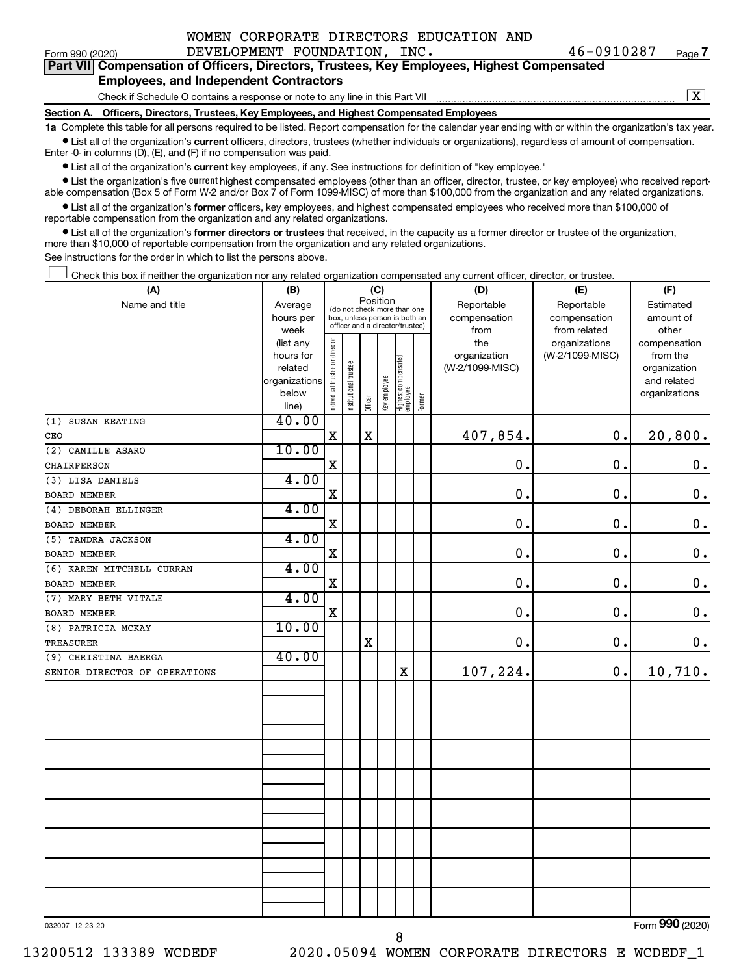|  | WOMEN CORPORATE DIRECTORS EDUCATION AND |  |
|--|-----------------------------------------|--|
|  |                                         |  |

Form 990 (2020) Page DEVELOPMENT FOUNDATION, INC. 46-0910287 **7**

|  |                                               |  | Part VII Compensation of Officers, Directors, Trustees, Key Employees, Highest Compensated |  |
|--|-----------------------------------------------|--|--------------------------------------------------------------------------------------------|--|
|  | <b>Employees, and Independent Contractors</b> |  |                                                                                            |  |

Check if Schedule O contains a response or note to any line in this Part VII

 $\boxed{\text{X}}$ 

**Section A. Officers, Directors, Trustees, Key Employees, and Highest Compensated Employees**

**1a**  Complete this table for all persons required to be listed. Report compensation for the calendar year ending with or within the organization's tax year.  $\bullet$  List all of the organization's current officers, directors, trustees (whether individuals or organizations), regardless of amount of compensation.

Enter -0- in columns (D), (E), and (F) if no compensation was paid.

**•** List all of the organization's current key employees, if any. See instructions for definition of "key employee."

• List the organization's five *current* highest compensated employees (other than an officer, director, trustee, or key employee) who received reportable compensation (Box 5 of Form W-2 and/or Box 7 of Form 1099-MISC) of more than \$100,000 from the organization and any related organizations.

 $\bullet$  List all of the organization's former officers, key employees, and highest compensated employees who received more than \$100,000 of reportable compensation from the organization and any related organizations.

**•** List all of the organization's former directors or trustees that received, in the capacity as a former director or trustee of the organization, more than \$10,000 of reportable compensation from the organization and any related organizations.

See instructions for the order in which to list the persons above.

Check this box if neither the organization nor any related organization compensated any current officer, director, or trustee.  $\Box$ 

| (A)                           | (B)                    | (C)                                     |                                                                  |             |              |                                   |        | (D)             | (E)             | (F)                |  |  |
|-------------------------------|------------------------|-----------------------------------------|------------------------------------------------------------------|-------------|--------------|-----------------------------------|--------|-----------------|-----------------|--------------------|--|--|
| Name and title                | Average                | Position<br>(do not check more than one |                                                                  |             |              |                                   |        | Reportable      | Reportable      | Estimated          |  |  |
|                               | hours per              |                                         | box, unless person is both an<br>officer and a director/trustee) |             |              |                                   |        | compensation    | compensation    | amount of          |  |  |
|                               | week                   |                                         |                                                                  |             |              |                                   |        | from            | from related    | other              |  |  |
|                               | (list any              |                                         |                                                                  |             |              |                                   |        | the             | organizations   | compensation       |  |  |
|                               | hours for              |                                         |                                                                  |             |              |                                   |        | organization    | (W-2/1099-MISC) | from the           |  |  |
|                               | related                |                                         |                                                                  |             |              |                                   |        | (W-2/1099-MISC) |                 | organization       |  |  |
|                               | organizations<br>below |                                         |                                                                  |             |              |                                   |        |                 |                 | and related        |  |  |
|                               | line)                  | Individual trustee or director          | Institutional trustee                                            | Officer     | Key employee | Highest compensated<br>  employee | Former |                 |                 | organizations      |  |  |
| (1) SUSAN KEATING             | 40.00                  |                                         |                                                                  |             |              |                                   |        |                 |                 |                    |  |  |
| CEO                           |                        | $\mathbf X$                             |                                                                  | $\mathbf X$ |              |                                   |        | 407,854.        | 0.              | 20,800.            |  |  |
| (2) CAMILLE ASARO             | 10.00                  |                                         |                                                                  |             |              |                                   |        |                 |                 |                    |  |  |
| CHAIRPERSON                   |                        | $\mathbf X$                             |                                                                  |             |              |                                   |        | $\mathbf 0$ .   | 0.              | $\mathbf 0$ .      |  |  |
| (3) LISA DANIELS              | 4.00                   |                                         |                                                                  |             |              |                                   |        |                 |                 |                    |  |  |
| <b>BOARD MEMBER</b>           |                        | X                                       |                                                                  |             |              |                                   |        | $\mathbf 0$ .   | 0.              | $\boldsymbol{0}$ . |  |  |
| (4) DEBORAH ELLINGER          | 4.00                   |                                         |                                                                  |             |              |                                   |        |                 |                 |                    |  |  |
| <b>BOARD MEMBER</b>           |                        | $\mathbf X$                             |                                                                  |             |              |                                   |        | $\mathbf 0$ .   | 0.              | $\boldsymbol{0}$ . |  |  |
| (5) TANDRA JACKSON            | 4.00                   |                                         |                                                                  |             |              |                                   |        |                 |                 |                    |  |  |
| <b>BOARD MEMBER</b>           |                        | X                                       |                                                                  |             |              |                                   |        | $\mathbf 0$ .   | $\mathbf 0$ .   | $\boldsymbol{0}$ . |  |  |
| (6) KAREN MITCHELL CURRAN     | 4.00                   |                                         |                                                                  |             |              |                                   |        |                 |                 |                    |  |  |
| BOARD MEMBER                  |                        | $\mathbf X$                             |                                                                  |             |              |                                   |        | $\mathbf 0$ .   | 0.              | $\boldsymbol{0}$ . |  |  |
| (7) MARY BETH VITALE          | 4.00                   |                                         |                                                                  |             |              |                                   |        |                 |                 |                    |  |  |
| BOARD MEMBER                  |                        | $\mathbf X$                             |                                                                  |             |              |                                   |        | $\mathbf 0$ .   | 0.              | $\boldsymbol{0}$ . |  |  |
| (8) PATRICIA MCKAY            | 10.00                  |                                         |                                                                  |             |              |                                   |        |                 |                 |                    |  |  |
| TREASURER                     |                        |                                         |                                                                  | $\mathbf X$ |              |                                   |        | $\mathbf 0$ .   | 0.              | $\mathbf 0$ .      |  |  |
| (9) CHRISTINA BAERGA          | 40.00                  |                                         |                                                                  |             |              |                                   |        |                 |                 |                    |  |  |
| SENIOR DIRECTOR OF OPERATIONS |                        |                                         |                                                                  |             |              | $\mathbf X$                       |        | 107,224.        | $\mathbf 0$ .   | 10,710.            |  |  |
|                               |                        |                                         |                                                                  |             |              |                                   |        |                 |                 |                    |  |  |
|                               |                        |                                         |                                                                  |             |              |                                   |        |                 |                 |                    |  |  |
|                               |                        |                                         |                                                                  |             |              |                                   |        |                 |                 |                    |  |  |
|                               |                        |                                         |                                                                  |             |              |                                   |        |                 |                 |                    |  |  |
|                               |                        |                                         |                                                                  |             |              |                                   |        |                 |                 |                    |  |  |
|                               |                        |                                         |                                                                  |             |              |                                   |        |                 |                 |                    |  |  |
|                               |                        |                                         |                                                                  |             |              |                                   |        |                 |                 |                    |  |  |
|                               |                        |                                         |                                                                  |             |              |                                   |        |                 |                 |                    |  |  |
|                               |                        |                                         |                                                                  |             |              |                                   |        |                 |                 |                    |  |  |
|                               |                        |                                         |                                                                  |             |              |                                   |        |                 |                 |                    |  |  |
|                               |                        |                                         |                                                                  |             |              |                                   |        |                 |                 |                    |  |  |
|                               |                        |                                         |                                                                  |             |              |                                   |        |                 |                 |                    |  |  |
|                               |                        |                                         |                                                                  |             |              |                                   |        |                 |                 |                    |  |  |
|                               |                        |                                         |                                                                  |             |              |                                   |        |                 |                 |                    |  |  |

032007 12-23-20

Form (2020) **990**

13200512 133389 WCDEDF 2020.05094 WOMEN CORPORATE DIRECTORS E WCDEDF\_1

8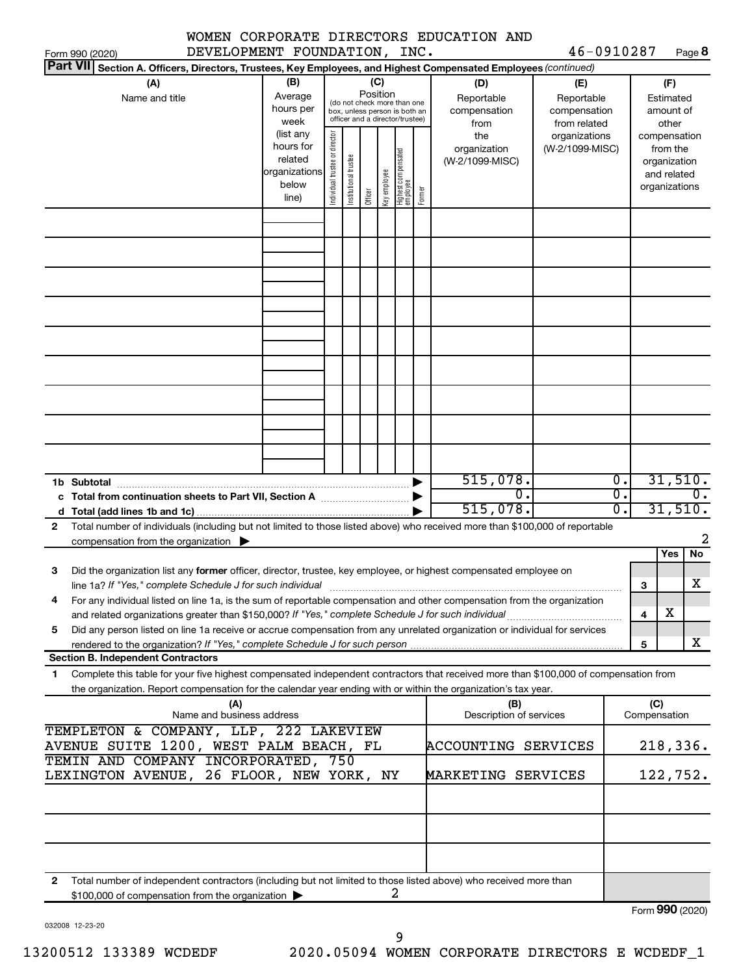|  |                | WOMEN CORPORATE DIRECTORS EDUCATION AND |  |
|--|----------------|-----------------------------------------|--|
|  | $\overline{C}$ |                                         |  |

46-0910287 Page 8

| DEVELOPMENT FOUNDATION, INC.<br>Form 990 (2020)                                                                                                                                                                                           |                                                         |                                |                                                                                                 |                 |              |                                  |        |                                           | 46-0910287                                        |                        |                           |                                                                          | Page 8                      |
|-------------------------------------------------------------------------------------------------------------------------------------------------------------------------------------------------------------------------------------------|---------------------------------------------------------|--------------------------------|-------------------------------------------------------------------------------------------------|-----------------|--------------|----------------------------------|--------|-------------------------------------------|---------------------------------------------------|------------------------|---------------------------|--------------------------------------------------------------------------|-----------------------------|
| <b>Part VII</b><br>Section A. Officers, Directors, Trustees, Key Employees, and Highest Compensated Employees (continued)                                                                                                                 |                                                         |                                |                                                                                                 |                 |              |                                  |        |                                           |                                                   |                        |                           |                                                                          |                             |
| (A)<br>Name and title                                                                                                                                                                                                                     | (B)<br>Average<br>hours per<br>week<br>(list any        |                                | (do not check more than one<br>box, unless person is both an<br>officer and a director/trustee) | (C)<br>Position |              |                                  |        | (D)<br>Reportable<br>compensation<br>from | (E)<br>Reportable<br>compensation<br>from related |                        |                           | (F)<br>Estimated<br>amount of<br>other                                   |                             |
|                                                                                                                                                                                                                                           | hours for<br>related<br>organizations<br>below<br>line) | Individual trustee or director | Institutional trustee                                                                           | Officer         | Key employee | Highest compensated<br> employee | Former | the<br>organization<br>(W-2/1099-MISC)    | organizations<br>(W-2/1099-MISC)                  |                        |                           | compensation<br>from the<br>organization<br>and related<br>organizations |                             |
|                                                                                                                                                                                                                                           |                                                         |                                |                                                                                                 |                 |              |                                  |        |                                           |                                                   |                        |                           |                                                                          |                             |
|                                                                                                                                                                                                                                           |                                                         |                                |                                                                                                 |                 |              |                                  |        |                                           |                                                   |                        |                           |                                                                          |                             |
|                                                                                                                                                                                                                                           |                                                         |                                |                                                                                                 |                 |              |                                  |        |                                           |                                                   |                        |                           |                                                                          |                             |
|                                                                                                                                                                                                                                           |                                                         |                                |                                                                                                 |                 |              |                                  |        |                                           |                                                   |                        |                           |                                                                          |                             |
|                                                                                                                                                                                                                                           |                                                         |                                |                                                                                                 |                 |              |                                  |        |                                           |                                                   |                        |                           |                                                                          |                             |
|                                                                                                                                                                                                                                           |                                                         |                                |                                                                                                 |                 |              |                                  |        |                                           |                                                   |                        |                           |                                                                          |                             |
|                                                                                                                                                                                                                                           |                                                         |                                |                                                                                                 |                 |              |                                  |        | 515,078.                                  |                                                   | $\overline{0}$ .       |                           |                                                                          | 31,510.                     |
| 1b Subtotal<br>c Total from continuation sheets to Part VII, Section A manuscription.                                                                                                                                                     |                                                         |                                |                                                                                                 |                 |              |                                  |        | О.<br>515,078.                            |                                                   | σ.<br>$\overline{0}$ . |                           |                                                                          | $\overline{0}$ .<br>31,510. |
| Total number of individuals (including but not limited to those listed above) who received more than \$100,000 of reportable<br>$\mathbf{2}$<br>compensation from the organization $\blacktriangleright$                                  |                                                         |                                |                                                                                                 |                 |              |                                  |        |                                           |                                                   |                        |                           |                                                                          | 2                           |
|                                                                                                                                                                                                                                           |                                                         |                                |                                                                                                 |                 |              |                                  |        |                                           |                                                   |                        |                           | Yes                                                                      | No                          |
| Did the organization list any former officer, director, trustee, key employee, or highest compensated employee on<br>3<br>line 1a? If "Yes," complete Schedule J for such individual [11] manufacture manufacture in the set of the set o |                                                         |                                |                                                                                                 |                 |              |                                  |        |                                           |                                                   |                        | 3                         |                                                                          | х                           |
| For any individual listed on line 1a, is the sum of reportable compensation and other compensation from the organization<br>and related organizations greater than \$150,000? If "Yes," complete Schedule J for such individual           |                                                         |                                |                                                                                                 |                 |              |                                  |        |                                           |                                                   |                        | 4                         | х                                                                        |                             |
| Did any person listed on line 1a receive or accrue compensation from any unrelated organization or individual for services<br>5                                                                                                           |                                                         |                                |                                                                                                 |                 |              |                                  |        |                                           |                                                   |                        | 5                         |                                                                          | X                           |
| <b>Section B. Independent Contractors</b><br>Complete this table for your five highest compensated independent contractors that received more than \$100,000 of compensation from<br>1.                                                   |                                                         |                                |                                                                                                 |                 |              |                                  |        |                                           |                                                   |                        |                           |                                                                          |                             |
| the organization. Report compensation for the calendar year ending with or within the organization's tax year.                                                                                                                            |                                                         |                                |                                                                                                 |                 |              |                                  |        |                                           |                                                   |                        |                           |                                                                          |                             |
| (A)<br>Name and business address                                                                                                                                                                                                          |                                                         |                                |                                                                                                 |                 |              |                                  |        | (B)<br>Description of services            |                                                   |                        | (C)<br>Compensation       |                                                                          |                             |
| TEMPLETON & COMPANY, LLP, 222 LAKEVIEW<br>AVENUE SUITE 1200, WEST PALM BEACH, FL<br>ACCOUNTING SERVICES<br>TEMIN AND COMPANY INCORPORATED, 750                                                                                            |                                                         |                                |                                                                                                 |                 |              |                                  |        | 218,336.                                  |                                                   |                        |                           |                                                                          |                             |
| LEXINGTON AVENUE, 26 FLOOR, NEW YORK, NY<br>MARKETING SERVICES                                                                                                                                                                            |                                                         |                                |                                                                                                 |                 |              |                                  |        |                                           |                                                   | 122,752.               |                           |                                                                          |                             |
|                                                                                                                                                                                                                                           |                                                         |                                |                                                                                                 |                 |              |                                  |        |                                           |                                                   |                        |                           |                                                                          |                             |
| Total number of independent contractors (including but not limited to those listed above) who received more than<br>2                                                                                                                     |                                                         |                                |                                                                                                 |                 |              |                                  |        |                                           |                                                   |                        |                           |                                                                          |                             |
| \$100,000 of compensation from the organization                                                                                                                                                                                           |                                                         |                                |                                                                                                 |                 | 2            |                                  |        |                                           |                                                   |                        | $F_{\alpha r}$ 990 (2020) |                                                                          |                             |

032008 12-23-20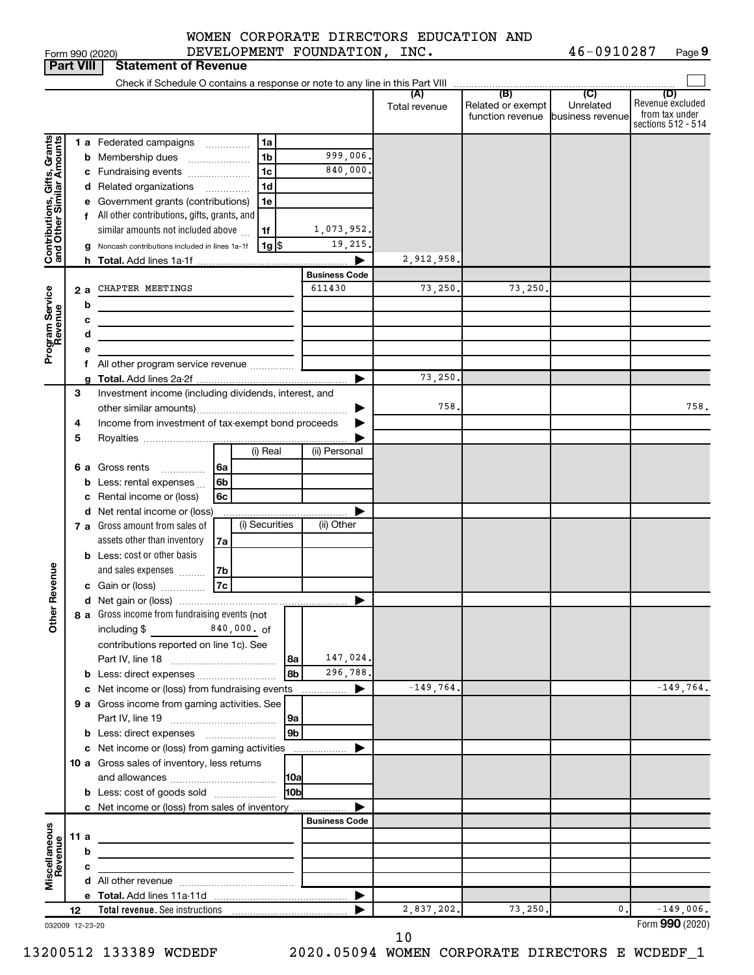|                 | WOMEN CORPORATE DIRECTORS EDUCATION AND |            |        |
|-----------------|-----------------------------------------|------------|--------|
| Form 990 (2020) | INC.<br>DEVELOPMENT FOUNDATION,         | 46-0910287 | Page 9 |

|                                                           | <b>Part VIII</b> | <b>Statement of Revenue</b>                                                                            |                                                                                                                                                                                 |
|-----------------------------------------------------------|------------------|--------------------------------------------------------------------------------------------------------|---------------------------------------------------------------------------------------------------------------------------------------------------------------------------------|
|                                                           |                  | Check if Schedule O contains a response or note to any line in this Part VIII                          |                                                                                                                                                                                 |
|                                                           |                  |                                                                                                        | (B)<br>(C)<br>(D)<br>(A)<br>Revenue excluded<br>Related or exempt<br>Unrelated<br>Total revenue<br>from tax under<br>function revenue<br>business revenue<br>sections 512 - 514 |
|                                                           |                  | <b>1 a</b> Federated campaigns<br>1a<br>.                                                              |                                                                                                                                                                                 |
|                                                           |                  | 999,006.<br><b>b</b> Membership dues<br>1b                                                             |                                                                                                                                                                                 |
|                                                           |                  | 840,000.<br>1c<br>c Fundraising events                                                                 |                                                                                                                                                                                 |
|                                                           |                  | d Related organizations<br>1d<br>.                                                                     |                                                                                                                                                                                 |
|                                                           |                  | e Government grants (contributions)<br>1e                                                              |                                                                                                                                                                                 |
|                                                           |                  | f All other contributions, gifts, grants, and                                                          |                                                                                                                                                                                 |
|                                                           |                  | 1,073,952.<br>similar amounts not included above<br>1f                                                 |                                                                                                                                                                                 |
| Contributions, Gifts, Grants<br>and Other Similar Amounts | g                | 19,215.<br>1g S<br>Noncash contributions included in lines 1a-1f                                       |                                                                                                                                                                                 |
|                                                           |                  | <b>h</b> Total. Add lines 1a-1f                                                                        | 2,912,958                                                                                                                                                                       |
|                                                           |                  | <b>Business Code</b>                                                                                   |                                                                                                                                                                                 |
| Program Service<br>Revenue                                | 2 a              | 611430<br>CHAPTER MEETINGS                                                                             | 73,250.<br>73,250                                                                                                                                                               |
|                                                           | b                |                                                                                                        |                                                                                                                                                                                 |
|                                                           | с<br>d           |                                                                                                        |                                                                                                                                                                                 |
|                                                           |                  |                                                                                                        |                                                                                                                                                                                 |
|                                                           |                  | All other program service revenue                                                                      |                                                                                                                                                                                 |
|                                                           |                  |                                                                                                        | 73,250                                                                                                                                                                          |
|                                                           | З                | Investment income (including dividends, interest, and                                                  |                                                                                                                                                                                 |
|                                                           |                  |                                                                                                        | 758<br>758.                                                                                                                                                                     |
|                                                           | 4                | Income from investment of tax-exempt bond proceeds                                                     |                                                                                                                                                                                 |
|                                                           | 5                |                                                                                                        |                                                                                                                                                                                 |
|                                                           |                  | (i) Real<br>(ii) Personal                                                                              |                                                                                                                                                                                 |
|                                                           |                  | <b>6 a</b> Gross rents<br>6a<br>.                                                                      |                                                                                                                                                                                 |
|                                                           |                  | <b>b</b> Less: rental expenses<br>6b                                                                   |                                                                                                                                                                                 |
|                                                           |                  | c Rental income or (loss)<br>6c                                                                        |                                                                                                                                                                                 |
|                                                           |                  | d Net rental income or (loss)<br>(i) Securities<br>(ii) Other<br><b>7 a</b> Gross amount from sales of |                                                                                                                                                                                 |
|                                                           |                  | assets other than inventory<br>7a                                                                      |                                                                                                                                                                                 |
|                                                           |                  | <b>b</b> Less: cost or other basis                                                                     |                                                                                                                                                                                 |
|                                                           |                  | and sales expenses<br>7b                                                                               |                                                                                                                                                                                 |
| Revenue                                                   |                  | 7c<br>c Gain or (loss)                                                                                 |                                                                                                                                                                                 |
|                                                           |                  |                                                                                                        |                                                                                                                                                                                 |
|                                                           |                  | 8 a Gross income from fundraising events (not                                                          |                                                                                                                                                                                 |
| $\tilde{\epsilon}$                                        |                  | $840,000.$ of<br>including $$$                                                                         |                                                                                                                                                                                 |
|                                                           |                  | contributions reported on line 1c). See                                                                |                                                                                                                                                                                 |
|                                                           |                  | 147,024.<br> 8a                                                                                        |                                                                                                                                                                                 |
|                                                           |                  | 8 <sub>b</sub><br>296,788.<br><b>b</b> Less: direct expenses                                           |                                                                                                                                                                                 |
|                                                           |                  | c Net income or (loss) from fundraising events                                                         | $-149,764.$<br>$-149,764.$                                                                                                                                                      |
|                                                           |                  | 9 a Gross income from gaming activities. See                                                           |                                                                                                                                                                                 |
|                                                           |                  | 9a<br>9 <sub>b</sub><br><b>b</b> Less: direct expenses <b>manually</b>                                 |                                                                                                                                                                                 |
|                                                           |                  | c Net income or (loss) from gaming activities<br>.                                                     |                                                                                                                                                                                 |
|                                                           |                  | 10 a Gross sales of inventory, less returns                                                            |                                                                                                                                                                                 |
|                                                           |                  | <b>10a</b>                                                                                             |                                                                                                                                                                                 |
|                                                           |                  | 10bl<br><b>b</b> Less: cost of goods sold                                                              |                                                                                                                                                                                 |
|                                                           |                  | c Net income or (loss) from sales of inventory                                                         |                                                                                                                                                                                 |
|                                                           |                  | <b>Business Code</b>                                                                                   |                                                                                                                                                                                 |
|                                                           | 11 a             | the control of the control of the control of the control of the control of                             |                                                                                                                                                                                 |
|                                                           | b                |                                                                                                        |                                                                                                                                                                                 |
| Miscellaneous<br>Revenue                                  | с                |                                                                                                        |                                                                                                                                                                                 |
|                                                           |                  |                                                                                                        |                                                                                                                                                                                 |
|                                                           | 12               | ▶                                                                                                      | 2,837,202.<br>73,250.<br>$-149,006.$<br>0.                                                                                                                                      |
|                                                           | 032009 12-23-20  |                                                                                                        | Form 990 (2020)                                                                                                                                                                 |

10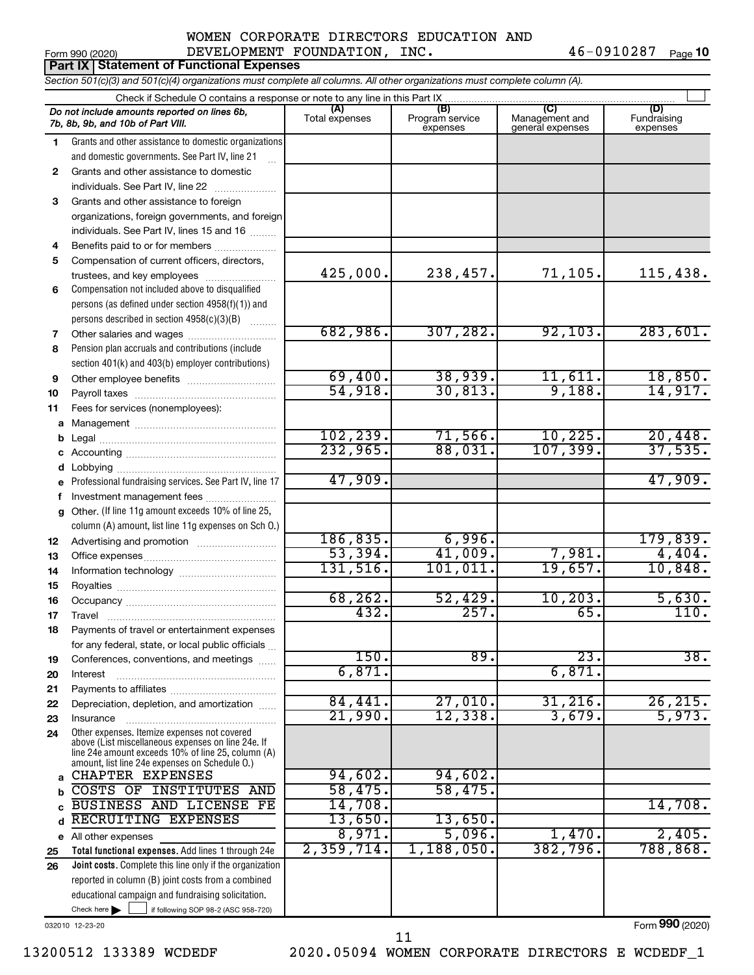|              | Form 990 (2020)<br><b>Part IX Statement of Functional Expenses</b>                                                                                               | CONIVIAIB DINBCIOND BDOCAIION AND<br>DEVELOPMENT FOUNDATION, INC. |                                    |                                                      | 46-0910287<br>Page 10          |
|--------------|------------------------------------------------------------------------------------------------------------------------------------------------------------------|-------------------------------------------------------------------|------------------------------------|------------------------------------------------------|--------------------------------|
|              | Section 501(c)(3) and 501(c)(4) organizations must complete all columns. All other organizations must complete column (A).                                       |                                                                   |                                    |                                                      |                                |
|              |                                                                                                                                                                  |                                                                   |                                    |                                                      |                                |
|              | Check if Schedule O contains a response or note to any line in this Part IX<br>Do not include amounts reported on lines 6b,<br>7b, 8b, 9b, and 10b of Part VIII. | (A)<br>Total expenses                                             | (B)<br>Program service<br>expenses | $\overline{C}$<br>Management and<br>general expenses | (D)<br>Fundraising<br>expenses |
| 1.           | Grants and other assistance to domestic organizations                                                                                                            |                                                                   |                                    |                                                      |                                |
|              | and domestic governments. See Part IV, line 21                                                                                                                   |                                                                   |                                    |                                                      |                                |
| $\mathbf{2}$ | Grants and other assistance to domestic                                                                                                                          |                                                                   |                                    |                                                      |                                |
|              | individuals. See Part IV, line 22                                                                                                                                |                                                                   |                                    |                                                      |                                |
| 3            | Grants and other assistance to foreign                                                                                                                           |                                                                   |                                    |                                                      |                                |
|              | organizations, foreign governments, and foreign                                                                                                                  |                                                                   |                                    |                                                      |                                |
|              | individuals. See Part IV, lines 15 and 16                                                                                                                        |                                                                   |                                    |                                                      |                                |
| 4            | Benefits paid to or for members                                                                                                                                  |                                                                   |                                    |                                                      |                                |
| 5            | Compensation of current officers, directors,                                                                                                                     |                                                                   |                                    |                                                      |                                |
|              | trustees, and key employees                                                                                                                                      | 425,000.                                                          | 238,457.                           | 71,105.                                              | 115,438.                       |
| 6            | Compensation not included above to disqualified                                                                                                                  |                                                                   |                                    |                                                      |                                |
|              | persons (as defined under section 4958(f)(1)) and                                                                                                                |                                                                   |                                    |                                                      |                                |
|              | persons described in section 4958(c)(3)(B)<br>$\overline{\phantom{a}}$                                                                                           | 682,986.                                                          | 307, 282.                          | 92, 103.                                             | 283,601.                       |
| 7            | Other salaries and wages<br>Pension plan accruals and contributions (include                                                                                     |                                                                   |                                    |                                                      |                                |
| 8            | section 401(k) and 403(b) employer contributions)                                                                                                                |                                                                   |                                    |                                                      |                                |
| 9            |                                                                                                                                                                  | 69,400.                                                           | 38,939.                            | 11,611.                                              | 18,850.                        |
| 10           |                                                                                                                                                                  | 54,918.                                                           | 30,813.                            | 9,188.                                               | 14,917.                        |
| 11           | Fees for services (nonemployees):                                                                                                                                |                                                                   |                                    |                                                      |                                |
| a            |                                                                                                                                                                  |                                                                   |                                    |                                                      |                                |
| b            |                                                                                                                                                                  | 102, 239.                                                         | 71,566.                            | 10, 225.                                             | 20,448.                        |
| с            |                                                                                                                                                                  | 232,965.                                                          | 88,031.                            | 107, 399.                                            | 37,535.                        |
| d            |                                                                                                                                                                  |                                                                   |                                    |                                                      |                                |
| e            | Professional fundraising services. See Part IV, line 17                                                                                                          | 47,909.                                                           |                                    |                                                      | 47,909.                        |
| f            | Investment management fees                                                                                                                                       |                                                                   |                                    |                                                      |                                |
|              | Other. (If line 11g amount exceeds 10% of line 25,                                                                                                               |                                                                   |                                    |                                                      |                                |
|              | column (A) amount, list line 11g expenses on Sch O.)                                                                                                             |                                                                   |                                    |                                                      |                                |
| 12           |                                                                                                                                                                  | 186, 835.                                                         | 6,996.                             |                                                      | 179,839.                       |
| 13           |                                                                                                                                                                  | 53,394.                                                           | 41,009.                            | 7,981.                                               | 4,404.                         |
| 14           |                                                                                                                                                                  | 131,516.                                                          | 101,011.                           | 19,657.                                              | 10,848.                        |
| 15           | Royalties                                                                                                                                                        |                                                                   |                                    |                                                      |                                |
| 16           |                                                                                                                                                                  | 68, 262.                                                          | 52,429.                            | 10, 203.                                             | 5,630.                         |
| 17           | Travel                                                                                                                                                           | 432.                                                              | 257.                               | 65                                                   | 110.                           |
| 18           | Payments of travel or entertainment expenses                                                                                                                     |                                                                   |                                    |                                                      |                                |
|              | for any federal, state, or local public officials                                                                                                                | $\overline{150}$ .                                                | 89.                                | $\overline{23}$                                      | 38.                            |
| 19           | Conferences, conventions, and meetings                                                                                                                           | 6,871.                                                            |                                    | 6,871                                                |                                |
| 20           | Interest                                                                                                                                                         |                                                                   |                                    |                                                      |                                |
| 21<br>22     | Depreciation, depletion, and amortization                                                                                                                        | 84,441.                                                           | 27,010.                            | 31, 216                                              | 26, 215.                       |
| 23           | Insurance                                                                                                                                                        | 21,990.                                                           | 12,338.                            | 3,679.                                               | 5,973.                         |
| 24           | Other expenses. Itemize expenses not covered                                                                                                                     |                                                                   |                                    |                                                      |                                |
|              | above (List miscellaneous expenses on line 24e. If<br>line 24e amount exceeds 10% of line 25, column (A)<br>amount, list line 24e expenses on Schedule O.)       |                                                                   |                                    |                                                      |                                |
| a            | CHAPTER EXPENSES                                                                                                                                                 | 94,602.                                                           | 94,602.                            |                                                      |                                |
| b            | COSTS OF INSTITUTES AND                                                                                                                                          | 58,475.                                                           | 58,475.                            |                                                      |                                |
| C            | BUSINESS AND LICENSE FE                                                                                                                                          | 14,708.                                                           |                                    |                                                      | 14,708.                        |
| d            | RECRUITING EXPENSES                                                                                                                                              | 13,650.                                                           | 13,650.                            |                                                      |                                |
|              | e All other expenses                                                                                                                                             | 8,971.                                                            | 5,096.                             | 1,470.                                               | 2,405.                         |

Check here  $\begin{array}{c} \begin{array}{|c} \hline \end{array} \end{array}$  if following SOP 98-2 (ASC 958-720) **Total functional expenses.**  Add lines 1 through 24e **Joint costs.** Complete this line only if the organization **25 26** reported in column (B) joint costs from a combined educational campaign and fundraising solicitation.  $Check here$ 

032010 12-23-20

Form (2020) **990**

13200512 133389 WCDEDF 2020.05094 WOMEN CORPORATE DIRECTORS E WCDEDF\_1 11

2,359,714. 1,188,050. 382,796. 788,868.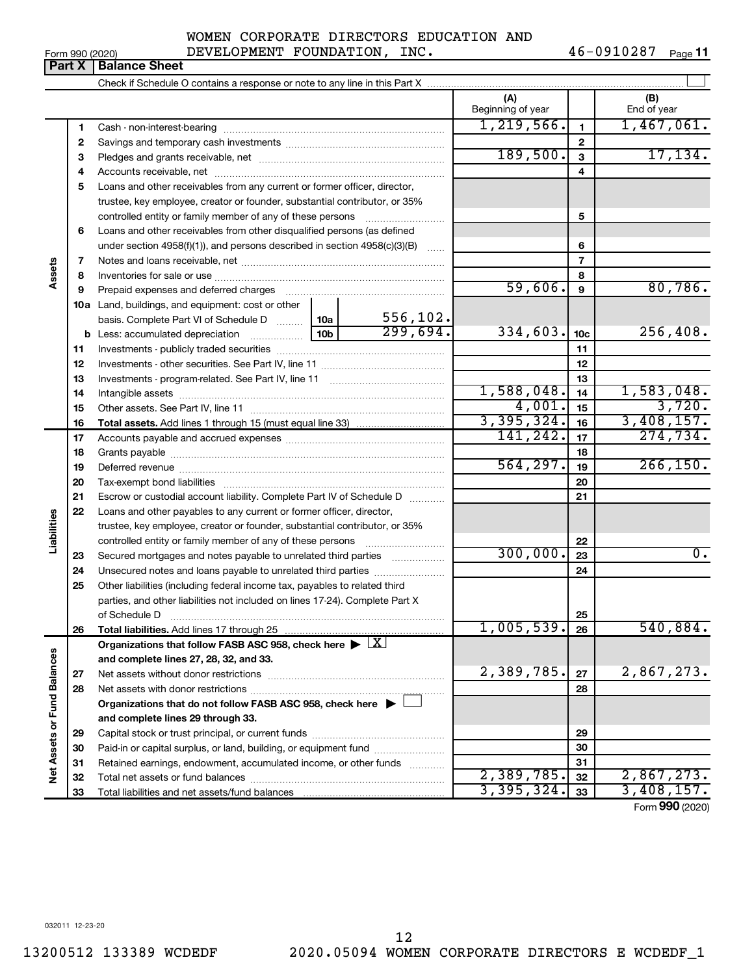|  | Form 990 (2020) |
|--|-----------------|
|  |                 |

46-0910287 Page 11

|                             | Part X       | <b>Balance Sheet</b>                                                                                                                       |            |          |                          |                 |                    |
|-----------------------------|--------------|--------------------------------------------------------------------------------------------------------------------------------------------|------------|----------|--------------------------|-----------------|--------------------|
|                             |              |                                                                                                                                            |            |          |                          |                 |                    |
|                             |              |                                                                                                                                            |            |          | (A)<br>Beginning of year |                 | (B)<br>End of year |
|                             | 1            |                                                                                                                                            |            |          | 1, 219, 566.             | 1               | 1,467,061.         |
|                             | $\mathbf{2}$ |                                                                                                                                            |            |          |                          | $\mathbf{2}$    |                    |
|                             | 3            |                                                                                                                                            |            |          | 189,500.                 | 3               | 17, 134.           |
|                             | 4            |                                                                                                                                            |            | 4        |                          |                 |                    |
|                             | 5            | Loans and other receivables from any current or former officer, director,                                                                  |            |          |                          |                 |                    |
|                             |              | trustee, key employee, creator or founder, substantial contributor, or 35%                                                                 |            |          |                          |                 |                    |
|                             |              | controlled entity or family member of any of these persons                                                                                 |            |          |                          | 5               |                    |
|                             | 6            | Loans and other receivables from other disqualified persons (as defined                                                                    |            |          |                          |                 |                    |
|                             |              | under section $4958(f)(1)$ , and persons described in section $4958(c)(3)(B)$                                                              |            |          |                          | 6               |                    |
|                             | 7            |                                                                                                                                            |            |          |                          | 7               |                    |
| Assets                      | 8            |                                                                                                                                            |            |          |                          | 8               |                    |
|                             | 9            | Prepaid expenses and deferred charges [11] [11] [11] [12] [12] [12] [12] [13] [13] [13] [13] [13] [13] [13] [1                             |            |          | 59,606.                  | 9               | 80,786.            |
|                             |              | 10a Land, buildings, and equipment: cost or other                                                                                          |            |          |                          |                 |                    |
|                             |              | basis. Complete Part VI of Schedule D  10a                                                                                                 |            | 556,102. |                          |                 |                    |
|                             |              |                                                                                                                                            |            | 299,694. | 334,603.                 | 10 <sub>c</sub> | 256,408.           |
|                             | 11           |                                                                                                                                            |            |          |                          | 11              |                    |
|                             | 12           |                                                                                                                                            |            |          |                          | 12              |                    |
|                             | 13           |                                                                                                                                            |            |          | 13                       |                 |                    |
|                             | 14           |                                                                                                                                            | 1,588,048. | 14       | 1,583,048.               |                 |                    |
|                             | 15           |                                                                                                                                            |            |          | 4,001.                   | 15              | 3,720.             |
|                             | 16           |                                                                                                                                            |            |          | 3,395,324.               | 16              | 3,408,157.         |
|                             | 17           |                                                                                                                                            |            | 141,242. | 17                       | 274,734.        |                    |
|                             | 18           |                                                                                                                                            |            | 18       | 266, 150.                |                 |                    |
|                             | 19           |                                                                                                                                            |            |          | 564, 297.                | 19              |                    |
|                             | 20           |                                                                                                                                            |            |          |                          | 20              |                    |
|                             | 21           | Escrow or custodial account liability. Complete Part IV of Schedule D                                                                      |            |          |                          | 21              |                    |
| Liabilities                 | 22           | Loans and other payables to any current or former officer, director,                                                                       |            |          |                          |                 |                    |
|                             |              | trustee, key employee, creator or founder, substantial contributor, or 35%                                                                 |            |          |                          |                 |                    |
|                             |              | controlled entity or family member of any of these persons [                                                                               |            |          | 300,000.                 | 22              | $0$ .              |
|                             | 23           | Secured mortgages and notes payable to unrelated third parties                                                                             |            |          |                          | 23              |                    |
|                             | 24<br>25     | Unsecured notes and loans payable to unrelated third parties<br>Other liabilities (including federal income tax, payables to related third |            |          |                          | 24              |                    |
|                             |              | parties, and other liabilities not included on lines 17-24). Complete Part X                                                               |            |          |                          |                 |                    |
|                             |              | of Schedule D                                                                                                                              |            |          |                          | 25              |                    |
|                             | 26           | Total liabilities. Add lines 17 through 25                                                                                                 |            |          | 1,005,539.               | 26              | 540,884.           |
|                             |              | Organizations that follow FASB ASC 958, check here $\blacktriangleright \lfloor X \rfloor$                                                 |            |          |                          |                 |                    |
|                             |              | and complete lines 27, 28, 32, and 33.                                                                                                     |            |          |                          |                 |                    |
|                             | 27           |                                                                                                                                            |            |          | 2,389,785.               | 27              | 2,867,273.         |
|                             | 28           |                                                                                                                                            |            |          |                          | 28              |                    |
|                             |              | Organizations that do not follow FASB ASC 958, check here $\blacktriangleright$                                                            |            |          |                          |                 |                    |
|                             |              | and complete lines 29 through 33.                                                                                                          |            |          |                          |                 |                    |
| Net Assets or Fund Balances | 29           |                                                                                                                                            |            |          |                          | 29              |                    |
|                             | 30           | Paid-in or capital surplus, or land, building, or equipment fund                                                                           |            |          |                          | 30              |                    |
|                             | 31           | Retained earnings, endowment, accumulated income, or other funds                                                                           |            |          |                          | 31              |                    |
|                             | 32           |                                                                                                                                            |            |          | 2,389,785.               | 32              | 2,867,273.         |
|                             | 33           |                                                                                                                                            |            |          | 3,395,324.               | 33              | 3,408,157.         |
|                             |              |                                                                                                                                            |            |          |                          |                 | Form 990 (2020)    |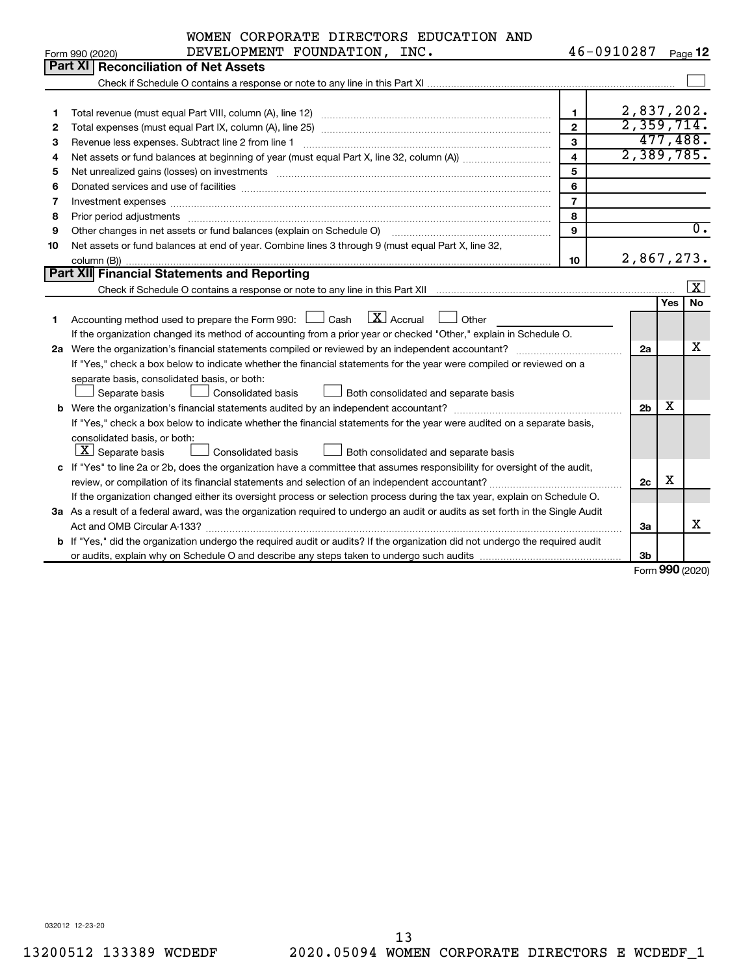|    | WOMEN CORPORATE DIRECTORS EDUCATION AND                                                                                                                                                                                        |                |                |              |              |
|----|--------------------------------------------------------------------------------------------------------------------------------------------------------------------------------------------------------------------------------|----------------|----------------|--------------|--------------|
|    | DEVELOPMENT FOUNDATION, INC.<br>Form 990 (2020)                                                                                                                                                                                | 46-0910287     |                |              | Page 12      |
|    | Part XI<br><b>Reconciliation of Net Assets</b>                                                                                                                                                                                 |                |                |              |              |
|    |                                                                                                                                                                                                                                |                |                |              |              |
|    |                                                                                                                                                                                                                                |                |                |              |              |
| 1  |                                                                                                                                                                                                                                | 1.             | 2,837,202.     |              |              |
| 2  |                                                                                                                                                                                                                                | $\mathbf{2}$   | 2,359,714.     |              |              |
| З  | Revenue less expenses. Subtract line 2 from line 1                                                                                                                                                                             | 3              |                |              | 477,488.     |
| 4  |                                                                                                                                                                                                                                | $\overline{a}$ | 2,389,785.     |              |              |
| 5  | Net unrealized gains (losses) on investments [11] matter in the contract of the contract of the contract of the contract of the contract of the contract of the contract of the contract of the contract of the contract of th | 5              |                |              |              |
| 6  |                                                                                                                                                                                                                                | 6              |                |              |              |
| 7  |                                                                                                                                                                                                                                | $\overline{7}$ |                |              |              |
| 8  |                                                                                                                                                                                                                                | 8              |                |              |              |
| 9  | Other changes in net assets or fund balances (explain on Schedule O)                                                                                                                                                           | $\mathbf{Q}$   |                |              | 0.           |
| 10 | Net assets or fund balances at end of year. Combine lines 3 through 9 (must equal Part X, line 32,                                                                                                                             |                |                |              |              |
|    |                                                                                                                                                                                                                                | 10             | 2,867,273.     |              |              |
|    | Part XII Financial Statements and Reporting                                                                                                                                                                                    |                |                |              |              |
|    |                                                                                                                                                                                                                                |                |                |              | $\mathbf{x}$ |
|    |                                                                                                                                                                                                                                |                |                | Yes          | <b>No</b>    |
| 1  | $\overline{X}$ Accrual<br>Accounting method used to prepare the Form 990: [16] Cash<br>Other                                                                                                                                   |                |                |              |              |
|    | If the organization changed its method of accounting from a prior year or checked "Other," explain in Schedule O.                                                                                                              |                |                |              |              |
|    |                                                                                                                                                                                                                                |                | 2a             |              | х            |
|    | If "Yes," check a box below to indicate whether the financial statements for the year were compiled or reviewed on a                                                                                                           |                |                |              |              |
|    | separate basis, consolidated basis, or both:                                                                                                                                                                                   |                |                |              |              |
|    | <b>Consolidated basis</b><br>Both consolidated and separate basis<br>Separate basis                                                                                                                                            |                |                |              |              |
|    |                                                                                                                                                                                                                                |                | 2 <sub>b</sub> | x            |              |
|    | If "Yes," check a box below to indicate whether the financial statements for the year were audited on a separate basis,                                                                                                        |                |                |              |              |
|    | consolidated basis, or both:                                                                                                                                                                                                   |                |                |              |              |
|    | $X$ Separate basis<br><b>Consolidated basis</b><br>Both consolidated and separate basis                                                                                                                                        |                |                |              |              |
|    | c If "Yes" to line 2a or 2b, does the organization have a committee that assumes responsibility for oversight of the audit,                                                                                                    |                |                |              |              |
|    | review, or compilation of its financial statements and selection of an independent accountant?                                                                                                                                 |                | 2c             | х            |              |
|    | If the organization changed either its oversight process or selection process during the tax year, explain on Schedule O.                                                                                                      |                |                |              |              |
|    | 3a As a result of a federal award, was the organization required to undergo an audit or audits as set forth in the Single Audit                                                                                                |                |                |              |              |
|    |                                                                                                                                                                                                                                |                | За             |              | x            |
|    | b If "Yes," did the organization undergo the required audit or audits? If the organization did not undergo the required audit                                                                                                  |                |                |              |              |
|    |                                                                                                                                                                                                                                |                | 3b             | $\mathbf{A}$ |              |

Form (2020) **990**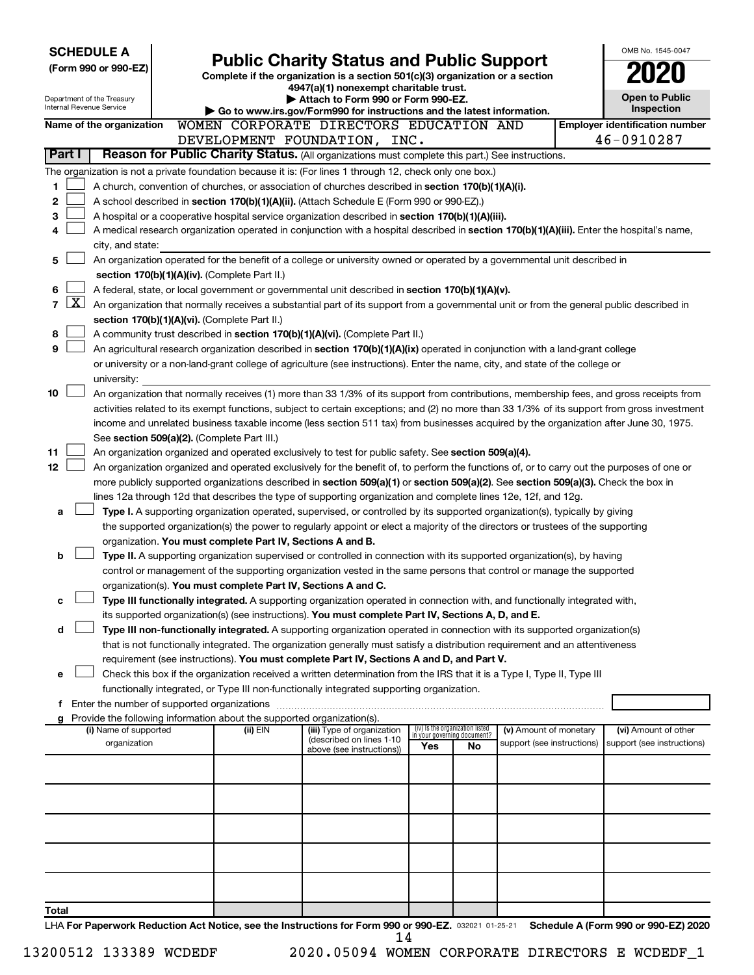| <b>SCHEDULE A</b>                                                                                              |  |                                                                                                                                  | OMB No. 1545-0047                                                                                                                                                                                                   |     |                                                                |                            |  |                                                     |  |
|----------------------------------------------------------------------------------------------------------------|--|----------------------------------------------------------------------------------------------------------------------------------|---------------------------------------------------------------------------------------------------------------------------------------------------------------------------------------------------------------------|-----|----------------------------------------------------------------|----------------------------|--|-----------------------------------------------------|--|
| (Form 990 or 990-EZ)                                                                                           |  | <b>Public Charity Status and Public Support</b><br>Complete if the organization is a section 501(c)(3) organization or a section |                                                                                                                                                                                                                     |     |                                                                |                            |  |                                                     |  |
|                                                                                                                |  |                                                                                                                                  | 4947(a)(1) nonexempt charitable trust.                                                                                                                                                                              |     |                                                                |                            |  |                                                     |  |
| Department of the Treasury<br>Internal Revenue Service                                                         |  |                                                                                                                                  | Attach to Form 990 or Form 990-EZ.                                                                                                                                                                                  |     |                                                                |                            |  | <b>Open to Public</b><br><b>Inspection</b>          |  |
|                                                                                                                |  |                                                                                                                                  | Go to www.irs.gov/Form990 for instructions and the latest information.<br>WOMEN CORPORATE DIRECTORS EDUCATION AND                                                                                                   |     |                                                                |                            |  |                                                     |  |
| Name of the organization                                                                                       |  |                                                                                                                                  | DEVELOPMENT FOUNDATION, INC.                                                                                                                                                                                        |     |                                                                |                            |  | <b>Employer identification number</b><br>46-0910287 |  |
| Part I                                                                                                         |  |                                                                                                                                  | Reason for Public Charity Status. (All organizations must complete this part.) See instructions.                                                                                                                    |     |                                                                |                            |  |                                                     |  |
|                                                                                                                |  |                                                                                                                                  |                                                                                                                                                                                                                     |     |                                                                |                            |  |                                                     |  |
| The organization is not a private foundation because it is: (For lines 1 through 12, check only one box.)<br>1 |  |                                                                                                                                  |                                                                                                                                                                                                                     |     |                                                                |                            |  |                                                     |  |
| 2                                                                                                              |  |                                                                                                                                  | A church, convention of churches, or association of churches described in section 170(b)(1)(A)(i).                                                                                                                  |     |                                                                |                            |  |                                                     |  |
| 3                                                                                                              |  |                                                                                                                                  | A school described in section 170(b)(1)(A)(ii). (Attach Schedule E (Form 990 or 990-EZ).)<br>A hospital or a cooperative hospital service organization described in section 170(b)(1)(A)(iii).                      |     |                                                                |                            |  |                                                     |  |
| 4                                                                                                              |  |                                                                                                                                  | A medical research organization operated in conjunction with a hospital described in section 170(b)(1)(A)(iii). Enter the hospital's name,                                                                          |     |                                                                |                            |  |                                                     |  |
| city, and state:                                                                                               |  |                                                                                                                                  |                                                                                                                                                                                                                     |     |                                                                |                            |  |                                                     |  |
| 5                                                                                                              |  |                                                                                                                                  | An organization operated for the benefit of a college or university owned or operated by a governmental unit described in                                                                                           |     |                                                                |                            |  |                                                     |  |
|                                                                                                                |  | section 170(b)(1)(A)(iv). (Complete Part II.)                                                                                    |                                                                                                                                                                                                                     |     |                                                                |                            |  |                                                     |  |
| 6                                                                                                              |  |                                                                                                                                  | A federal, state, or local government or governmental unit described in section 170(b)(1)(A)(v).                                                                                                                    |     |                                                                |                            |  |                                                     |  |
| $\lfloor \texttt{X} \rfloor$<br>7                                                                              |  |                                                                                                                                  | An organization that normally receives a substantial part of its support from a governmental unit or from the general public described in                                                                           |     |                                                                |                            |  |                                                     |  |
|                                                                                                                |  | section 170(b)(1)(A)(vi). (Complete Part II.)                                                                                    |                                                                                                                                                                                                                     |     |                                                                |                            |  |                                                     |  |
| 8                                                                                                              |  |                                                                                                                                  | A community trust described in section 170(b)(1)(A)(vi). (Complete Part II.)                                                                                                                                        |     |                                                                |                            |  |                                                     |  |
| 9                                                                                                              |  |                                                                                                                                  | An agricultural research organization described in section 170(b)(1)(A)(ix) operated in conjunction with a land-grant college                                                                                       |     |                                                                |                            |  |                                                     |  |
|                                                                                                                |  |                                                                                                                                  | or university or a non-land-grant college of agriculture (see instructions). Enter the name, city, and state of the college or                                                                                      |     |                                                                |                            |  |                                                     |  |
| university:                                                                                                    |  |                                                                                                                                  |                                                                                                                                                                                                                     |     |                                                                |                            |  |                                                     |  |
| 10                                                                                                             |  |                                                                                                                                  | An organization that normally receives (1) more than 33 1/3% of its support from contributions, membership fees, and gross receipts from                                                                            |     |                                                                |                            |  |                                                     |  |
|                                                                                                                |  |                                                                                                                                  | activities related to its exempt functions, subject to certain exceptions; and (2) no more than 33 1/3% of its support from gross investment                                                                        |     |                                                                |                            |  |                                                     |  |
|                                                                                                                |  |                                                                                                                                  | income and unrelated business taxable income (less section 511 tax) from businesses acquired by the organization after June 30, 1975.                                                                               |     |                                                                |                            |  |                                                     |  |
| 11                                                                                                             |  | See section 509(a)(2). (Complete Part III.)                                                                                      | An organization organized and operated exclusively to test for public safety. See section 509(a)(4).                                                                                                                |     |                                                                |                            |  |                                                     |  |
| 12                                                                                                             |  |                                                                                                                                  | An organization organized and operated exclusively for the benefit of, to perform the functions of, or to carry out the purposes of one or                                                                          |     |                                                                |                            |  |                                                     |  |
|                                                                                                                |  |                                                                                                                                  | more publicly supported organizations described in section 509(a)(1) or section 509(a)(2). See section 509(a)(3). Check the box in                                                                                  |     |                                                                |                            |  |                                                     |  |
|                                                                                                                |  |                                                                                                                                  | lines 12a through 12d that describes the type of supporting organization and complete lines 12e, 12f, and 12g.                                                                                                      |     |                                                                |                            |  |                                                     |  |
| a                                                                                                              |  |                                                                                                                                  | Type I. A supporting organization operated, supervised, or controlled by its supported organization(s), typically by giving                                                                                         |     |                                                                |                            |  |                                                     |  |
|                                                                                                                |  |                                                                                                                                  | the supported organization(s) the power to regularly appoint or elect a majority of the directors or trustees of the supporting                                                                                     |     |                                                                |                            |  |                                                     |  |
|                                                                                                                |  | organization. You must complete Part IV, Sections A and B.                                                                       |                                                                                                                                                                                                                     |     |                                                                |                            |  |                                                     |  |
| b                                                                                                              |  |                                                                                                                                  | Type II. A supporting organization supervised or controlled in connection with its supported organization(s), by having                                                                                             |     |                                                                |                            |  |                                                     |  |
|                                                                                                                |  |                                                                                                                                  | control or management of the supporting organization vested in the same persons that control or manage the supported                                                                                                |     |                                                                |                            |  |                                                     |  |
|                                                                                                                |  | organization(s). You must complete Part IV, Sections A and C.                                                                    |                                                                                                                                                                                                                     |     |                                                                |                            |  |                                                     |  |
| с                                                                                                              |  |                                                                                                                                  | Type III functionally integrated. A supporting organization operated in connection with, and functionally integrated with,                                                                                          |     |                                                                |                            |  |                                                     |  |
|                                                                                                                |  |                                                                                                                                  | its supported organization(s) (see instructions). You must complete Part IV, Sections A, D, and E.                                                                                                                  |     |                                                                |                            |  |                                                     |  |
| d                                                                                                              |  |                                                                                                                                  | Type III non-functionally integrated. A supporting organization operated in connection with its supported organization(s)                                                                                           |     |                                                                |                            |  |                                                     |  |
|                                                                                                                |  |                                                                                                                                  | that is not functionally integrated. The organization generally must satisfy a distribution requirement and an attentiveness                                                                                        |     |                                                                |                            |  |                                                     |  |
| e                                                                                                              |  |                                                                                                                                  | requirement (see instructions). You must complete Part IV, Sections A and D, and Part V.<br>Check this box if the organization received a written determination from the IRS that it is a Type I, Type II, Type III |     |                                                                |                            |  |                                                     |  |
|                                                                                                                |  |                                                                                                                                  | functionally integrated, or Type III non-functionally integrated supporting organization.                                                                                                                           |     |                                                                |                            |  |                                                     |  |
| f Enter the number of supported organizations                                                                  |  |                                                                                                                                  |                                                                                                                                                                                                                     |     |                                                                |                            |  |                                                     |  |
| g Provide the following information about the supported organization(s).                                       |  |                                                                                                                                  |                                                                                                                                                                                                                     |     |                                                                |                            |  |                                                     |  |
| (i) Name of supported                                                                                          |  | (ii) EIN                                                                                                                         | (iii) Type of organization                                                                                                                                                                                          |     | (iv) Is the organization listed<br>in your governing document? | (v) Amount of monetary     |  | (vi) Amount of other                                |  |
| organization                                                                                                   |  |                                                                                                                                  | (described on lines 1-10<br>above (see instructions))                                                                                                                                                               | Yes | No.                                                            | support (see instructions) |  | support (see instructions)                          |  |
|                                                                                                                |  |                                                                                                                                  |                                                                                                                                                                                                                     |     |                                                                |                            |  |                                                     |  |
|                                                                                                                |  |                                                                                                                                  |                                                                                                                                                                                                                     |     |                                                                |                            |  |                                                     |  |
|                                                                                                                |  |                                                                                                                                  |                                                                                                                                                                                                                     |     |                                                                |                            |  |                                                     |  |
|                                                                                                                |  |                                                                                                                                  |                                                                                                                                                                                                                     |     |                                                                |                            |  |                                                     |  |
|                                                                                                                |  |                                                                                                                                  |                                                                                                                                                                                                                     |     |                                                                |                            |  |                                                     |  |
|                                                                                                                |  |                                                                                                                                  |                                                                                                                                                                                                                     |     |                                                                |                            |  |                                                     |  |
|                                                                                                                |  |                                                                                                                                  |                                                                                                                                                                                                                     |     |                                                                |                            |  |                                                     |  |
|                                                                                                                |  |                                                                                                                                  |                                                                                                                                                                                                                     |     |                                                                |                            |  |                                                     |  |
|                                                                                                                |  |                                                                                                                                  |                                                                                                                                                                                                                     |     |                                                                |                            |  |                                                     |  |
| Total                                                                                                          |  |                                                                                                                                  |                                                                                                                                                                                                                     |     |                                                                |                            |  |                                                     |  |
| LHA For Paperwork Reduction Act Notice, see the Instructions for Form 990 or 990-EZ. 032021 01-25-21           |  |                                                                                                                                  |                                                                                                                                                                                                                     |     |                                                                |                            |  | Schedule A (Form 990 or 990-EZ) 2020                |  |

13200512 133389 WCDEDF 2020.05094 WOMEN CORPORATE DIRECTORS E WCDEDF\_1  $\frac{11}{14}$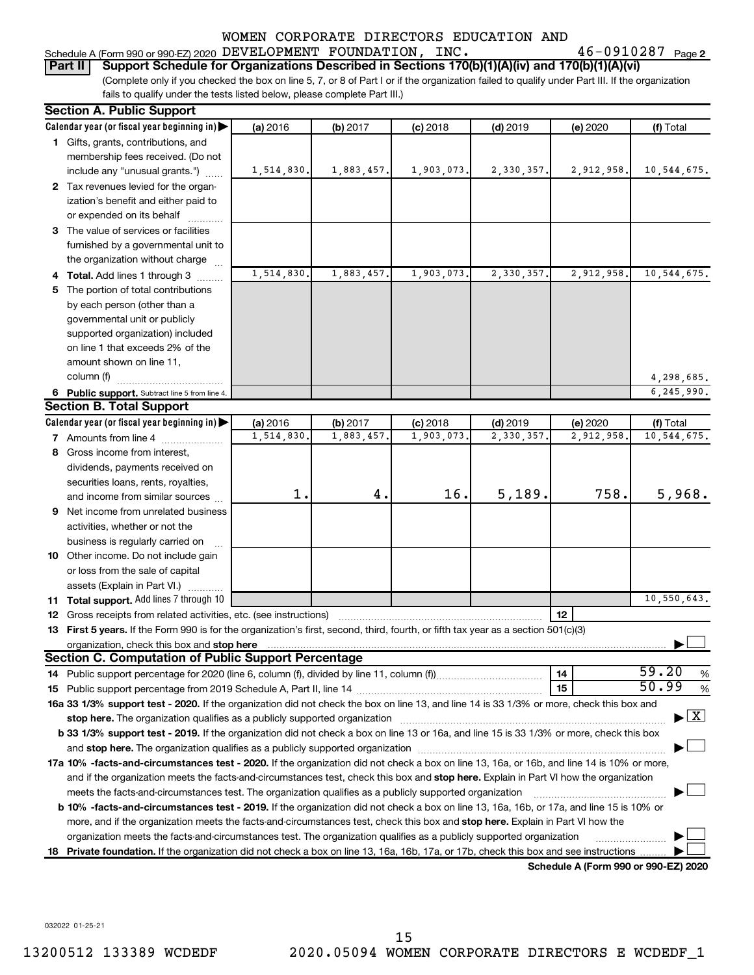# Schedule A (Form 990 or 990-EZ) 2020 DEVELOPMENT FOUNDATION , INC  $\boldsymbol{\cdot}$  46 - 0910287  $\boldsymbol{\cdot}$   $\boldsymbol{\cdot}$

46-0910287 Page 2

(Complete only if you checked the box on line 5, 7, or 8 of Part I or if the organization failed to qualify under Part III. If the organization fails to qualify under the tests listed below, please complete Part III.) **Part II Support Schedule for Organizations Described in Sections 170(b)(1)(A)(iv) and 170(b)(1)(A)(vi)**

| <b>Section A. Public Support</b>                                                                                                                                                                                                          |                       |                        |                         |                         |                                      |                                    |
|-------------------------------------------------------------------------------------------------------------------------------------------------------------------------------------------------------------------------------------------|-----------------------|------------------------|-------------------------|-------------------------|--------------------------------------|------------------------------------|
| Calendar year (or fiscal year beginning in)                                                                                                                                                                                               | (a) 2016              | (b) 2017               | $(c)$ 2018              | $(d)$ 2019              | (e) 2020                             | (f) Total                          |
| 1 Gifts, grants, contributions, and                                                                                                                                                                                                       |                       |                        |                         |                         |                                      |                                    |
| membership fees received. (Do not                                                                                                                                                                                                         |                       |                        |                         |                         |                                      |                                    |
| include any "unusual grants.")                                                                                                                                                                                                            | 1,514,830.            | 1,883,457.             | 1,903,073.              | 2,330,357.              | 2,912,958.                           | 10,544,675.                        |
| 2 Tax revenues levied for the organ-                                                                                                                                                                                                      |                       |                        |                         |                         |                                      |                                    |
| ization's benefit and either paid to                                                                                                                                                                                                      |                       |                        |                         |                         |                                      |                                    |
| or expended on its behalf                                                                                                                                                                                                                 |                       |                        |                         |                         |                                      |                                    |
| 3 The value of services or facilities                                                                                                                                                                                                     |                       |                        |                         |                         |                                      |                                    |
| furnished by a governmental unit to                                                                                                                                                                                                       |                       |                        |                         |                         |                                      |                                    |
| the organization without charge                                                                                                                                                                                                           |                       |                        |                         |                         |                                      |                                    |
| 4 Total. Add lines 1 through 3                                                                                                                                                                                                            | 1,514,830             | 1,883,457.             | 1,903,073               | 2,330,357.              | 2,912,958                            | 10,544,675.                        |
| 5 The portion of total contributions                                                                                                                                                                                                      |                       |                        |                         |                         |                                      |                                    |
| by each person (other than a                                                                                                                                                                                                              |                       |                        |                         |                         |                                      |                                    |
| governmental unit or publicly                                                                                                                                                                                                             |                       |                        |                         |                         |                                      |                                    |
| supported organization) included                                                                                                                                                                                                          |                       |                        |                         |                         |                                      |                                    |
| on line 1 that exceeds 2% of the                                                                                                                                                                                                          |                       |                        |                         |                         |                                      |                                    |
| amount shown on line 11,                                                                                                                                                                                                                  |                       |                        |                         |                         |                                      |                                    |
| column (f)                                                                                                                                                                                                                                |                       |                        |                         |                         |                                      | 4,298,685.                         |
|                                                                                                                                                                                                                                           |                       |                        |                         |                         |                                      | 6,245,990.                         |
| 6 Public support. Subtract line 5 from line 4.<br><b>Section B. Total Support</b>                                                                                                                                                         |                       |                        |                         |                         |                                      |                                    |
|                                                                                                                                                                                                                                           |                       |                        |                         |                         |                                      |                                    |
| Calendar year (or fiscal year beginning in)                                                                                                                                                                                               | (a) 2016<br>1,514,830 | (b) 2017<br>1,883,457. | $(c)$ 2018<br>1,903,073 | $(d)$ 2019<br>2,330,357 | (e) 2020<br>2,912,958                | (f) Total<br>10,544,675.           |
| <b>7</b> Amounts from line 4                                                                                                                                                                                                              |                       |                        |                         |                         |                                      |                                    |
| 8 Gross income from interest,                                                                                                                                                                                                             |                       |                        |                         |                         |                                      |                                    |
| dividends, payments received on                                                                                                                                                                                                           |                       |                        |                         |                         |                                      |                                    |
| securities loans, rents, royalties,                                                                                                                                                                                                       |                       |                        |                         |                         |                                      |                                    |
| and income from similar sources                                                                                                                                                                                                           | 1.                    | 4.                     | 16.                     | 5,189.                  | 758.                                 | 5,968.                             |
| <b>9</b> Net income from unrelated business                                                                                                                                                                                               |                       |                        |                         |                         |                                      |                                    |
| activities, whether or not the                                                                                                                                                                                                            |                       |                        |                         |                         |                                      |                                    |
| business is regularly carried on                                                                                                                                                                                                          |                       |                        |                         |                         |                                      |                                    |
| 10 Other income. Do not include gain                                                                                                                                                                                                      |                       |                        |                         |                         |                                      |                                    |
| or loss from the sale of capital                                                                                                                                                                                                          |                       |                        |                         |                         |                                      |                                    |
| assets (Explain in Part VI.)                                                                                                                                                                                                              |                       |                        |                         |                         |                                      |                                    |
| 11 Total support. Add lines 7 through 10                                                                                                                                                                                                  |                       |                        |                         |                         |                                      | 10,550,643.                        |
| <b>12</b> Gross receipts from related activities, etc. (see instructions)                                                                                                                                                                 |                       |                        |                         |                         | 12                                   |                                    |
| 13 First 5 years. If the Form 990 is for the organization's first, second, third, fourth, or fifth tax year as a section 501(c)(3)                                                                                                        |                       |                        |                         |                         |                                      |                                    |
| organization, check this box and stop here <b>contractly contractly contractly and stress</b> or contract the box and stop here <b>contractly and the contractly contractly contractly contractly and stress or contractly contract t</b> |                       |                        |                         |                         |                                      |                                    |
| <b>Section C. Computation of Public Support Percentage</b>                                                                                                                                                                                |                       |                        |                         |                         |                                      |                                    |
|                                                                                                                                                                                                                                           |                       |                        |                         |                         | 14                                   | 59.20<br>%                         |
|                                                                                                                                                                                                                                           |                       |                        |                         |                         | 15                                   | 50.99<br>%                         |
| 16a 33 1/3% support test - 2020. If the organization did not check the box on line 13, and line 14 is 33 1/3% or more, check this box and                                                                                                 |                       |                        |                         |                         |                                      |                                    |
|                                                                                                                                                                                                                                           |                       |                        |                         |                         |                                      | $\blacktriangleright$ $\mathbf{X}$ |
| b 33 1/3% support test - 2019. If the organization did not check a box on line 13 or 16a, and line 15 is 33 1/3% or more, check this box                                                                                                  |                       |                        |                         |                         |                                      |                                    |
|                                                                                                                                                                                                                                           |                       |                        |                         |                         |                                      |                                    |
| 17a 10% -facts-and-circumstances test - 2020. If the organization did not check a box on line 13, 16a, or 16b, and line 14 is 10% or more,                                                                                                |                       |                        |                         |                         |                                      |                                    |
| and if the organization meets the facts-and-circumstances test, check this box and stop here. Explain in Part VI how the organization                                                                                                     |                       |                        |                         |                         |                                      |                                    |
| meets the facts-and-circumstances test. The organization qualifies as a publicly supported organization                                                                                                                                   |                       |                        |                         |                         |                                      |                                    |
| <b>b 10%</b> -facts-and-circumstances test - 2019. If the organization did not check a box on line 13, 16a, 16b, or 17a, and line 15 is 10% or                                                                                            |                       |                        |                         |                         |                                      |                                    |
| more, and if the organization meets the facts-and-circumstances test, check this box and stop here. Explain in Part VI how the                                                                                                            |                       |                        |                         |                         |                                      |                                    |
| organization meets the facts-and-circumstances test. The organization qualifies as a publicly supported organization                                                                                                                      |                       |                        |                         |                         |                                      |                                    |
| 18 Private foundation. If the organization did not check a box on line 13, 16a, 16b, 17a, or 17b, check this box and see instructions                                                                                                     |                       |                        |                         |                         |                                      |                                    |
|                                                                                                                                                                                                                                           |                       |                        |                         |                         | Schodule A (Form 000 or 000 F7) 2020 |                                    |

**Schedule A (Form 990 or 990-EZ) 2020**

032022 01-25-21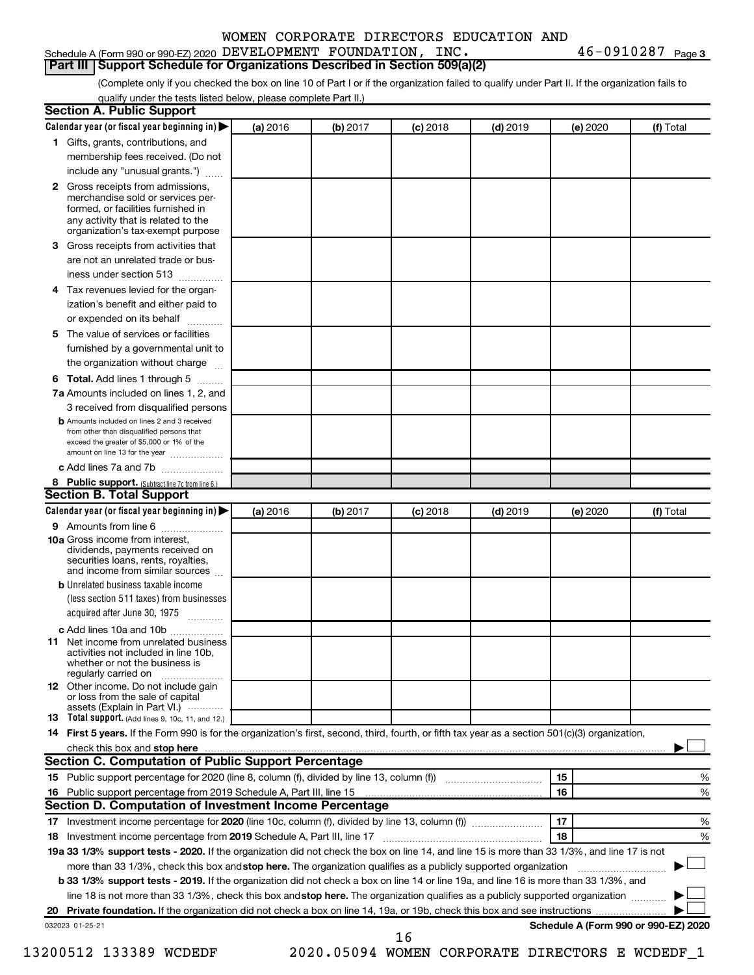#### Schedule A (Form 990 or 990-EZ) 2020 DEVELOPMENT FOUNDATION , INC  $\boldsymbol{\cdot}$  46 - 0910287  $\boldsymbol{\cdot}$   $\boldsymbol{\cdot}$ **Part III Support Schedule for Organizations Described in Section 509(a)(2)**

(Complete only if you checked the box on line 10 of Part I or if the organization failed to qualify under Part II. If the organization fails to qualify under the tests listed below, please complete Part II.)

| <b>Section A. Public Support</b>                                                                                                                                                         |          |          |            |            |                                      |           |
|------------------------------------------------------------------------------------------------------------------------------------------------------------------------------------------|----------|----------|------------|------------|--------------------------------------|-----------|
| Calendar year (or fiscal year beginning in) $\blacktriangleright$                                                                                                                        | (a) 2016 | (b) 2017 | $(c)$ 2018 | $(d)$ 2019 | (e) 2020                             | (f) Total |
| 1 Gifts, grants, contributions, and                                                                                                                                                      |          |          |            |            |                                      |           |
| membership fees received. (Do not                                                                                                                                                        |          |          |            |            |                                      |           |
| include any "unusual grants.")                                                                                                                                                           |          |          |            |            |                                      |           |
| 2 Gross receipts from admissions,<br>merchandise sold or services per-<br>formed, or facilities furnished in<br>any activity that is related to the<br>organization's tax-exempt purpose |          |          |            |            |                                      |           |
| <b>3</b> Gross receipts from activities that                                                                                                                                             |          |          |            |            |                                      |           |
| are not an unrelated trade or bus-                                                                                                                                                       |          |          |            |            |                                      |           |
| iness under section 513                                                                                                                                                                  |          |          |            |            |                                      |           |
| 4 Tax revenues levied for the organ-                                                                                                                                                     |          |          |            |            |                                      |           |
| ization's benefit and either paid to                                                                                                                                                     |          |          |            |            |                                      |           |
| or expended on its behalf<br>.                                                                                                                                                           |          |          |            |            |                                      |           |
| 5 The value of services or facilities                                                                                                                                                    |          |          |            |            |                                      |           |
| furnished by a governmental unit to                                                                                                                                                      |          |          |            |            |                                      |           |
| the organization without charge                                                                                                                                                          |          |          |            |            |                                      |           |
| <b>6 Total.</b> Add lines 1 through 5                                                                                                                                                    |          |          |            |            |                                      |           |
| 7a Amounts included on lines 1, 2, and                                                                                                                                                   |          |          |            |            |                                      |           |
| 3 received from disqualified persons                                                                                                                                                     |          |          |            |            |                                      |           |
| <b>b</b> Amounts included on lines 2 and 3 received<br>from other than disqualified persons that<br>exceed the greater of \$5,000 or 1% of the<br>amount on line 13 for the year         |          |          |            |            |                                      |           |
| c Add lines 7a and 7b                                                                                                                                                                    |          |          |            |            |                                      |           |
| 8 Public support. (Subtract line 7c from line 6.)                                                                                                                                        |          |          |            |            |                                      |           |
| <b>Section B. Total Support</b>                                                                                                                                                          |          |          |            |            |                                      |           |
| Calendar year (or fiscal year beginning in) $\blacktriangleright$                                                                                                                        | (a) 2016 | (b) 2017 | $(c)$ 2018 | $(d)$ 2019 | (e) 2020                             | (f) Total |
| 9 Amounts from line 6                                                                                                                                                                    |          |          |            |            |                                      |           |
| <b>10a</b> Gross income from interest,<br>dividends, payments received on<br>securities loans, rents, royalties,<br>and income from similar sources                                      |          |          |            |            |                                      |           |
| <b>b</b> Unrelated business taxable income                                                                                                                                               |          |          |            |            |                                      |           |
| (less section 511 taxes) from businesses<br>acquired after June 30, 1975                                                                                                                 |          |          |            |            |                                      |           |
| c Add lines 10a and 10b                                                                                                                                                                  |          |          |            |            |                                      |           |
| <b>11</b> Net income from unrelated business<br>activities not included in line 10b.<br>whether or not the business is<br>regularly carried on                                           |          |          |            |            |                                      |           |
| <b>12</b> Other income. Do not include gain<br>or loss from the sale of capital<br>assets (Explain in Part VI.)                                                                          |          |          |            |            |                                      |           |
| <b>13</b> Total support. (Add lines 9, 10c, 11, and 12.)                                                                                                                                 |          |          |            |            |                                      |           |
| 14 First 5 years. If the Form 990 is for the organization's first, second, third, fourth, or fifth tax year as a section 501(c)(3) organization,                                         |          |          |            |            |                                      |           |
| check this box and stop here                                                                                                                                                             |          |          |            |            |                                      |           |
| Section C. Computation of Public Support Percentage                                                                                                                                      |          |          |            |            |                                      |           |
|                                                                                                                                                                                          |          |          |            |            | 15                                   | %         |
|                                                                                                                                                                                          |          |          |            |            | 16                                   | %         |
| Section D. Computation of Investment Income Percentage                                                                                                                                   |          |          |            |            |                                      |           |
|                                                                                                                                                                                          |          |          |            |            | 17                                   | %         |
| 18 Investment income percentage from 2019 Schedule A, Part III, line 17                                                                                                                  |          |          |            |            | 18                                   | %         |
| 19a 33 1/3% support tests - 2020. If the organization did not check the box on line 14, and line 15 is more than 33 1/3%, and line 17 is not                                             |          |          |            |            |                                      |           |
| more than 33 1/3%, check this box and stop here. The organization qualifies as a publicly supported organization                                                                         |          |          |            |            |                                      |           |
| b 33 1/3% support tests - 2019. If the organization did not check a box on line 14 or line 19a, and line 16 is more than 33 1/3%, and                                                    |          |          |            |            |                                      |           |
| line 18 is not more than 33 1/3%, check this box and stop here. The organization qualifies as a publicly supported organization                                                          |          |          |            |            |                                      |           |
|                                                                                                                                                                                          |          |          |            |            |                                      |           |
| 032023 01-25-21                                                                                                                                                                          |          |          | 16         |            | Schedule A (Form 990 or 990-EZ) 2020 |           |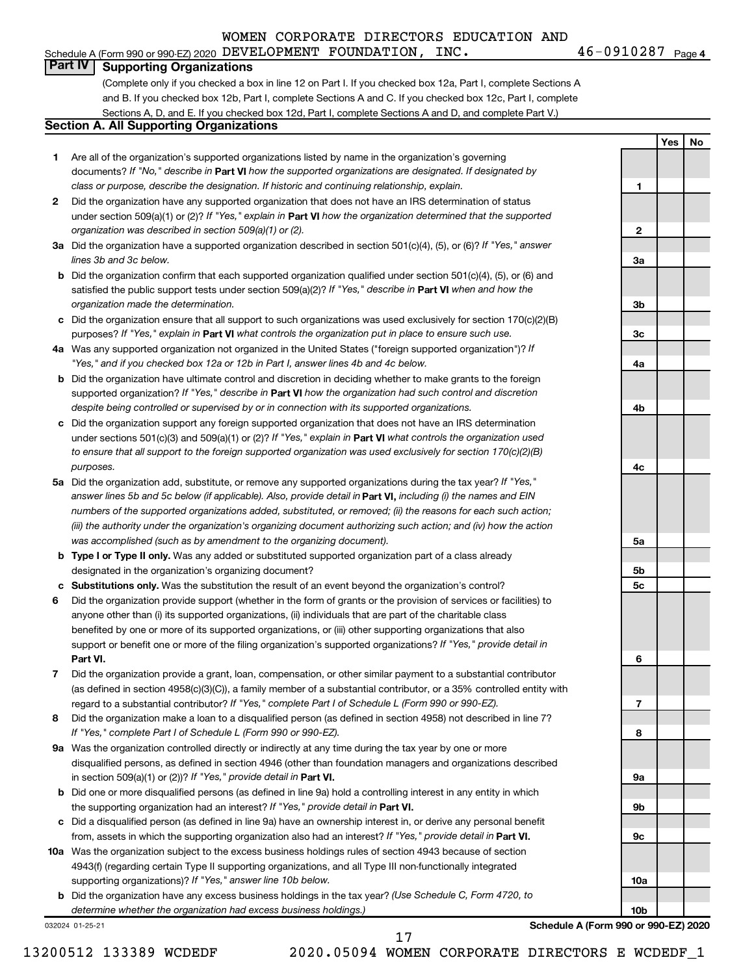## Schedule A (Form 990 or 990-EZ) 2020 DEVELOPMENT FOUNDATION , INC  $\boldsymbol{\cdot}$  46 - 0910287  $\boldsymbol{\cdot}$   $\boldsymbol{\cdot}$

46-0910287 Page 4

**1**

**2**

**3a**

**3b**

**3c**

**4a**

**4b**

**4c**

**5a**

**5b 5c**

**6**

**7**

**8**

**9a**

**9b**

**9c**

**10a**

**10b**

**Yes No**

# **Part IV Supporting Organizations**

(Complete only if you checked a box in line 12 on Part I. If you checked box 12a, Part I, complete Sections A and B. If you checked box 12b, Part I, complete Sections A and C. If you checked box 12c, Part I, complete Sections A, D, and E. If you checked box 12d, Part I, complete Sections A and D, and complete Part V.)

# **Section A. All Supporting Organizations**

- **1** Are all of the organization's supported organizations listed by name in the organization's governing documents? If "No," describe in Part VI how the supported organizations are designated. If designated by *class or purpose, describe the designation. If historic and continuing relationship, explain.*
- **2** Did the organization have any supported organization that does not have an IRS determination of status under section 509(a)(1) or (2)? If "Yes," explain in Part **VI** how the organization determined that the supported *organization was described in section 509(a)(1) or (2).*
- **3a** Did the organization have a supported organization described in section 501(c)(4), (5), or (6)? If "Yes," answer *lines 3b and 3c below.*
- **b** Did the organization confirm that each supported organization qualified under section 501(c)(4), (5), or (6) and satisfied the public support tests under section 509(a)(2)? If "Yes," describe in Part VI when and how the *organization made the determination.*
- **c** Did the organization ensure that all support to such organizations was used exclusively for section 170(c)(2)(B) purposes? If "Yes," explain in Part VI what controls the organization put in place to ensure such use.
- **4 a** *If* Was any supported organization not organized in the United States ("foreign supported organization")? *"Yes," and if you checked box 12a or 12b in Part I, answer lines 4b and 4c below.*
- **b** Did the organization have ultimate control and discretion in deciding whether to make grants to the foreign supported organization? If "Yes," describe in Part VI how the organization had such control and discretion *despite being controlled or supervised by or in connection with its supported organizations.*
- **c** Did the organization support any foreign supported organization that does not have an IRS determination under sections 501(c)(3) and 509(a)(1) or (2)? If "Yes," explain in Part VI what controls the organization used *to ensure that all support to the foreign supported organization was used exclusively for section 170(c)(2)(B) purposes.*
- **5a** Did the organization add, substitute, or remove any supported organizations during the tax year? If "Yes," answer lines 5b and 5c below (if applicable). Also, provide detail in **Part VI,** including (i) the names and EIN *numbers of the supported organizations added, substituted, or removed; (ii) the reasons for each such action; (iii) the authority under the organization's organizing document authorizing such action; and (iv) how the action was accomplished (such as by amendment to the organizing document).*
- **b** Type I or Type II only. Was any added or substituted supported organization part of a class already designated in the organization's organizing document?
- **c Substitutions only.**  Was the substitution the result of an event beyond the organization's control?
- **6** Did the organization provide support (whether in the form of grants or the provision of services or facilities) to **Part VI.** support or benefit one or more of the filing organization's supported organizations? If "Yes," provide detail in anyone other than (i) its supported organizations, (ii) individuals that are part of the charitable class benefited by one or more of its supported organizations, or (iii) other supporting organizations that also
- **7** Did the organization provide a grant, loan, compensation, or other similar payment to a substantial contributor regard to a substantial contributor? If "Yes," complete Part I of Schedule L (Form 990 or 990-EZ). (as defined in section 4958(c)(3)(C)), a family member of a substantial contributor, or a 35% controlled entity with
- **8** Did the organization make a loan to a disqualified person (as defined in section 4958) not described in line 7? *If "Yes," complete Part I of Schedule L (Form 990 or 990-EZ).*
- **9 a** Was the organization controlled directly or indirectly at any time during the tax year by one or more in section 509(a)(1) or (2))? If "Yes," provide detail in **Part VI.** disqualified persons, as defined in section 4946 (other than foundation managers and organizations described
- **b** Did one or more disqualified persons (as defined in line 9a) hold a controlling interest in any entity in which the supporting organization had an interest? If "Yes," provide detail in Part VI.
- **c** Did a disqualified person (as defined in line 9a) have an ownership interest in, or derive any personal benefit from, assets in which the supporting organization also had an interest? If "Yes," provide detail in Part VI.
- **10 a** Was the organization subject to the excess business holdings rules of section 4943 because of section supporting organizations)? If "Yes," answer line 10b below. 4943(f) (regarding certain Type II supporting organizations, and all Type III non-functionally integrated
	- **b** Did the organization have any excess business holdings in the tax year? (Use Schedule C, Form 4720, to *determine whether the organization had excess business holdings.)*

032024 01-25-21

**Schedule A (Form 990 or 990-EZ) 2020**

13200512 133389 WCDEDF 2020.05094 WOMEN CORPORATE DIRECTORS E WCDEDF\_1

17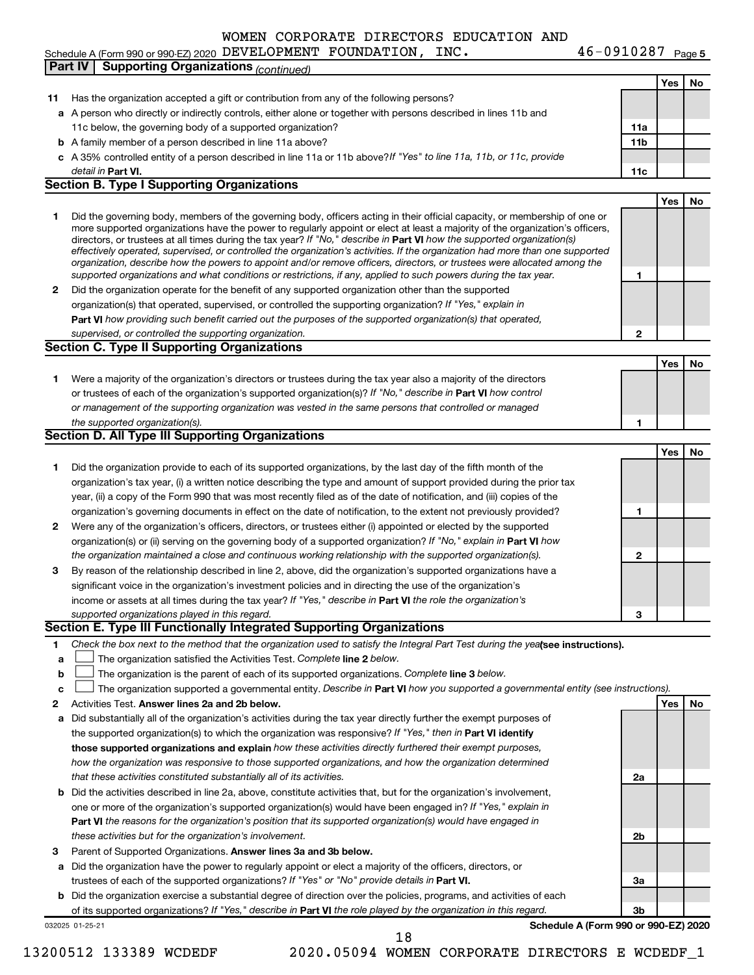# Schedule A (Form 990 or 990-EZ) 2020 DEVELOPMENT FOUNDATION , INC  $\boldsymbol{\cdot}$  46 - 0910287  $\boldsymbol{\cdot}$   $\boldsymbol{\cdot}$

**Yes No 11** Has the organization accepted a gift or contribution from any of the following persons? **a** A person who directly or indirectly controls, either alone or together with persons described in lines 11b and **b** A family member of a person described in line 11a above? **c** *If "Yes" to line 11a, 11b, or 11c, provide* A 35% controlled entity of a person described in line 11a or 11b above? **11a 11b Part VI. 11c Yes No 1** Did the governing body, members of the governing body, officers acting in their official capacity, or membership of one or **2** Did the organization operate for the benefit of any supported organization other than the supported directors, or trustees at all times during the tax year? If "No," describe in Part VI how the supported organization(s) **1 2 Part VI**  *how providing such benefit carried out the purposes of the supported organization(s) that operated,* **Yes No 1** Were a majority of the organization's directors or trustees during the tax year also a majority of the directors or trustees of each of the organization's supported organization(s)? If "No," describe in Part VI how control **1 Yes No 1** Did the organization provide to each of its supported organizations, by the last day of the fifth month of the **2** Were any of the organization's officers, directors, or trustees either (i) appointed or elected by the supported **3** By reason of the relationship described in line 2, above, did the organization's supported organizations have a **1 2 3** organization(s) or (ii) serving on the governing body of a supported organization? If "No," explain in Part VI how income or assets at all times during the tax year? If "Yes," describe in Part VI the role the organization's **1 2 Answer lines 2a and 2b below. Yes No** Activities Test. 3 Parent of Supported Organizations. Answer lines 3a and 3b below. Check the box next to the method that the organization used to satisfy the Integral Part Test during the yealsee instructions). **a b c** The organization satisfied the Activities Test. Complete line 2 below. The organization is the parent of each of its supported organizations. Complete line 3 below. The organization supported a governmental entity. Describe in Part VI how you supported a governmental entity (see instructions). **a** Did substantially all of the organization's activities during the tax year directly further the exempt purposes of **b** Did the activities described in line 2a, above, constitute activities that, but for the organization's involvement, **a** Did the organization have the power to regularly appoint or elect a majority of the officers, directors, or **b** Did the organization exercise a substantial degree of direction over the policies, programs, and activities of each the supported organization(s) to which the organization was responsive? If "Yes," then in Part VI identify **those supported organizations and explain**  *how these activities directly furthered their exempt purposes,* **2a 2b 3a 3b Part VI**  *the reasons for the organization's position that its supported organization(s) would have engaged in* trustees of each of the supported organizations? If "Yes" or "No" provide details in Part VI. of its supported organizations? If "Yes," describe in Part VI the role played by the organization in this regard. detail in Part VI. *effectively operated, supervised, or controlled the organization's activities. If the organization had more than one supported organization, describe how the powers to appoint and/or remove officers, directors, or trustees were allocated among the supported organizations and what conditions or restrictions, if any, applied to such powers during the tax year.* organization(s) that operated, supervised, or controlled the supporting organization? If "Yes," explain in *supervised, or controlled the supporting organization. or management of the supporting organization was vested in the same persons that controlled or managed the supported organization(s). the organization maintained a close and continuous working relationship with the supported organization(s). supported organizations played in this regard. how the organization was responsive to those supported organizations, and how the organization determined that these activities constituted substantially all of its activities.* one or more of the organization's supported organization(s) would have been engaged in? If "Yes," explain in *these activities but for the organization's involvement.* 11c below, the governing body of a supported organization? more supported organizations have the power to regularly appoint or elect at least a majority of the organization's officers, organization's tax year, (i) a written notice describing the type and amount of support provided during the prior tax year, (ii) a copy of the Form 990 that was most recently filed as of the date of notification, and (iii) copies of the organization's governing documents in effect on the date of notification, to the extent not previously provided? significant voice in the organization's investment policies and in directing the use of the organization's **Part IV Supporting Organizations** *(continued)* **Section B. Type I Supporting Organizations Section C. Type II Supporting Organizations Section D. All Type III Supporting Organizations Section E. Type III Functionally Integrated Supporting Organizations**  $\Box$  $\Box$  $\Box$ 

032025 01-25-21

**Schedule A (Form 990 or 990-EZ) 2020**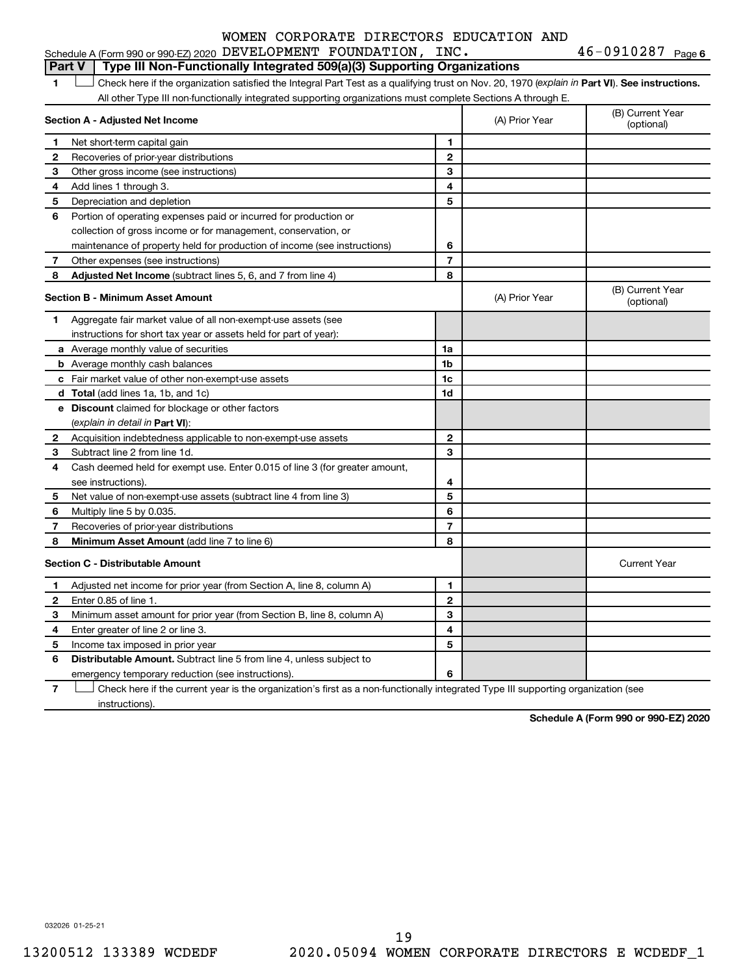|   | Schedule A (Form 990 or 990-EZ) 2020 DEVELOPMENT FOUNDATION, INC.                                                                              |                |                | $46 - 0910287$ Page 6          |
|---|------------------------------------------------------------------------------------------------------------------------------------------------|----------------|----------------|--------------------------------|
|   | Type III Non-Functionally Integrated 509(a)(3) Supporting Organizations<br><b>Part V</b>                                                       |                |                |                                |
| 1 | Check here if the organization satisfied the Integral Part Test as a qualifying trust on Nov. 20, 1970 (explain in Part VI). See instructions. |                |                |                                |
|   | All other Type III non-functionally integrated supporting organizations must complete Sections A through E.                                    |                |                |                                |
|   | Section A - Adjusted Net Income                                                                                                                |                | (A) Prior Year | (B) Current Year<br>(optional) |
| 1 | Net short-term capital gain                                                                                                                    | 1              |                |                                |
| 2 | Recoveries of prior-year distributions                                                                                                         | $\mathbf{2}$   |                |                                |
| З | Other gross income (see instructions)                                                                                                          | 3              |                |                                |
| 4 | Add lines 1 through 3.                                                                                                                         | 4              |                |                                |
| 5 | Depreciation and depletion                                                                                                                     | 5              |                |                                |
| 6 | Portion of operating expenses paid or incurred for production or                                                                               |                |                |                                |
|   | collection of gross income or for management, conservation, or                                                                                 |                |                |                                |
|   | maintenance of property held for production of income (see instructions)                                                                       | 6              |                |                                |
| 7 | Other expenses (see instructions)                                                                                                              | $\overline{7}$ |                |                                |
| 8 | <b>Adjusted Net Income</b> (subtract lines 5, 6, and 7 from line 4)                                                                            | 8              |                |                                |
|   | Section B - Minimum Asset Amount                                                                                                               |                | (A) Prior Year | (B) Current Year<br>(optional) |
| 1 | Aggregate fair market value of all non-exempt-use assets (see                                                                                  |                |                |                                |
|   | instructions for short tax year or assets held for part of year):                                                                              |                |                |                                |
|   | <b>a</b> Average monthly value of securities                                                                                                   | 1a             |                |                                |
|   | <b>b</b> Average monthly cash balances                                                                                                         | 1b             |                |                                |
|   | c Fair market value of other non-exempt-use assets                                                                                             | 1c             |                |                                |
|   | d Total (add lines 1a, 1b, and 1c)                                                                                                             | 1d             |                |                                |
|   | e Discount claimed for blockage or other factors                                                                                               |                |                |                                |
|   | (explain in detail in Part VI):                                                                                                                |                |                |                                |
| 2 | Acquisition indebtedness applicable to non-exempt-use assets                                                                                   | $\mathbf{2}$   |                |                                |
| З | Subtract line 2 from line 1d.                                                                                                                  | 3              |                |                                |
| 4 | Cash deemed held for exempt use. Enter 0.015 of line 3 (for greater amount,                                                                    |                |                |                                |
|   | see instructions).                                                                                                                             | 4              |                |                                |
| 5 | Net value of non-exempt-use assets (subtract line 4 from line 3)                                                                               | 5              |                |                                |
| 6 | Multiply line 5 by 0.035.                                                                                                                      | 6              |                |                                |
| 7 | Recoveries of prior-year distributions                                                                                                         | $\overline{7}$ |                |                                |
| 8 | Minimum Asset Amount (add line 7 to line 6)                                                                                                    | 8              |                |                                |
|   | <b>Section C - Distributable Amount</b>                                                                                                        |                |                | <b>Current Year</b>            |
| 1 | Adjusted net income for prior year (from Section A, line 8, column A)                                                                          | 1              |                |                                |
| 2 | Enter 0.85 of line 1.                                                                                                                          | $\mathbf{2}$   |                |                                |
| з | Minimum asset amount for prior year (from Section B, line 8, column A)                                                                         | 3              |                |                                |
| 4 | Enter greater of line 2 or line 3.                                                                                                             | 4              |                |                                |
| 5 | Income tax imposed in prior year                                                                                                               | 5              |                |                                |
| 6 | <b>Distributable Amount.</b> Subtract line 5 from line 4, unless subject to                                                                    |                |                |                                |
|   | emergency temporary reduction (see instructions).                                                                                              | 6              |                |                                |

**7** Check here if the current year is the organization's first as a non-functionally integrated Type III supporting organization (see † instructions).

**Schedule A (Form 990 or 990-EZ) 2020**

032026 01-25-21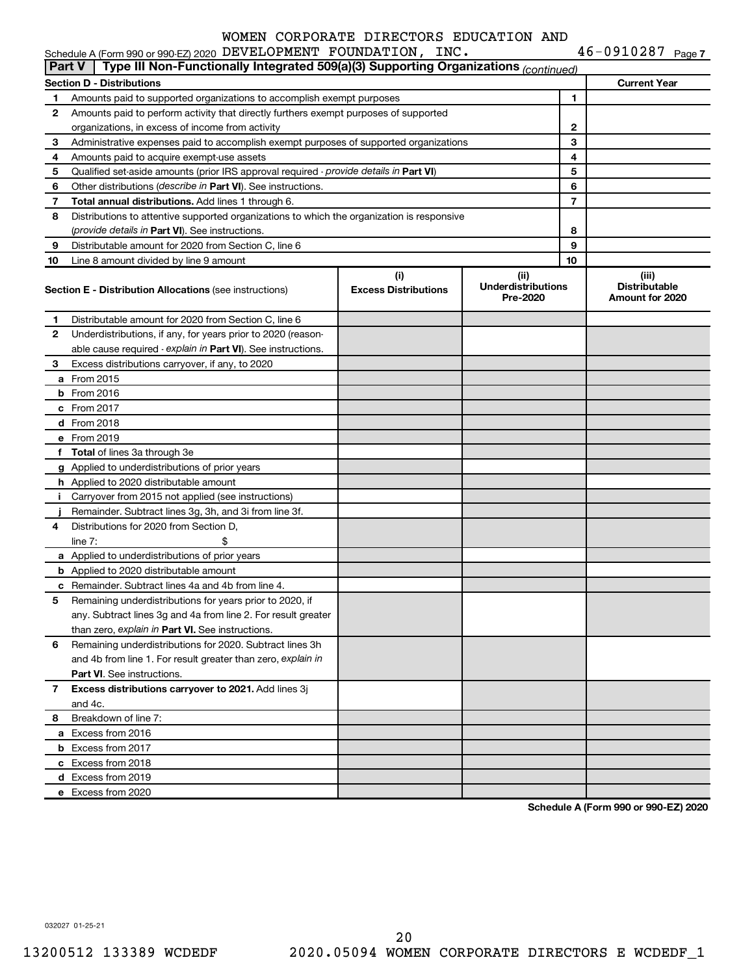|              | Type III Non-Functionally Integrated 509(a)(3) Supporting Organizations (continued)<br><b>Part V</b> |                             |                                       |    |                                         |  |  |  |  |  |
|--------------|------------------------------------------------------------------------------------------------------|-----------------------------|---------------------------------------|----|-----------------------------------------|--|--|--|--|--|
|              | <b>Current Year</b><br><b>Section D - Distributions</b>                                              |                             |                                       |    |                                         |  |  |  |  |  |
| 1.           | Amounts paid to supported organizations to accomplish exempt purposes                                |                             | 1                                     |    |                                         |  |  |  |  |  |
| $\mathbf{2}$ | Amounts paid to perform activity that directly furthers exempt purposes of supported                 |                             |                                       |    |                                         |  |  |  |  |  |
|              | organizations, in excess of income from activity                                                     |                             |                                       | 2  |                                         |  |  |  |  |  |
| 3            | Administrative expenses paid to accomplish exempt purposes of supported organizations                |                             |                                       | 3  |                                         |  |  |  |  |  |
| 4            | Amounts paid to acquire exempt-use assets                                                            |                             |                                       | 4  |                                         |  |  |  |  |  |
| 5            | Qualified set-aside amounts (prior IRS approval required - provide details in Part VI)               |                             |                                       | 5  |                                         |  |  |  |  |  |
| 6            | Other distributions (describe in Part VI). See instructions.                                         |                             |                                       | 6  |                                         |  |  |  |  |  |
| 7            | <b>Total annual distributions.</b> Add lines 1 through 6.                                            |                             |                                       | 7  |                                         |  |  |  |  |  |
| 8            | Distributions to attentive supported organizations to which the organization is responsive           |                             |                                       |    |                                         |  |  |  |  |  |
|              | (provide details in Part VI). See instructions.                                                      |                             |                                       | 8  |                                         |  |  |  |  |  |
| 9            | Distributable amount for 2020 from Section C, line 6                                                 |                             |                                       | 9  |                                         |  |  |  |  |  |
| 10           | Line 8 amount divided by line 9 amount                                                               |                             |                                       | 10 |                                         |  |  |  |  |  |
|              |                                                                                                      | (i)                         | (iii)                                 |    | (iii)                                   |  |  |  |  |  |
|              | <b>Section E - Distribution Allocations (see instructions)</b>                                       | <b>Excess Distributions</b> | <b>Underdistributions</b><br>Pre-2020 |    | <b>Distributable</b><br>Amount for 2020 |  |  |  |  |  |
| 1.           | Distributable amount for 2020 from Section C, line 6                                                 |                             |                                       |    |                                         |  |  |  |  |  |
| $\mathbf{2}$ | Underdistributions, if any, for years prior to 2020 (reason-                                         |                             |                                       |    |                                         |  |  |  |  |  |
|              | able cause required - explain in Part VI). See instructions.                                         |                             |                                       |    |                                         |  |  |  |  |  |
| 3            | Excess distributions carryover, if any, to 2020                                                      |                             |                                       |    |                                         |  |  |  |  |  |
|              | <b>a</b> From 2015                                                                                   |                             |                                       |    |                                         |  |  |  |  |  |
|              | $b$ From 2016                                                                                        |                             |                                       |    |                                         |  |  |  |  |  |
|              | c From 2017                                                                                          |                             |                                       |    |                                         |  |  |  |  |  |
|              | <b>d</b> From 2018                                                                                   |                             |                                       |    |                                         |  |  |  |  |  |
|              | e From 2019                                                                                          |                             |                                       |    |                                         |  |  |  |  |  |
|              | f Total of lines 3a through 3e                                                                       |                             |                                       |    |                                         |  |  |  |  |  |
|              | g Applied to underdistributions of prior years                                                       |                             |                                       |    |                                         |  |  |  |  |  |
|              | h Applied to 2020 distributable amount                                                               |                             |                                       |    |                                         |  |  |  |  |  |
|              | i Carryover from 2015 not applied (see instructions)                                                 |                             |                                       |    |                                         |  |  |  |  |  |
|              | Remainder. Subtract lines 3g, 3h, and 3i from line 3f.                                               |                             |                                       |    |                                         |  |  |  |  |  |
| 4            | Distributions for 2020 from Section D,                                                               |                             |                                       |    |                                         |  |  |  |  |  |
|              | \$<br>line $7:$                                                                                      |                             |                                       |    |                                         |  |  |  |  |  |
|              | a Applied to underdistributions of prior years                                                       |                             |                                       |    |                                         |  |  |  |  |  |
|              | <b>b</b> Applied to 2020 distributable amount                                                        |                             |                                       |    |                                         |  |  |  |  |  |
|              | <b>c</b> Remainder. Subtract lines 4a and 4b from line 4.                                            |                             |                                       |    |                                         |  |  |  |  |  |
| 5            | Remaining underdistributions for years prior to 2020, if                                             |                             |                                       |    |                                         |  |  |  |  |  |
|              | any. Subtract lines 3g and 4a from line 2. For result greater                                        |                             |                                       |    |                                         |  |  |  |  |  |
|              | than zero, explain in Part VI. See instructions.                                                     |                             |                                       |    |                                         |  |  |  |  |  |
| 6            | Remaining underdistributions for 2020. Subtract lines 3h                                             |                             |                                       |    |                                         |  |  |  |  |  |
|              | and 4b from line 1. For result greater than zero, explain in                                         |                             |                                       |    |                                         |  |  |  |  |  |
|              | <b>Part VI.</b> See instructions.                                                                    |                             |                                       |    |                                         |  |  |  |  |  |
| 7            | Excess distributions carryover to 2021. Add lines 3j                                                 |                             |                                       |    |                                         |  |  |  |  |  |
|              | and 4c.                                                                                              |                             |                                       |    |                                         |  |  |  |  |  |
|              | Breakdown of line 7:                                                                                 |                             |                                       |    |                                         |  |  |  |  |  |
| 8            |                                                                                                      |                             |                                       |    |                                         |  |  |  |  |  |
|              | a Excess from 2016                                                                                   |                             |                                       |    |                                         |  |  |  |  |  |
|              | <b>b</b> Excess from 2017                                                                            |                             |                                       |    |                                         |  |  |  |  |  |
|              | c Excess from 2018                                                                                   |                             |                                       |    |                                         |  |  |  |  |  |
|              | d Excess from 2019                                                                                   |                             |                                       |    |                                         |  |  |  |  |  |
|              | e Excess from 2020                                                                                   |                             |                                       |    |                                         |  |  |  |  |  |

**Schedule A (Form 990 or 990-EZ) 2020**

032027 01-25-21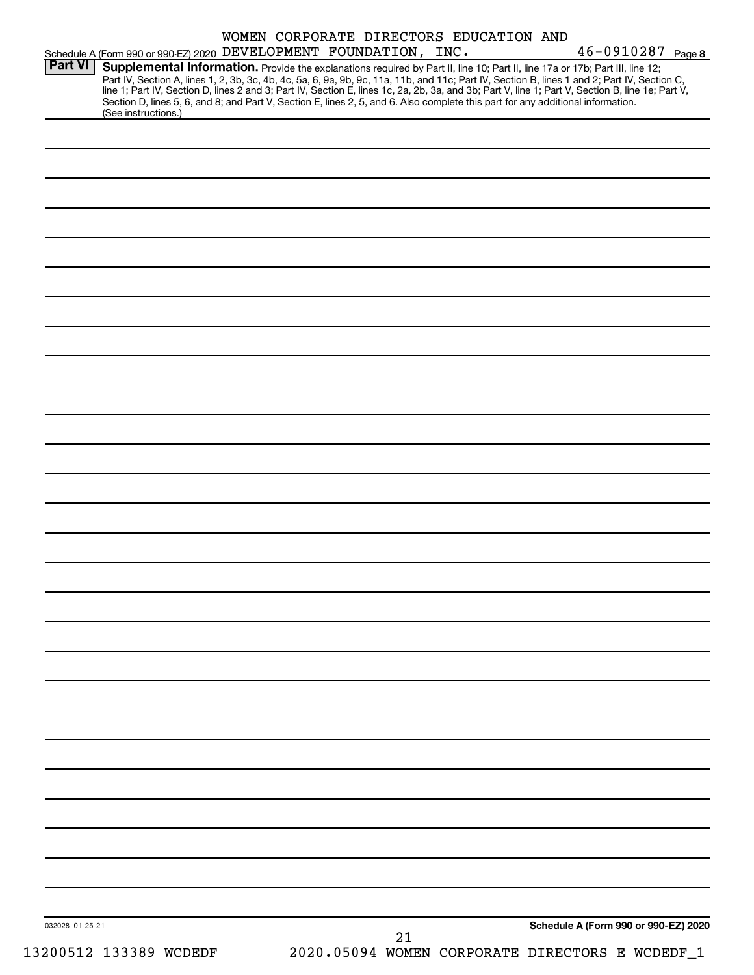| 032028 01-25-21                                                                                                                                                                                                                                                                                                                                                                                                                     | 21 | Schedule A (Form 990 or 990-EZ) 2020 |  |
|-------------------------------------------------------------------------------------------------------------------------------------------------------------------------------------------------------------------------------------------------------------------------------------------------------------------------------------------------------------------------------------------------------------------------------------|----|--------------------------------------|--|
|                                                                                                                                                                                                                                                                                                                                                                                                                                     |    |                                      |  |
|                                                                                                                                                                                                                                                                                                                                                                                                                                     |    |                                      |  |
|                                                                                                                                                                                                                                                                                                                                                                                                                                     |    |                                      |  |
|                                                                                                                                                                                                                                                                                                                                                                                                                                     |    |                                      |  |
|                                                                                                                                                                                                                                                                                                                                                                                                                                     |    |                                      |  |
|                                                                                                                                                                                                                                                                                                                                                                                                                                     |    |                                      |  |
|                                                                                                                                                                                                                                                                                                                                                                                                                                     |    |                                      |  |
|                                                                                                                                                                                                                                                                                                                                                                                                                                     |    |                                      |  |
|                                                                                                                                                                                                                                                                                                                                                                                                                                     |    |                                      |  |
|                                                                                                                                                                                                                                                                                                                                                                                                                                     |    |                                      |  |
|                                                                                                                                                                                                                                                                                                                                                                                                                                     |    |                                      |  |
|                                                                                                                                                                                                                                                                                                                                                                                                                                     |    |                                      |  |
|                                                                                                                                                                                                                                                                                                                                                                                                                                     |    |                                      |  |
|                                                                                                                                                                                                                                                                                                                                                                                                                                     |    |                                      |  |
|                                                                                                                                                                                                                                                                                                                                                                                                                                     |    |                                      |  |
|                                                                                                                                                                                                                                                                                                                                                                                                                                     |    |                                      |  |
|                                                                                                                                                                                                                                                                                                                                                                                                                                     |    |                                      |  |
|                                                                                                                                                                                                                                                                                                                                                                                                                                     |    |                                      |  |
|                                                                                                                                                                                                                                                                                                                                                                                                                                     |    |                                      |  |
|                                                                                                                                                                                                                                                                                                                                                                                                                                     |    |                                      |  |
|                                                                                                                                                                                                                                                                                                                                                                                                                                     |    |                                      |  |
|                                                                                                                                                                                                                                                                                                                                                                                                                                     |    |                                      |  |
|                                                                                                                                                                                                                                                                                                                                                                                                                                     |    |                                      |  |
|                                                                                                                                                                                                                                                                                                                                                                                                                                     |    |                                      |  |
|                                                                                                                                                                                                                                                                                                                                                                                                                                     |    |                                      |  |
|                                                                                                                                                                                                                                                                                                                                                                                                                                     |    |                                      |  |
|                                                                                                                                                                                                                                                                                                                                                                                                                                     |    |                                      |  |
| (See instructions.)                                                                                                                                                                                                                                                                                                                                                                                                                 |    |                                      |  |
| Part IV, Section A, lines 1, 2, 3b, 3c, 4b, 4c, 5a, 6, 9a, 9b, 9c, 11a, 11b, and 11c; Part IV, Section B, lines 1 and 2; Part IV, Section C,<br>line 1; Part IV, Section D, lines 2 and 3; Part IV, Section E, lines 1c, 2a, 2b, 3a, and 3b; Part V, line 1; Part V, Section B, line 1e; Part V,<br>Section D, lines 5, 6, and 8; and Part V, Section E, lines 2, 5, and 6. Also complete this part for any additional information. |    |                                      |  |
|                                                                                                                                                                                                                                                                                                                                                                                                                                     |    |                                      |  |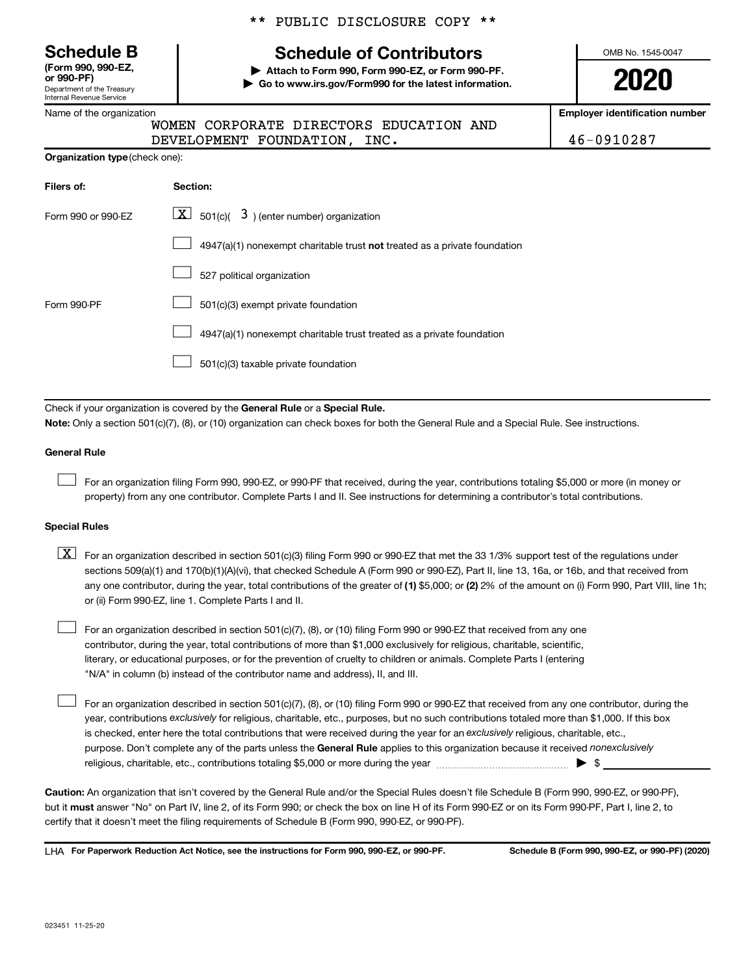Department of the Treasury Internal Revenue Service **(Form 990, 990-EZ,**

|  | Name of the organization |
|--|--------------------------|
|  |                          |

**Organization type** (check one):

# \*\* PUBLIC DISCLOSURE COPY \*\*

# **Schedule B Schedule of Contributors**

**or 990-PF) | Attach to Form 990, Form 990-EZ, or Form 990-PF. | Go to www.irs.gov/Form990 for the latest information.** OMB No. 1545-0047

**2020**

**Employer identification number**

DEVELOPMENT FOUNDATION, INC. 46-0910287

| WOMEN CORPORATE DIRECTORS EDUCATION AND |  |
|-----------------------------------------|--|
| DEVELOPMENT FOUNDATION, INC.            |  |

| Filers of:         | Section:                                                                  |
|--------------------|---------------------------------------------------------------------------|
| Form 990 or 990-EZ | $\lfloor x \rfloor$ 501(c)( 3) (enter number) organization                |
|                    | 4947(a)(1) nonexempt charitable trust not treated as a private foundation |
|                    | 527 political organization                                                |
| Form 990-PF        | 501(c)(3) exempt private foundation                                       |
|                    | 4947(a)(1) nonexempt charitable trust treated as a private foundation     |
|                    | 501(c)(3) taxable private foundation                                      |

Check if your organization is covered by the General Rule or a Special Rule.

**Note:**  Only a section 501(c)(7), (8), or (10) organization can check boxes for both the General Rule and a Special Rule. See instructions.

#### **General Rule**

 $\Box$ 

 $\Box$ 

For an organization filing Form 990, 990-EZ, or 990-PF that received, during the year, contributions totaling \$5,000 or more (in money or property) from any one contributor. Complete Parts I and II. See instructions for determining a contributor's total contributions.

#### **Special Rules**

any one contributor, during the year, total contributions of the greater of (1) \$5,000; or (2) 2% of the amount on (i) Form 990, Part VIII, line 1h;  $\boxed{\text{X}}$  For an organization described in section 501(c)(3) filing Form 990 or 990-EZ that met the 33 1/3% support test of the regulations under sections 509(a)(1) and 170(b)(1)(A)(vi), that checked Schedule A (Form 990 or 990-EZ), Part II, line 13, 16a, or 16b, and that received from or (ii) Form 990-EZ, line 1. Complete Parts I and II.

For an organization described in section 501(c)(7), (8), or (10) filing Form 990 or 990-EZ that received from any one contributor, during the year, total contributions of more than \$1,000 exclusively for religious, charitable, scientific, literary, or educational purposes, or for the prevention of cruelty to children or animals. Complete Parts I (entering "N/A" in column (b) instead of the contributor name and address), II, and III.  $\Box$ 

purpose. Don't complete any of the parts unless the General Rule applies to this organization because it received nonexclusively year, contributions exclusively for religious, charitable, etc., purposes, but no such contributions totaled more than \$1,000. If this box is checked, enter here the total contributions that were received during the year for an exclusively religious, charitable, etc., For an organization described in section 501(c)(7), (8), or (10) filing Form 990 or 990-EZ that received from any one contributor, during the religious, charitable, etc., contributions totaling \$5,000 or more during the year  $\ldots$  $\ldots$  $\ldots$  $\ldots$  $\ldots$  $\ldots$ 

**Caution:**  An organization that isn't covered by the General Rule and/or the Special Rules doesn't file Schedule B (Form 990, 990-EZ, or 990-PF),  **must** but it answer "No" on Part IV, line 2, of its Form 990; or check the box on line H of its Form 990-EZ or on its Form 990-PF, Part I, line 2, to certify that it doesn't meet the filing requirements of Schedule B (Form 990, 990-EZ, or 990-PF).

**For Paperwork Reduction Act Notice, see the instructions for Form 990, 990-EZ, or 990-PF. Schedule B (Form 990, 990-EZ, or 990-PF) (2020)** LHA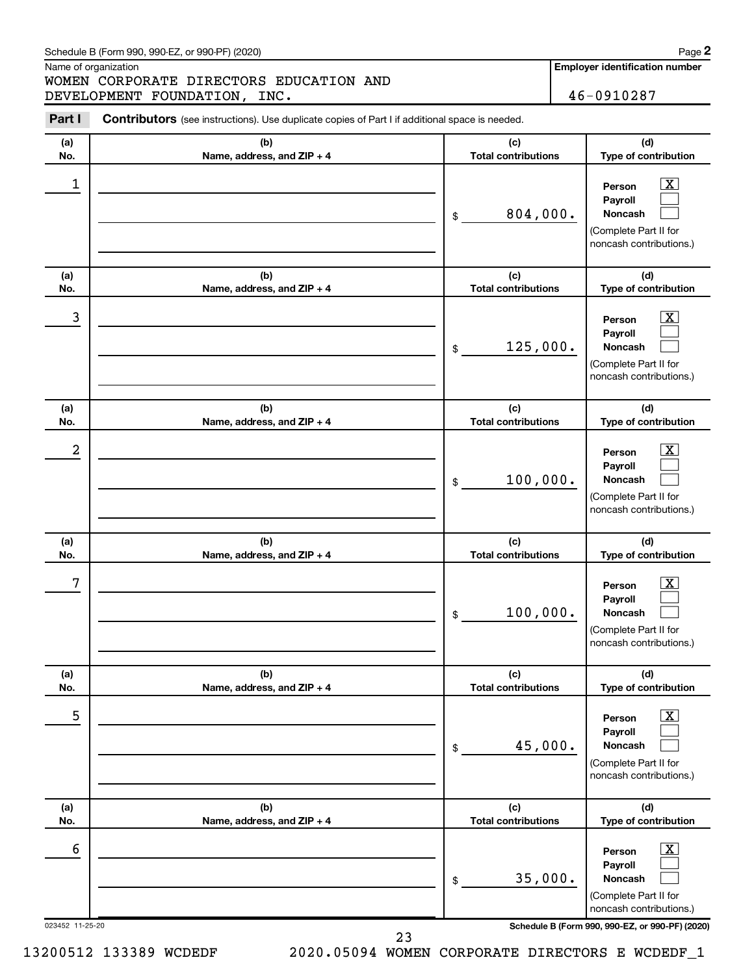Name of organization

WOMEN CORPORATE DIRECTORS EDUCATION AND DEVELOPMENT FOUNDATION, INC. 46-0910287 **2**

| Part I          | Contributors (see instructions). Use duplicate copies of Part I if additional space is needed. |                                   |                                                                                                             |  |  |  |
|-----------------|------------------------------------------------------------------------------------------------|-----------------------------------|-------------------------------------------------------------------------------------------------------------|--|--|--|
| (a)<br>No.      | (b)<br>Name, address, and ZIP + 4                                                              | (c)<br><b>Total contributions</b> | (d)<br>Type of contribution                                                                                 |  |  |  |
| 1               |                                                                                                | 804,000.<br>\$                    | $\mathbf{X}$<br>Person<br>Payroll<br><b>Noncash</b><br>(Complete Part II for<br>noncash contributions.)     |  |  |  |
| (a)<br>No.      | (b)<br>Name, address, and ZIP + 4                                                              | (c)<br><b>Total contributions</b> | (d)<br>Type of contribution                                                                                 |  |  |  |
| 3               |                                                                                                | 125,000.<br>\$                    | $\mathbf{X}$<br>Person<br>Payroll<br><b>Noncash</b><br>(Complete Part II for<br>noncash contributions.)     |  |  |  |
| (a)<br>No.      | (b)<br>Name, address, and ZIP + 4                                                              | (c)<br><b>Total contributions</b> | (d)<br>Type of contribution                                                                                 |  |  |  |
| 2               |                                                                                                | 100,000.<br>\$                    | $\mathbf{X}$<br>Person<br>Payroll<br><b>Noncash</b><br>(Complete Part II for<br>noncash contributions.)     |  |  |  |
| (a)<br>No.      | (b)<br>Name, address, and ZIP + 4                                                              | (c)<br><b>Total contributions</b> | (d)<br>Type of contribution                                                                                 |  |  |  |
| 7               |                                                                                                | 100,000.<br>\$                    | $\mathbf{X}$<br>Person<br>Payroll<br><b>Noncash</b><br>(Complete Part II for<br>noncash contributions.)     |  |  |  |
| (a)<br>No.      | (b)<br>Name, address, and ZIP + 4                                                              | (c)<br><b>Total contributions</b> | (d)<br>Type of contribution                                                                                 |  |  |  |
| 5               |                                                                                                | 45,000.<br>\$                     | $\overline{\mathbf{X}}$<br>Person<br>Payroll<br>Noncash<br>(Complete Part II for<br>noncash contributions.) |  |  |  |
| (a)<br>No.      | (b)<br>Name, address, and ZIP + 4                                                              | (c)<br><b>Total contributions</b> | (d)<br>Type of contribution                                                                                 |  |  |  |
| 6               |                                                                                                | 35,000.<br>\$                     | $\mathbf{X}$<br>Person<br>Payroll<br>Noncash<br>(Complete Part II for<br>noncash contributions.)            |  |  |  |
| 023452 11-25-20 |                                                                                                |                                   | Schedule B (Form 990, 990-EZ, or 990-PF) (2020)                                                             |  |  |  |

23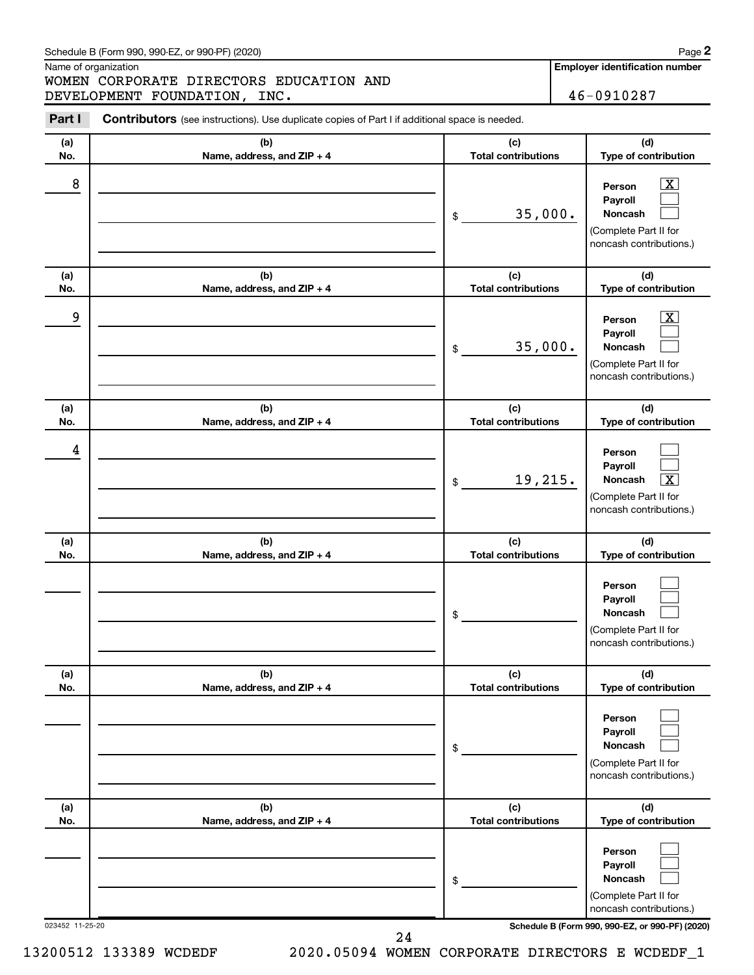Name of organization

WOMEN CORPORATE DIRECTORS EDUCATION AND DEVELOPMENT FOUNDATION, INC. 46-0910287 **2**

| Part I          | <b>Contributors</b> (see instructions). Use duplicate copies of Part I if additional space is needed. |                                   |                                                                                                                    |  |  |  |
|-----------------|-------------------------------------------------------------------------------------------------------|-----------------------------------|--------------------------------------------------------------------------------------------------------------------|--|--|--|
| (a)<br>No.      | (b)<br>Name, address, and ZIP + 4                                                                     | (c)<br><b>Total contributions</b> | (d)<br>Type of contribution                                                                                        |  |  |  |
| 8               |                                                                                                       | 35,000.<br>\$                     | $\mathbf{X}$<br>Person<br>Payroll<br><b>Noncash</b><br>(Complete Part II for<br>noncash contributions.)            |  |  |  |
| (a)<br>No.      | (b)<br>Name, address, and ZIP + 4                                                                     | (c)<br><b>Total contributions</b> | (d)<br>Type of contribution                                                                                        |  |  |  |
| 9               |                                                                                                       | 35,000.<br>\$                     | $\overline{\mathbf{X}}$<br>Person<br>Payroll<br><b>Noncash</b><br>(Complete Part II for<br>noncash contributions.) |  |  |  |
| (a)<br>No.      | (b)<br>Name, address, and ZIP + 4                                                                     | (c)<br><b>Total contributions</b> | (d)<br>Type of contribution                                                                                        |  |  |  |
| 4               |                                                                                                       | 19,215.<br>\$                     | Person<br>Payroll<br>$\overline{\mathbf{X}}$<br><b>Noncash</b><br>(Complete Part II for<br>noncash contributions.) |  |  |  |
| (a)<br>No.      | (b)<br>Name, address, and ZIP + 4                                                                     | (c)<br><b>Total contributions</b> | (d)<br>Type of contribution                                                                                        |  |  |  |
|                 |                                                                                                       | \$                                | Person<br>Payroll<br><b>Noncash</b><br>(Complete Part II for<br>noncash contributions.)                            |  |  |  |
| (a)<br>No.      | (b)<br>Name, address, and ZIP + 4                                                                     | (c)<br><b>Total contributions</b> | (d)<br>Type of contribution                                                                                        |  |  |  |
|                 |                                                                                                       | \$                                | Person<br>Payroll<br><b>Noncash</b><br>(Complete Part II for<br>noncash contributions.)                            |  |  |  |
| (a)<br>No.      | (b)<br>Name, address, and ZIP + 4                                                                     | (c)<br><b>Total contributions</b> | (d)<br>Type of contribution                                                                                        |  |  |  |
|                 |                                                                                                       | \$                                | Person<br>Payroll<br><b>Noncash</b><br>(Complete Part II for<br>noncash contributions.)                            |  |  |  |
| 023452 11-25-20 |                                                                                                       |                                   | Schedule B (Form 990, 990-EZ, or 990-PF) (2020)                                                                    |  |  |  |

24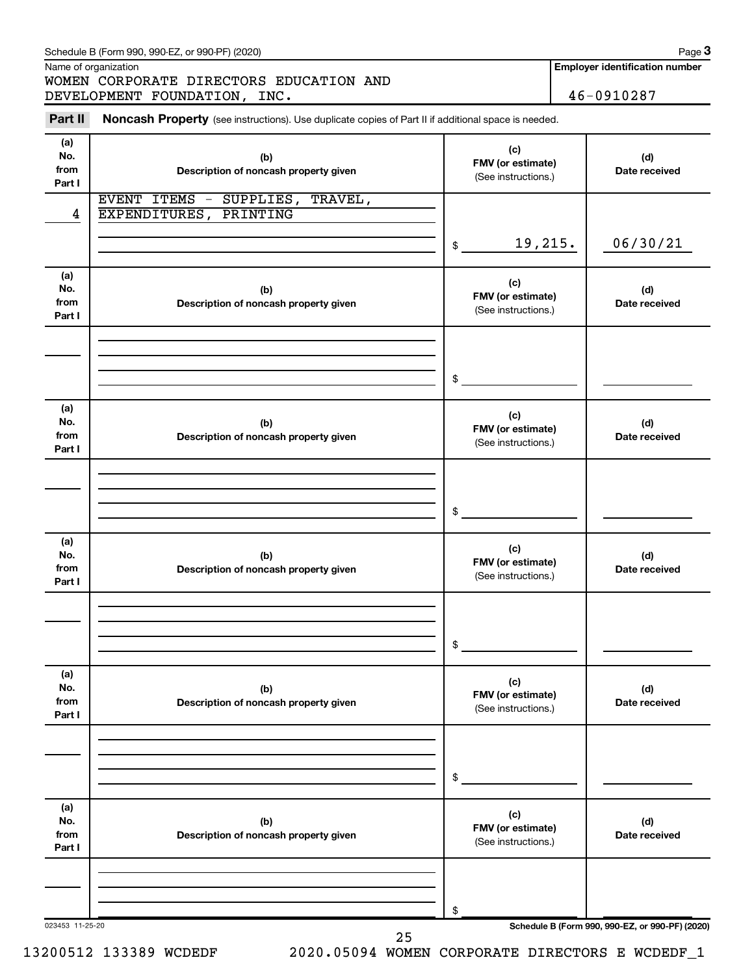Name of organization

WOMEN CORPORATE DIRECTORS EDUCATION AND DEVELOPMENT FOUNDATION, INC. 46-0910287

**Employer identification number**

**3**

| Part II                      | Noncash Property (see instructions). Use duplicate copies of Part II if additional space is needed. |                                                 |                                                 |
|------------------------------|-----------------------------------------------------------------------------------------------------|-------------------------------------------------|-------------------------------------------------|
| (a)<br>No.<br>from<br>Part I | (b)<br>Description of noncash property given                                                        | (c)<br>FMV (or estimate)<br>(See instructions.) | (d)<br>Date received                            |
| 4                            | EVENT ITEMS -<br>SUPPLIES,<br>TRAVEL,<br>EXPENDITURES,<br>PRINTING                                  |                                                 |                                                 |
|                              |                                                                                                     | 19,215.<br>\$                                   | 06/30/21                                        |
| (a)<br>No.<br>from<br>Part I | (b)<br>Description of noncash property given                                                        | (c)<br>FMV (or estimate)<br>(See instructions.) | (d)<br>Date received                            |
|                              |                                                                                                     | \$                                              |                                                 |
| (a)<br>No.<br>from<br>Part I | (b)<br>Description of noncash property given                                                        | (c)<br>FMV (or estimate)<br>(See instructions.) | (d)<br>Date received                            |
|                              |                                                                                                     | \$                                              |                                                 |
| (a)<br>No.<br>from<br>Part I | (b)<br>Description of noncash property given                                                        | (c)<br>FMV (or estimate)<br>(See instructions.) | (d)<br>Date received                            |
|                              |                                                                                                     | \$                                              |                                                 |
| (a)<br>No.<br>from<br>Part I | (b)<br>Description of noncash property given                                                        | (c)<br>FMV (or estimate)<br>(See instructions.) | (d)<br>Date received                            |
|                              |                                                                                                     | \$                                              |                                                 |
| (a)<br>No.<br>from<br>Part I | (b)<br>Description of noncash property given                                                        | (c)<br>FMV (or estimate)<br>(See instructions.) | (d)<br>Date received                            |
|                              |                                                                                                     | \$                                              |                                                 |
| 023453 11-25-20              | 25                                                                                                  |                                                 | Schedule B (Form 990, 990-EZ, or 990-PF) (2020) |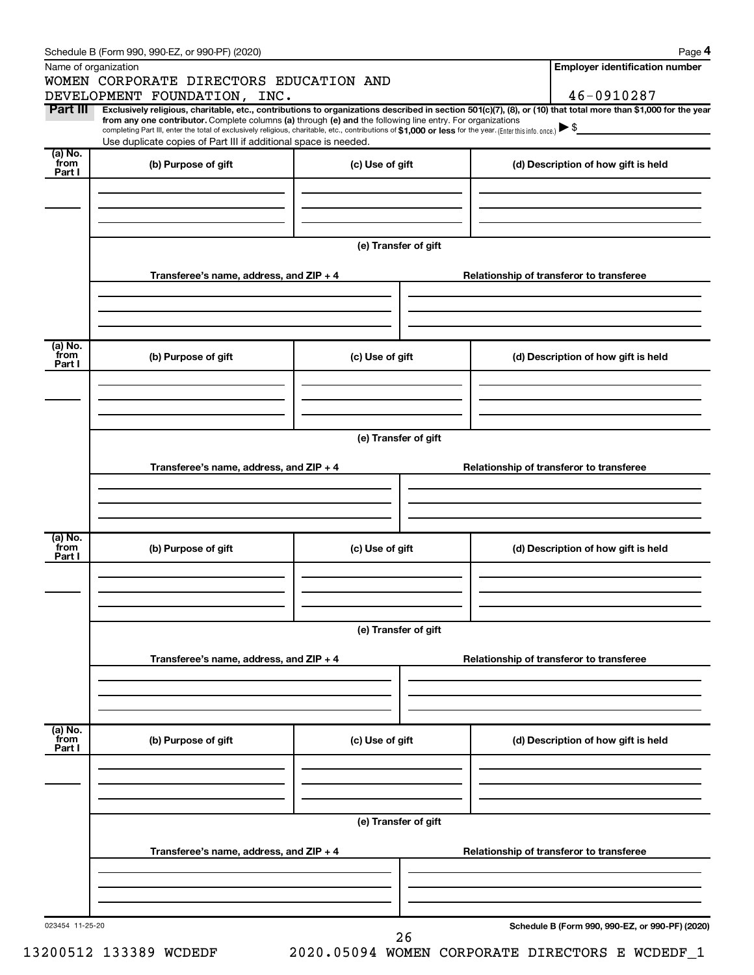| Schedule B (Form 990, 990-EZ, or 990-PF) (2020) |  |
|-------------------------------------------------|--|
|-------------------------------------------------|--|

|--|--|

|                           | Schedule B (Form 990, 990-EZ, or 990-PF) (2020)<br>Name of organization                                                                                                                                                                                                                                                                                            |                      | Page 4<br><b>Employer identification number</b>                                                                                                                |  |  |
|---------------------------|--------------------------------------------------------------------------------------------------------------------------------------------------------------------------------------------------------------------------------------------------------------------------------------------------------------------------------------------------------------------|----------------------|----------------------------------------------------------------------------------------------------------------------------------------------------------------|--|--|
|                           | WOMEN CORPORATE DIRECTORS EDUCATION AND                                                                                                                                                                                                                                                                                                                            |                      |                                                                                                                                                                |  |  |
|                           | DEVELOPMENT FOUNDATION, INC.                                                                                                                                                                                                                                                                                                                                       |                      | 46-0910287                                                                                                                                                     |  |  |
| Part III                  | from any one contributor. Complete columns (a) through (e) and the following line entry. For organizations<br>completing Part III, enter the total of exclusively religious, charitable, etc., contributions of \$1,000 or less for the year. (Enter this info. once.) $\blacktriangleright$ \$<br>Use duplicate copies of Part III if additional space is needed. |                      | Exclusively religious, charitable, etc., contributions to organizations described in section 501(c)(7), (8), or (10) that total more than \$1,000 for the year |  |  |
| (a) No.<br>from           | (b) Purpose of gift                                                                                                                                                                                                                                                                                                                                                | (c) Use of gift      | (d) Description of how gift is held                                                                                                                            |  |  |
| Part I                    |                                                                                                                                                                                                                                                                                                                                                                    |                      |                                                                                                                                                                |  |  |
|                           |                                                                                                                                                                                                                                                                                                                                                                    | (e) Transfer of gift |                                                                                                                                                                |  |  |
|                           | Transferee's name, address, and ZIP + 4                                                                                                                                                                                                                                                                                                                            |                      | Relationship of transferor to transferee                                                                                                                       |  |  |
| (a) No.<br>from           | (b) Purpose of gift                                                                                                                                                                                                                                                                                                                                                | (c) Use of gift      | (d) Description of how gift is held                                                                                                                            |  |  |
| Part I                    |                                                                                                                                                                                                                                                                                                                                                                    |                      |                                                                                                                                                                |  |  |
|                           |                                                                                                                                                                                                                                                                                                                                                                    | (e) Transfer of gift |                                                                                                                                                                |  |  |
|                           | Transferee's name, address, and ZIP + 4                                                                                                                                                                                                                                                                                                                            |                      | Relationship of transferor to transferee                                                                                                                       |  |  |
| (a) No.                   |                                                                                                                                                                                                                                                                                                                                                                    |                      |                                                                                                                                                                |  |  |
| from<br>Part I            | (b) Purpose of gift                                                                                                                                                                                                                                                                                                                                                | (c) Use of gift      | (d) Description of how gift is held                                                                                                                            |  |  |
|                           |                                                                                                                                                                                                                                                                                                                                                                    | (e) Transfer of gift |                                                                                                                                                                |  |  |
|                           | Transferee's name, address, and ZIP + 4                                                                                                                                                                                                                                                                                                                            |                      | Relationship of transferor to transferee                                                                                                                       |  |  |
|                           |                                                                                                                                                                                                                                                                                                                                                                    |                      |                                                                                                                                                                |  |  |
| (a) No.<br>from<br>Part I | (b) Purpose of gift                                                                                                                                                                                                                                                                                                                                                | (c) Use of gift      | (d) Description of how gift is held                                                                                                                            |  |  |
|                           |                                                                                                                                                                                                                                                                                                                                                                    |                      |                                                                                                                                                                |  |  |
|                           | (e) Transfer of gift                                                                                                                                                                                                                                                                                                                                               |                      |                                                                                                                                                                |  |  |
|                           | Transferee's name, address, and ZIP + 4                                                                                                                                                                                                                                                                                                                            |                      | Relationship of transferor to transferee                                                                                                                       |  |  |
|                           |                                                                                                                                                                                                                                                                                                                                                                    |                      |                                                                                                                                                                |  |  |
| 023454 11-25-20           |                                                                                                                                                                                                                                                                                                                                                                    | 26                   | Schedule B (Form 990, 990-EZ, or 990-PF) (2020)                                                                                                                |  |  |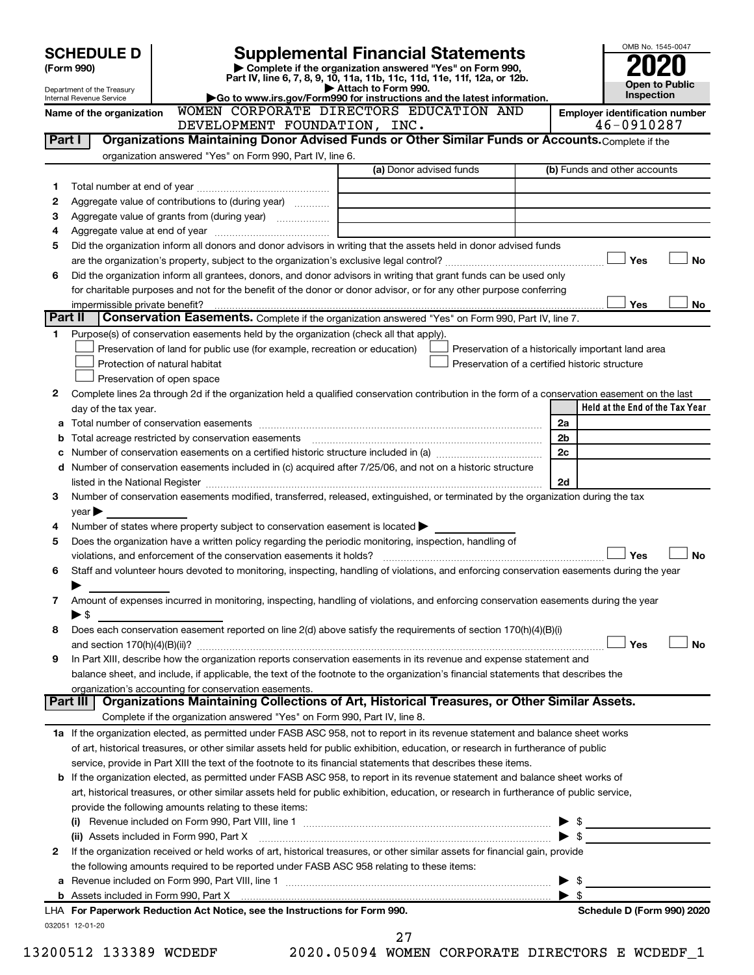|         | <b>SCHEDULE D</b>                |                                                                                                                                                                                                                               | <b>Supplemental Financial Statements</b>                                                                                                       |    |                         | OMB No. 1545-0047                                   |           |
|---------|----------------------------------|-------------------------------------------------------------------------------------------------------------------------------------------------------------------------------------------------------------------------------|------------------------------------------------------------------------------------------------------------------------------------------------|----|-------------------------|-----------------------------------------------------|-----------|
|         | (Form 990)                       |                                                                                                                                                                                                                               | Complete if the organization answered "Yes" on Form 990,<br>Part IV, line 6, 7, 8, 9, 10, 11a, 11b, 11c, 11d, 11e, 11f, 12a, or 12b.           |    |                         |                                                     |           |
|         | Department of the Treasury       |                                                                                                                                                                                                                               | Attach to Form 990.                                                                                                                            |    |                         | <b>Open to Public</b><br><b>Inspection</b>          |           |
|         | Internal Revenue Service         |                                                                                                                                                                                                                               | Go to www.irs.gov/Form990 for instructions and the latest information.<br>WOMEN CORPORATE DIRECTORS EDUCATION AND                              |    |                         |                                                     |           |
|         | Name of the organization         | DEVELOPMENT FOUNDATION, INC.                                                                                                                                                                                                  |                                                                                                                                                |    |                         | <b>Employer identification number</b><br>46-0910287 |           |
| Part I  |                                  |                                                                                                                                                                                                                               | Organizations Maintaining Donor Advised Funds or Other Similar Funds or Accounts. Complete if the                                              |    |                         |                                                     |           |
|         |                                  | organization answered "Yes" on Form 990, Part IV, line 6.                                                                                                                                                                     |                                                                                                                                                |    |                         |                                                     |           |
|         |                                  |                                                                                                                                                                                                                               | (a) Donor advised funds                                                                                                                        |    |                         | (b) Funds and other accounts                        |           |
| 1       |                                  |                                                                                                                                                                                                                               |                                                                                                                                                |    |                         |                                                     |           |
| 2       |                                  | Aggregate value of contributions to (during year)                                                                                                                                                                             |                                                                                                                                                |    |                         |                                                     |           |
| З       |                                  |                                                                                                                                                                                                                               |                                                                                                                                                |    |                         |                                                     |           |
| 4       |                                  |                                                                                                                                                                                                                               |                                                                                                                                                |    |                         |                                                     |           |
| 5       |                                  |                                                                                                                                                                                                                               | Did the organization inform all donors and donor advisors in writing that the assets held in donor advised funds                               |    |                         | Yes                                                 | <b>No</b> |
| 6       |                                  |                                                                                                                                                                                                                               | Did the organization inform all grantees, donors, and donor advisors in writing that grant funds can be used only                              |    |                         |                                                     |           |
|         |                                  |                                                                                                                                                                                                                               | for charitable purposes and not for the benefit of the donor or donor advisor, or for any other purpose conferring                             |    |                         |                                                     |           |
|         | impermissible private benefit?   |                                                                                                                                                                                                                               |                                                                                                                                                |    |                         | Yes                                                 | No        |
| Part II |                                  |                                                                                                                                                                                                                               | Conservation Easements. Complete if the organization answered "Yes" on Form 990, Part IV, line 7.                                              |    |                         |                                                     |           |
| 1.      |                                  | Purpose(s) of conservation easements held by the organization (check all that apply).                                                                                                                                         |                                                                                                                                                |    |                         |                                                     |           |
|         |                                  | Preservation of land for public use (for example, recreation or education)                                                                                                                                                    | Preservation of a historically important land area                                                                                             |    |                         |                                                     |           |
|         |                                  | Protection of natural habitat                                                                                                                                                                                                 | Preservation of a certified historic structure                                                                                                 |    |                         |                                                     |           |
|         | Preservation of open space       |                                                                                                                                                                                                                               |                                                                                                                                                |    |                         |                                                     |           |
| 2       |                                  |                                                                                                                                                                                                                               | Complete lines 2a through 2d if the organization held a qualified conservation contribution in the form of a conservation easement on the last |    |                         |                                                     |           |
|         | day of the tax year.             |                                                                                                                                                                                                                               |                                                                                                                                                |    |                         | Held at the End of the Tax Year                     |           |
| а       |                                  |                                                                                                                                                                                                                               |                                                                                                                                                | 2a |                         |                                                     |           |
| b       |                                  |                                                                                                                                                                                                                               |                                                                                                                                                | 2b |                         |                                                     |           |
|         |                                  |                                                                                                                                                                                                                               |                                                                                                                                                | 2c |                         |                                                     |           |
| d       |                                  |                                                                                                                                                                                                                               | Number of conservation easements included in (c) acquired after 7/25/06, and not on a historic structure                                       | 2d |                         |                                                     |           |
| 3       |                                  | listed in the National Register [111] Marshall Register [11] Marshall Register [11] Marshall Register [11] Marshall Register [11] Marshall Register [11] Marshall Register [11] Marshall Register [11] Marshall Register [11] | Number of conservation easements modified, transferred, released, extinguished, or terminated by the organization during the tax               |    |                         |                                                     |           |
|         | $\vee$ ear $\blacktriangleright$ |                                                                                                                                                                                                                               |                                                                                                                                                |    |                         |                                                     |           |
| 4       |                                  | Number of states where property subject to conservation easement is located $\blacktriangleright$                                                                                                                             |                                                                                                                                                |    |                         |                                                     |           |
| 5       |                                  | Does the organization have a written policy regarding the periodic monitoring, inspection, handling of                                                                                                                        |                                                                                                                                                |    |                         |                                                     |           |
|         |                                  | violations, and enforcement of the conservation easements it holds?                                                                                                                                                           |                                                                                                                                                |    |                         | Yes                                                 | No        |
| 6       |                                  |                                                                                                                                                                                                                               | Staff and volunteer hours devoted to monitoring, inspecting, handling of violations, and enforcing conservation easements during the year      |    |                         |                                                     |           |
|         |                                  |                                                                                                                                                                                                                               |                                                                                                                                                |    |                         |                                                     |           |
| 7       |                                  |                                                                                                                                                                                                                               | Amount of expenses incurred in monitoring, inspecting, handling of violations, and enforcing conservation easements during the year            |    |                         |                                                     |           |
|         | $\blacktriangleright$ \$         |                                                                                                                                                                                                                               |                                                                                                                                                |    |                         |                                                     |           |
| 8       |                                  |                                                                                                                                                                                                                               | Does each conservation easement reported on line 2(d) above satisfy the requirements of section 170(h)(4)(B)(i)                                |    |                         |                                                     |           |
|         |                                  |                                                                                                                                                                                                                               |                                                                                                                                                |    |                         | Yes                                                 | <b>No</b> |
| 9       |                                  |                                                                                                                                                                                                                               | In Part XIII, describe how the organization reports conservation easements in its revenue and expense statement and                            |    |                         |                                                     |           |
|         |                                  |                                                                                                                                                                                                                               | balance sheet, and include, if applicable, the text of the footnote to the organization's financial statements that describes the              |    |                         |                                                     |           |
|         | Part III                         | organization's accounting for conservation easements.                                                                                                                                                                         | Organizations Maintaining Collections of Art, Historical Treasures, or Other Similar Assets.                                                   |    |                         |                                                     |           |
|         |                                  | Complete if the organization answered "Yes" on Form 990, Part IV, line 8.                                                                                                                                                     |                                                                                                                                                |    |                         |                                                     |           |
|         |                                  |                                                                                                                                                                                                                               | 1a If the organization elected, as permitted under FASB ASC 958, not to report in its revenue statement and balance sheet works                |    |                         |                                                     |           |
|         |                                  |                                                                                                                                                                                                                               | of art, historical treasures, or other similar assets held for public exhibition, education, or research in furtherance of public              |    |                         |                                                     |           |
|         |                                  |                                                                                                                                                                                                                               | service, provide in Part XIII the text of the footnote to its financial statements that describes these items.                                 |    |                         |                                                     |           |
|         |                                  |                                                                                                                                                                                                                               | <b>b</b> If the organization elected, as permitted under FASB ASC 958, to report in its revenue statement and balance sheet works of           |    |                         |                                                     |           |
|         |                                  |                                                                                                                                                                                                                               | art, historical treasures, or other similar assets held for public exhibition, education, or research in furtherance of public service,        |    |                         |                                                     |           |
|         |                                  | provide the following amounts relating to these items:                                                                                                                                                                        |                                                                                                                                                |    |                         |                                                     |           |
|         |                                  |                                                                                                                                                                                                                               |                                                                                                                                                |    |                         |                                                     |           |
|         |                                  | (ii) Assets included in Form 990, Part X                                                                                                                                                                                      |                                                                                                                                                |    |                         | $\blacktriangleright$ \$                            |           |
| 2       |                                  |                                                                                                                                                                                                                               | If the organization received or held works of art, historical treasures, or other similar assets for financial gain, provide                   |    |                         |                                                     |           |
|         |                                  | the following amounts required to be reported under FASB ASC 958 relating to these items:                                                                                                                                     |                                                                                                                                                |    |                         |                                                     |           |
| a       |                                  |                                                                                                                                                                                                                               |                                                                                                                                                | ▶  | - \$                    |                                                     |           |
|         |                                  |                                                                                                                                                                                                                               |                                                                                                                                                |    | $\blacktriangleright$ s |                                                     |           |
|         |                                  | LHA For Paperwork Reduction Act Notice, see the Instructions for Form 990.                                                                                                                                                    |                                                                                                                                                |    |                         | Schedule D (Form 990) 2020                          |           |
|         | 032051 12-01-20                  |                                                                                                                                                                                                                               | 27                                                                                                                                             |    |                         |                                                     |           |
|         |                                  |                                                                                                                                                                                                                               |                                                                                                                                                |    |                         |                                                     |           |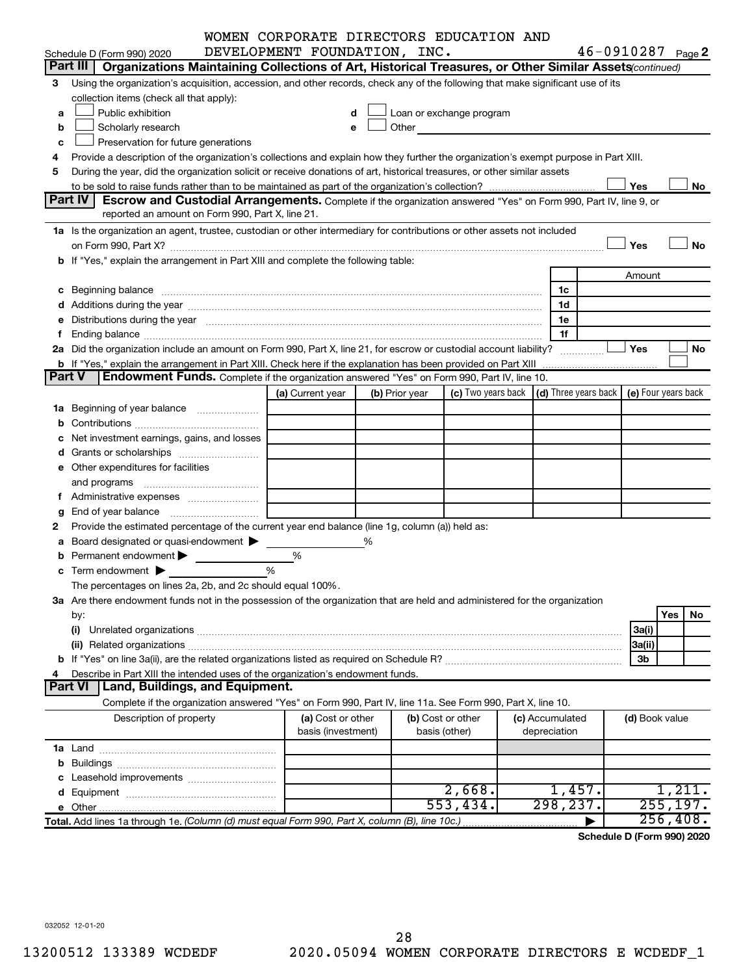| 46-0910287 Page 2<br>DEVELOPMENT FOUNDATION, INC.<br>Schedule D (Form 990) 2020<br>Part III  <br>Organizations Maintaining Collections of Art, Historical Treasures, or Other Similar Assets (continued)<br>Using the organization's acquisition, accession, and other records, check any of the following that make significant use of its<br>3<br>collection items (check all that apply):<br>Public exhibition<br>Loan or exchange program<br>a<br>d<br>Other and the contract of the contract of the contract of the contract of the contract of the contract of the contract of the contract of the contract of the contract of the contract of the contract of the contract of the<br>Scholarly research<br>b<br>e<br>Preservation for future generations<br>c<br>Provide a description of the organization's collections and explain how they further the organization's exempt purpose in Part XIII.<br>4<br>During the year, did the organization solicit or receive donations of art, historical treasures, or other similar assets<br>5<br>Yes<br>No<br>Part IV<br><b>Escrow and Custodial Arrangements.</b> Complete if the organization answered "Yes" on Form 990, Part IV, line 9, or<br>reported an amount on Form 990, Part X, line 21.<br>1a Is the organization an agent, trustee, custodian or other intermediary for contributions or other assets not included<br>Yes<br><b>No</b><br>b If "Yes," explain the arrangement in Part XIII and complete the following table:<br>Amount<br>c Beginning balance measurements and the contract of the contract of the contract of the contract of the contract of the contract of the contract of the contract of the contract of the contract of the contract of the contr<br>1c<br>1d<br>e Distributions during the year manufactured and continuum control of the control of the control of the state of the control of the control of the control of the control of the control of the control of the control of the<br>1e<br>1f<br>2a Did the organization include an amount on Form 990, Part X, line 21, for escrow or custodial account liability?<br>Yes<br>No<br><b>b</b> If "Yes," explain the arrangement in Part XIII. Check here if the explanation has been provided on Part XIII<br><b>Part V</b><br><b>Endowment Funds.</b> Complete if the organization answered "Yes" on Form 990, Part IV, line 10.<br>(c) Two years back $\vert$ (d) Three years back $\vert$<br>(e) Four years back<br>(a) Current year<br>(b) Prior year<br>1a Beginning of year balance<br>c Net investment earnings, gains, and losses<br>e Other expenditures for facilities<br><b>g</b> End of year balance $\ldots$<br>Provide the estimated percentage of the current year end balance (line 1g, column (a)) held as:<br>2<br>a Board designated or quasi-endowment ><br>%<br><b>b</b> Permanent endowment $\blacktriangleright$<br>%<br>%<br><b>c</b> Term endowment $\blacktriangleright$<br>The percentages on lines 2a, 2b, and 2c should equal 100%.<br>3a Are there endowment funds not in the possession of the organization that are held and administered for the organization<br>Yes<br>No.<br>by:<br>(i)<br>3a(i)<br>3a(ii)<br>3b<br>Describe in Part XIII the intended uses of the organization's endowment funds.<br>4<br>Land, Buildings, and Equipment.<br>Part VI<br>Complete if the organization answered "Yes" on Form 990, Part IV, line 11a. See Form 990, Part X, line 10.<br>Description of property<br>(a) Cost or other<br>(b) Cost or other<br>(c) Accumulated<br>(d) Book value<br>basis (investment)<br>depreciation<br>basis (other)<br>2,668.<br>1,457.<br>1,211.<br>298, 237.<br>255, 197.<br>553,434.<br>256, 408.<br>Total. Add lines 1a through 1e. (Column (d) must equal Form 990, Part X, column (B), line 10c.) |  | WOMEN CORPORATE DIRECTORS EDUCATION AND |  |  |  |  |  |  |  |
|------------------------------------------------------------------------------------------------------------------------------------------------------------------------------------------------------------------------------------------------------------------------------------------------------------------------------------------------------------------------------------------------------------------------------------------------------------------------------------------------------------------------------------------------------------------------------------------------------------------------------------------------------------------------------------------------------------------------------------------------------------------------------------------------------------------------------------------------------------------------------------------------------------------------------------------------------------------------------------------------------------------------------------------------------------------------------------------------------------------------------------------------------------------------------------------------------------------------------------------------------------------------------------------------------------------------------------------------------------------------------------------------------------------------------------------------------------------------------------------------------------------------------------------------------------------------------------------------------------------------------------------------------------------------------------------------------------------------------------------------------------------------------------------------------------------------------------------------------------------------------------------------------------------------------------------------------------------------------------------------------------------------------------------------------------------------------------------------------------------------------------------------------------------------------------------------------------------------------------------------------------------------------------------------------------------------------------------------------------------------------------------------------------------------------------------------------------------------------------------------------------------------------------------------------------------------------------------------------------------------------------------------------------------------------------------------------------------------------------------------------------------------------------------------------------------------------------------------------------------------------------------------------------------------------------------------------------------------------------------------------------------------------------------------------------------------------------------------------------------------------------------------------------------------------------------------------------------------------------------------------------------------------------------------------------------------------------------------------------------------------------------------------------------------------------------------------------------------------------------------------------------------------------------------------------------------------------------------------------------------------------------------------------------------------------------------------------------------------------------------------------------------------------------------------------------|--|-----------------------------------------|--|--|--|--|--|--|--|
|                                                                                                                                                                                                                                                                                                                                                                                                                                                                                                                                                                                                                                                                                                                                                                                                                                                                                                                                                                                                                                                                                                                                                                                                                                                                                                                                                                                                                                                                                                                                                                                                                                                                                                                                                                                                                                                                                                                                                                                                                                                                                                                                                                                                                                                                                                                                                                                                                                                                                                                                                                                                                                                                                                                                                                                                                                                                                                                                                                                                                                                                                                                                                                                                                                                                                                                                                                                                                                                                                                                                                                                                                                                                                                                                                                                                                  |  |                                         |  |  |  |  |  |  |  |
|                                                                                                                                                                                                                                                                                                                                                                                                                                                                                                                                                                                                                                                                                                                                                                                                                                                                                                                                                                                                                                                                                                                                                                                                                                                                                                                                                                                                                                                                                                                                                                                                                                                                                                                                                                                                                                                                                                                                                                                                                                                                                                                                                                                                                                                                                                                                                                                                                                                                                                                                                                                                                                                                                                                                                                                                                                                                                                                                                                                                                                                                                                                                                                                                                                                                                                                                                                                                                                                                                                                                                                                                                                                                                                                                                                                                                  |  |                                         |  |  |  |  |  |  |  |
|                                                                                                                                                                                                                                                                                                                                                                                                                                                                                                                                                                                                                                                                                                                                                                                                                                                                                                                                                                                                                                                                                                                                                                                                                                                                                                                                                                                                                                                                                                                                                                                                                                                                                                                                                                                                                                                                                                                                                                                                                                                                                                                                                                                                                                                                                                                                                                                                                                                                                                                                                                                                                                                                                                                                                                                                                                                                                                                                                                                                                                                                                                                                                                                                                                                                                                                                                                                                                                                                                                                                                                                                                                                                                                                                                                                                                  |  |                                         |  |  |  |  |  |  |  |
|                                                                                                                                                                                                                                                                                                                                                                                                                                                                                                                                                                                                                                                                                                                                                                                                                                                                                                                                                                                                                                                                                                                                                                                                                                                                                                                                                                                                                                                                                                                                                                                                                                                                                                                                                                                                                                                                                                                                                                                                                                                                                                                                                                                                                                                                                                                                                                                                                                                                                                                                                                                                                                                                                                                                                                                                                                                                                                                                                                                                                                                                                                                                                                                                                                                                                                                                                                                                                                                                                                                                                                                                                                                                                                                                                                                                                  |  |                                         |  |  |  |  |  |  |  |
|                                                                                                                                                                                                                                                                                                                                                                                                                                                                                                                                                                                                                                                                                                                                                                                                                                                                                                                                                                                                                                                                                                                                                                                                                                                                                                                                                                                                                                                                                                                                                                                                                                                                                                                                                                                                                                                                                                                                                                                                                                                                                                                                                                                                                                                                                                                                                                                                                                                                                                                                                                                                                                                                                                                                                                                                                                                                                                                                                                                                                                                                                                                                                                                                                                                                                                                                                                                                                                                                                                                                                                                                                                                                                                                                                                                                                  |  |                                         |  |  |  |  |  |  |  |
|                                                                                                                                                                                                                                                                                                                                                                                                                                                                                                                                                                                                                                                                                                                                                                                                                                                                                                                                                                                                                                                                                                                                                                                                                                                                                                                                                                                                                                                                                                                                                                                                                                                                                                                                                                                                                                                                                                                                                                                                                                                                                                                                                                                                                                                                                                                                                                                                                                                                                                                                                                                                                                                                                                                                                                                                                                                                                                                                                                                                                                                                                                                                                                                                                                                                                                                                                                                                                                                                                                                                                                                                                                                                                                                                                                                                                  |  |                                         |  |  |  |  |  |  |  |
|                                                                                                                                                                                                                                                                                                                                                                                                                                                                                                                                                                                                                                                                                                                                                                                                                                                                                                                                                                                                                                                                                                                                                                                                                                                                                                                                                                                                                                                                                                                                                                                                                                                                                                                                                                                                                                                                                                                                                                                                                                                                                                                                                                                                                                                                                                                                                                                                                                                                                                                                                                                                                                                                                                                                                                                                                                                                                                                                                                                                                                                                                                                                                                                                                                                                                                                                                                                                                                                                                                                                                                                                                                                                                                                                                                                                                  |  |                                         |  |  |  |  |  |  |  |
|                                                                                                                                                                                                                                                                                                                                                                                                                                                                                                                                                                                                                                                                                                                                                                                                                                                                                                                                                                                                                                                                                                                                                                                                                                                                                                                                                                                                                                                                                                                                                                                                                                                                                                                                                                                                                                                                                                                                                                                                                                                                                                                                                                                                                                                                                                                                                                                                                                                                                                                                                                                                                                                                                                                                                                                                                                                                                                                                                                                                                                                                                                                                                                                                                                                                                                                                                                                                                                                                                                                                                                                                                                                                                                                                                                                                                  |  |                                         |  |  |  |  |  |  |  |
|                                                                                                                                                                                                                                                                                                                                                                                                                                                                                                                                                                                                                                                                                                                                                                                                                                                                                                                                                                                                                                                                                                                                                                                                                                                                                                                                                                                                                                                                                                                                                                                                                                                                                                                                                                                                                                                                                                                                                                                                                                                                                                                                                                                                                                                                                                                                                                                                                                                                                                                                                                                                                                                                                                                                                                                                                                                                                                                                                                                                                                                                                                                                                                                                                                                                                                                                                                                                                                                                                                                                                                                                                                                                                                                                                                                                                  |  |                                         |  |  |  |  |  |  |  |
|                                                                                                                                                                                                                                                                                                                                                                                                                                                                                                                                                                                                                                                                                                                                                                                                                                                                                                                                                                                                                                                                                                                                                                                                                                                                                                                                                                                                                                                                                                                                                                                                                                                                                                                                                                                                                                                                                                                                                                                                                                                                                                                                                                                                                                                                                                                                                                                                                                                                                                                                                                                                                                                                                                                                                                                                                                                                                                                                                                                                                                                                                                                                                                                                                                                                                                                                                                                                                                                                                                                                                                                                                                                                                                                                                                                                                  |  |                                         |  |  |  |  |  |  |  |
|                                                                                                                                                                                                                                                                                                                                                                                                                                                                                                                                                                                                                                                                                                                                                                                                                                                                                                                                                                                                                                                                                                                                                                                                                                                                                                                                                                                                                                                                                                                                                                                                                                                                                                                                                                                                                                                                                                                                                                                                                                                                                                                                                                                                                                                                                                                                                                                                                                                                                                                                                                                                                                                                                                                                                                                                                                                                                                                                                                                                                                                                                                                                                                                                                                                                                                                                                                                                                                                                                                                                                                                                                                                                                                                                                                                                                  |  |                                         |  |  |  |  |  |  |  |
|                                                                                                                                                                                                                                                                                                                                                                                                                                                                                                                                                                                                                                                                                                                                                                                                                                                                                                                                                                                                                                                                                                                                                                                                                                                                                                                                                                                                                                                                                                                                                                                                                                                                                                                                                                                                                                                                                                                                                                                                                                                                                                                                                                                                                                                                                                                                                                                                                                                                                                                                                                                                                                                                                                                                                                                                                                                                                                                                                                                                                                                                                                                                                                                                                                                                                                                                                                                                                                                                                                                                                                                                                                                                                                                                                                                                                  |  |                                         |  |  |  |  |  |  |  |
|                                                                                                                                                                                                                                                                                                                                                                                                                                                                                                                                                                                                                                                                                                                                                                                                                                                                                                                                                                                                                                                                                                                                                                                                                                                                                                                                                                                                                                                                                                                                                                                                                                                                                                                                                                                                                                                                                                                                                                                                                                                                                                                                                                                                                                                                                                                                                                                                                                                                                                                                                                                                                                                                                                                                                                                                                                                                                                                                                                                                                                                                                                                                                                                                                                                                                                                                                                                                                                                                                                                                                                                                                                                                                                                                                                                                                  |  |                                         |  |  |  |  |  |  |  |
|                                                                                                                                                                                                                                                                                                                                                                                                                                                                                                                                                                                                                                                                                                                                                                                                                                                                                                                                                                                                                                                                                                                                                                                                                                                                                                                                                                                                                                                                                                                                                                                                                                                                                                                                                                                                                                                                                                                                                                                                                                                                                                                                                                                                                                                                                                                                                                                                                                                                                                                                                                                                                                                                                                                                                                                                                                                                                                                                                                                                                                                                                                                                                                                                                                                                                                                                                                                                                                                                                                                                                                                                                                                                                                                                                                                                                  |  |                                         |  |  |  |  |  |  |  |
|                                                                                                                                                                                                                                                                                                                                                                                                                                                                                                                                                                                                                                                                                                                                                                                                                                                                                                                                                                                                                                                                                                                                                                                                                                                                                                                                                                                                                                                                                                                                                                                                                                                                                                                                                                                                                                                                                                                                                                                                                                                                                                                                                                                                                                                                                                                                                                                                                                                                                                                                                                                                                                                                                                                                                                                                                                                                                                                                                                                                                                                                                                                                                                                                                                                                                                                                                                                                                                                                                                                                                                                                                                                                                                                                                                                                                  |  |                                         |  |  |  |  |  |  |  |
|                                                                                                                                                                                                                                                                                                                                                                                                                                                                                                                                                                                                                                                                                                                                                                                                                                                                                                                                                                                                                                                                                                                                                                                                                                                                                                                                                                                                                                                                                                                                                                                                                                                                                                                                                                                                                                                                                                                                                                                                                                                                                                                                                                                                                                                                                                                                                                                                                                                                                                                                                                                                                                                                                                                                                                                                                                                                                                                                                                                                                                                                                                                                                                                                                                                                                                                                                                                                                                                                                                                                                                                                                                                                                                                                                                                                                  |  |                                         |  |  |  |  |  |  |  |
|                                                                                                                                                                                                                                                                                                                                                                                                                                                                                                                                                                                                                                                                                                                                                                                                                                                                                                                                                                                                                                                                                                                                                                                                                                                                                                                                                                                                                                                                                                                                                                                                                                                                                                                                                                                                                                                                                                                                                                                                                                                                                                                                                                                                                                                                                                                                                                                                                                                                                                                                                                                                                                                                                                                                                                                                                                                                                                                                                                                                                                                                                                                                                                                                                                                                                                                                                                                                                                                                                                                                                                                                                                                                                                                                                                                                                  |  |                                         |  |  |  |  |  |  |  |
|                                                                                                                                                                                                                                                                                                                                                                                                                                                                                                                                                                                                                                                                                                                                                                                                                                                                                                                                                                                                                                                                                                                                                                                                                                                                                                                                                                                                                                                                                                                                                                                                                                                                                                                                                                                                                                                                                                                                                                                                                                                                                                                                                                                                                                                                                                                                                                                                                                                                                                                                                                                                                                                                                                                                                                                                                                                                                                                                                                                                                                                                                                                                                                                                                                                                                                                                                                                                                                                                                                                                                                                                                                                                                                                                                                                                                  |  |                                         |  |  |  |  |  |  |  |
|                                                                                                                                                                                                                                                                                                                                                                                                                                                                                                                                                                                                                                                                                                                                                                                                                                                                                                                                                                                                                                                                                                                                                                                                                                                                                                                                                                                                                                                                                                                                                                                                                                                                                                                                                                                                                                                                                                                                                                                                                                                                                                                                                                                                                                                                                                                                                                                                                                                                                                                                                                                                                                                                                                                                                                                                                                                                                                                                                                                                                                                                                                                                                                                                                                                                                                                                                                                                                                                                                                                                                                                                                                                                                                                                                                                                                  |  |                                         |  |  |  |  |  |  |  |
|                                                                                                                                                                                                                                                                                                                                                                                                                                                                                                                                                                                                                                                                                                                                                                                                                                                                                                                                                                                                                                                                                                                                                                                                                                                                                                                                                                                                                                                                                                                                                                                                                                                                                                                                                                                                                                                                                                                                                                                                                                                                                                                                                                                                                                                                                                                                                                                                                                                                                                                                                                                                                                                                                                                                                                                                                                                                                                                                                                                                                                                                                                                                                                                                                                                                                                                                                                                                                                                                                                                                                                                                                                                                                                                                                                                                                  |  |                                         |  |  |  |  |  |  |  |
|                                                                                                                                                                                                                                                                                                                                                                                                                                                                                                                                                                                                                                                                                                                                                                                                                                                                                                                                                                                                                                                                                                                                                                                                                                                                                                                                                                                                                                                                                                                                                                                                                                                                                                                                                                                                                                                                                                                                                                                                                                                                                                                                                                                                                                                                                                                                                                                                                                                                                                                                                                                                                                                                                                                                                                                                                                                                                                                                                                                                                                                                                                                                                                                                                                                                                                                                                                                                                                                                                                                                                                                                                                                                                                                                                                                                                  |  |                                         |  |  |  |  |  |  |  |
|                                                                                                                                                                                                                                                                                                                                                                                                                                                                                                                                                                                                                                                                                                                                                                                                                                                                                                                                                                                                                                                                                                                                                                                                                                                                                                                                                                                                                                                                                                                                                                                                                                                                                                                                                                                                                                                                                                                                                                                                                                                                                                                                                                                                                                                                                                                                                                                                                                                                                                                                                                                                                                                                                                                                                                                                                                                                                                                                                                                                                                                                                                                                                                                                                                                                                                                                                                                                                                                                                                                                                                                                                                                                                                                                                                                                                  |  |                                         |  |  |  |  |  |  |  |
|                                                                                                                                                                                                                                                                                                                                                                                                                                                                                                                                                                                                                                                                                                                                                                                                                                                                                                                                                                                                                                                                                                                                                                                                                                                                                                                                                                                                                                                                                                                                                                                                                                                                                                                                                                                                                                                                                                                                                                                                                                                                                                                                                                                                                                                                                                                                                                                                                                                                                                                                                                                                                                                                                                                                                                                                                                                                                                                                                                                                                                                                                                                                                                                                                                                                                                                                                                                                                                                                                                                                                                                                                                                                                                                                                                                                                  |  |                                         |  |  |  |  |  |  |  |
|                                                                                                                                                                                                                                                                                                                                                                                                                                                                                                                                                                                                                                                                                                                                                                                                                                                                                                                                                                                                                                                                                                                                                                                                                                                                                                                                                                                                                                                                                                                                                                                                                                                                                                                                                                                                                                                                                                                                                                                                                                                                                                                                                                                                                                                                                                                                                                                                                                                                                                                                                                                                                                                                                                                                                                                                                                                                                                                                                                                                                                                                                                                                                                                                                                                                                                                                                                                                                                                                                                                                                                                                                                                                                                                                                                                                                  |  |                                         |  |  |  |  |  |  |  |
|                                                                                                                                                                                                                                                                                                                                                                                                                                                                                                                                                                                                                                                                                                                                                                                                                                                                                                                                                                                                                                                                                                                                                                                                                                                                                                                                                                                                                                                                                                                                                                                                                                                                                                                                                                                                                                                                                                                                                                                                                                                                                                                                                                                                                                                                                                                                                                                                                                                                                                                                                                                                                                                                                                                                                                                                                                                                                                                                                                                                                                                                                                                                                                                                                                                                                                                                                                                                                                                                                                                                                                                                                                                                                                                                                                                                                  |  |                                         |  |  |  |  |  |  |  |
|                                                                                                                                                                                                                                                                                                                                                                                                                                                                                                                                                                                                                                                                                                                                                                                                                                                                                                                                                                                                                                                                                                                                                                                                                                                                                                                                                                                                                                                                                                                                                                                                                                                                                                                                                                                                                                                                                                                                                                                                                                                                                                                                                                                                                                                                                                                                                                                                                                                                                                                                                                                                                                                                                                                                                                                                                                                                                                                                                                                                                                                                                                                                                                                                                                                                                                                                                                                                                                                                                                                                                                                                                                                                                                                                                                                                                  |  |                                         |  |  |  |  |  |  |  |
|                                                                                                                                                                                                                                                                                                                                                                                                                                                                                                                                                                                                                                                                                                                                                                                                                                                                                                                                                                                                                                                                                                                                                                                                                                                                                                                                                                                                                                                                                                                                                                                                                                                                                                                                                                                                                                                                                                                                                                                                                                                                                                                                                                                                                                                                                                                                                                                                                                                                                                                                                                                                                                                                                                                                                                                                                                                                                                                                                                                                                                                                                                                                                                                                                                                                                                                                                                                                                                                                                                                                                                                                                                                                                                                                                                                                                  |  |                                         |  |  |  |  |  |  |  |
|                                                                                                                                                                                                                                                                                                                                                                                                                                                                                                                                                                                                                                                                                                                                                                                                                                                                                                                                                                                                                                                                                                                                                                                                                                                                                                                                                                                                                                                                                                                                                                                                                                                                                                                                                                                                                                                                                                                                                                                                                                                                                                                                                                                                                                                                                                                                                                                                                                                                                                                                                                                                                                                                                                                                                                                                                                                                                                                                                                                                                                                                                                                                                                                                                                                                                                                                                                                                                                                                                                                                                                                                                                                                                                                                                                                                                  |  |                                         |  |  |  |  |  |  |  |
|                                                                                                                                                                                                                                                                                                                                                                                                                                                                                                                                                                                                                                                                                                                                                                                                                                                                                                                                                                                                                                                                                                                                                                                                                                                                                                                                                                                                                                                                                                                                                                                                                                                                                                                                                                                                                                                                                                                                                                                                                                                                                                                                                                                                                                                                                                                                                                                                                                                                                                                                                                                                                                                                                                                                                                                                                                                                                                                                                                                                                                                                                                                                                                                                                                                                                                                                                                                                                                                                                                                                                                                                                                                                                                                                                                                                                  |  |                                         |  |  |  |  |  |  |  |
|                                                                                                                                                                                                                                                                                                                                                                                                                                                                                                                                                                                                                                                                                                                                                                                                                                                                                                                                                                                                                                                                                                                                                                                                                                                                                                                                                                                                                                                                                                                                                                                                                                                                                                                                                                                                                                                                                                                                                                                                                                                                                                                                                                                                                                                                                                                                                                                                                                                                                                                                                                                                                                                                                                                                                                                                                                                                                                                                                                                                                                                                                                                                                                                                                                                                                                                                                                                                                                                                                                                                                                                                                                                                                                                                                                                                                  |  |                                         |  |  |  |  |  |  |  |
|                                                                                                                                                                                                                                                                                                                                                                                                                                                                                                                                                                                                                                                                                                                                                                                                                                                                                                                                                                                                                                                                                                                                                                                                                                                                                                                                                                                                                                                                                                                                                                                                                                                                                                                                                                                                                                                                                                                                                                                                                                                                                                                                                                                                                                                                                                                                                                                                                                                                                                                                                                                                                                                                                                                                                                                                                                                                                                                                                                                                                                                                                                                                                                                                                                                                                                                                                                                                                                                                                                                                                                                                                                                                                                                                                                                                                  |  |                                         |  |  |  |  |  |  |  |
|                                                                                                                                                                                                                                                                                                                                                                                                                                                                                                                                                                                                                                                                                                                                                                                                                                                                                                                                                                                                                                                                                                                                                                                                                                                                                                                                                                                                                                                                                                                                                                                                                                                                                                                                                                                                                                                                                                                                                                                                                                                                                                                                                                                                                                                                                                                                                                                                                                                                                                                                                                                                                                                                                                                                                                                                                                                                                                                                                                                                                                                                                                                                                                                                                                                                                                                                                                                                                                                                                                                                                                                                                                                                                                                                                                                                                  |  |                                         |  |  |  |  |  |  |  |
|                                                                                                                                                                                                                                                                                                                                                                                                                                                                                                                                                                                                                                                                                                                                                                                                                                                                                                                                                                                                                                                                                                                                                                                                                                                                                                                                                                                                                                                                                                                                                                                                                                                                                                                                                                                                                                                                                                                                                                                                                                                                                                                                                                                                                                                                                                                                                                                                                                                                                                                                                                                                                                                                                                                                                                                                                                                                                                                                                                                                                                                                                                                                                                                                                                                                                                                                                                                                                                                                                                                                                                                                                                                                                                                                                                                                                  |  |                                         |  |  |  |  |  |  |  |
|                                                                                                                                                                                                                                                                                                                                                                                                                                                                                                                                                                                                                                                                                                                                                                                                                                                                                                                                                                                                                                                                                                                                                                                                                                                                                                                                                                                                                                                                                                                                                                                                                                                                                                                                                                                                                                                                                                                                                                                                                                                                                                                                                                                                                                                                                                                                                                                                                                                                                                                                                                                                                                                                                                                                                                                                                                                                                                                                                                                                                                                                                                                                                                                                                                                                                                                                                                                                                                                                                                                                                                                                                                                                                                                                                                                                                  |  |                                         |  |  |  |  |  |  |  |
|                                                                                                                                                                                                                                                                                                                                                                                                                                                                                                                                                                                                                                                                                                                                                                                                                                                                                                                                                                                                                                                                                                                                                                                                                                                                                                                                                                                                                                                                                                                                                                                                                                                                                                                                                                                                                                                                                                                                                                                                                                                                                                                                                                                                                                                                                                                                                                                                                                                                                                                                                                                                                                                                                                                                                                                                                                                                                                                                                                                                                                                                                                                                                                                                                                                                                                                                                                                                                                                                                                                                                                                                                                                                                                                                                                                                                  |  |                                         |  |  |  |  |  |  |  |
|                                                                                                                                                                                                                                                                                                                                                                                                                                                                                                                                                                                                                                                                                                                                                                                                                                                                                                                                                                                                                                                                                                                                                                                                                                                                                                                                                                                                                                                                                                                                                                                                                                                                                                                                                                                                                                                                                                                                                                                                                                                                                                                                                                                                                                                                                                                                                                                                                                                                                                                                                                                                                                                                                                                                                                                                                                                                                                                                                                                                                                                                                                                                                                                                                                                                                                                                                                                                                                                                                                                                                                                                                                                                                                                                                                                                                  |  |                                         |  |  |  |  |  |  |  |
|                                                                                                                                                                                                                                                                                                                                                                                                                                                                                                                                                                                                                                                                                                                                                                                                                                                                                                                                                                                                                                                                                                                                                                                                                                                                                                                                                                                                                                                                                                                                                                                                                                                                                                                                                                                                                                                                                                                                                                                                                                                                                                                                                                                                                                                                                                                                                                                                                                                                                                                                                                                                                                                                                                                                                                                                                                                                                                                                                                                                                                                                                                                                                                                                                                                                                                                                                                                                                                                                                                                                                                                                                                                                                                                                                                                                                  |  |                                         |  |  |  |  |  |  |  |
|                                                                                                                                                                                                                                                                                                                                                                                                                                                                                                                                                                                                                                                                                                                                                                                                                                                                                                                                                                                                                                                                                                                                                                                                                                                                                                                                                                                                                                                                                                                                                                                                                                                                                                                                                                                                                                                                                                                                                                                                                                                                                                                                                                                                                                                                                                                                                                                                                                                                                                                                                                                                                                                                                                                                                                                                                                                                                                                                                                                                                                                                                                                                                                                                                                                                                                                                                                                                                                                                                                                                                                                                                                                                                                                                                                                                                  |  |                                         |  |  |  |  |  |  |  |
|                                                                                                                                                                                                                                                                                                                                                                                                                                                                                                                                                                                                                                                                                                                                                                                                                                                                                                                                                                                                                                                                                                                                                                                                                                                                                                                                                                                                                                                                                                                                                                                                                                                                                                                                                                                                                                                                                                                                                                                                                                                                                                                                                                                                                                                                                                                                                                                                                                                                                                                                                                                                                                                                                                                                                                                                                                                                                                                                                                                                                                                                                                                                                                                                                                                                                                                                                                                                                                                                                                                                                                                                                                                                                                                                                                                                                  |  |                                         |  |  |  |  |  |  |  |
|                                                                                                                                                                                                                                                                                                                                                                                                                                                                                                                                                                                                                                                                                                                                                                                                                                                                                                                                                                                                                                                                                                                                                                                                                                                                                                                                                                                                                                                                                                                                                                                                                                                                                                                                                                                                                                                                                                                                                                                                                                                                                                                                                                                                                                                                                                                                                                                                                                                                                                                                                                                                                                                                                                                                                                                                                                                                                                                                                                                                                                                                                                                                                                                                                                                                                                                                                                                                                                                                                                                                                                                                                                                                                                                                                                                                                  |  |                                         |  |  |  |  |  |  |  |
|                                                                                                                                                                                                                                                                                                                                                                                                                                                                                                                                                                                                                                                                                                                                                                                                                                                                                                                                                                                                                                                                                                                                                                                                                                                                                                                                                                                                                                                                                                                                                                                                                                                                                                                                                                                                                                                                                                                                                                                                                                                                                                                                                                                                                                                                                                                                                                                                                                                                                                                                                                                                                                                                                                                                                                                                                                                                                                                                                                                                                                                                                                                                                                                                                                                                                                                                                                                                                                                                                                                                                                                                                                                                                                                                                                                                                  |  |                                         |  |  |  |  |  |  |  |
|                                                                                                                                                                                                                                                                                                                                                                                                                                                                                                                                                                                                                                                                                                                                                                                                                                                                                                                                                                                                                                                                                                                                                                                                                                                                                                                                                                                                                                                                                                                                                                                                                                                                                                                                                                                                                                                                                                                                                                                                                                                                                                                                                                                                                                                                                                                                                                                                                                                                                                                                                                                                                                                                                                                                                                                                                                                                                                                                                                                                                                                                                                                                                                                                                                                                                                                                                                                                                                                                                                                                                                                                                                                                                                                                                                                                                  |  |                                         |  |  |  |  |  |  |  |
|                                                                                                                                                                                                                                                                                                                                                                                                                                                                                                                                                                                                                                                                                                                                                                                                                                                                                                                                                                                                                                                                                                                                                                                                                                                                                                                                                                                                                                                                                                                                                                                                                                                                                                                                                                                                                                                                                                                                                                                                                                                                                                                                                                                                                                                                                                                                                                                                                                                                                                                                                                                                                                                                                                                                                                                                                                                                                                                                                                                                                                                                                                                                                                                                                                                                                                                                                                                                                                                                                                                                                                                                                                                                                                                                                                                                                  |  |                                         |  |  |  |  |  |  |  |
|                                                                                                                                                                                                                                                                                                                                                                                                                                                                                                                                                                                                                                                                                                                                                                                                                                                                                                                                                                                                                                                                                                                                                                                                                                                                                                                                                                                                                                                                                                                                                                                                                                                                                                                                                                                                                                                                                                                                                                                                                                                                                                                                                                                                                                                                                                                                                                                                                                                                                                                                                                                                                                                                                                                                                                                                                                                                                                                                                                                                                                                                                                                                                                                                                                                                                                                                                                                                                                                                                                                                                                                                                                                                                                                                                                                                                  |  |                                         |  |  |  |  |  |  |  |
|                                                                                                                                                                                                                                                                                                                                                                                                                                                                                                                                                                                                                                                                                                                                                                                                                                                                                                                                                                                                                                                                                                                                                                                                                                                                                                                                                                                                                                                                                                                                                                                                                                                                                                                                                                                                                                                                                                                                                                                                                                                                                                                                                                                                                                                                                                                                                                                                                                                                                                                                                                                                                                                                                                                                                                                                                                                                                                                                                                                                                                                                                                                                                                                                                                                                                                                                                                                                                                                                                                                                                                                                                                                                                                                                                                                                                  |  |                                         |  |  |  |  |  |  |  |
|                                                                                                                                                                                                                                                                                                                                                                                                                                                                                                                                                                                                                                                                                                                                                                                                                                                                                                                                                                                                                                                                                                                                                                                                                                                                                                                                                                                                                                                                                                                                                                                                                                                                                                                                                                                                                                                                                                                                                                                                                                                                                                                                                                                                                                                                                                                                                                                                                                                                                                                                                                                                                                                                                                                                                                                                                                                                                                                                                                                                                                                                                                                                                                                                                                                                                                                                                                                                                                                                                                                                                                                                                                                                                                                                                                                                                  |  |                                         |  |  |  |  |  |  |  |
|                                                                                                                                                                                                                                                                                                                                                                                                                                                                                                                                                                                                                                                                                                                                                                                                                                                                                                                                                                                                                                                                                                                                                                                                                                                                                                                                                                                                                                                                                                                                                                                                                                                                                                                                                                                                                                                                                                                                                                                                                                                                                                                                                                                                                                                                                                                                                                                                                                                                                                                                                                                                                                                                                                                                                                                                                                                                                                                                                                                                                                                                                                                                                                                                                                                                                                                                                                                                                                                                                                                                                                                                                                                                                                                                                                                                                  |  |                                         |  |  |  |  |  |  |  |
|                                                                                                                                                                                                                                                                                                                                                                                                                                                                                                                                                                                                                                                                                                                                                                                                                                                                                                                                                                                                                                                                                                                                                                                                                                                                                                                                                                                                                                                                                                                                                                                                                                                                                                                                                                                                                                                                                                                                                                                                                                                                                                                                                                                                                                                                                                                                                                                                                                                                                                                                                                                                                                                                                                                                                                                                                                                                                                                                                                                                                                                                                                                                                                                                                                                                                                                                                                                                                                                                                                                                                                                                                                                                                                                                                                                                                  |  |                                         |  |  |  |  |  |  |  |
|                                                                                                                                                                                                                                                                                                                                                                                                                                                                                                                                                                                                                                                                                                                                                                                                                                                                                                                                                                                                                                                                                                                                                                                                                                                                                                                                                                                                                                                                                                                                                                                                                                                                                                                                                                                                                                                                                                                                                                                                                                                                                                                                                                                                                                                                                                                                                                                                                                                                                                                                                                                                                                                                                                                                                                                                                                                                                                                                                                                                                                                                                                                                                                                                                                                                                                                                                                                                                                                                                                                                                                                                                                                                                                                                                                                                                  |  |                                         |  |  |  |  |  |  |  |
|                                                                                                                                                                                                                                                                                                                                                                                                                                                                                                                                                                                                                                                                                                                                                                                                                                                                                                                                                                                                                                                                                                                                                                                                                                                                                                                                                                                                                                                                                                                                                                                                                                                                                                                                                                                                                                                                                                                                                                                                                                                                                                                                                                                                                                                                                                                                                                                                                                                                                                                                                                                                                                                                                                                                                                                                                                                                                                                                                                                                                                                                                                                                                                                                                                                                                                                                                                                                                                                                                                                                                                                                                                                                                                                                                                                                                  |  |                                         |  |  |  |  |  |  |  |
|                                                                                                                                                                                                                                                                                                                                                                                                                                                                                                                                                                                                                                                                                                                                                                                                                                                                                                                                                                                                                                                                                                                                                                                                                                                                                                                                                                                                                                                                                                                                                                                                                                                                                                                                                                                                                                                                                                                                                                                                                                                                                                                                                                                                                                                                                                                                                                                                                                                                                                                                                                                                                                                                                                                                                                                                                                                                                                                                                                                                                                                                                                                                                                                                                                                                                                                                                                                                                                                                                                                                                                                                                                                                                                                                                                                                                  |  |                                         |  |  |  |  |  |  |  |
|                                                                                                                                                                                                                                                                                                                                                                                                                                                                                                                                                                                                                                                                                                                                                                                                                                                                                                                                                                                                                                                                                                                                                                                                                                                                                                                                                                                                                                                                                                                                                                                                                                                                                                                                                                                                                                                                                                                                                                                                                                                                                                                                                                                                                                                                                                                                                                                                                                                                                                                                                                                                                                                                                                                                                                                                                                                                                                                                                                                                                                                                                                                                                                                                                                                                                                                                                                                                                                                                                                                                                                                                                                                                                                                                                                                                                  |  |                                         |  |  |  |  |  |  |  |

**Schedule D (Form 990) 2020**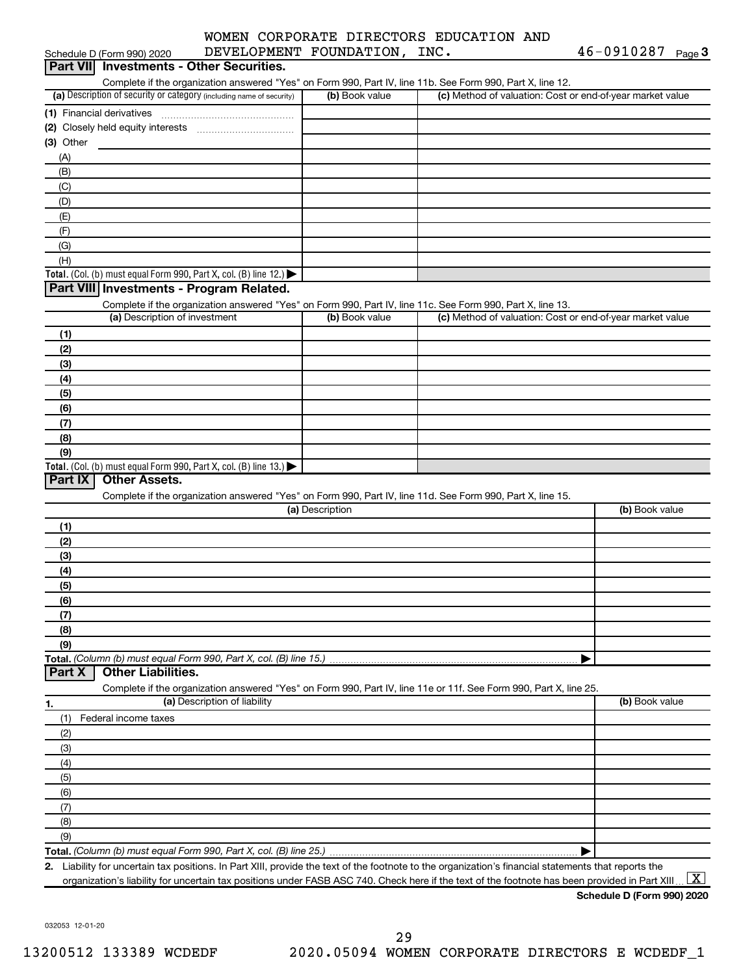## WOMEN CORPORATE DIRECTORS EDUCATION AND DEVELOPMENT FOUNDATION, INC. 46-0910287

| Schedule D (Form 990) 2020                                                                                                                           | DEVELOPMENT FOUNDATION, | TMC. | $40 - 0910287$<br>Page 3                                  |
|------------------------------------------------------------------------------------------------------------------------------------------------------|-------------------------|------|-----------------------------------------------------------|
| Part VII Investments - Other Securities.                                                                                                             |                         |      |                                                           |
| Complete if the organization answered "Yes" on Form 990, Part IV, line 11b. See Form 990, Part X, line 12.                                           |                         |      |                                                           |
| (a) Description of security or category (including name of security)                                                                                 | (b) Book value          |      | (c) Method of valuation: Cost or end-of-year market value |
| (1) Financial derivatives                                                                                                                            |                         |      |                                                           |
| (2) Closely held equity interests [11] [2] Closely held equity interests                                                                             |                         |      |                                                           |
| (3) Other                                                                                                                                            |                         |      |                                                           |
| (A)                                                                                                                                                  |                         |      |                                                           |
| (B)                                                                                                                                                  |                         |      |                                                           |
| (C)                                                                                                                                                  |                         |      |                                                           |
| (D)                                                                                                                                                  |                         |      |                                                           |
| (E)                                                                                                                                                  |                         |      |                                                           |
| (F)                                                                                                                                                  |                         |      |                                                           |
| (G)                                                                                                                                                  |                         |      |                                                           |
| (H)                                                                                                                                                  |                         |      |                                                           |
| Total. (Col. (b) must equal Form 990, Part X, col. (B) line 12.)                                                                                     |                         |      |                                                           |
| Part VIII Investments - Program Related.                                                                                                             |                         |      |                                                           |
| Complete if the organization answered "Yes" on Form 990, Part IV, line 11c. See Form 990, Part X, line 13.                                           |                         |      |                                                           |
| (a) Description of investment                                                                                                                        | (b) Book value          |      | (c) Method of valuation: Cost or end-of-year market value |
| (1)                                                                                                                                                  |                         |      |                                                           |
| (2)                                                                                                                                                  |                         |      |                                                           |
| (3)                                                                                                                                                  |                         |      |                                                           |
| (4)                                                                                                                                                  |                         |      |                                                           |
| (5)                                                                                                                                                  |                         |      |                                                           |
| (6)                                                                                                                                                  |                         |      |                                                           |
| (7)                                                                                                                                                  |                         |      |                                                           |
| (8)                                                                                                                                                  |                         |      |                                                           |
| (9)                                                                                                                                                  |                         |      |                                                           |
| Total. (Col. (b) must equal Form 990, Part X, col. (B) line 13.) $\blacktriangleright$                                                               |                         |      |                                                           |
| <b>Other Assets.</b><br>Part IX                                                                                                                      |                         |      |                                                           |
| Complete if the organization answered "Yes" on Form 990, Part IV, line 11d. See Form 990, Part X, line 15.                                           |                         |      |                                                           |
|                                                                                                                                                      | (a) Description         |      | (b) Book value                                            |
| (1)                                                                                                                                                  |                         |      |                                                           |
| (2)                                                                                                                                                  |                         |      |                                                           |
| (3)                                                                                                                                                  |                         |      |                                                           |
| (4)                                                                                                                                                  |                         |      |                                                           |
| (5)                                                                                                                                                  |                         |      |                                                           |
| (6)                                                                                                                                                  |                         |      |                                                           |
| (7)                                                                                                                                                  |                         |      |                                                           |
| (8)                                                                                                                                                  |                         |      |                                                           |
| (9)                                                                                                                                                  |                         |      |                                                           |
|                                                                                                                                                      |                         |      |                                                           |
| <b>Other Liabilities.</b><br>Part X                                                                                                                  |                         |      |                                                           |
| Complete if the organization answered "Yes" on Form 990, Part IV, line 11e or 11f. See Form 990, Part X, line 25.                                    |                         |      |                                                           |
| (a) Description of liability                                                                                                                         |                         |      | (b) Book value                                            |
| 1.                                                                                                                                                   |                         |      |                                                           |
| Federal income taxes<br>(1)                                                                                                                          |                         |      |                                                           |
| (2)                                                                                                                                                  |                         |      |                                                           |
| (3)                                                                                                                                                  |                         |      |                                                           |
| (4)                                                                                                                                                  |                         |      |                                                           |
| (5)                                                                                                                                                  |                         |      |                                                           |
| (6)                                                                                                                                                  |                         |      |                                                           |
| (7)                                                                                                                                                  |                         |      |                                                           |
| (8)                                                                                                                                                  |                         |      |                                                           |
| (9)                                                                                                                                                  |                         |      |                                                           |
|                                                                                                                                                      |                         |      |                                                           |
| 2. Liability for uncertain tax positions. In Part XIII, provide the text of the footnote to the organization's financial statements that reports the |                         |      |                                                           |

organization's liability for uncertain tax positions under FASB ASC 740. Check here if the text of the footnote has been provided in Part XIII ...  $\fbox{\bf X}$ 

**Schedule D (Form 990) 2020**

032053 12-01-20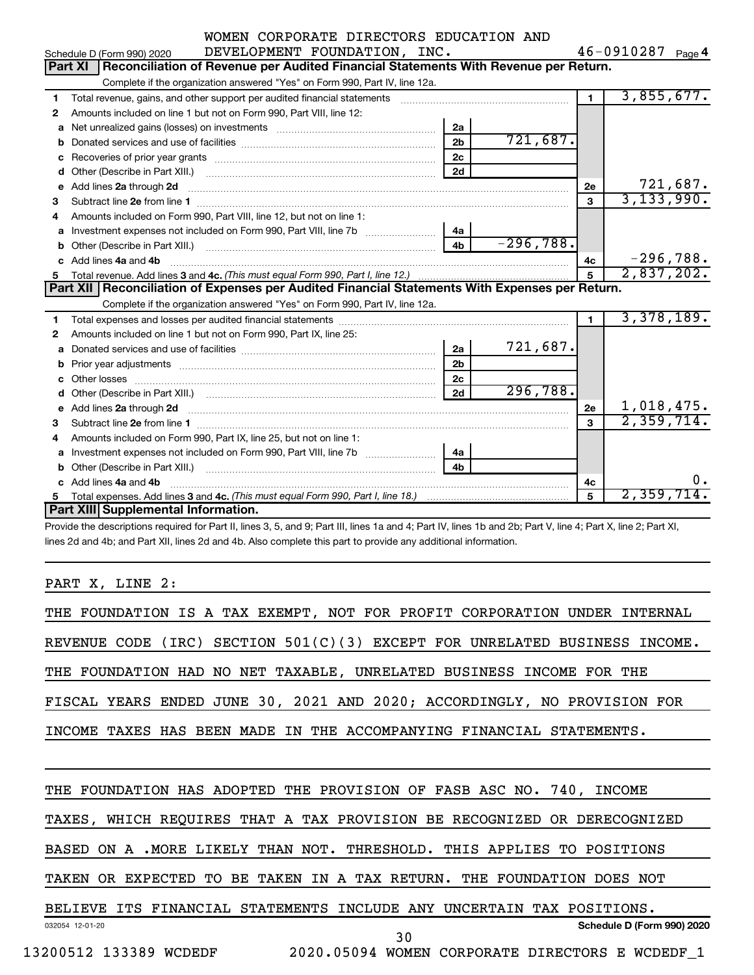|  |                            | WOMEN CORPORATE DIRECTORS EDUCATION AND |  |
|--|----------------------------|-----------------------------------------|--|
|  | DEUELODMENT EOUNDATION TNO |                                         |  |

|    | DEVELOPMENT FOUNDATION, INC.<br>Schedule D (Form 990) 2020                                                                                                                                                                                                                   |                |             |                | 46-0910287<br>Page 4 |
|----|------------------------------------------------------------------------------------------------------------------------------------------------------------------------------------------------------------------------------------------------------------------------------|----------------|-------------|----------------|----------------------|
|    | Reconciliation of Revenue per Audited Financial Statements With Revenue per Return.<br>Part XI                                                                                                                                                                               |                |             |                |                      |
|    | Complete if the organization answered "Yes" on Form 990, Part IV, line 12a.                                                                                                                                                                                                  |                |             |                |                      |
| 1  | Total revenue, gains, and other support per audited financial statements [111] [11] Total revenue, gains, and other support per audited financial statements                                                                                                                 |                |             | $\blacksquare$ | 3,855,677.           |
| 2  | Amounts included on line 1 but not on Form 990, Part VIII, line 12:                                                                                                                                                                                                          |                |             |                |                      |
| a  |                                                                                                                                                                                                                                                                              | 2a             |             |                |                      |
|    |                                                                                                                                                                                                                                                                              | 2 <sub>b</sub> | 721,687.    |                |                      |
| c  |                                                                                                                                                                                                                                                                              | 2 <sub>c</sub> |             |                |                      |
|    |                                                                                                                                                                                                                                                                              | 2d             |             |                |                      |
|    |                                                                                                                                                                                                                                                                              |                |             | 2е             | 721,687.             |
| 3  |                                                                                                                                                                                                                                                                              |                |             | 3              | 3,133,990.           |
| 4  | Amounts included on Form 990, Part VIII, line 12, but not on line 1:                                                                                                                                                                                                         |                |             |                |                      |
|    |                                                                                                                                                                                                                                                                              | 4a             |             |                |                      |
| b  |                                                                                                                                                                                                                                                                              | 4 <sub>b</sub> | $-296,788.$ |                |                      |
| C. | Add lines 4a and 4b                                                                                                                                                                                                                                                          |                |             | 4c             | $-296,788.$          |
|    |                                                                                                                                                                                                                                                                              |                |             | 5              | 2,837,202.           |
|    | Part XII   Reconciliation of Expenses per Audited Financial Statements With Expenses per Return.                                                                                                                                                                             |                |             |                |                      |
|    | Complete if the organization answered "Yes" on Form 990, Part IV, line 12a.                                                                                                                                                                                                  |                |             |                |                      |
| 1. |                                                                                                                                                                                                                                                                              |                |             | $\mathbf 1$    | 3,378,189.           |
| 2  | Amounts included on line 1 but not on Form 990, Part IX, line 25:                                                                                                                                                                                                            |                |             |                |                      |
| a  |                                                                                                                                                                                                                                                                              | 2a             | 721,687.    |                |                      |
|    |                                                                                                                                                                                                                                                                              | 2 <sub>b</sub> |             |                |                      |
| c  |                                                                                                                                                                                                                                                                              | 2 <sub>c</sub> |             |                |                      |
| d  |                                                                                                                                                                                                                                                                              | 2d             | 296,788.    |                |                      |
|    | e Add lines 2a through 2d <b>[10]</b> [10] <b>All and Provide 20</b> [10] <b>All and Provide 20</b> [10] <b>All and Provide 20</b> [10] <b>All and Provide 20</b> [10] <b>All and Provide 20</b> [10] <b>All and Provide 20</b> [10] <b>All and Provide 20</b> [10] <b>A</b> |                |             | 2e             | 1,018,475.           |
| 3  |                                                                                                                                                                                                                                                                              |                |             | $\mathbf{a}$   | 2,359,714.           |
| 4  | Amounts included on Form 990, Part IX, line 25, but not on line 1:                                                                                                                                                                                                           |                |             |                |                      |
|    | a Investment expenses not included on Form 990, Part VIII, line 7b [11, 11, 11, 11]                                                                                                                                                                                          | 4a             |             |                |                      |
| b  |                                                                                                                                                                                                                                                                              | 4 <sub>b</sub> |             |                |                      |
|    | c Add lines 4a and 4b                                                                                                                                                                                                                                                        |                |             | 4с             | $0$ .                |
|    |                                                                                                                                                                                                                                                                              |                |             | 5              | 2,359,714.           |
|    | Part XIII Supplemental Information.                                                                                                                                                                                                                                          |                |             |                |                      |

Provide the descriptions required for Part II, lines 3, 5, and 9; Part III, lines 1a and 4; Part IV, lines 1b and 2b; Part V, line 4; Part X, line 2; Part XI, lines 2d and 4b; and Part XII, lines 2d and 4b. Also complete this part to provide any additional information.

PART X, LINE 2:

| THE FOUNDATION IS A TAX EXEMPT, NOT FOR PROFIT CORPORATION UNDER INTERNAL       |
|---------------------------------------------------------------------------------|
| (IRC) SECTION $501(C)(3)$ EXCEPT FOR UNRELATED BUSINESS INCOME.<br>REVENUE CODE |
| THE FOUNDATION HAD NO NET TAXABLE, UNRELATED BUSINESS INCOME FOR THE            |
| FISCAL YEARS ENDED JUNE 30, 2021 AND 2020; ACCORDINGLY, NO PROVISION FOR        |
| INCOME TAXES HAS BEEN MADE IN THE ACCOMPANYING FINANCIAL STATEMENTS.            |
|                                                                                 |
| THE FOUNDATION HAS ADOPTED THE PROVISION OF FASB ASC NO. 740, INCOME            |
| TAXES, WHICH REQUIRES THAT A TAX PROVISION BE RECOGNIZED OR DERECOGNIZED        |
| BASED ON A .MORE LIKELY THAN NOT. THRESHOLD. THIS APPLIES TO POSITIONS          |
| TAKEN OR EXPECTED TO BE TAKEN IN A TAX RETURN. THE FOUNDATION DOES NOT          |
| ITS FINANCIAL STATEMENTS INCLUDE ANY UNCERTAIN TAX POSITIONS.<br><b>BELIEVE</b> |
| Schedule D (Form 990) 2020<br>032054 12-01-20<br>30                             |
| 2020.05094 WOMEN CORPORATE DIRECTORS E WCDEDF 1<br>13200512 133389 WCDEDF       |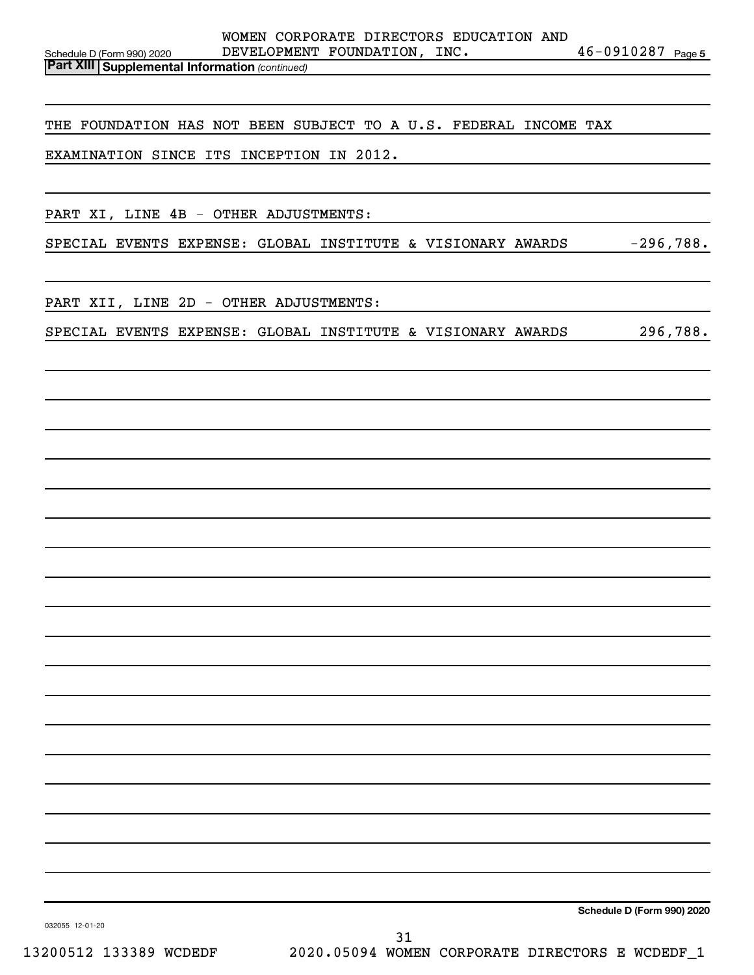46-0910287 Page 5

*(continued)* **Part XIII Supplemental Information** 

THE FOUNDATION HAS NOT BEEN SUBJECT TO A U.S. FEDERAL INCOME TAX

EXAMINATION SINCE ITS INCEPTION IN 2012.

PART XI, LINE 4B - OTHER ADJUSTMENTS:

SPECIAL EVENTS EXPENSE: GLOBAL INSTITUTE & VISIONARY AWARDS -296,788.

PART XII, LINE 2D - OTHER ADJUSTMENTS:

SPECIAL EVENTS EXPENSE: GLOBAL INSTITUTE & VISIONARY AWARDS 296,788.

**Schedule D (Form 990) 2020**

032055 12-01-20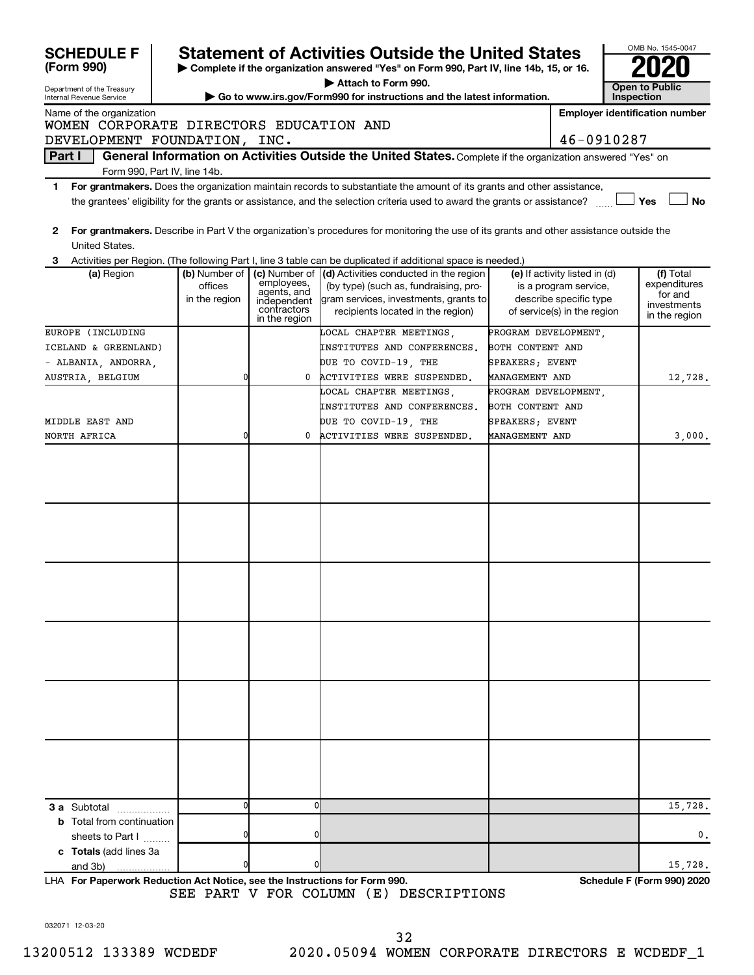| <b>SCHEDULE F</b>                                      |                                                                                                                                                                                                                                                                          |                                                                                               | <b>Statement of Activities Outside the United States</b>                                                                                                             |                       |                               |  | OMB No. 1545-0047                     |  |  |
|--------------------------------------------------------|--------------------------------------------------------------------------------------------------------------------------------------------------------------------------------------------------------------------------------------------------------------------------|-----------------------------------------------------------------------------------------------|----------------------------------------------------------------------------------------------------------------------------------------------------------------------|-----------------------|-------------------------------|--|---------------------------------------|--|--|
| (Form 990)                                             | Complete if the organization answered "Yes" on Form 990, Part IV, line 14b, 15, or 16.                                                                                                                                                                                   |                                                                                               |                                                                                                                                                                      |                       |                               |  |                                       |  |  |
| Department of the Treasury<br>Internal Revenue Service |                                                                                                                                                                                                                                                                          | Attach to Form 990.<br>Go to www.irs.gov/Form990 for instructions and the latest information. |                                                                                                                                                                      |                       |                               |  |                                       |  |  |
| Name of the organization                               |                                                                                                                                                                                                                                                                          |                                                                                               |                                                                                                                                                                      |                       |                               |  | <b>Employer identification number</b> |  |  |
| WOMEN CORPORATE DIRECTORS EDUCATION AND                |                                                                                                                                                                                                                                                                          |                                                                                               |                                                                                                                                                                      |                       |                               |  |                                       |  |  |
| DEVELOPMENT FOUNDATION, INC.                           |                                                                                                                                                                                                                                                                          |                                                                                               |                                                                                                                                                                      |                       | 46-0910287                    |  |                                       |  |  |
| Part I                                                 |                                                                                                                                                                                                                                                                          |                                                                                               | General Information on Activities Outside the United States. Complete if the organization answered "Yes" on                                                          |                       |                               |  |                                       |  |  |
|                                                        | Form 990, Part IV, line 14b.                                                                                                                                                                                                                                             |                                                                                               |                                                                                                                                                                      |                       |                               |  |                                       |  |  |
| 1                                                      | For grantmakers. Does the organization maintain records to substantiate the amount of its grants and other assistance,<br>the grantees' eligibility for the grants or assistance, and the selection criteria used to award the grants or assistance?<br>Yes<br><b>No</b> |                                                                                               |                                                                                                                                                                      |                       |                               |  |                                       |  |  |
| 2                                                      |                                                                                                                                                                                                                                                                          |                                                                                               | For grantmakers. Describe in Part V the organization's procedures for monitoring the use of its grants and other assistance outside the                              |                       |                               |  |                                       |  |  |
| United States.                                         |                                                                                                                                                                                                                                                                          |                                                                                               |                                                                                                                                                                      |                       |                               |  |                                       |  |  |
| 3<br>(a) Region                                        | (b) Number of                                                                                                                                                                                                                                                            |                                                                                               | Activities per Region. (The following Part I, line 3 table can be duplicated if additional space is needed.)<br>(c) Number of (d) Activities conducted in the region |                       | (e) If activity listed in (d) |  | (f) Total                             |  |  |
|                                                        | offices                                                                                                                                                                                                                                                                  | employees,                                                                                    | (by type) (such as, fundraising, pro-                                                                                                                                |                       | is a program service,         |  | expenditures                          |  |  |
|                                                        | in the region                                                                                                                                                                                                                                                            | agents, and<br>independent                                                                    | gram services, investments, grants to                                                                                                                                |                       | describe specific type        |  | for and<br>investments                |  |  |
|                                                        |                                                                                                                                                                                                                                                                          | contractors<br>in the region                                                                  | recipients located in the region)                                                                                                                                    |                       | of service(s) in the region   |  | in the region                         |  |  |
| EUROPE (INCLUDING                                      |                                                                                                                                                                                                                                                                          |                                                                                               | LOCAL CHAPTER MEETINGS,                                                                                                                                              | PROGRAM DEVELOPMENT,  |                               |  |                                       |  |  |
| ICELAND & GREENLAND)                                   |                                                                                                                                                                                                                                                                          |                                                                                               | INSTITUTES AND CONFERENCES.                                                                                                                                          | BOTH CONTENT AND      |                               |  |                                       |  |  |
| - ALBANIA, ANDORRA,                                    |                                                                                                                                                                                                                                                                          |                                                                                               | DUE TO COVID-19, THE                                                                                                                                                 | SPEAKERS; EVENT       |                               |  |                                       |  |  |
| AUSTRIA, BELGIUM                                       | 0                                                                                                                                                                                                                                                                        | 0                                                                                             | ACTIVITIES WERE SUSPENDED.                                                                                                                                           | MANAGEMENT AND        |                               |  | 12,728.                               |  |  |
|                                                        |                                                                                                                                                                                                                                                                          |                                                                                               | LOCAL CHAPTER MEETINGS.                                                                                                                                              | PROGRAM DEVELOPMENT,  |                               |  |                                       |  |  |
|                                                        |                                                                                                                                                                                                                                                                          |                                                                                               | INSTITUTES AND CONFERENCES.                                                                                                                                          | BOTH CONTENT AND      |                               |  |                                       |  |  |
| MIDDLE EAST AND                                        |                                                                                                                                                                                                                                                                          |                                                                                               | DUE TO COVID-19, THE                                                                                                                                                 | SPEAKERS; EVENT       |                               |  |                                       |  |  |
| NORTH AFRICA                                           | 0                                                                                                                                                                                                                                                                        | 0                                                                                             | ACTIVITIES WERE SUSPENDED.                                                                                                                                           | <b>MANAGEMENT AND</b> |                               |  | 3,000.                                |  |  |
|                                                        |                                                                                                                                                                                                                                                                          |                                                                                               |                                                                                                                                                                      |                       |                               |  |                                       |  |  |
|                                                        |                                                                                                                                                                                                                                                                          |                                                                                               |                                                                                                                                                                      |                       |                               |  |                                       |  |  |
|                                                        |                                                                                                                                                                                                                                                                          |                                                                                               |                                                                                                                                                                      |                       |                               |  |                                       |  |  |
|                                                        |                                                                                                                                                                                                                                                                          |                                                                                               |                                                                                                                                                                      |                       |                               |  |                                       |  |  |
|                                                        |                                                                                                                                                                                                                                                                          |                                                                                               |                                                                                                                                                                      |                       |                               |  |                                       |  |  |
|                                                        |                                                                                                                                                                                                                                                                          |                                                                                               |                                                                                                                                                                      |                       |                               |  |                                       |  |  |
|                                                        |                                                                                                                                                                                                                                                                          |                                                                                               |                                                                                                                                                                      |                       |                               |  |                                       |  |  |
|                                                        |                                                                                                                                                                                                                                                                          |                                                                                               |                                                                                                                                                                      |                       |                               |  |                                       |  |  |
|                                                        |                                                                                                                                                                                                                                                                          |                                                                                               |                                                                                                                                                                      |                       |                               |  |                                       |  |  |
|                                                        |                                                                                                                                                                                                                                                                          |                                                                                               |                                                                                                                                                                      |                       |                               |  |                                       |  |  |
|                                                        |                                                                                                                                                                                                                                                                          |                                                                                               |                                                                                                                                                                      |                       |                               |  |                                       |  |  |
|                                                        |                                                                                                                                                                                                                                                                          |                                                                                               |                                                                                                                                                                      |                       |                               |  |                                       |  |  |
|                                                        |                                                                                                                                                                                                                                                                          |                                                                                               |                                                                                                                                                                      |                       |                               |  |                                       |  |  |
|                                                        |                                                                                                                                                                                                                                                                          |                                                                                               |                                                                                                                                                                      |                       |                               |  |                                       |  |  |
|                                                        |                                                                                                                                                                                                                                                                          |                                                                                               |                                                                                                                                                                      |                       |                               |  |                                       |  |  |
|                                                        |                                                                                                                                                                                                                                                                          |                                                                                               |                                                                                                                                                                      |                       |                               |  |                                       |  |  |
|                                                        |                                                                                                                                                                                                                                                                          |                                                                                               |                                                                                                                                                                      |                       |                               |  |                                       |  |  |
|                                                        |                                                                                                                                                                                                                                                                          |                                                                                               |                                                                                                                                                                      |                       |                               |  |                                       |  |  |
|                                                        |                                                                                                                                                                                                                                                                          |                                                                                               |                                                                                                                                                                      |                       |                               |  |                                       |  |  |
|                                                        |                                                                                                                                                                                                                                                                          |                                                                                               |                                                                                                                                                                      |                       |                               |  |                                       |  |  |
|                                                        |                                                                                                                                                                                                                                                                          |                                                                                               |                                                                                                                                                                      |                       |                               |  |                                       |  |  |
|                                                        |                                                                                                                                                                                                                                                                          |                                                                                               |                                                                                                                                                                      |                       |                               |  |                                       |  |  |
|                                                        | 0                                                                                                                                                                                                                                                                        | 0                                                                                             |                                                                                                                                                                      |                       |                               |  |                                       |  |  |
| <b>3 a</b> Subtotal<br>.                               |                                                                                                                                                                                                                                                                          |                                                                                               |                                                                                                                                                                      |                       |                               |  | 15,728.                               |  |  |
| <b>b</b> Total from continuation                       |                                                                                                                                                                                                                                                                          | 0                                                                                             |                                                                                                                                                                      |                       |                               |  | $\mathbf{0}$ .                        |  |  |
| sheets to Part I<br>c Totals (add lines 3a             |                                                                                                                                                                                                                                                                          |                                                                                               |                                                                                                                                                                      |                       |                               |  |                                       |  |  |
| and 3b)                                                |                                                                                                                                                                                                                                                                          | n                                                                                             |                                                                                                                                                                      |                       |                               |  | 15,728.                               |  |  |
|                                                        |                                                                                                                                                                                                                                                                          |                                                                                               |                                                                                                                                                                      |                       |                               |  |                                       |  |  |

**For Paperwork Reduction Act Notice, see the Instructions for Form 990. Schedule F (Form 990) 2020** LHA SEE PART V FOR COLUMN (E) DESCRIPTIONS

032071 12-03-20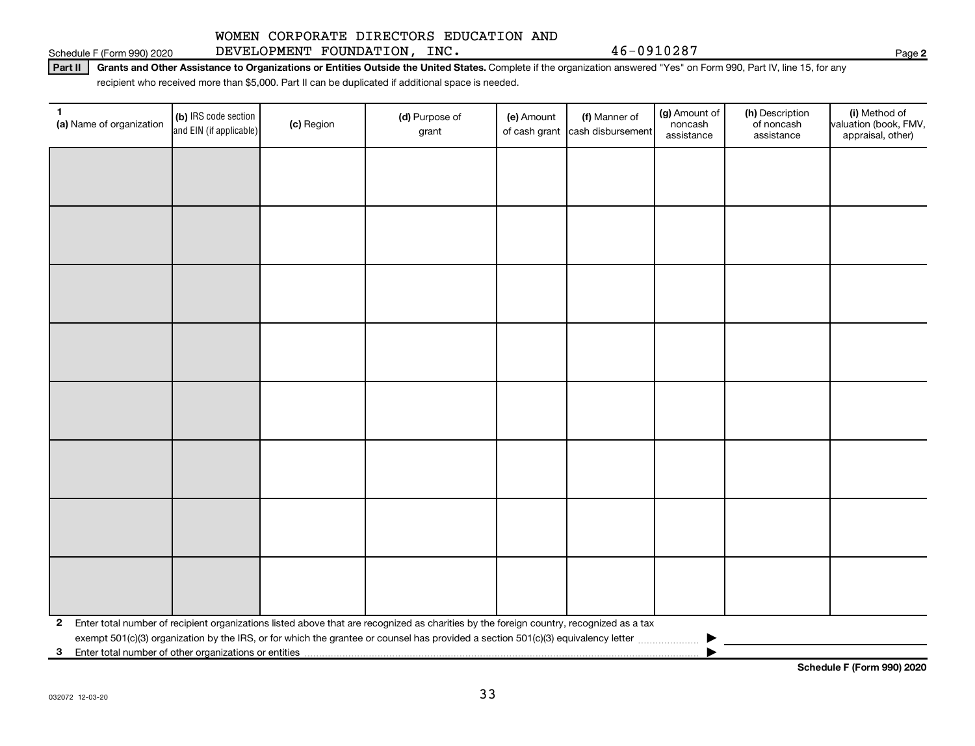### Schedule F (Form 990) 2020 DEVELOPMENT FOUNDATION,INC.  $46-0910287$

# WOMEN CORPORATE DIRECTORS EDUCATION AND

Part II | Grants and Other Assistance to Organizations or Entities Outside the United States. Complete if the organization answered "Yes" on Form 990, Part IV, line 15, for any recipient who received more than \$5,000. Part II can be duplicated if additional space is needed.

| 1<br>(a) Name of organization                              | (b) IRS code section<br>and EIN (if applicable) | (c) Region | (d) Purpose of<br>grant                                                                                                                 | (e) Amount | (f) Manner of<br>of cash grant cash disbursement | (g) Amount of<br>noncash<br>assistance | (h) Description<br>of noncash<br>assistance | (i) Method of<br>valuation (book, FMV,<br>appraisal, other) |
|------------------------------------------------------------|-------------------------------------------------|------------|-----------------------------------------------------------------------------------------------------------------------------------------|------------|--------------------------------------------------|----------------------------------------|---------------------------------------------|-------------------------------------------------------------|
|                                                            |                                                 |            |                                                                                                                                         |            |                                                  |                                        |                                             |                                                             |
|                                                            |                                                 |            |                                                                                                                                         |            |                                                  |                                        |                                             |                                                             |
|                                                            |                                                 |            |                                                                                                                                         |            |                                                  |                                        |                                             |                                                             |
|                                                            |                                                 |            |                                                                                                                                         |            |                                                  |                                        |                                             |                                                             |
|                                                            |                                                 |            |                                                                                                                                         |            |                                                  |                                        |                                             |                                                             |
|                                                            |                                                 |            |                                                                                                                                         |            |                                                  |                                        |                                             |                                                             |
|                                                            |                                                 |            |                                                                                                                                         |            |                                                  |                                        |                                             |                                                             |
|                                                            |                                                 |            |                                                                                                                                         |            |                                                  |                                        |                                             |                                                             |
|                                                            |                                                 |            |                                                                                                                                         |            |                                                  |                                        |                                             |                                                             |
|                                                            |                                                 |            |                                                                                                                                         |            |                                                  |                                        |                                             |                                                             |
|                                                            |                                                 |            |                                                                                                                                         |            |                                                  |                                        |                                             |                                                             |
|                                                            |                                                 |            |                                                                                                                                         |            |                                                  |                                        |                                             |                                                             |
|                                                            |                                                 |            |                                                                                                                                         |            |                                                  |                                        |                                             |                                                             |
|                                                            |                                                 |            |                                                                                                                                         |            |                                                  |                                        |                                             |                                                             |
|                                                            |                                                 |            |                                                                                                                                         |            |                                                  |                                        |                                             |                                                             |
|                                                            |                                                 |            |                                                                                                                                         |            |                                                  |                                        |                                             |                                                             |
| 2                                                          |                                                 |            | Enter total number of recipient organizations listed above that are recognized as charities by the foreign country, recognized as a tax |            |                                                  |                                        |                                             |                                                             |
| Enter total number of other organizations or entities<br>3 |                                                 |            |                                                                                                                                         |            |                                                  |                                        |                                             |                                                             |

**Schedule F (Form 990) 2020**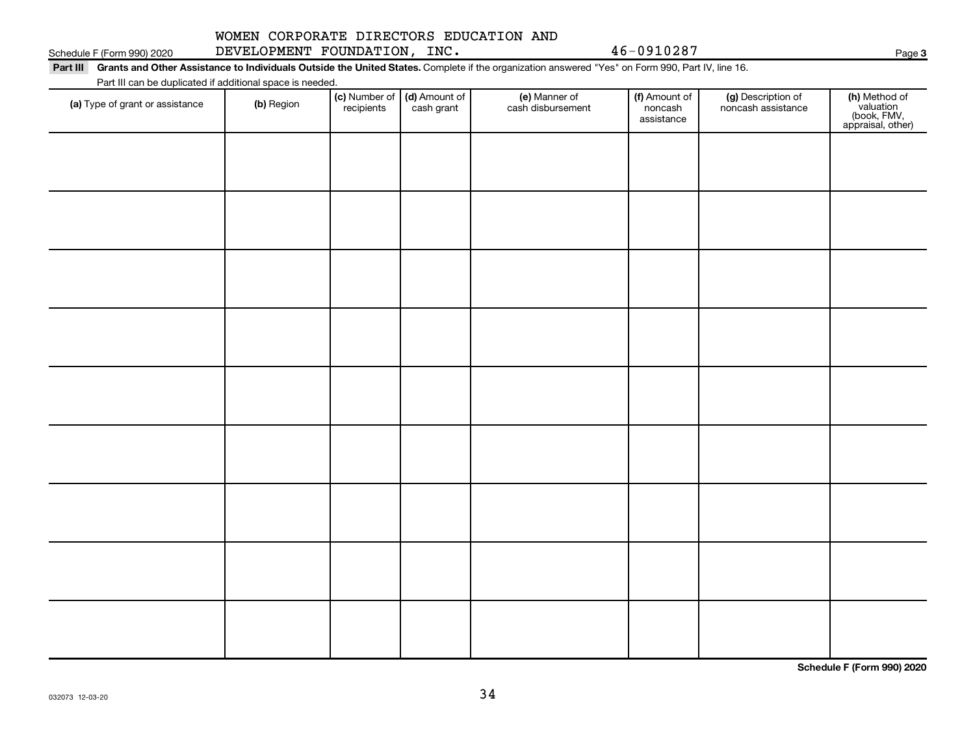#### 032073 12-03-20

# WOMEN CORPORATE DIRECTORS EDUCATION AND

Schedule F (Form 990) 2020 DEVELOPMENT FOUNDATION,INC.  $46-0910287$ 

Part III Grants and Other Assistance to Individuals Outside the United States. Complete if the organization answered "Yes" on Form 990, Part IV, line 16. Part III can be duplicated if additional space is needed.

| T are in barried adplicated in additional opace is necessary.<br>(a) Type of grant or assistance | (b) Region | (c) Number of (d) Amount of<br>recipients cash grant | (e) Manner of<br>cash disbursement | (f) Amount of<br>noncash<br>assistance | (g) Description of<br>noncash assistance | (h) Method of<br>valuation<br>(book, FMV,<br>appraisal, other) |
|--------------------------------------------------------------------------------------------------|------------|------------------------------------------------------|------------------------------------|----------------------------------------|------------------------------------------|----------------------------------------------------------------|
|                                                                                                  |            |                                                      |                                    |                                        |                                          |                                                                |
|                                                                                                  |            |                                                      |                                    |                                        |                                          |                                                                |
|                                                                                                  |            |                                                      |                                    |                                        |                                          |                                                                |
|                                                                                                  |            |                                                      |                                    |                                        |                                          |                                                                |
|                                                                                                  |            |                                                      |                                    |                                        |                                          |                                                                |
|                                                                                                  |            |                                                      |                                    |                                        |                                          |                                                                |
|                                                                                                  |            |                                                      |                                    |                                        |                                          |                                                                |
|                                                                                                  |            |                                                      |                                    |                                        |                                          |                                                                |
|                                                                                                  |            |                                                      |                                    |                                        |                                          |                                                                |
|                                                                                                  |            |                                                      |                                    |                                        |                                          |                                                                |

34

**Schedule F (Form 990) 2020**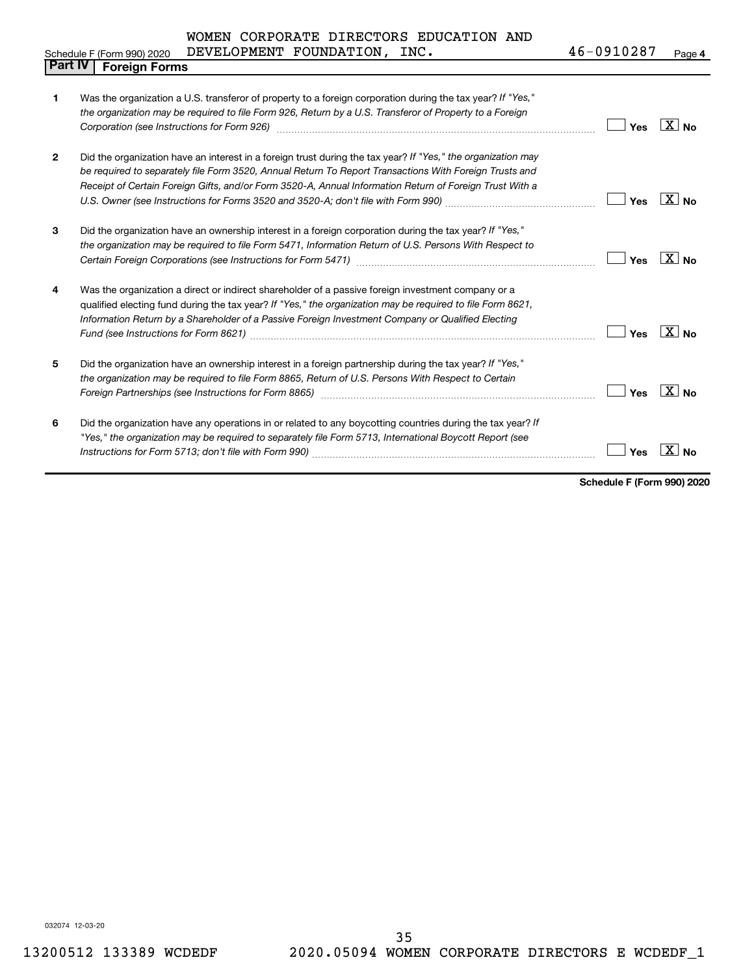|  | WOMEN CORPORATE DIRECTORS EDUCATION AND |  |
|--|-----------------------------------------|--|
|  |                                         |  |

|                | DEVELOPMENT FOUNDATION, INC.<br>Schedule F (Form 990) 2020                                                                                                                                                                                                                                                                              | 46-0910287 | Page 4                    |
|----------------|-----------------------------------------------------------------------------------------------------------------------------------------------------------------------------------------------------------------------------------------------------------------------------------------------------------------------------------------|------------|---------------------------|
| <b>Part IV</b> | <b>Foreign Forms</b>                                                                                                                                                                                                                                                                                                                    |            |                           |
| 1              | Was the organization a U.S. transferor of property to a foreign corporation during the tax year? If "Yes,"<br>the organization may be required to file Form 926, Return by a U.S. Transferor of Property to a Foreign<br>Corporation (see Instructions for Form 926) [11] Consumer and the control of the state of the consumer and the | Yes        | X<br><b>No</b>            |
| $\mathbf{2}$   | Did the organization have an interest in a foreign trust during the tax year? If "Yes," the organization may<br>be required to separately file Form 3520, Annual Return To Report Transactions With Foreign Trusts and<br>Receipt of Certain Foreign Gifts, and/or Form 3520-A, Annual Information Return of Foreign Trust With a       | Yes        | $X \mid N_{\Omega}$       |
| 3              | Did the organization have an ownership interest in a foreign corporation during the tax year? If "Yes,"<br>the organization may be required to file Form 5471, Information Return of U.S. Persons With Respect to<br>Certain Foreign Corporations (see Instructions for Form 5471)                                                      | Yes        | X  <br><b>No</b>          |
| 4              | Was the organization a direct or indirect shareholder of a passive foreign investment company or a<br>qualified electing fund during the tax year? If "Yes," the organization may be required to file Form 8621,<br>Information Return by a Shareholder of a Passive Foreign Investment Company or Qualified Electing                   | Yes        | $\overline{X}$ No         |
| 5              | Did the organization have an ownership interest in a foreign partnership during the tax year? If "Yes,"<br>the organization may be required to file Form 8865, Return of U.S. Persons With Respect to Certain                                                                                                                           | Yes        | $\mathbf{X}$<br><b>No</b> |
| 6              | Did the organization have any operations in or related to any boycotting countries during the tax year? If<br>"Yes," the organization may be required to separately file Form 5713, International Boycott Report (see                                                                                                                   | Yes        | X.<br>No                  |

**Schedule F (Form 990) 2020**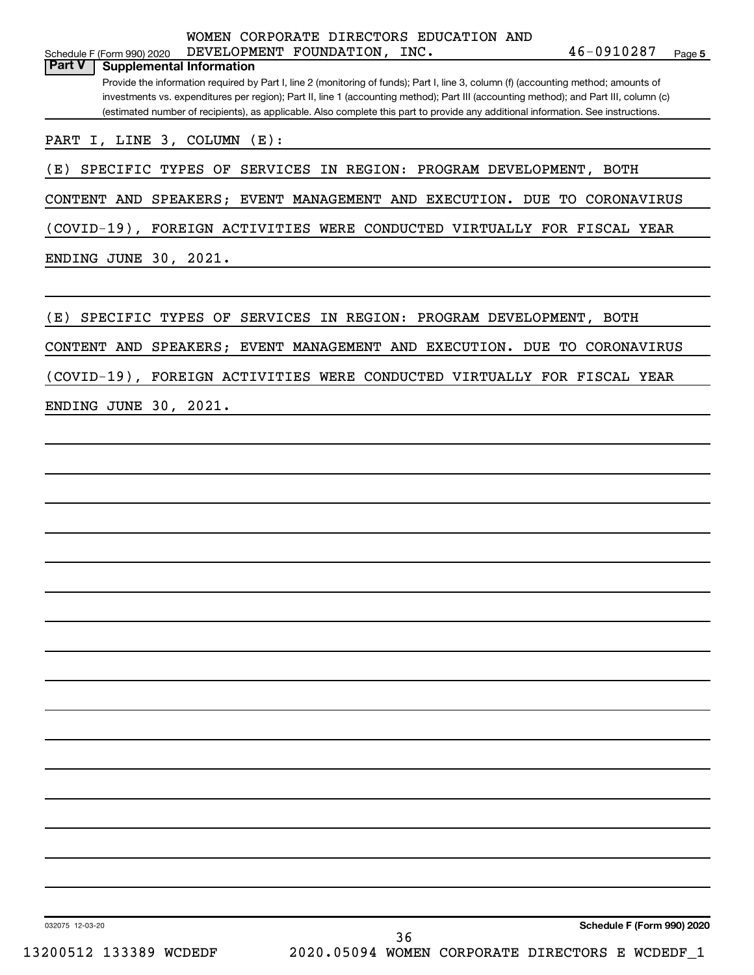| WOMEN CORPORATE DIRECTORS EDUCATION AND<br>46-0910287<br>DEVELOPMENT FOUNDATION, INC.<br>Page 5<br>Schedule F (Form 990) 2020<br><b>Part V</b><br><b>Supplemental Information</b><br>Provide the information required by Part I, line 2 (monitoring of funds); Part I, line 3, column (f) (accounting method; amounts of<br>investments vs. expenditures per region); Part II, line 1 (accounting method); Part III (accounting method); and Part III, column (c)<br>(estimated number of recipients), as applicable. Also complete this part to provide any additional information. See instructions. |
|--------------------------------------------------------------------------------------------------------------------------------------------------------------------------------------------------------------------------------------------------------------------------------------------------------------------------------------------------------------------------------------------------------------------------------------------------------------------------------------------------------------------------------------------------------------------------------------------------------|
| PART I, LINE 3, COLUMN (E):                                                                                                                                                                                                                                                                                                                                                                                                                                                                                                                                                                            |
| SPECIFIC TYPES OF SERVICES IN REGION: PROGRAM DEVELOPMENT, BOTH<br>(E)                                                                                                                                                                                                                                                                                                                                                                                                                                                                                                                                 |
| CONTENT AND SPEAKERS; EVENT MANAGEMENT AND EXECUTION. DUE TO CORONAVIRUS                                                                                                                                                                                                                                                                                                                                                                                                                                                                                                                               |
| (COVID-19), FOREIGN ACTIVITIES WERE CONDUCTED VIRTUALLY FOR FISCAL YEAR                                                                                                                                                                                                                                                                                                                                                                                                                                                                                                                                |
| ENDING JUNE 30, 2021.                                                                                                                                                                                                                                                                                                                                                                                                                                                                                                                                                                                  |
|                                                                                                                                                                                                                                                                                                                                                                                                                                                                                                                                                                                                        |
| (E)<br>SPECIFIC TYPES OF SERVICES IN REGION: PROGRAM DEVELOPMENT, BOTH                                                                                                                                                                                                                                                                                                                                                                                                                                                                                                                                 |
| CONTENT AND SPEAKERS; EVENT MANAGEMENT AND EXECUTION. DUE TO CORONAVIRUS                                                                                                                                                                                                                                                                                                                                                                                                                                                                                                                               |
| (COVID-19), FOREIGN ACTIVITIES WERE CONDUCTED VIRTUALLY FOR FISCAL YEAR                                                                                                                                                                                                                                                                                                                                                                                                                                                                                                                                |
| ENDING JUNE 30, 2021.                                                                                                                                                                                                                                                                                                                                                                                                                                                                                                                                                                                  |
|                                                                                                                                                                                                                                                                                                                                                                                                                                                                                                                                                                                                        |
|                                                                                                                                                                                                                                                                                                                                                                                                                                                                                                                                                                                                        |
|                                                                                                                                                                                                                                                                                                                                                                                                                                                                                                                                                                                                        |
|                                                                                                                                                                                                                                                                                                                                                                                                                                                                                                                                                                                                        |
|                                                                                                                                                                                                                                                                                                                                                                                                                                                                                                                                                                                                        |
|                                                                                                                                                                                                                                                                                                                                                                                                                                                                                                                                                                                                        |
|                                                                                                                                                                                                                                                                                                                                                                                                                                                                                                                                                                                                        |
|                                                                                                                                                                                                                                                                                                                                                                                                                                                                                                                                                                                                        |
|                                                                                                                                                                                                                                                                                                                                                                                                                                                                                                                                                                                                        |
|                                                                                                                                                                                                                                                                                                                                                                                                                                                                                                                                                                                                        |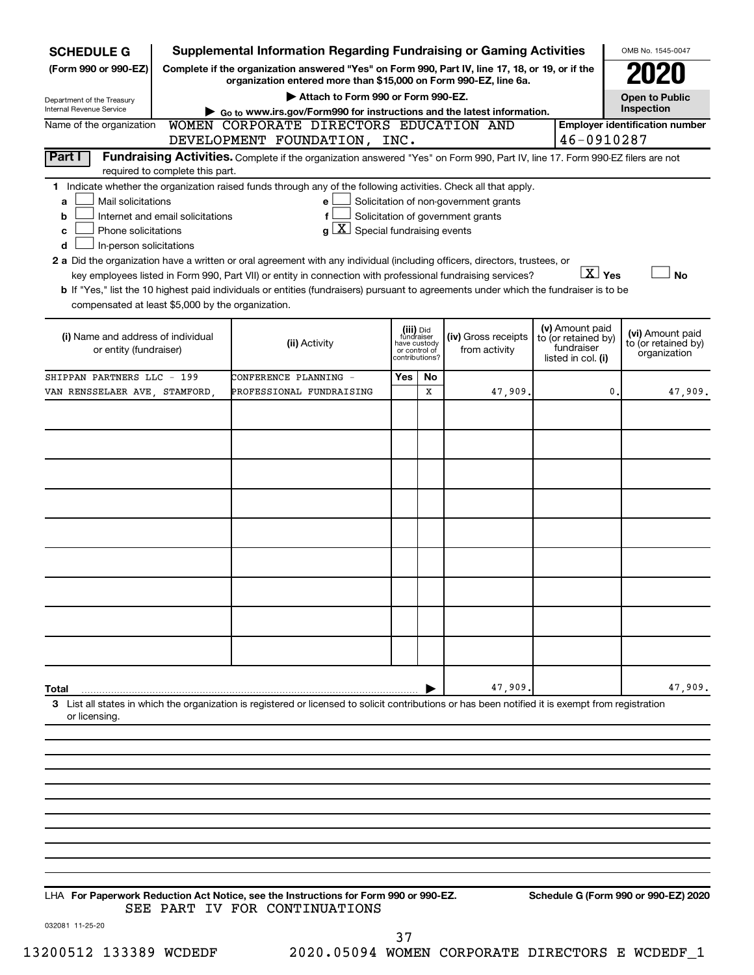| <b>SCHEDULE G</b>                                                                                                                                                                                                                                                                                                                                                                                                                                                                                                                                                                                                                                                                          | <b>Supplemental Information Regarding Fundraising or Gaming Activities</b>                                                                                          |                                                                            |    |                                                                            |                                                         | OMB No. 1545-0047                                       |  |  |  |
|--------------------------------------------------------------------------------------------------------------------------------------------------------------------------------------------------------------------------------------------------------------------------------------------------------------------------------------------------------------------------------------------------------------------------------------------------------------------------------------------------------------------------------------------------------------------------------------------------------------------------------------------------------------------------------------------|---------------------------------------------------------------------------------------------------------------------------------------------------------------------|----------------------------------------------------------------------------|----|----------------------------------------------------------------------------|---------------------------------------------------------|---------------------------------------------------------|--|--|--|
| (Form 990 or 990-EZ)                                                                                                                                                                                                                                                                                                                                                                                                                                                                                                                                                                                                                                                                       | Complete if the organization answered "Yes" on Form 990, Part IV, line 17, 18, or 19, or if the<br>organization entered more than \$15,000 on Form 990-EZ, line 6a. |                                                                            |    |                                                                            |                                                         |                                                         |  |  |  |
| Department of the Treasury                                                                                                                                                                                                                                                                                                                                                                                                                                                                                                                                                                                                                                                                 | Attach to Form 990 or Form 990-EZ.                                                                                                                                  |                                                                            |    |                                                                            |                                                         | <b>Open to Public</b>                                   |  |  |  |
| Inspection<br>Internal Revenue Service<br>Go to www.irs.gov/Form990 for instructions and the latest information.                                                                                                                                                                                                                                                                                                                                                                                                                                                                                                                                                                           |                                                                                                                                                                     |                                                                            |    |                                                                            |                                                         |                                                         |  |  |  |
| Name of the organization                                                                                                                                                                                                                                                                                                                                                                                                                                                                                                                                                                                                                                                                   | WOMEN CORPORATE DIRECTORS EDUCATION AND<br>DEVELOPMENT FOUNDATION, INC.                                                                                             |                                                                            |    |                                                                            | 46-0910287                                              | <b>Employer identification number</b>                   |  |  |  |
| Part I<br>required to complete this part.                                                                                                                                                                                                                                                                                                                                                                                                                                                                                                                                                                                                                                                  | Fundraising Activities. Complete if the organization answered "Yes" on Form 990, Part IV, line 17. Form 990-EZ filers are not                                       |                                                                            |    |                                                                            |                                                         |                                                         |  |  |  |
| 1 Indicate whether the organization raised funds through any of the following activities. Check all that apply.<br>Mail solicitations<br>a<br>Internet and email solicitations<br>b<br>Phone solicitations<br>c<br>In-person solicitations<br>d<br>2 a Did the organization have a written or oral agreement with any individual (including officers, directors, trustees, or<br>key employees listed in Form 990, Part VII) or entity in connection with professional fundraising services?<br>b If "Yes," list the 10 highest paid individuals or entities (fundraisers) pursuant to agreements under which the fundraiser is to be<br>compensated at least \$5,000 by the organization. | е<br>f<br>$g\left[\frac{\textbf{X}}{\textbf{X}}\right]$ Special fundraising events                                                                                  |                                                                            |    | Solicitation of non-government grants<br>Solicitation of government grants | $\boxed{\text{X}}$ Yes<br>(v) Amount paid               | <b>No</b>                                               |  |  |  |
| (i) Name and address of individual<br>or entity (fundraiser)                                                                                                                                                                                                                                                                                                                                                                                                                                                                                                                                                                                                                               | (ii) Activity                                                                                                                                                       | (iii) Did<br>fundraiser<br>have custody<br>or control of<br>contributions? |    | (iv) Gross receipts<br>from activity                                       | to (or retained by)<br>fundraiser<br>listed in col. (i) | (vi) Amount paid<br>to (or retained by)<br>organization |  |  |  |
| SHIPPAN PARTNERS LLC - 199                                                                                                                                                                                                                                                                                                                                                                                                                                                                                                                                                                                                                                                                 | CONFERENCE PLANNING -                                                                                                                                               | Yes                                                                        | No |                                                                            |                                                         |                                                         |  |  |  |
| VAN RENSSELAER AVE, STAMFORD,                                                                                                                                                                                                                                                                                                                                                                                                                                                                                                                                                                                                                                                              | PROFESSIONAL FUNDRAISING                                                                                                                                            |                                                                            | x  | 47,909.                                                                    |                                                         | $\mathbf{0}$<br>47,909.                                 |  |  |  |
|                                                                                                                                                                                                                                                                                                                                                                                                                                                                                                                                                                                                                                                                                            |                                                                                                                                                                     |                                                                            |    |                                                                            |                                                         |                                                         |  |  |  |
|                                                                                                                                                                                                                                                                                                                                                                                                                                                                                                                                                                                                                                                                                            |                                                                                                                                                                     |                                                                            |    |                                                                            |                                                         |                                                         |  |  |  |
|                                                                                                                                                                                                                                                                                                                                                                                                                                                                                                                                                                                                                                                                                            |                                                                                                                                                                     |                                                                            |    |                                                                            |                                                         |                                                         |  |  |  |
|                                                                                                                                                                                                                                                                                                                                                                                                                                                                                                                                                                                                                                                                                            |                                                                                                                                                                     |                                                                            |    |                                                                            |                                                         |                                                         |  |  |  |
|                                                                                                                                                                                                                                                                                                                                                                                                                                                                                                                                                                                                                                                                                            |                                                                                                                                                                     |                                                                            |    |                                                                            |                                                         |                                                         |  |  |  |
|                                                                                                                                                                                                                                                                                                                                                                                                                                                                                                                                                                                                                                                                                            |                                                                                                                                                                     |                                                                            |    |                                                                            |                                                         |                                                         |  |  |  |
|                                                                                                                                                                                                                                                                                                                                                                                                                                                                                                                                                                                                                                                                                            |                                                                                                                                                                     |                                                                            |    |                                                                            |                                                         |                                                         |  |  |  |
|                                                                                                                                                                                                                                                                                                                                                                                                                                                                                                                                                                                                                                                                                            |                                                                                                                                                                     |                                                                            |    |                                                                            |                                                         |                                                         |  |  |  |
|                                                                                                                                                                                                                                                                                                                                                                                                                                                                                                                                                                                                                                                                                            |                                                                                                                                                                     |                                                                            |    |                                                                            |                                                         |                                                         |  |  |  |
|                                                                                                                                                                                                                                                                                                                                                                                                                                                                                                                                                                                                                                                                                            |                                                                                                                                                                     |                                                                            |    |                                                                            |                                                         |                                                         |  |  |  |
|                                                                                                                                                                                                                                                                                                                                                                                                                                                                                                                                                                                                                                                                                            |                                                                                                                                                                     |                                                                            |    |                                                                            |                                                         |                                                         |  |  |  |
|                                                                                                                                                                                                                                                                                                                                                                                                                                                                                                                                                                                                                                                                                            |                                                                                                                                                                     |                                                                            |    |                                                                            |                                                         |                                                         |  |  |  |
|                                                                                                                                                                                                                                                                                                                                                                                                                                                                                                                                                                                                                                                                                            |                                                                                                                                                                     |                                                                            |    |                                                                            |                                                         |                                                         |  |  |  |
| Total                                                                                                                                                                                                                                                                                                                                                                                                                                                                                                                                                                                                                                                                                      |                                                                                                                                                                     |                                                                            |    | 47,909.                                                                    |                                                         | 47,909.                                                 |  |  |  |
| 3 List all states in which the organization is registered or licensed to solicit contributions or has been notified it is exempt from registration<br>or licensing.                                                                                                                                                                                                                                                                                                                                                                                                                                                                                                                        |                                                                                                                                                                     |                                                                            |    |                                                                            |                                                         |                                                         |  |  |  |
|                                                                                                                                                                                                                                                                                                                                                                                                                                                                                                                                                                                                                                                                                            |                                                                                                                                                                     |                                                                            |    |                                                                            |                                                         |                                                         |  |  |  |
|                                                                                                                                                                                                                                                                                                                                                                                                                                                                                                                                                                                                                                                                                            |                                                                                                                                                                     |                                                                            |    |                                                                            |                                                         |                                                         |  |  |  |
|                                                                                                                                                                                                                                                                                                                                                                                                                                                                                                                                                                                                                                                                                            |                                                                                                                                                                     |                                                                            |    |                                                                            |                                                         |                                                         |  |  |  |
|                                                                                                                                                                                                                                                                                                                                                                                                                                                                                                                                                                                                                                                                                            |                                                                                                                                                                     |                                                                            |    |                                                                            |                                                         |                                                         |  |  |  |
|                                                                                                                                                                                                                                                                                                                                                                                                                                                                                                                                                                                                                                                                                            |                                                                                                                                                                     |                                                                            |    |                                                                            |                                                         |                                                         |  |  |  |
|                                                                                                                                                                                                                                                                                                                                                                                                                                                                                                                                                                                                                                                                                            |                                                                                                                                                                     |                                                                            |    |                                                                            |                                                         |                                                         |  |  |  |

**For Paperwork Reduction Act Notice, see the Instructions for Form 990 or 990-EZ. Schedule G (Form 990 or 990-EZ) 2020** LHA SEE PART IV FOR CONTINUATIONS

032081 11-25-20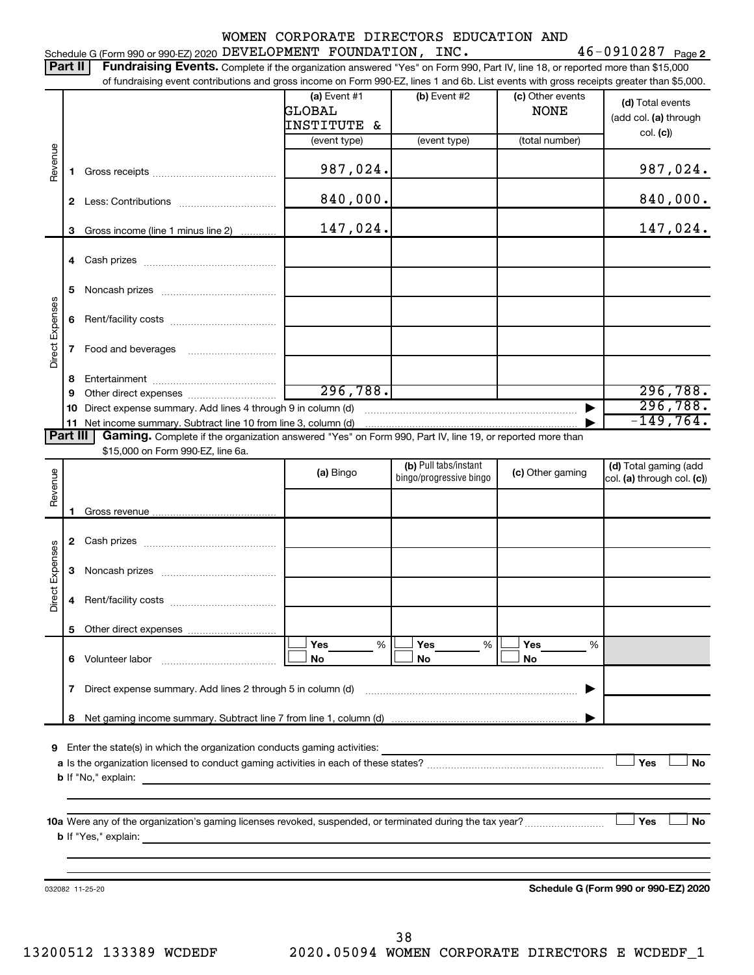### Schedule G (Form 990 or 990-EZ) 2020 Page DEVELOPMENT FOUNDATION, INC. 46-0910287

46-0910287 Page 2

|                 | Part II | Fundraising Events. Complete if the organization answered "Yes" on Form 990, Part IV, line 18, or reported more than \$15,000<br>of fundraising event contributions and gross income on Form 990-EZ, lines 1 and 6b. List events with gross receipts greater than \$5,000. |                                       |                                                  |                                 |                                                       |
|-----------------|---------|----------------------------------------------------------------------------------------------------------------------------------------------------------------------------------------------------------------------------------------------------------------------------|---------------------------------------|--------------------------------------------------|---------------------------------|-------------------------------------------------------|
|                 |         |                                                                                                                                                                                                                                                                            | (a) Event #1<br>GLOBAL<br>INSTITUTE & | (b) Event #2                                     | (c) Other events<br><b>NONE</b> | (d) Total events<br>(add col. (a) through<br>col. (c) |
|                 |         |                                                                                                                                                                                                                                                                            | (event type)                          | (event type)                                     | (total number)                  |                                                       |
| Revenue         | 1.      |                                                                                                                                                                                                                                                                            | 987,024.                              |                                                  |                                 | 987,024.                                              |
|                 |         |                                                                                                                                                                                                                                                                            | 840,000.                              |                                                  |                                 | 840,000.                                              |
|                 | 3       | Gross income (line 1 minus line 2)                                                                                                                                                                                                                                         | 147,024.                              |                                                  |                                 | 147,024.                                              |
|                 |         |                                                                                                                                                                                                                                                                            |                                       |                                                  |                                 |                                                       |
|                 | 5.      |                                                                                                                                                                                                                                                                            |                                       |                                                  |                                 |                                                       |
| Direct Expenses | 6       |                                                                                                                                                                                                                                                                            |                                       |                                                  |                                 |                                                       |
|                 | 7       |                                                                                                                                                                                                                                                                            |                                       |                                                  |                                 |                                                       |
|                 | 8       |                                                                                                                                                                                                                                                                            |                                       |                                                  |                                 |                                                       |
|                 | 9<br>10 |                                                                                                                                                                                                                                                                            | 296, 788.                             |                                                  |                                 | 296,788.<br>296,788.                                  |
|                 |         |                                                                                                                                                                                                                                                                            |                                       |                                                  |                                 | $-149,764.$                                           |
| <b>Part III</b> |         | Gaming. Complete if the organization answered "Yes" on Form 990, Part IV, line 19, or reported more than                                                                                                                                                                   |                                       |                                                  |                                 |                                                       |
|                 |         | \$15,000 on Form 990-EZ, line 6a.                                                                                                                                                                                                                                          |                                       |                                                  |                                 |                                                       |
| Revenue         |         |                                                                                                                                                                                                                                                                            | (a) Bingo                             | (b) Pull tabs/instant<br>bingo/progressive bingo | (c) Other gaming                | (d) Total gaming (add<br>col. (a) through col. (c))   |
|                 | 1       |                                                                                                                                                                                                                                                                            |                                       |                                                  |                                 |                                                       |
|                 |         |                                                                                                                                                                                                                                                                            |                                       |                                                  |                                 |                                                       |
|                 | 3       |                                                                                                                                                                                                                                                                            |                                       |                                                  |                                 |                                                       |
| Direct Expenses |         |                                                                                                                                                                                                                                                                            |                                       |                                                  |                                 |                                                       |
|                 |         |                                                                                                                                                                                                                                                                            |                                       |                                                  |                                 |                                                       |
|                 |         |                                                                                                                                                                                                                                                                            | Yes<br>%                              | Yes<br>%                                         | Yes<br>%                        |                                                       |
|                 |         |                                                                                                                                                                                                                                                                            | No                                    | No                                               | No                              |                                                       |
|                 |         | 7 Direct expense summary. Add lines 2 through 5 in column (d) matures and the expense summary. Add lines 2 through 5 in column (d)                                                                                                                                         |                                       |                                                  |                                 |                                                       |
|                 |         |                                                                                                                                                                                                                                                                            |                                       |                                                  |                                 |                                                       |
|                 |         |                                                                                                                                                                                                                                                                            |                                       |                                                  |                                 |                                                       |
|                 |         |                                                                                                                                                                                                                                                                            |                                       |                                                  |                                 | Yes<br><b>No</b>                                      |
|                 |         |                                                                                                                                                                                                                                                                            |                                       |                                                  |                                 |                                                       |
|                 |         |                                                                                                                                                                                                                                                                            |                                       |                                                  |                                 |                                                       |
|                 |         | 10a Were any of the organization's gaming licenses revoked, suspended, or terminated during the tax year?                                                                                                                                                                  |                                       |                                                  |                                 | Yes<br><b>No</b>                                      |
|                 |         |                                                                                                                                                                                                                                                                            |                                       |                                                  |                                 |                                                       |
|                 |         |                                                                                                                                                                                                                                                                            |                                       |                                                  |                                 |                                                       |
|                 |         |                                                                                                                                                                                                                                                                            |                                       |                                                  |                                 |                                                       |
|                 |         | 032082 11-25-20                                                                                                                                                                                                                                                            |                                       |                                                  |                                 | Schedule G (Form 990 or 990-EZ) 2020                  |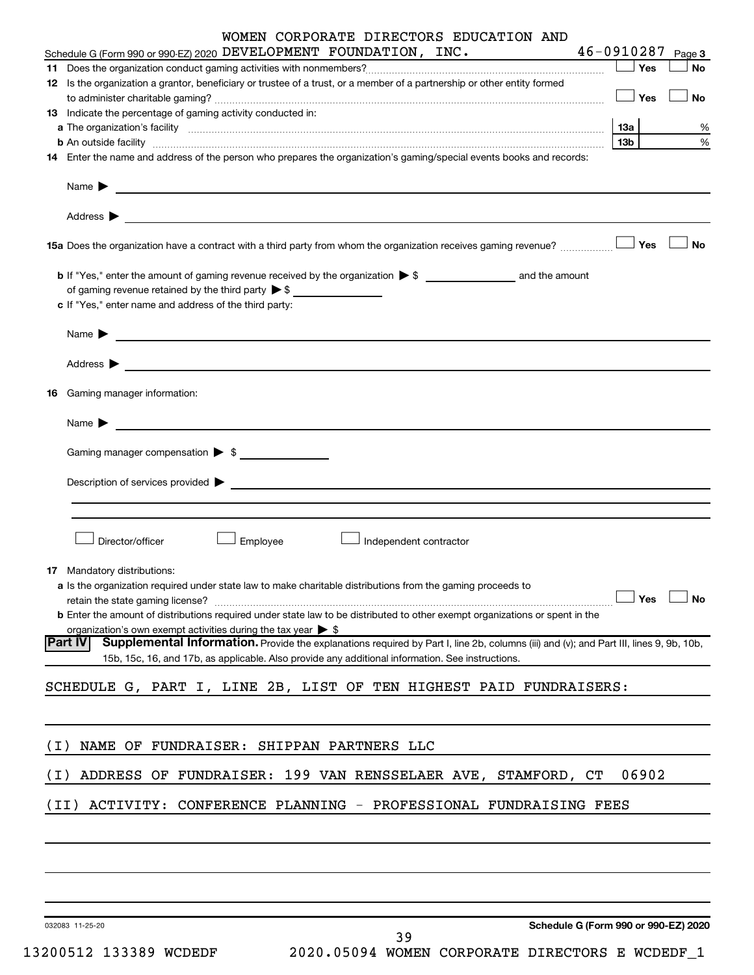|       | WOMEN CORPORATE DIRECTORS EDUCATION AND                                                                                                                                                                                                                      | 46-0910287      |           |
|-------|--------------------------------------------------------------------------------------------------------------------------------------------------------------------------------------------------------------------------------------------------------------|-----------------|-----------|
|       | Schedule G (Form 990 or 990-EZ) 2020 DEVELOPMENT FOUNDATION, INC.                                                                                                                                                                                            |                 | Page 3    |
|       | 11 Does the organization conduct gaming activities with nonmembers?<br>11 Does the organization conduct gaming activities with nonmembers?<br>1                                                                                                              | — SYes          | No        |
|       | 12 Is the organization a grantor, beneficiary or trustee of a trust, or a member of a partnership or other entity formed                                                                                                                                     | $\Box$ Yes      | No        |
|       | 13 Indicate the percentage of gaming activity conducted in:                                                                                                                                                                                                  |                 |           |
|       |                                                                                                                                                                                                                                                              | 13а             | ℅         |
|       | b An outside facility www.communications.com/news/communications.com/news/communications.com/news/communication                                                                                                                                              | 13 <sub>b</sub> | %         |
|       | 14 Enter the name and address of the person who prepares the organization's gaming/special events books and records:                                                                                                                                         |                 |           |
|       | Name $\blacktriangleright$<br><u> 1989 - Andrea Andrew Maria (h. 1989).</u>                                                                                                                                                                                  |                 |           |
|       | Address $\blacktriangleright$<br><u> 1989 - Johann Barn, mars et al. (b. 1989)</u>                                                                                                                                                                           |                 |           |
|       |                                                                                                                                                                                                                                                              |                 | No        |
|       | of gaming revenue retained by the third party $\triangleright$ \$                                                                                                                                                                                            |                 |           |
|       | c If "Yes," enter name and address of the third party:                                                                                                                                                                                                       |                 |           |
|       | Name $\blacktriangleright$                                                                                                                                                                                                                                   |                 |           |
|       | Address $\blacktriangleright$                                                                                                                                                                                                                                |                 |           |
|       | <b>16</b> Gaming manager information:                                                                                                                                                                                                                        |                 |           |
|       | Name $\blacktriangleright$<br><u> 1980 - John Stein, Amerikaansk politiker (* 1950)</u>                                                                                                                                                                      |                 |           |
|       | Gaming manager compensation > \$                                                                                                                                                                                                                             |                 |           |
|       |                                                                                                                                                                                                                                                              |                 |           |
|       |                                                                                                                                                                                                                                                              |                 |           |
|       | Director/officer<br>Employee<br>Independent contractor                                                                                                                                                                                                       |                 |           |
|       | 17 Mandatory distributions:                                                                                                                                                                                                                                  |                 |           |
|       | a Is the organization required under state law to make charitable distributions from the gaming proceeds to                                                                                                                                                  |                 |           |
|       | retain the state gaming license?                                                                                                                                                                                                                             | Yes             | <b>No</b> |
|       | <b>b</b> Enter the amount of distributions required under state law to be distributed to other exempt organizations or spent in the                                                                                                                          |                 |           |
|       | organization's own exempt activities during the tax year $\triangleright$ \$                                                                                                                                                                                 |                 |           |
|       | <b>Part IV</b><br>Supplemental Information. Provide the explanations required by Part I, line 2b, columns (iii) and (v); and Part III, lines 9, 9b, 10b,<br>15b, 15c, 16, and 17b, as applicable. Also provide any additional information. See instructions. |                 |           |
|       | SCHEDULE G, PART I, LINE 2B, LIST OF TEN HIGHEST PAID FUNDRAISERS:                                                                                                                                                                                           |                 |           |
|       |                                                                                                                                                                                                                                                              |                 |           |
|       |                                                                                                                                                                                                                                                              |                 |           |
| ( I ) | NAME OF FUNDRAISER: SHIPPAN PARTNERS LLC                                                                                                                                                                                                                     |                 |           |
| ( I ) | ADDRESS OF FUNDRAISER: 199 VAN RENSSELAER AVE, STAMFORD, CT                                                                                                                                                                                                  | 06902           |           |
|       | ACTIVITY: CONFERENCE PLANNING - PROFESSIONAL FUNDRAISING FEES<br>(II)                                                                                                                                                                                        |                 |           |
|       |                                                                                                                                                                                                                                                              |                 |           |
|       |                                                                                                                                                                                                                                                              |                 |           |
|       |                                                                                                                                                                                                                                                              |                 |           |
|       |                                                                                                                                                                                                                                                              |                 |           |

032083 11-25-20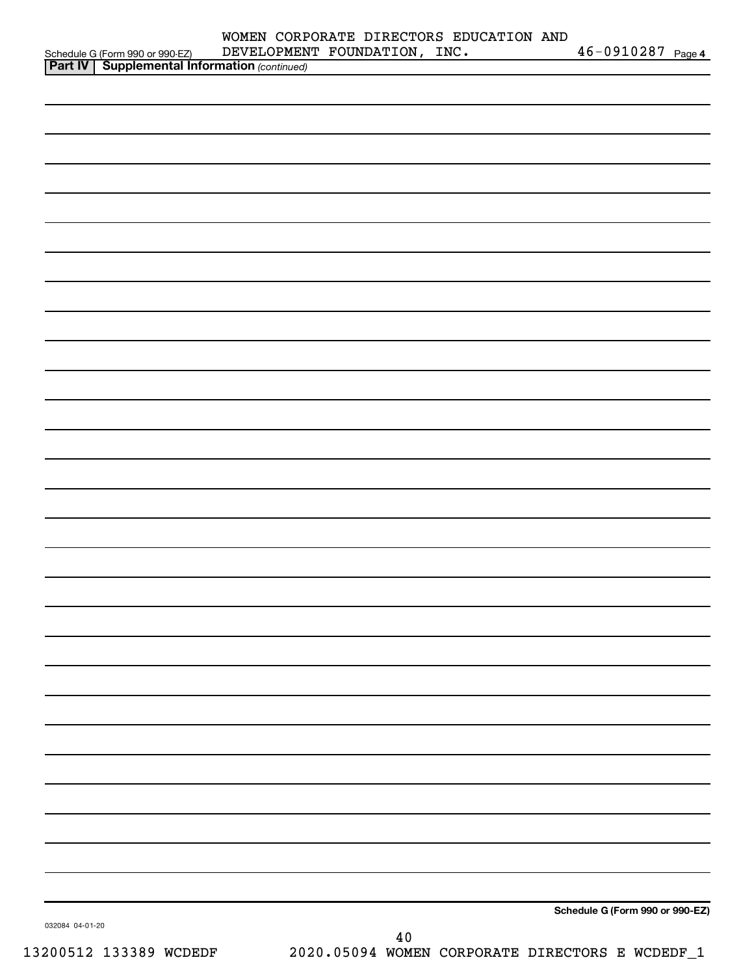|                                                                                                     | DEVELOPMENT FOUNDATION, INC. |  | 46-0910287 Page 4               |  |
|-----------------------------------------------------------------------------------------------------|------------------------------|--|---------------------------------|--|
| Schedule G (Form 990 or 990-EZ) DEVELOPMEN<br><b>Part IV   Supplemental Information</b> (continued) |                              |  |                                 |  |
|                                                                                                     |                              |  |                                 |  |
|                                                                                                     |                              |  |                                 |  |
|                                                                                                     |                              |  |                                 |  |
|                                                                                                     |                              |  |                                 |  |
|                                                                                                     |                              |  |                                 |  |
|                                                                                                     |                              |  |                                 |  |
|                                                                                                     |                              |  |                                 |  |
|                                                                                                     |                              |  |                                 |  |
|                                                                                                     |                              |  |                                 |  |
|                                                                                                     |                              |  |                                 |  |
|                                                                                                     |                              |  |                                 |  |
|                                                                                                     |                              |  |                                 |  |
|                                                                                                     |                              |  |                                 |  |
|                                                                                                     |                              |  |                                 |  |
|                                                                                                     |                              |  |                                 |  |
|                                                                                                     |                              |  |                                 |  |
|                                                                                                     |                              |  |                                 |  |
|                                                                                                     |                              |  |                                 |  |
|                                                                                                     |                              |  |                                 |  |
|                                                                                                     |                              |  |                                 |  |
|                                                                                                     |                              |  |                                 |  |
|                                                                                                     |                              |  |                                 |  |
|                                                                                                     |                              |  |                                 |  |
|                                                                                                     |                              |  |                                 |  |
|                                                                                                     |                              |  |                                 |  |
|                                                                                                     |                              |  |                                 |  |
|                                                                                                     |                              |  |                                 |  |
|                                                                                                     |                              |  |                                 |  |
|                                                                                                     |                              |  |                                 |  |
|                                                                                                     |                              |  |                                 |  |
|                                                                                                     |                              |  |                                 |  |
|                                                                                                     |                              |  |                                 |  |
|                                                                                                     |                              |  |                                 |  |
|                                                                                                     |                              |  |                                 |  |
|                                                                                                     |                              |  |                                 |  |
|                                                                                                     |                              |  |                                 |  |
|                                                                                                     |                              |  |                                 |  |
|                                                                                                     |                              |  |                                 |  |
|                                                                                                     |                              |  |                                 |  |
|                                                                                                     |                              |  |                                 |  |
|                                                                                                     |                              |  |                                 |  |
|                                                                                                     |                              |  |                                 |  |
|                                                                                                     |                              |  |                                 |  |
|                                                                                                     |                              |  |                                 |  |
|                                                                                                     |                              |  |                                 |  |
|                                                                                                     |                              |  |                                 |  |
|                                                                                                     |                              |  |                                 |  |
|                                                                                                     |                              |  |                                 |  |
|                                                                                                     |                              |  |                                 |  |
|                                                                                                     |                              |  | Schedule G (Form 990 or 990-EZ) |  |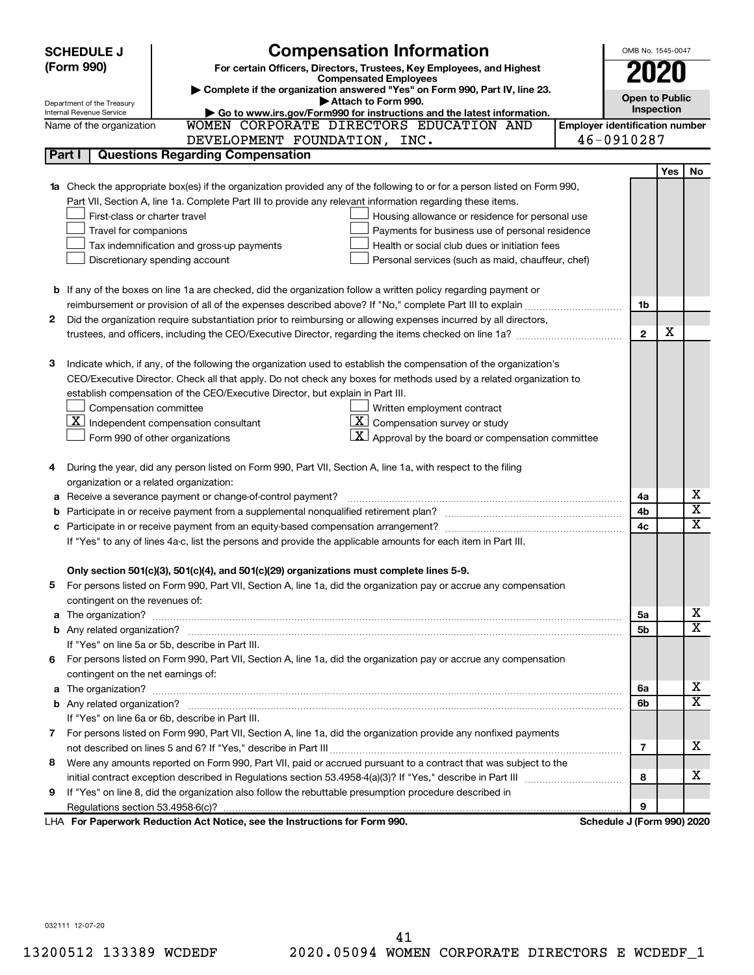|   | <b>Compensation Information</b><br><b>SCHEDULE J</b>                                                                                                                                                                                |                                       | OMB No. 1545-0047     |            |                         |
|---|-------------------------------------------------------------------------------------------------------------------------------------------------------------------------------------------------------------------------------------|---------------------------------------|-----------------------|------------|-------------------------|
|   | (Form 990)<br>For certain Officers, Directors, Trustees, Key Employees, and Highest                                                                                                                                                 |                                       |                       |            |                         |
|   | <b>Compensated Employees</b>                                                                                                                                                                                                        |                                       |                       |            |                         |
|   | Complete if the organization answered "Yes" on Form 990, Part IV, line 23.<br>Attach to Form 990.                                                                                                                                   |                                       | <b>Open to Public</b> |            |                         |
|   | Department of the Treasury<br>Go to www.irs.gov/Form990 for instructions and the latest information.<br>Internal Revenue Service                                                                                                    |                                       | Inspection            |            |                         |
|   | WOMEN CORPORATE DIRECTORS EDUCATION AND<br>Name of the organization                                                                                                                                                                 | <b>Employer identification number</b> |                       |            |                         |
|   | DEVELOPMENT FOUNDATION, INC.                                                                                                                                                                                                        | 46-0910287                            |                       |            |                         |
|   | <b>Questions Regarding Compensation</b><br>Part I                                                                                                                                                                                   |                                       |                       |            |                         |
|   |                                                                                                                                                                                                                                     |                                       |                       | <b>Yes</b> | No                      |
|   | 1a Check the appropriate box(es) if the organization provided any of the following to or for a person listed on Form 990,                                                                                                           |                                       |                       |            |                         |
|   | Part VII, Section A, line 1a. Complete Part III to provide any relevant information regarding these items.                                                                                                                          |                                       |                       |            |                         |
|   | First-class or charter travel<br>Housing allowance or residence for personal use                                                                                                                                                    |                                       |                       |            |                         |
|   | Travel for companions<br>Payments for business use of personal residence                                                                                                                                                            |                                       |                       |            |                         |
|   | Tax indemnification and gross-up payments<br>Health or social club dues or initiation fees                                                                                                                                          |                                       |                       |            |                         |
|   | Discretionary spending account<br>Personal services (such as maid, chauffeur, chef)                                                                                                                                                 |                                       |                       |            |                         |
|   |                                                                                                                                                                                                                                     |                                       |                       |            |                         |
|   | <b>b</b> If any of the boxes on line 1a are checked, did the organization follow a written policy regarding payment or                                                                                                              |                                       |                       |            |                         |
|   | reimbursement or provision of all of the expenses described above? If "No," complete Part III to explain                                                                                                                            |                                       | 1b                    |            |                         |
| 2 | Did the organization require substantiation prior to reimbursing or allowing expenses incurred by all directors,                                                                                                                    |                                       |                       |            |                         |
|   | trustees, and officers, including the CEO/Executive Director, regarding the items checked on line 1a?                                                                                                                               |                                       | $\overline{2}$        | х          |                         |
|   |                                                                                                                                                                                                                                     |                                       |                       |            |                         |
| з | Indicate which, if any, of the following the organization used to establish the compensation of the organization's                                                                                                                  |                                       |                       |            |                         |
|   | CEO/Executive Director. Check all that apply. Do not check any boxes for methods used by a related organization to                                                                                                                  |                                       |                       |            |                         |
|   | establish compensation of the CEO/Executive Director, but explain in Part III.                                                                                                                                                      |                                       |                       |            |                         |
|   | Compensation committee<br>Written employment contract                                                                                                                                                                               |                                       |                       |            |                         |
|   | $\overline{\mathbf{X}}$ Compensation survey or study<br>$ \underline{\mathbf{X}} $ Independent compensation consultant                                                                                                              |                                       |                       |            |                         |
|   | Approval by the board or compensation committee<br>Form 990 of other organizations                                                                                                                                                  |                                       |                       |            |                         |
|   |                                                                                                                                                                                                                                     |                                       |                       |            |                         |
|   | During the year, did any person listed on Form 990, Part VII, Section A, line 1a, with respect to the filing                                                                                                                        |                                       |                       |            |                         |
|   | organization or a related organization:                                                                                                                                                                                             |                                       |                       |            | х                       |
| а | Receive a severance payment or change-of-control payment?                                                                                                                                                                           |                                       | 4a                    |            | $\overline{\texttt{x}}$ |
| b |                                                                                                                                                                                                                                     |                                       | 4b                    |            | $\overline{\text{x}}$   |
| c | Participate in or receive payment from an equity-based compensation arrangement?                                                                                                                                                    |                                       | 4c                    |            |                         |
|   | If "Yes" to any of lines 4a-c, list the persons and provide the applicable amounts for each item in Part III.                                                                                                                       |                                       |                       |            |                         |
|   | Only section 501(c)(3), 501(c)(4), and 501(c)(29) organizations must complete lines 5-9.                                                                                                                                            |                                       |                       |            |                         |
|   | For persons listed on Form 990, Part VII, Section A, line 1a, did the organization pay or accrue any compensation                                                                                                                   |                                       |                       |            |                         |
|   | contingent on the revenues of:                                                                                                                                                                                                      |                                       |                       |            |                         |
|   | a The organization? <b>contracts</b> and contracts are contracted and contract and contract and contract and contract and contract and contract and contract and contract and contract and contract and contract and contract and c |                                       | 5a                    |            | x.                      |
|   |                                                                                                                                                                                                                                     |                                       | 5b                    |            | $\overline{\mathbf{X}}$ |
|   | If "Yes" on line 5a or 5b, describe in Part III.                                                                                                                                                                                    |                                       |                       |            |                         |
| 6 | For persons listed on Form 990, Part VII, Section A, line 1a, did the organization pay or accrue any compensation                                                                                                                   |                                       |                       |            |                         |
|   | contingent on the net earnings of:                                                                                                                                                                                                  |                                       |                       |            |                         |
|   |                                                                                                                                                                                                                                     |                                       | 6а                    |            | x.                      |
|   |                                                                                                                                                                                                                                     |                                       | 6b                    |            | $\overline{\mathbf{X}}$ |
|   | If "Yes" on line 6a or 6b, describe in Part III.                                                                                                                                                                                    |                                       |                       |            |                         |
|   | 7 For persons listed on Form 990, Part VII, Section A, line 1a, did the organization provide any nonfixed payments                                                                                                                  |                                       |                       |            |                         |
|   |                                                                                                                                                                                                                                     |                                       | 7                     |            | x.                      |
| 8 | Were any amounts reported on Form 990, Part VII, paid or accrued pursuant to a contract that was subject to the                                                                                                                     |                                       |                       |            |                         |
|   |                                                                                                                                                                                                                                     |                                       | 8                     |            | x.                      |
| 9 | If "Yes" on line 8, did the organization also follow the rebuttable presumption procedure described in                                                                                                                              |                                       |                       |            |                         |
|   |                                                                                                                                                                                                                                     |                                       | 9                     |            |                         |
|   | LHA For Paperwork Reduction Act Notice, see the Instructions for Form 990.                                                                                                                                                          | Schedule J (Form 990) 2020            |                       |            |                         |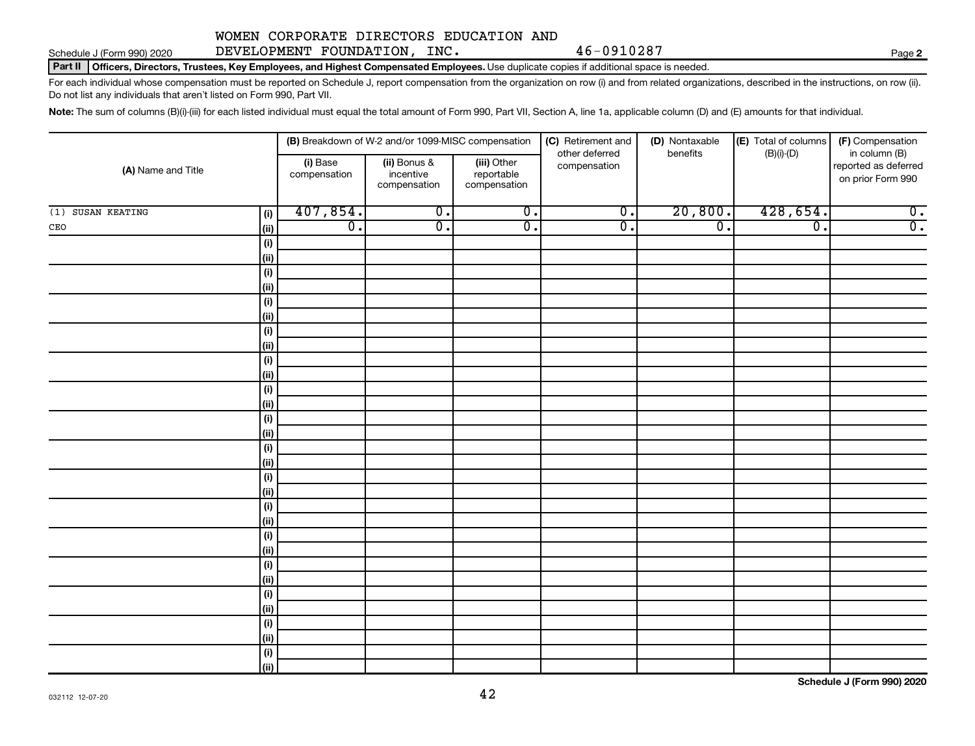Schedule J (Form 990) 2020 DEVELOPMENT FOUNDATION,INC. 46-0910287 Page

# WOMEN CORPORATE DIRECTORS EDUCATION AND

**2**

Part II | Officers, Directors, Trustees, Key Employees, and Highest Compensated Employees. Use duplicate copies if additional space is needed.

For each individual whose compensation must be reported on Schedule J, report compensation from the organization on row (i) and from related organizations, described in the instructions, on row (ii). Do not list any individuals that aren't listed on Form 990, Part VII.

Note: The sum of columns (B)(i)-(iii) for each listed individual must equal the total amount of Form 990, Part VII, Section A, line 1a, applicable column (D) and (E) amounts for that individual.

| (A) Name and Title |             |                             | (B) Breakdown of W-2 and/or 1099-MISC compensation |                                           | (C) Retirement and<br>other deferred | (D) Nontaxable<br>benefits | (E) Total of columns<br>$(B)(i)-(D)$ | (F) Compensation<br>in column (B)         |
|--------------------|-------------|-----------------------------|----------------------------------------------------|-------------------------------------------|--------------------------------------|----------------------------|--------------------------------------|-------------------------------------------|
|                    |             | (i) Base<br>compensation    | (ii) Bonus &<br>incentive<br>compensation          | (iii) Other<br>reportable<br>compensation | compensation                         |                            |                                      | reported as deferred<br>on prior Form 990 |
| (1) SUSAN KEATING  | (i)         | 407,854.                    | $\overline{0}$ .                                   | $\overline{0}$ .                          | $\overline{0}$ .                     | 20,800.                    | 428,654.                             | $\overline{0}$ .                          |
| $\mathtt{CEO}$     | (ii)        | $\overline{\mathfrak{o}}$ . | $\overline{0}$ .                                   | $\overline{0}$ .                          | $\overline{0}$ .                     | $\overline{0}$ .           | $\overline{0}$ .                     | $\overline{0}$ .                          |
|                    | (i)         |                             |                                                    |                                           |                                      |                            |                                      |                                           |
|                    | (ii)        |                             |                                                    |                                           |                                      |                            |                                      |                                           |
|                    | $(\sf{i})$  |                             |                                                    |                                           |                                      |                            |                                      |                                           |
|                    | (ii)        |                             |                                                    |                                           |                                      |                            |                                      |                                           |
|                    | $(\sf{i})$  |                             |                                                    |                                           |                                      |                            |                                      |                                           |
|                    | (ii)        |                             |                                                    |                                           |                                      |                            |                                      |                                           |
|                    | $(\sf{i})$  |                             |                                                    |                                           |                                      |                            |                                      |                                           |
|                    | (ii)        |                             |                                                    |                                           |                                      |                            |                                      |                                           |
|                    | (i)         |                             |                                                    |                                           |                                      |                            |                                      |                                           |
|                    | (ii)        |                             |                                                    |                                           |                                      |                            |                                      |                                           |
|                    | (i)         |                             |                                                    |                                           |                                      |                            |                                      |                                           |
|                    | (ii)        |                             |                                                    |                                           |                                      |                            |                                      |                                           |
|                    | (i)         |                             |                                                    |                                           |                                      |                            |                                      |                                           |
|                    | (ii)        |                             |                                                    |                                           |                                      |                            |                                      |                                           |
|                    | (i)         |                             |                                                    |                                           |                                      |                            |                                      |                                           |
|                    | (ii)        |                             |                                                    |                                           |                                      |                            |                                      |                                           |
|                    | (i)<br>(ii) |                             |                                                    |                                           |                                      |                            |                                      |                                           |
|                    | (i)         |                             |                                                    |                                           |                                      |                            |                                      |                                           |
|                    | (ii)        |                             |                                                    |                                           |                                      |                            |                                      |                                           |
|                    | (i)         |                             |                                                    |                                           |                                      |                            |                                      |                                           |
|                    | (ii)        |                             |                                                    |                                           |                                      |                            |                                      |                                           |
|                    | (i)         |                             |                                                    |                                           |                                      |                            |                                      |                                           |
|                    | (ii)        |                             |                                                    |                                           |                                      |                            |                                      |                                           |
|                    | (i)         |                             |                                                    |                                           |                                      |                            |                                      |                                           |
|                    | (ii)        |                             |                                                    |                                           |                                      |                            |                                      |                                           |
|                    | (i)         |                             |                                                    |                                           |                                      |                            |                                      |                                           |
|                    | (ii)        |                             |                                                    |                                           |                                      |                            |                                      |                                           |
|                    | (i)         |                             |                                                    |                                           |                                      |                            |                                      |                                           |
|                    | (ii)        |                             |                                                    |                                           |                                      |                            |                                      |                                           |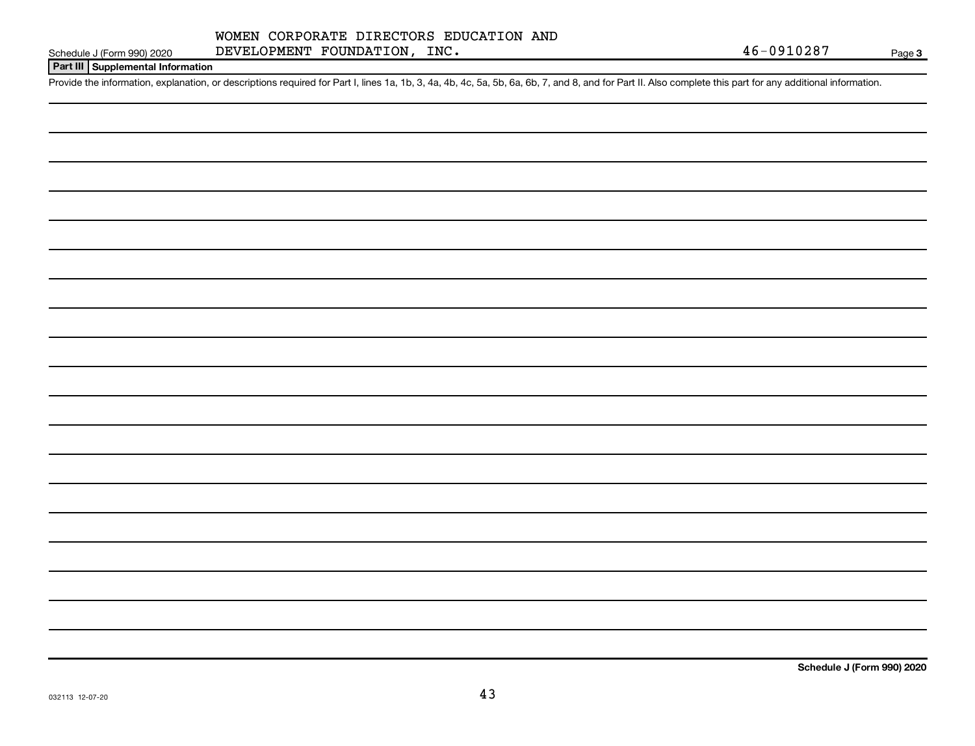### **Part III Supplemental Information**

Provide the information, explanation, or descriptions required for Part I, lines 1a, 1b, 3, 4a, 4b, 4c, 5a, 5b, 6a, 6b, 7, and 8, and for Part II. Also complete this part for any additional information.

**Schedule J (Form 990) 2020**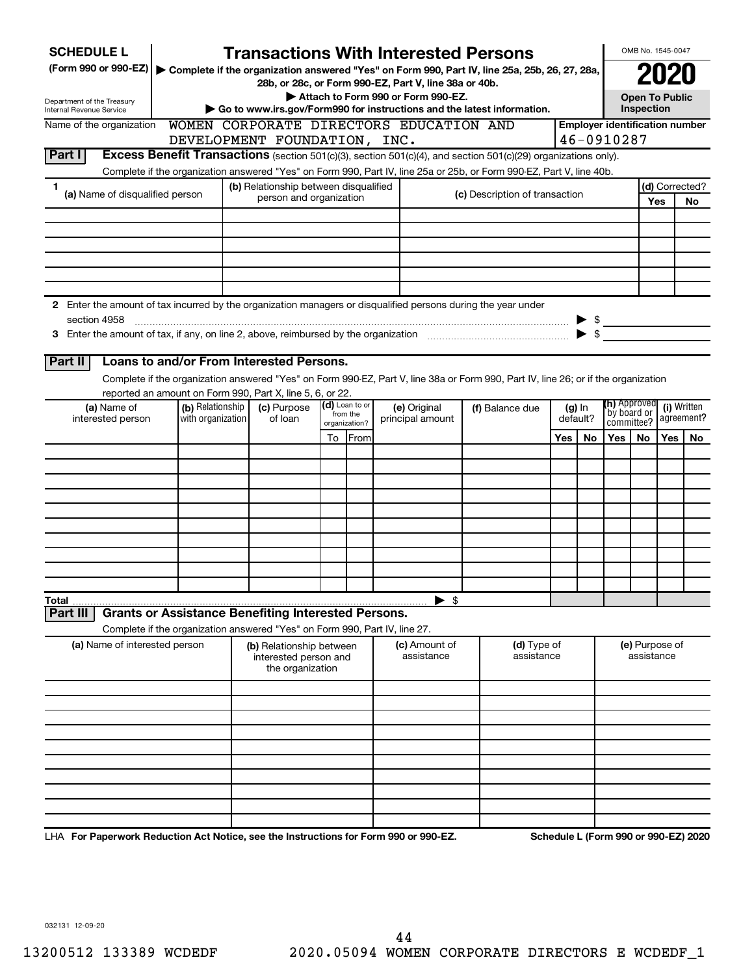| <b>SCHEDULE L</b>                                                                                             |                   | <b>Transactions With Interested Persons</b>                                                                                        |    |                            |                                    |  |                                |          |    |                                       | OMB No. 1545-0047                   |     |                                      |                                    |  |  |             |
|---------------------------------------------------------------------------------------------------------------|-------------------|------------------------------------------------------------------------------------------------------------------------------------|----|----------------------------|------------------------------------|--|--------------------------------|----------|----|---------------------------------------|-------------------------------------|-----|--------------------------------------|------------------------------------|--|--|-------------|
| (Form 990 or 990-EZ)                                                                                          |                   | Complete if the organization answered "Yes" on Form 990, Part IV, line 25a, 25b, 26, 27, 28a,                                      |    |                            |                                    |  |                                |          |    |                                       |                                     |     |                                      |                                    |  |  |             |
|                                                                                                               |                   | 28b, or 28c, or Form 990-EZ, Part V, line 38a or 40b.                                                                              |    |                            | Attach to Form 990 or Form 990-EZ. |  |                                |          |    |                                       |                                     |     |                                      |                                    |  |  |             |
| Department of the Treasury<br>Internal Revenue Service                                                        |                   | Go to www.irs.gov/Form990 for instructions and the latest information.                                                             |    |                            |                                    |  |                                |          |    |                                       | <b>Open To Public</b><br>Inspection |     |                                      |                                    |  |  |             |
| Name of the organization                                                                                      |                   | WOMEN CORPORATE DIRECTORS EDUCATION AND                                                                                            |    |                            |                                    |  |                                |          |    | <b>Employer identification number</b> |                                     |     |                                      |                                    |  |  |             |
|                                                                                                               |                   | DEVELOPMENT FOUNDATION, INC.                                                                                                       |    |                            |                                    |  |                                |          |    | 46-0910287                            |                                     |     |                                      |                                    |  |  |             |
| Part I                                                                                                        |                   | Excess Benefit Transactions (section 501(c)(3), section 501(c)(4), and section 501(c)(29) organizations only).                     |    |                            |                                    |  |                                |          |    |                                       |                                     |     |                                      |                                    |  |  |             |
|                                                                                                               |                   | Complete if the organization answered "Yes" on Form 990, Part IV, line 25a or 25b, or Form 990-EZ, Part V, line 40b.               |    |                            |                                    |  |                                |          |    |                                       |                                     |     |                                      |                                    |  |  |             |
| 1.                                                                                                            |                   | (b) Relationship between disqualified                                                                                              |    |                            |                                    |  |                                |          |    |                                       |                                     |     | (d) Corrected?                       |                                    |  |  |             |
| (a) Name of disqualified person                                                                               |                   | person and organization                                                                                                            |    |                            |                                    |  | (c) Description of transaction |          |    |                                       |                                     | Yes | No                                   |                                    |  |  |             |
|                                                                                                               |                   |                                                                                                                                    |    |                            |                                    |  |                                |          |    |                                       |                                     |     |                                      |                                    |  |  |             |
|                                                                                                               |                   |                                                                                                                                    |    |                            |                                    |  |                                |          |    |                                       |                                     |     |                                      |                                    |  |  |             |
|                                                                                                               |                   |                                                                                                                                    |    |                            |                                    |  |                                |          |    |                                       |                                     |     |                                      |                                    |  |  |             |
|                                                                                                               |                   |                                                                                                                                    |    |                            |                                    |  |                                |          |    |                                       |                                     |     |                                      |                                    |  |  |             |
|                                                                                                               |                   |                                                                                                                                    |    |                            |                                    |  |                                |          |    |                                       |                                     |     |                                      |                                    |  |  |             |
| 2 Enter the amount of tax incurred by the organization managers or disqualified persons during the year under |                   |                                                                                                                                    |    |                            |                                    |  |                                |          |    |                                       |                                     |     |                                      |                                    |  |  |             |
| section 4958                                                                                                  |                   |                                                                                                                                    |    |                            |                                    |  |                                |          |    | $\triangleright$ \$                   |                                     |     |                                      |                                    |  |  |             |
|                                                                                                               |                   |                                                                                                                                    |    |                            |                                    |  |                                |          |    |                                       |                                     |     |                                      |                                    |  |  |             |
|                                                                                                               |                   |                                                                                                                                    |    |                            |                                    |  |                                |          |    |                                       |                                     |     |                                      |                                    |  |  |             |
| Part II                                                                                                       |                   | Loans to and/or From Interested Persons.                                                                                           |    |                            |                                    |  |                                |          |    |                                       |                                     |     |                                      |                                    |  |  |             |
|                                                                                                               |                   | Complete if the organization answered "Yes" on Form 990-EZ, Part V, line 38a or Form 990, Part IV, line 26; or if the organization |    |                            |                                    |  |                                |          |    |                                       |                                     |     |                                      |                                    |  |  |             |
|                                                                                                               |                   | reported an amount on Form 990, Part X, line 5, 6, or 22.                                                                          |    |                            |                                    |  |                                |          |    |                                       |                                     |     |                                      |                                    |  |  |             |
| (a) Name of                                                                                                   | (b) Relationship  | (c) Purpose                                                                                                                        |    | (d) Loan to or<br>from the | (e) Original                       |  | (f) Balance due                |          |    |                                       |                                     |     | $(g)$ In                             | <b>(h)</b> Approved<br>by board or |  |  | (i) Written |
| interested person                                                                                             | with organization | of loan                                                                                                                            |    | organization?              | principal amount                   |  |                                | default? |    |                                       | agreement?<br>committee?            |     |                                      |                                    |  |  |             |
|                                                                                                               |                   |                                                                                                                                    | To | From                       |                                    |  |                                | Yes      | No | Yes                                   | No                                  | Yes | No                                   |                                    |  |  |             |
|                                                                                                               |                   |                                                                                                                                    |    |                            |                                    |  |                                |          |    |                                       |                                     |     |                                      |                                    |  |  |             |
|                                                                                                               |                   |                                                                                                                                    |    |                            |                                    |  |                                |          |    |                                       |                                     |     |                                      |                                    |  |  |             |
|                                                                                                               |                   |                                                                                                                                    |    |                            |                                    |  |                                |          |    |                                       |                                     |     |                                      |                                    |  |  |             |
|                                                                                                               |                   |                                                                                                                                    |    |                            |                                    |  |                                |          |    |                                       |                                     |     |                                      |                                    |  |  |             |
|                                                                                                               |                   |                                                                                                                                    |    |                            |                                    |  |                                |          |    |                                       |                                     |     |                                      |                                    |  |  |             |
|                                                                                                               |                   |                                                                                                                                    |    |                            |                                    |  |                                |          |    |                                       |                                     |     |                                      |                                    |  |  |             |
|                                                                                                               |                   |                                                                                                                                    |    |                            |                                    |  |                                |          |    |                                       |                                     |     |                                      |                                    |  |  |             |
|                                                                                                               |                   |                                                                                                                                    |    |                            |                                    |  |                                |          |    |                                       |                                     |     |                                      |                                    |  |  |             |
|                                                                                                               |                   |                                                                                                                                    |    |                            |                                    |  |                                |          |    |                                       |                                     |     |                                      |                                    |  |  |             |
| Total                                                                                                         |                   |                                                                                                                                    |    |                            | $\blacktriangleright$ \$           |  |                                |          |    |                                       |                                     |     |                                      |                                    |  |  |             |
| Part II                                                                                                       |                   | <b>Grants or Assistance Benefiting Interested Persons.</b>                                                                         |    |                            |                                    |  |                                |          |    |                                       |                                     |     |                                      |                                    |  |  |             |
|                                                                                                               |                   | Complete if the organization answered "Yes" on Form 990, Part IV, line 27.                                                         |    |                            |                                    |  |                                |          |    |                                       |                                     |     |                                      |                                    |  |  |             |
| (a) Name of interested person                                                                                 |                   | (b) Relationship between                                                                                                           |    |                            | (c) Amount of<br>assistance        |  | (d) Type of<br>assistance      |          |    |                                       | (e) Purpose of<br>assistance        |     |                                      |                                    |  |  |             |
|                                                                                                               |                   | interested person and<br>the organization                                                                                          |    |                            |                                    |  |                                |          |    |                                       |                                     |     |                                      |                                    |  |  |             |
|                                                                                                               |                   |                                                                                                                                    |    |                            |                                    |  |                                |          |    |                                       |                                     |     |                                      |                                    |  |  |             |
|                                                                                                               |                   |                                                                                                                                    |    |                            |                                    |  |                                |          |    |                                       |                                     |     |                                      |                                    |  |  |             |
|                                                                                                               |                   |                                                                                                                                    |    |                            |                                    |  |                                |          |    |                                       |                                     |     |                                      |                                    |  |  |             |
|                                                                                                               |                   |                                                                                                                                    |    |                            |                                    |  |                                |          |    |                                       |                                     |     |                                      |                                    |  |  |             |
|                                                                                                               |                   |                                                                                                                                    |    |                            |                                    |  |                                |          |    |                                       |                                     |     |                                      |                                    |  |  |             |
|                                                                                                               |                   |                                                                                                                                    |    |                            |                                    |  |                                |          |    |                                       |                                     |     |                                      |                                    |  |  |             |
|                                                                                                               |                   |                                                                                                                                    |    |                            |                                    |  |                                |          |    |                                       |                                     |     |                                      |                                    |  |  |             |
|                                                                                                               |                   |                                                                                                                                    |    |                            |                                    |  |                                |          |    |                                       |                                     |     |                                      |                                    |  |  |             |
|                                                                                                               |                   |                                                                                                                                    |    |                            |                                    |  |                                |          |    |                                       |                                     |     |                                      |                                    |  |  |             |
|                                                                                                               |                   |                                                                                                                                    |    |                            |                                    |  |                                |          |    |                                       |                                     |     |                                      |                                    |  |  |             |
| LHA For Paperwork Reduction Act Notice, see the Instructions for Form 990 or 990-EZ.                          |                   |                                                                                                                                    |    |                            |                                    |  |                                |          |    |                                       |                                     |     | Schedule L (Form 990 or 990-EZ) 2020 |                                    |  |  |             |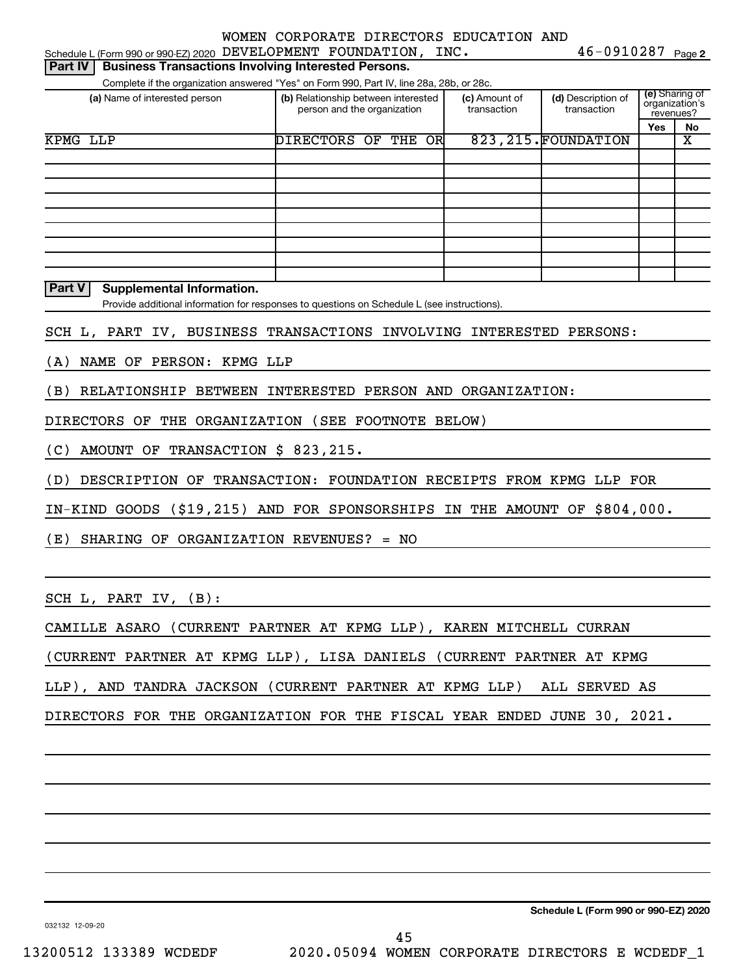| Schedule L (Form 990 or 990-EZ) 2020 DEVELOPMENT FOUNDATION, INC.                           |                     |                                                                    |                              | $46 - 0910287$ Page 2             |                                                      |    |
|---------------------------------------------------------------------------------------------|---------------------|--------------------------------------------------------------------|------------------------------|-----------------------------------|------------------------------------------------------|----|
| <b>Business Transactions Involving Interested Persons.</b><br>  Part IV                     |                     |                                                                    |                              |                                   |                                                      |    |
| Complete if the organization answered "Yes" on Form 990, Part IV, line 28a, 28b, or 28c.    |                     |                                                                    |                              |                                   |                                                      |    |
| (a) Name of interested person                                                               |                     | (b) Relationship between interested<br>person and the organization | (c) Amount of<br>transaction | (d) Description of<br>transaction | <b>(e)</b> Sharing of<br>organization's<br>revenues? |    |
|                                                                                             |                     |                                                                    |                              |                                   | Yes                                                  | No |
| KPMG LLP                                                                                    | DIRECTORS OF THE OR |                                                                    |                              | 823, 215. FOUNDATION              |                                                      | x  |
|                                                                                             |                     |                                                                    |                              |                                   |                                                      |    |
|                                                                                             |                     |                                                                    |                              |                                   |                                                      |    |
|                                                                                             |                     |                                                                    |                              |                                   |                                                      |    |
|                                                                                             |                     |                                                                    |                              |                                   |                                                      |    |
|                                                                                             |                     |                                                                    |                              |                                   |                                                      |    |
|                                                                                             |                     |                                                                    |                              |                                   |                                                      |    |
|                                                                                             |                     |                                                                    |                              |                                   |                                                      |    |
|                                                                                             |                     |                                                                    |                              |                                   |                                                      |    |
|                                                                                             |                     |                                                                    |                              |                                   |                                                      |    |
| <b>Part V</b><br><b>Supplemental Information.</b>                                           |                     |                                                                    |                              |                                   |                                                      |    |
| Provide additional information for responses to questions on Schedule L (see instructions). |                     |                                                                    |                              |                                   |                                                      |    |
| SCH L, PART IV, BUSINESS TRANSACTIONS INVOLVING INTERESTED PERSONS:                         |                     |                                                                    |                              |                                   |                                                      |    |
|                                                                                             |                     |                                                                    |                              |                                   |                                                      |    |
| NAME OF PERSON: KPMG LLP<br>(A)                                                             |                     |                                                                    |                              |                                   |                                                      |    |
| RELATIONSHIP BETWEEN INTERESTED PERSON AND ORGANIZATION:<br>(B)                             |                     |                                                                    |                              |                                   |                                                      |    |
|                                                                                             |                     |                                                                    |                              |                                   |                                                      |    |
| DIRECTORS OF THE ORGANIZATION (SEE FOOTNOTE BELOW)                                          |                     |                                                                    |                              |                                   |                                                      |    |
|                                                                                             |                     |                                                                    |                              |                                   |                                                      |    |
| AMOUNT OF TRANSACTION \$ 823, 215.<br>(C)                                                   |                     |                                                                    |                              |                                   |                                                      |    |
| DESCRIPTION OF TRANSACTION: FOUNDATION RECEIPTS FROM KPMG LLP FOR<br>(D)                    |                     |                                                                    |                              |                                   |                                                      |    |
|                                                                                             |                     |                                                                    |                              |                                   |                                                      |    |
| IN-KIND GOODS (\$19,215) AND FOR SPONSORSHIPS IN THE AMOUNT OF \$804,000.                   |                     |                                                                    |                              |                                   |                                                      |    |
|                                                                                             |                     |                                                                    |                              |                                   |                                                      |    |
| (E)<br>SHARING OF ORGANIZATION REVENUES? = NO                                               |                     |                                                                    |                              |                                   |                                                      |    |
|                                                                                             |                     |                                                                    |                              |                                   |                                                      |    |
|                                                                                             |                     |                                                                    |                              |                                   |                                                      |    |
| SCH L, PART IV, (B):                                                                        |                     |                                                                    |                              |                                   |                                                      |    |
| CAMILLE ASARO (CURRENT PARTNER AT KPMG LLP), KAREN MITCHELL CURRAN                          |                     |                                                                    |                              |                                   |                                                      |    |
|                                                                                             |                     |                                                                    |                              |                                   |                                                      |    |
| (CURRENT PARTNER AT KPMG LLP), LISA DANIELS (CURRENT PARTNER AT KPMG                        |                     |                                                                    |                              |                                   |                                                      |    |
| LLP), AND TANDRA JACKSON (CURRENT PARTNER AT KPMG LLP) ALL SERVED AS                        |                     |                                                                    |                              |                                   |                                                      |    |
|                                                                                             |                     |                                                                    |                              |                                   |                                                      |    |
| DIRECTORS FOR THE ORGANIZATION FOR THE FISCAL YEAR ENDED JUNE 30, 2021.                     |                     |                                                                    |                              |                                   |                                                      |    |
|                                                                                             |                     |                                                                    |                              |                                   |                                                      |    |
|                                                                                             |                     |                                                                    |                              |                                   |                                                      |    |
|                                                                                             |                     |                                                                    |                              |                                   |                                                      |    |
|                                                                                             |                     |                                                                    |                              |                                   |                                                      |    |

032132 12-09-20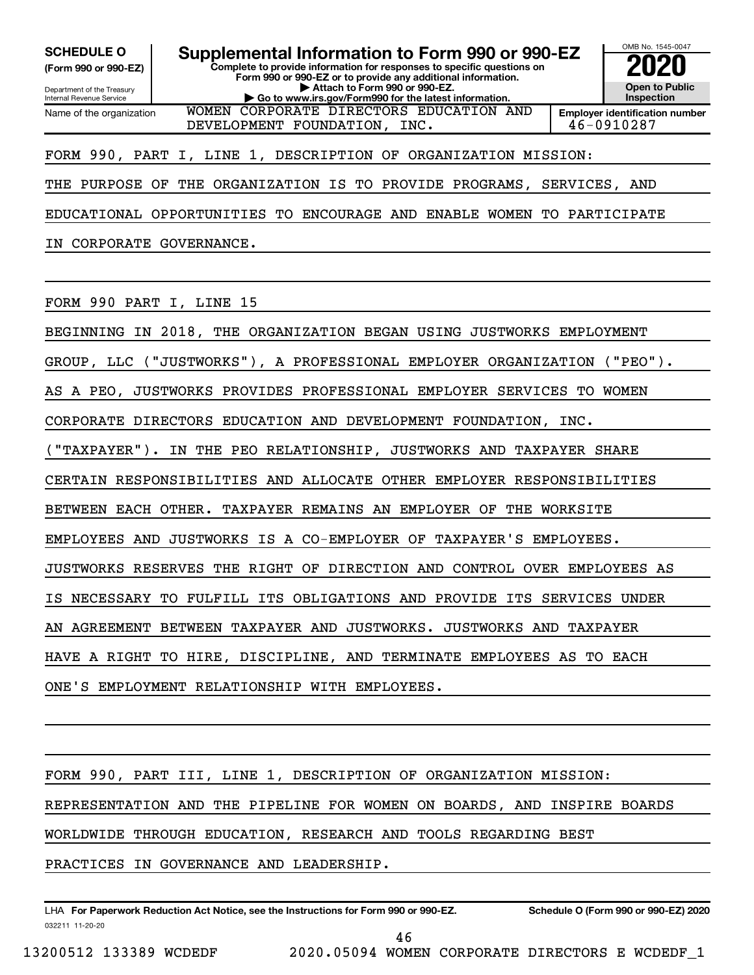**(Form 990 or 990-EZ)**

Department of the Treasury Internal Revenue Service Name of the organization

**Complete to provide information for responses to specific questions on Form 990 or 990-EZ or to provide any additional information. | Attach to Form 990 or 990-EZ. | Go to www.irs.gov/Form990 for the latest information. SCHEDULE O Supplemental Information to Form 990 or 990-EZ 2020**<br>(Form 990 or 990-EZ) Complete to provide information for responses to specific questions on WOMEN CORPORATE DIRECTORS EDUCATION AND



FORM 990, PART I, LINE 1, DESCRIPTION OF ORGANIZATION MISSION:

THE PURPOSE OF THE ORGANIZATION IS TO PROVIDE PROGRAMS, SERVICES, AND

EDUCATIONAL OPPORTUNITIES TO ENCOURAGE AND ENABLE WOMEN TO PARTICIPATE

IN CORPORATE GOVERNANCE.

FORM 990 PART I, LINE 15

BEGINNING IN 2018, THE ORGANIZATION BEGAN USING JUSTWORKS EMPLOYMENT

GROUP, LLC ("JUSTWORKS"), A PROFESSIONAL EMPLOYER ORGANIZATION ("PEO").

AS A PEO, JUSTWORKS PROVIDES PROFESSIONAL EMPLOYER SERVICES TO WOMEN

CORPORATE DIRECTORS EDUCATION AND DEVELOPMENT FOUNDATION, INC.

("TAXPAYER"). IN THE PEO RELATIONSHIP, JUSTWORKS AND TAXPAYER SHARE

CERTAIN RESPONSIBILITIES AND ALLOCATE OTHER EMPLOYER RESPONSIBILITIES

BETWEEN EACH OTHER. TAXPAYER REMAINS AN EMPLOYER OF THE WORKSITE

EMPLOYEES AND JUSTWORKS IS A CO-EMPLOYER OF TAXPAYER'S EMPLOYEES.

JUSTWORKS RESERVES THE RIGHT OF DIRECTION AND CONTROL OVER EMPLOYEES AS

IS NECESSARY TO FULFILL ITS OBLIGATIONS AND PROVIDE ITS SERVICES UNDER

AN AGREEMENT BETWEEN TAXPAYER AND JUSTWORKS. JUSTWORKS AND TAXPAYER

HAVE A RIGHT TO HIRE, DISCIPLINE, AND TERMINATE EMPLOYEES AS TO EACH

ONE'S EMPLOYMENT RELATIONSHIP WITH EMPLOYEES.

FORM 990, PART III, LINE 1, DESCRIPTION OF ORGANIZATION MISSION: REPRESENTATION AND THE PIPELINE FOR WOMEN ON BOARDS, AND INSPIRE BOARDS WORLDWIDE THROUGH EDUCATION, RESEARCH AND TOOLS REGARDING BEST PRACTICES IN GOVERNANCE AND LEADERSHIP.

032211 11-20-20 **For Paperwork Reduction Act Notice, see the Instructions for Form 990 or 990-EZ. Schedule O (Form 990 or 990-EZ) 2020** LHA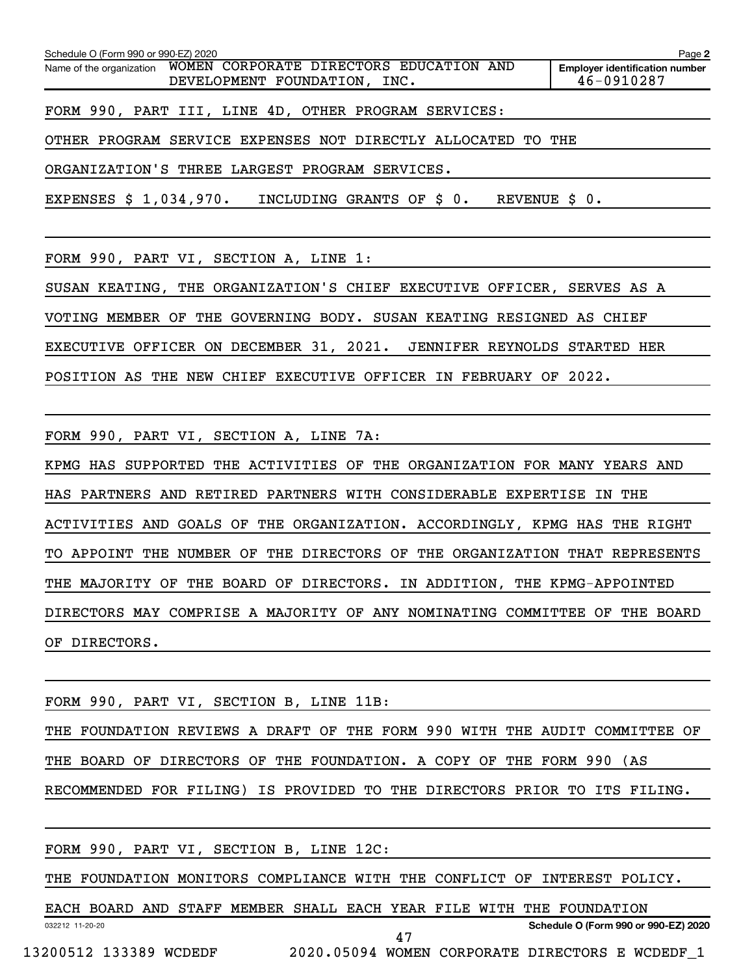**2 Employer identification number** Schedule O (Form 990 or 990-EZ) 2020 Name of the organization WOMEN CORPORATE DIRECTORS EDUCATION AND DEVELOPMENT FOUNDATION, INC. 46-0910287 FORM 990, PART III, LINE 4D, OTHER PROGRAM SERVICES: OTHER PROGRAM SERVICE EXPENSES NOT DIRECTLY ALLOCATED TO THE ORGANIZATION'S THREE LARGEST PROGRAM SERVICES.

EXPENSES \$ 1,034,970. INCLUDING GRANTS OF \$ 0. REVENUE \$ 0.

FORM 990, PART VI, SECTION A, LINE 1:

SUSAN KEATING, THE ORGANIZATION'S CHIEF EXECUTIVE OFFICER, SERVES AS A VOTING MEMBER OF THE GOVERNING BODY. SUSAN KEATING RESIGNED AS CHIEF EXECUTIVE OFFICER ON DECEMBER 31, 2021. JENNIFER REYNOLDS STARTED HER POSITION AS THE NEW CHIEF EXECUTIVE OFFICER IN FEBRUARY OF 2022.

FORM 990, PART VI, SECTION A, LINE 7A:

KPMG HAS SUPPORTED THE ACTIVITIES OF THE ORGANIZATION FOR MANY YEARS AND HAS PARTNERS AND RETIRED PARTNERS WITH CONSIDERABLE EXPERTISE IN THE ACTIVITIES AND GOALS OF THE ORGANIZATION. ACCORDINGLY, KPMG HAS THE RIGHT TO APPOINT THE NUMBER OF THE DIRECTORS OF THE ORGANIZATION THAT REPRESENTS THE MAJORITY OF THE BOARD OF DIRECTORS. IN ADDITION, THE KPMG-APPOINTED DIRECTORS MAY COMPRISE A MAJORITY OF ANY NOMINATING COMMITTEE OF THE BOARD OF DIRECTORS.

FORM 990, PART VI, SECTION B, LINE 11B:

THE FOUNDATION REVIEWS A DRAFT OF THE FORM 990 WITH THE AUDIT COMMITTEE OF THE BOARD OF DIRECTORS OF THE FOUNDATION. A COPY OF THE FORM 990 (AS RECOMMENDED FOR FILING) IS PROVIDED TO THE DIRECTORS PRIOR TO ITS FILING.

|                 |  |  | FORM 990, PART VI, SECTION B, LINE 12C:                              |    |  |  |                                                                          |  |
|-----------------|--|--|----------------------------------------------------------------------|----|--|--|--------------------------------------------------------------------------|--|
|                 |  |  |                                                                      |    |  |  | THE FOUNDATION MONITORS COMPLIANCE WITH THE CONFLICT OF INTEREST POLICY. |  |
|                 |  |  | EACH BOARD AND STAFF MEMBER SHALL EACH YEAR FILE WITH THE FOUNDATION |    |  |  |                                                                          |  |
| 032212 11-20-20 |  |  |                                                                      | 47 |  |  | Schedule O (Form 990 or 990-EZ) 2020                                     |  |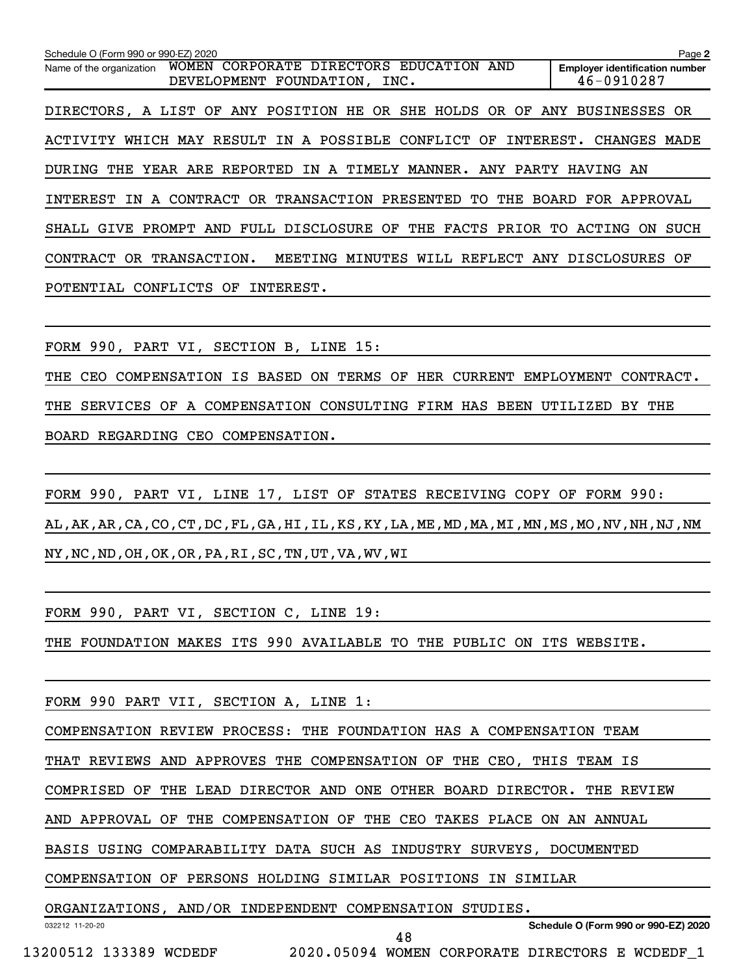**2 Employer identification number** Schedule O (Form 990 or 990-EZ) 2020 Name of the organization WOMEN CORPORATE DIRECTORS EDUCATION AND DEVELOPMENT FOUNDATION, INC. 46-0910287 DIRECTORS, A LIST OF ANY POSITION HE OR SHE HOLDS OR OF ANY BUSINESSES OR ACTIVITY WHICH MAY RESULT IN A POSSIBLE CONFLICT OF INTEREST. CHANGES MADE DURING THE YEAR ARE REPORTED IN A TIMELY MANNER. ANY PARTY HAVING AN INTEREST IN A CONTRACT OR TRANSACTION PRESENTED TO THE BOARD FOR APPROVAL SHALL GIVE PROMPT AND FULL DISCLOSURE OF THE FACTS PRIOR TO ACTING ON SUCH CONTRACT OR TRANSACTION. MEETING MINUTES WILL REFLECT ANY DISCLOSURES OF POTENTIAL CONFLICTS OF INTEREST.

FORM 990, PART VI, SECTION B, LINE 15:

THE CEO COMPENSATION IS BASED ON TERMS OF HER CURRENT EMPLOYMENT CONTRACT. THE SERVICES OF A COMPENSATION CONSULTING FIRM HAS BEEN UTILIZED BY THE BOARD REGARDING CEO COMPENSATION.

FORM 990, PART VI, LINE 17, LIST OF STATES RECEIVING COPY OF FORM 990: AL,AK,AR,CA,CO,CT,DC,FL,GA,HI,IL,KS,KY,LA,ME,MD,MA,MI,MN,MS,MO,NV,NH,NJ,NM NY,NC,ND,OH,OK,OR,PA,RI,SC,TN,UT,VA,WV,WI

FORM 990, PART VI, SECTION C, LINE 19:

THE FOUNDATION MAKES ITS 990 AVAILABLE TO THE PUBLIC ON ITS WEBSITE.

FORM 990 PART VII, SECTION A, LINE 1:

COMPENSATION REVIEW PROCESS: THE FOUNDATION HAS A COMPENSATION TEAM

THAT REVIEWS AND APPROVES THE COMPENSATION OF THE CEO, THIS TEAM IS

COMPRISED OF THE LEAD DIRECTOR AND ONE OTHER BOARD DIRECTOR. THE REVIEW

AND APPROVAL OF THE COMPENSATION OF THE CEO TAKES PLACE ON AN ANNUAL

BASIS USING COMPARABILITY DATA SUCH AS INDUSTRY SURVEYS, DOCUMENTED

COMPENSATION OF PERSONS HOLDING SIMILAR POSITIONS IN SIMILAR

ORGANIZATIONS, AND/OR INDEPENDENT COMPENSATION STUDIES.

032212 11-20-20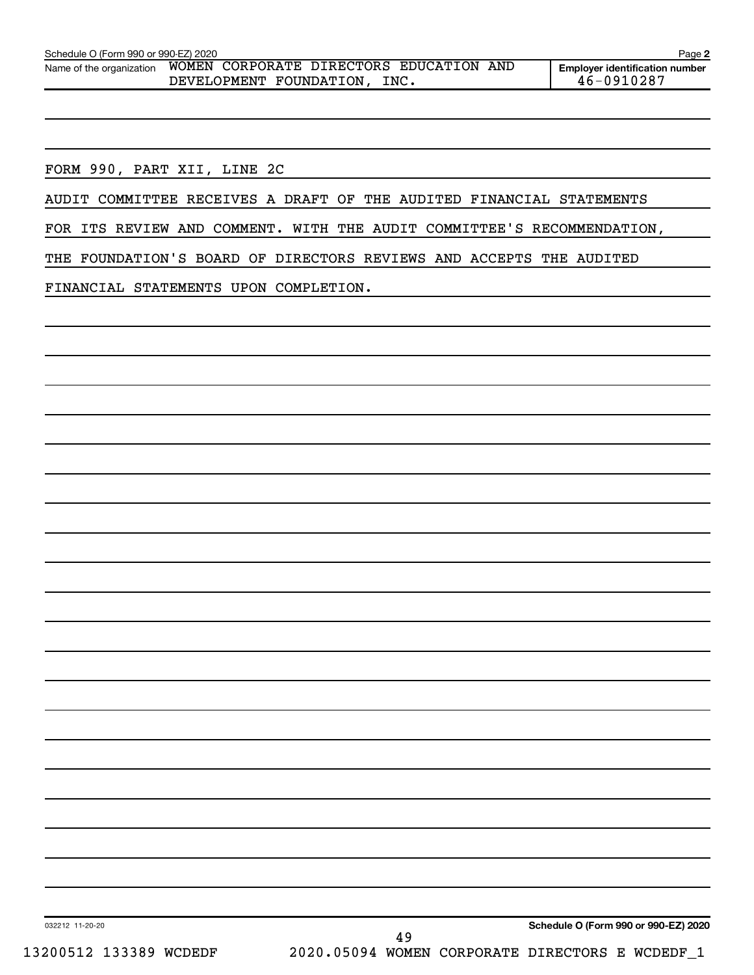FORM 990, PART XII, LINE 2C

AUDIT COMMITTEE RECEIVES A DRAFT OF THE AUDITED FINANCIAL STATEMENTS

FOR ITS REVIEW AND COMMENT. WITH THE AUDIT COMMITTEE'S RECOMMENDATION,

THE FOUNDATION'S BOARD OF DIRECTORS REVIEWS AND ACCEPTS THE AUDITED

FINANCIAL STATEMENTS UPON COMPLETION.

**Schedule O (Form 990 or 990-EZ) 2020**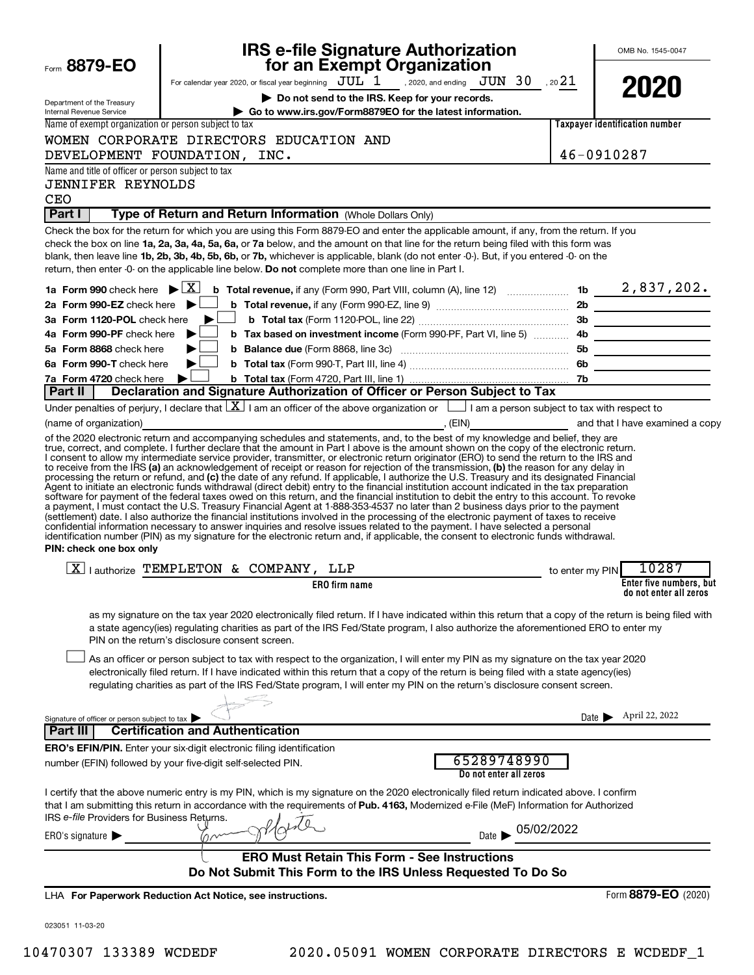|                                                                                | <b>IRS e-file Signature Authorization</b>                                                                                                                                                                                                                                                                                                                                                                                                                                                                                                                                                                                                                                                                                                                                                                                                         |                 | OMB No. 1545-0047                     |
|--------------------------------------------------------------------------------|---------------------------------------------------------------------------------------------------------------------------------------------------------------------------------------------------------------------------------------------------------------------------------------------------------------------------------------------------------------------------------------------------------------------------------------------------------------------------------------------------------------------------------------------------------------------------------------------------------------------------------------------------------------------------------------------------------------------------------------------------------------------------------------------------------------------------------------------------|-----------------|---------------------------------------|
| Form 8879-EO                                                                   | for an Exempt Organization<br>For calendar year 2020, or fiscal year beginning $JUL$ 1 , 2020, and ending $JUN$ 30 , 20 21                                                                                                                                                                                                                                                                                                                                                                                                                                                                                                                                                                                                                                                                                                                        |                 |                                       |
| Department of the Treasury<br><b>Internal Revenue Service</b>                  | Do not send to the IRS. Keep for your records.<br>Go to www.irs.gov/Form8879EO for the latest information.                                                                                                                                                                                                                                                                                                                                                                                                                                                                                                                                                                                                                                                                                                                                        |                 | 2020                                  |
| Name of exempt organization or person subject to tax                           |                                                                                                                                                                                                                                                                                                                                                                                                                                                                                                                                                                                                                                                                                                                                                                                                                                                   |                 | <b>Taxpayer identification number</b> |
|                                                                                | WOMEN CORPORATE DIRECTORS EDUCATION AND                                                                                                                                                                                                                                                                                                                                                                                                                                                                                                                                                                                                                                                                                                                                                                                                           |                 |                                       |
|                                                                                | DEVELOPMENT FOUNDATION, INC.                                                                                                                                                                                                                                                                                                                                                                                                                                                                                                                                                                                                                                                                                                                                                                                                                      |                 | 46-0910287                            |
| Name and title of officer or person subject to tax<br><b>JENNIFER REYNOLDS</b> |                                                                                                                                                                                                                                                                                                                                                                                                                                                                                                                                                                                                                                                                                                                                                                                                                                                   |                 |                                       |
| <b>CEO</b><br>Part I                                                           | Type of Return and Return Information (Whole Dollars Only)                                                                                                                                                                                                                                                                                                                                                                                                                                                                                                                                                                                                                                                                                                                                                                                        |                 |                                       |
|                                                                                | Check the box for the return for which you are using this Form 8879-EO and enter the applicable amount, if any, from the return. If you<br>check the box on line 1a, 2a, 3a, 4a, 5a, 6a, or 7a below, and the amount on that line for the return being filed with this form was<br>blank, then leave line 1b, 2b, 3b, 4b, 5b, 6b, or 7b, whichever is applicable, blank (do not enter -0-). But, if you entered -0- on the<br>return, then enter -0- on the applicable line below. Do not complete more than one line in Part I.                                                                                                                                                                                                                                                                                                                  |                 |                                       |
| 1a Form 990 check here $\blacktriangleright \boxed{X}$                         | <b>b</b> Total revenue, if any (Form 990, Part VIII, column (A), line 12) <b>contain the the set of 2</b> , 837, 202.                                                                                                                                                                                                                                                                                                                                                                                                                                                                                                                                                                                                                                                                                                                             |                 |                                       |
| 2a Form 990-EZ check here                                                      | ▶                                                                                                                                                                                                                                                                                                                                                                                                                                                                                                                                                                                                                                                                                                                                                                                                                                                 |                 |                                       |
| 3a Form 1120-POL check here                                                    |                                                                                                                                                                                                                                                                                                                                                                                                                                                                                                                                                                                                                                                                                                                                                                                                                                                   |                 |                                       |
| 4a Form 990-PF check here                                                      | ▶                                                                                                                                                                                                                                                                                                                                                                                                                                                                                                                                                                                                                                                                                                                                                                                                                                                 |                 |                                       |
| 5a Form 8868 check here                                                        | ▶                                                                                                                                                                                                                                                                                                                                                                                                                                                                                                                                                                                                                                                                                                                                                                                                                                                 |                 |                                       |
| 6a Form 990-T check here                                                       | ▶                                                                                                                                                                                                                                                                                                                                                                                                                                                                                                                                                                                                                                                                                                                                                                                                                                                 |                 |                                       |
| 7a Form 4720 check here<br>Part II                                             | Declaration and Signature Authorization of Officer or Person Subject to Tax                                                                                                                                                                                                                                                                                                                                                                                                                                                                                                                                                                                                                                                                                                                                                                       |                 |                                       |
|                                                                                | Under penalties of perjury, I declare that $\lfloor \underline{X} \rfloor$ I am an officer of the above organization or $\lfloor \underline{\hspace{1cm}} \rfloor$ I am a person subject to tax with respect to                                                                                                                                                                                                                                                                                                                                                                                                                                                                                                                                                                                                                                   |                 |                                       |
| (name of organization)                                                         |                                                                                                                                                                                                                                                                                                                                                                                                                                                                                                                                                                                                                                                                                                                                                                                                                                                   |                 |                                       |
| PIN: check one box only                                                        | Agent to initiate an electronic funds withdrawal (direct debit) entry to the financial institution account indicated in the tax preparation<br>software for payment of the federal taxes owed on this return, and the financial institution to debit the entry to this account. To revoke<br>a payment, I must contact the U.S. Treasury Financial Agent at 1-888-353-4537 no later than 2 business days prior to the payment<br>(settlement) date. I also authorize the financial institutions involved in the processing of the electronic payment of taxes to receive<br>confidential information necessary to answer inquiries and resolve issues related to the payment. I have selected a personal<br>identification number (PIN) as my signature for the electronic return and, if applicable, the consent to electronic funds withdrawal. |                 |                                       |
|                                                                                | $\boxed{X}$   authorize TEMPLETON & COMPANY, LLP                                                                                                                                                                                                                                                                                                                                                                                                                                                                                                                                                                                                                                                                                                                                                                                                  |                 | $-10287$                              |
|                                                                                | <b>ERO</b> firm name                                                                                                                                                                                                                                                                                                                                                                                                                                                                                                                                                                                                                                                                                                                                                                                                                              | to enter my PIN | Enter five numbers, but               |
|                                                                                |                                                                                                                                                                                                                                                                                                                                                                                                                                                                                                                                                                                                                                                                                                                                                                                                                                                   |                 | do not enter all zeros                |
|                                                                                | as my signature on the tax year 2020 electronically filed return. If I have indicated within this return that a copy of the return is being filed with<br>a state agency(ies) regulating charities as part of the IRS Fed/State program, I also authorize the aforementioned ERO to enter my<br>PIN on the return's disclosure consent screen.                                                                                                                                                                                                                                                                                                                                                                                                                                                                                                    |                 |                                       |
|                                                                                | As an officer or person subject to tax with respect to the organization, I will enter my PIN as my signature on the tax year 2020<br>electronically filed return. If I have indicated within this return that a copy of the return is being filed with a state agency(ies)<br>regulating charities as part of the IRS Fed/State program, I will enter my PIN on the return's disclosure consent screen.                                                                                                                                                                                                                                                                                                                                                                                                                                           |                 |                                       |
| Signature of officer or person subject to tax                                  |                                                                                                                                                                                                                                                                                                                                                                                                                                                                                                                                                                                                                                                                                                                                                                                                                                                   | Date <b>I</b>   | April 22, 2022                        |
| Part III                                                                       | <b>Certification and Authentication</b>                                                                                                                                                                                                                                                                                                                                                                                                                                                                                                                                                                                                                                                                                                                                                                                                           |                 |                                       |
|                                                                                | ERO's EFIN/PIN. Enter your six-digit electronic filing identification                                                                                                                                                                                                                                                                                                                                                                                                                                                                                                                                                                                                                                                                                                                                                                             |                 |                                       |
|                                                                                | 65289748990<br>number (EFIN) followed by your five-digit self-selected PIN.<br>Do not enter all zeros                                                                                                                                                                                                                                                                                                                                                                                                                                                                                                                                                                                                                                                                                                                                             |                 |                                       |
| IRS e-file Providers for Business Returns.                                     | I certify that the above numeric entry is my PIN, which is my signature on the 2020 electronically filed return indicated above. I confirm<br>that I am submitting this return in accordance with the requirements of Pub. 4163, Modernized e-File (MeF) Information for Authorized                                                                                                                                                                                                                                                                                                                                                                                                                                                                                                                                                               |                 |                                       |
| ERO's signature $\blacktriangleright$                                          | Date > 05/02/2022                                                                                                                                                                                                                                                                                                                                                                                                                                                                                                                                                                                                                                                                                                                                                                                                                                 |                 |                                       |
|                                                                                | <b>ERO Must Retain This Form - See Instructions</b><br>Do Not Submit This Form to the IRS Unless Requested To Do So                                                                                                                                                                                                                                                                                                                                                                                                                                                                                                                                                                                                                                                                                                                               |                 |                                       |
|                                                                                | LHA For Paperwork Reduction Act Notice, see instructions.                                                                                                                                                                                                                                                                                                                                                                                                                                                                                                                                                                                                                                                                                                                                                                                         |                 | Form 8879-EO (2020)                   |
| 023051 11-03-20                                                                |                                                                                                                                                                                                                                                                                                                                                                                                                                                                                                                                                                                                                                                                                                                                                                                                                                                   |                 |                                       |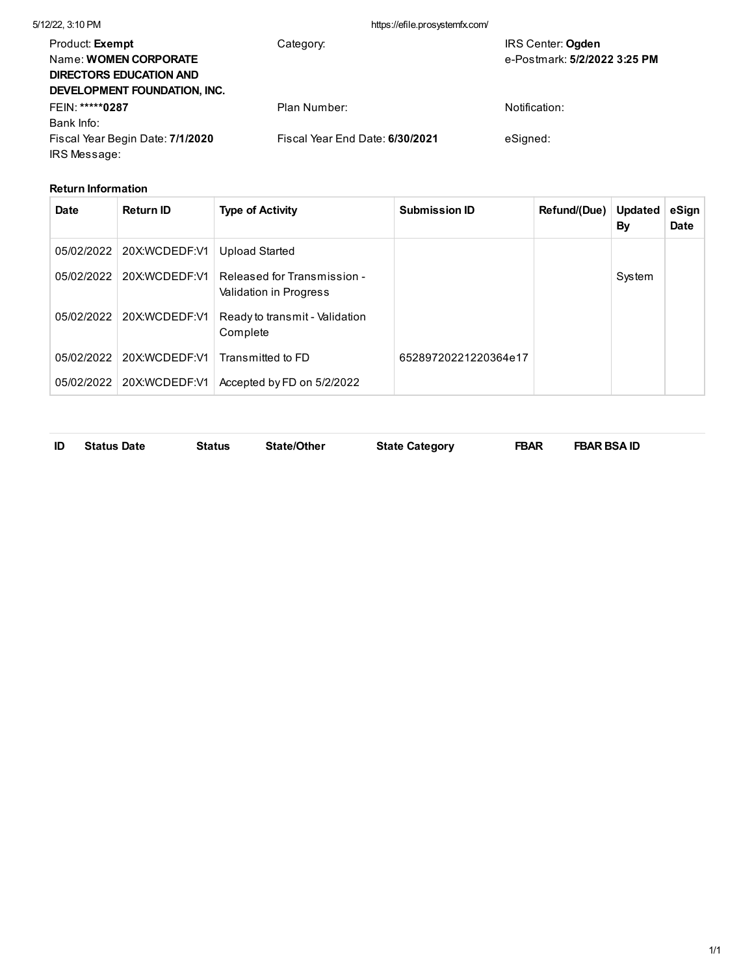| 5/12/22, 3:10 PM                                                                                                         | https://efile.prosystemfx.com/  |                                                          |
|--------------------------------------------------------------------------------------------------------------------------|---------------------------------|----------------------------------------------------------|
| Product: <b>Exempt</b><br>Name: <b>WOMEN CORPORATE</b><br><b>DIRECTORS EDUCATION AND</b><br>DEVELOPMENT FOUNDATION, INC. | Category:                       | <b>IRS Center: Ogden</b><br>e-Postmark: 5/2/2022 3:25 PM |
| FEIN: *****0287                                                                                                          | Plan Number:                    | Notification:                                            |
| Bank Info:                                                                                                               |                                 |                                                          |
| Fiscal Year Begin Date: 7/1/2020<br>IRS Message:                                                                         | Fiscal Year End Date: 6/30/2021 | eSigned:                                                 |

## **Return Information**

| Date       | <b>Return ID</b> | <b>Type of Activity</b>                               | <b>Submission ID</b> | Refund/(Due) | <b>Updated</b><br>By | eSign<br><b>Date</b> |
|------------|------------------|-------------------------------------------------------|----------------------|--------------|----------------------|----------------------|
| 05/02/2022 | 20X:WCDEDF:V1    | <b>Upload Started</b>                                 |                      |              |                      |                      |
| 05/02/2022 | 20X:WCDEDF:V1    | Released for Transmission -<br>Validation in Progress |                      |              | System               |                      |
| 05/02/2022 | 20X:WCDEDF:V1    | Ready to transmit - Validation<br>Complete            |                      |              |                      |                      |
| 05/02/2022 | 20X:WCDEDF:V1    | Transmitted to FD                                     | 65289720221220364e17 |              |                      |                      |
| 05/02/2022 | 20X:WCDEDF:V1    | Accepted by FD on 5/2/2022                            |                      |              |                      |                      |

**ID Status Date Status State/Other State Category FBAR FBAR BSA ID**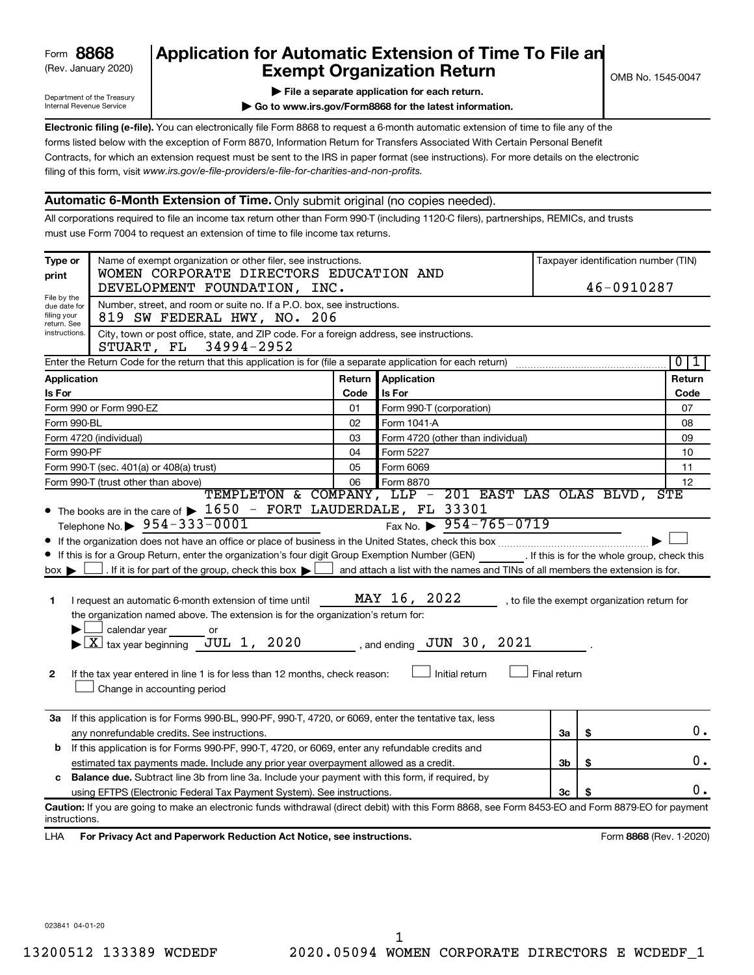# (Rev. January 2020) **Cxempt Organization Return** Manuary 2020) and the settern **Canadian Exempt Organization Return Form 8868 Application for Automatic Extension of Time To File an**<br>**Exempt Organization Return**

Department of the Treasury Internal Revenue Service

|  |  | File a separate application for each return. |
|--|--|----------------------------------------------|

**| Go to www.irs.gov/Form8868 for the latest information.**

**Electronic filing (e-file).** You can electronically file Form 8868 to request a 6-month automatic extension of time to file any of the filing of this form, visit www.irs.gov/e-file-providers/e-file-for-charities-and-non-profits. forms listed below with the exception of Form 8870, Information Return for Transfers Associated With Certain Personal Benefit Contracts, for which an extension request must be sent to the IRS in paper format (see instructions). For more details on the electronic

# **Automatic 6-Month Extension of Time.** Only submit original (no copies needed).

All corporations required to file an income tax return other than Form 990-T (including 1120-C filers), partnerships, REMICs, and trusts must use Form 7004 to request an extension of time to file income tax returns.

| Type or<br>print                                                                                                                                                                                                                                                                                                                                                                                                                                                                                                                                                                                                                                                                                                                                                                                                                                                                                                                                                      | Name of exempt organization or other filer, see instructions.<br>WOMEN CORPORATE DIRECTORS EDUCATION AND<br>DEVELOPMENT FOUNDATION, INC.             | Taxpayer identification number (TIN)<br>46-0910287 |                                                                     |    |    |                         |  |  |  |
|-----------------------------------------------------------------------------------------------------------------------------------------------------------------------------------------------------------------------------------------------------------------------------------------------------------------------------------------------------------------------------------------------------------------------------------------------------------------------------------------------------------------------------------------------------------------------------------------------------------------------------------------------------------------------------------------------------------------------------------------------------------------------------------------------------------------------------------------------------------------------------------------------------------------------------------------------------------------------|------------------------------------------------------------------------------------------------------------------------------------------------------|----------------------------------------------------|---------------------------------------------------------------------|----|----|-------------------------|--|--|--|
| File by the<br>due date for<br>filing your                                                                                                                                                                                                                                                                                                                                                                                                                                                                                                                                                                                                                                                                                                                                                                                                                                                                                                                            | Number, street, and room or suite no. If a P.O. box, see instructions.<br>819 SW FEDERAL HWY, NO. 206                                                |                                                    |                                                                     |    |    |                         |  |  |  |
| return. See<br>instructions.                                                                                                                                                                                                                                                                                                                                                                                                                                                                                                                                                                                                                                                                                                                                                                                                                                                                                                                                          | City, town or post office, state, and ZIP code. For a foreign address, see instructions.<br>34994-2952<br>STUART, FL                                 |                                                    |                                                                     |    |    |                         |  |  |  |
|                                                                                                                                                                                                                                                                                                                                                                                                                                                                                                                                                                                                                                                                                                                                                                                                                                                                                                                                                                       | $\overline{0}$<br>Enter the Return Code for the return that this application is for (file a separate application for each return)<br>1               |                                                    |                                                                     |    |    |                         |  |  |  |
| <b>Application</b>                                                                                                                                                                                                                                                                                                                                                                                                                                                                                                                                                                                                                                                                                                                                                                                                                                                                                                                                                    |                                                                                                                                                      | Return                                             | <b>Application</b>                                                  |    |    | Return                  |  |  |  |
| Is For                                                                                                                                                                                                                                                                                                                                                                                                                                                                                                                                                                                                                                                                                                                                                                                                                                                                                                                                                                |                                                                                                                                                      | Code                                               | Is For                                                              |    |    | Code                    |  |  |  |
| Form 990 or Form 990-EZ                                                                                                                                                                                                                                                                                                                                                                                                                                                                                                                                                                                                                                                                                                                                                                                                                                                                                                                                               |                                                                                                                                                      | 01                                                 | Form 990-T (corporation)                                            |    |    | 07                      |  |  |  |
| Form 990-BL                                                                                                                                                                                                                                                                                                                                                                                                                                                                                                                                                                                                                                                                                                                                                                                                                                                                                                                                                           |                                                                                                                                                      | 02                                                 | Form 1041 A                                                         |    |    | 08                      |  |  |  |
| Form 4720 (individual)                                                                                                                                                                                                                                                                                                                                                                                                                                                                                                                                                                                                                                                                                                                                                                                                                                                                                                                                                |                                                                                                                                                      | 03                                                 | Form 4720 (other than individual)                                   |    |    | 09                      |  |  |  |
| Form 990-PF                                                                                                                                                                                                                                                                                                                                                                                                                                                                                                                                                                                                                                                                                                                                                                                                                                                                                                                                                           |                                                                                                                                                      | 04                                                 | Form 5227                                                           |    |    | 10                      |  |  |  |
|                                                                                                                                                                                                                                                                                                                                                                                                                                                                                                                                                                                                                                                                                                                                                                                                                                                                                                                                                                       | Form 990-T (sec. 401(a) or 408(a) trust)                                                                                                             | 05                                                 | Form 6069                                                           |    |    | 11                      |  |  |  |
|                                                                                                                                                                                                                                                                                                                                                                                                                                                                                                                                                                                                                                                                                                                                                                                                                                                                                                                                                                       | Form 990-T (trust other than above)                                                                                                                  | 06                                                 | Form 8870<br>TEMPLETON & COMPANY, LLP - 201 EAST LAS OLAS BLVD, STE |    |    | 12                      |  |  |  |
| Fax No. $\triangleright$ 954-765-0719<br>Telephone No. $\triangleright$ 954-333-0001<br>If this is for a Group Return, enter the organization's four digit Group Exemption Number (GEN) [If this is for the whole group, check this<br>. If it is for part of the group, check this box $\blacktriangleright$ [<br>and attach a list with the names and TINs of all members the extension is for.<br>$box \blacktriangleright$<br>MAY 16, 2022<br>I request an automatic 6-month extension of time until<br>, to file the exempt organization return for<br>1<br>the organization named above. The extension is for the organization's return for:<br>calendar year<br>or<br>$\blacktriangleright$ $\boxed{\text{X}}$ tax year beginning JUL 1, 2020<br>, and ending $\overline{\text{JUN}}$ 30, 2021<br>Initial return<br>Final return<br>If the tax year entered in line 1 is for less than 12 months, check reason:<br>$\mathbf{2}$<br>Change in accounting period |                                                                                                                                                      |                                                    |                                                                     |    |    |                         |  |  |  |
| За                                                                                                                                                                                                                                                                                                                                                                                                                                                                                                                                                                                                                                                                                                                                                                                                                                                                                                                                                                    | If this application is for Forms 990-BL, 990-PF, 990-T, 4720, or 6069, enter the tentative tax, less<br>any nonrefundable credits. See instructions. |                                                    |                                                                     |    | \$ | 0.                      |  |  |  |
| <b>b</b> If this application is for Forms 990-PF, 990-T, 4720, or 6069, enter any refundable credits and<br>estimated tax payments made. Include any prior year overpayment allowed as a credit.<br><b>Balance due.</b> Subtract line 3b from line 3a. Include your payment with this form, if required, by<br>c<br>using EFTPS (Electronic Federal Tax Payment System). See instructions.                                                                                                                                                                                                                                                                                                                                                                                                                                                                                                                                                                            |                                                                                                                                                      |                                                    |                                                                     | 3b |    |                         |  |  |  |
|                                                                                                                                                                                                                                                                                                                                                                                                                                                                                                                                                                                                                                                                                                                                                                                                                                                                                                                                                                       |                                                                                                                                                      |                                                    |                                                                     |    | \$ | ο.                      |  |  |  |
|                                                                                                                                                                                                                                                                                                                                                                                                                                                                                                                                                                                                                                                                                                                                                                                                                                                                                                                                                                       |                                                                                                                                                      |                                                    |                                                                     | 3c |    |                         |  |  |  |
|                                                                                                                                                                                                                                                                                                                                                                                                                                                                                                                                                                                                                                                                                                                                                                                                                                                                                                                                                                       |                                                                                                                                                      |                                                    |                                                                     |    |    | о.                      |  |  |  |
| instructions.                                                                                                                                                                                                                                                                                                                                                                                                                                                                                                                                                                                                                                                                                                                                                                                                                                                                                                                                                         | Caution: If you are going to make an electronic funds withdrawal (direct debit) with this Form 8868, see Form 8453-EO and Form 8879-EO for payment   |                                                    |                                                                     |    |    |                         |  |  |  |
| LHA                                                                                                                                                                                                                                                                                                                                                                                                                                                                                                                                                                                                                                                                                                                                                                                                                                                                                                                                                                   | For Privacy Act and Paperwork Reduction Act Notice, see instructions.                                                                                |                                                    |                                                                     |    |    | Form 8868 (Rev. 1-2020) |  |  |  |

023841 04-01-20